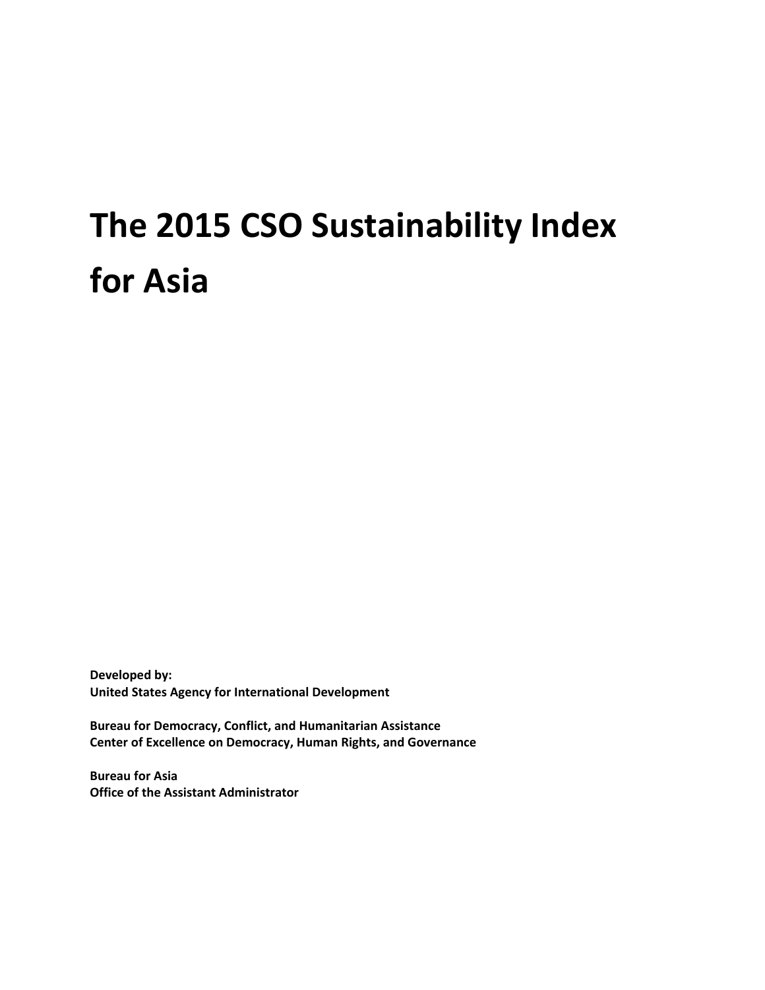# **The 2015 CSO Sustainability Index for Asia**

**Developed by: United States Agency for International Development**

**Bureau for Democracy, Conflict, and Humanitarian Assistance Center of Excellence on Democracy, Human Rights, and Governance**

**Bureau for Asia Office of the Assistant Administrator**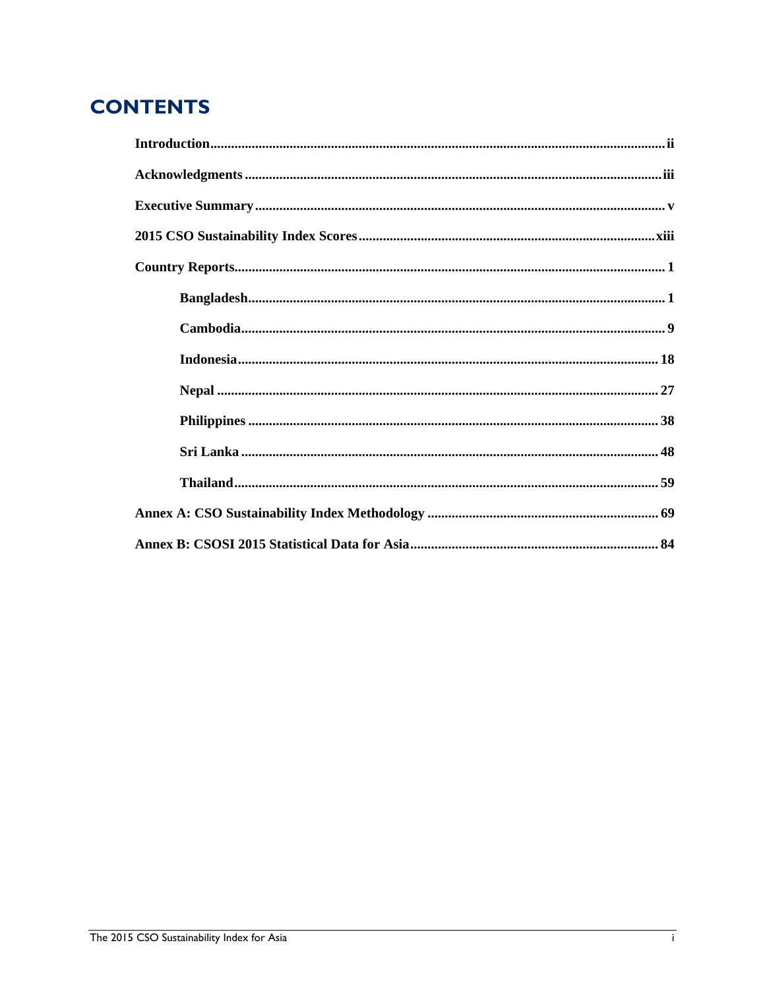# **CONTENTS**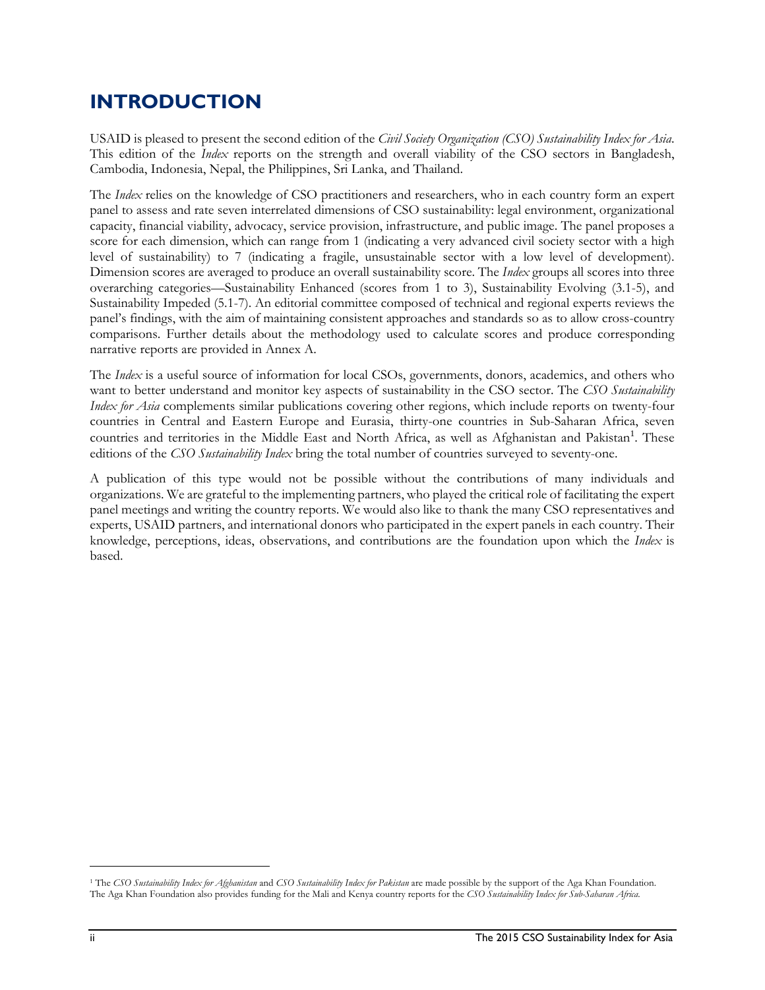# **INTRODUCTION**

USAID is pleased to present the second edition of the *Civil Society Organization (CSO) Sustainability Index for Asia*. This edition of the *Index* reports on the strength and overall viability of the CSO sectors in Bangladesh, Cambodia, Indonesia, Nepal, the Philippines, Sri Lanka, and Thailand.

The *Index* relies on the knowledge of CSO practitioners and researchers, who in each country form an expert panel to assess and rate seven interrelated dimensions of CSO sustainability: legal environment, organizational capacity, financial viability, advocacy, service provision, infrastructure, and public image. The panel proposes a score for each dimension, which can range from 1 (indicating a very advanced civil society sector with a high level of sustainability) to 7 (indicating a fragile, unsustainable sector with a low level of development). Dimension scores are averaged to produce an overall sustainability score. The *Index* groups all scores into three overarching categories—Sustainability Enhanced (scores from 1 to 3), Sustainability Evolving (3.1-5), and Sustainability Impeded (5.1-7). An editorial committee composed of technical and regional experts reviews the panel's findings, with the aim of maintaining consistent approaches and standards so as to allow cross-country comparisons. Further details about the methodology used to calculate scores and produce corresponding narrative reports are provided in Annex A.

The *Index* is a useful source of information for local CSOs, governments, donors, academics, and others who want to better understand and monitor key aspects of sustainability in the CSO sector. The *CSO Sustainability Index for Asia* complements similar publications covering other regions, which include reports on twenty-four countries in Central and Eastern Europe and Eurasia, thirty-one countries in Sub-Saharan Africa, seven countries and territories in the Middle East and North Africa, as well as Afghanistan and Pakistan<sup>1</sup>. These editions of the *CSO Sustainability Index* bring the total number of countries surveyed to seventy-one.

A publication of this type would not be possible without the contributions of many individuals and organizations. We are grateful to the implementing partners, who played the critical role of facilitating the expert panel meetings and writing the country reports. We would also like to thank the many CSO representatives and experts, USAID partners, and international donors who participated in the expert panels in each country. Their knowledge, perceptions, ideas, observations, and contributions are the foundation upon which the *Index* is based.

l

<sup>&</sup>lt;sup>1</sup> The *CSO Sustainability Index for Afghanistan* and *CSO Sustainability Index for Pakistan* are made possible by the support of the Aga Khan Foundation. The Aga Khan Foundation also provides funding for the Mali and Kenya country reports for the *CSO Sustainability Index for Sub-Saharan Africa*.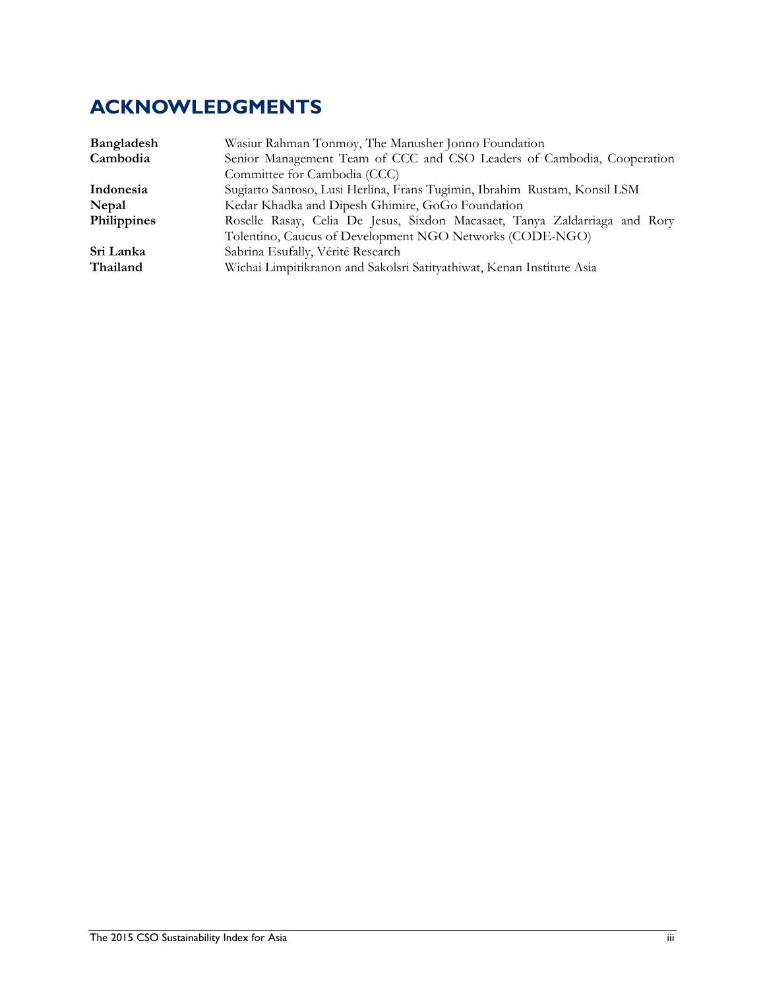# **ACKNOWLEDGMENTS**

| Bangladesh  | Wasiur Rahman Tonmoy, The Manusher Jonno Foundation                        |  |  |  |  |  |  |
|-------------|----------------------------------------------------------------------------|--|--|--|--|--|--|
| Cambodia    | Senior Management Team of CCC and CSO Leaders of Cambodia, Cooperation     |  |  |  |  |  |  |
|             | Committee for Cambodia (CCC)                                               |  |  |  |  |  |  |
| Indonesia   | Sugiarto Santoso, Lusi Herlina, Frans Tugimin, Ibrahim Rustam, Konsil LSM  |  |  |  |  |  |  |
| Nepal       | Kedar Khadka and Dipesh Ghimire, GoGo Foundation                           |  |  |  |  |  |  |
| Philippines | Roselle Rasay, Celia De Jesus, Sixdon Macasaet, Tanya Zaldarriaga and Rory |  |  |  |  |  |  |
|             | Tolentino, Caucus of Development NGO Networks (CODE-NGO)                   |  |  |  |  |  |  |
| Sri Lanka   | Sabrina Esufally, Vérité Research                                          |  |  |  |  |  |  |
| Thailand    | Wichai Limpitikranon and Sakolsri Satityathiwat, Kenan Institute Asia      |  |  |  |  |  |  |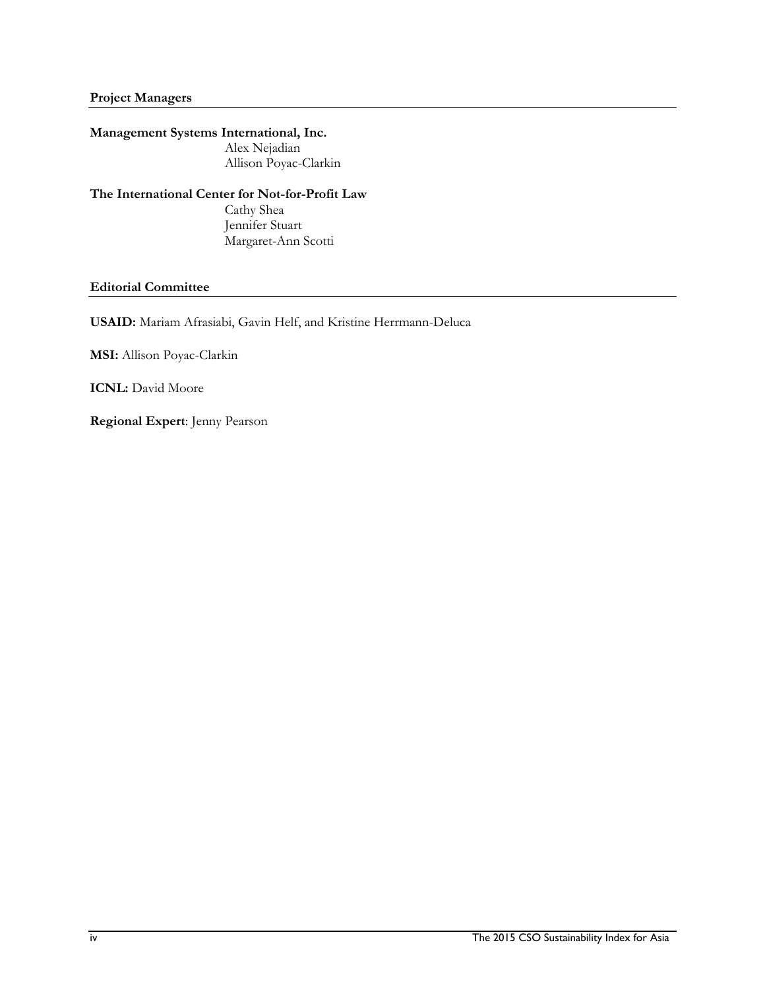#### **Project Managers**

#### **Management Systems International, Inc.**

Alex Nejadian Allison Poyac-Clarkin

#### **The International Center for Not-for-Profit Law**

Cathy Shea Jennifer Stuart Margaret-Ann Scotti

#### **Editorial Committee**

**USAID:** Mariam Afrasiabi, Gavin Helf, and Kristine Herrmann-Deluca

**MSI:** Allison Poyac-Clarkin

**ICNL:** David Moore

**Regional Expert**: Jenny Pearson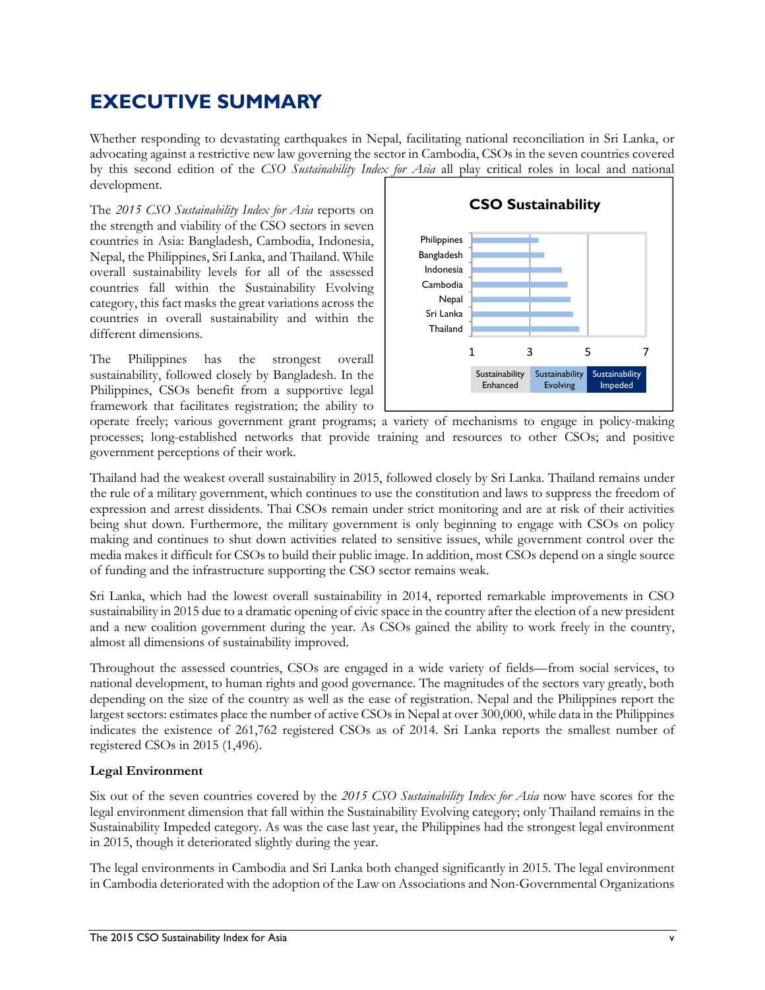# **EXECUTIVE SUMMARY**

Whether responding to devastating earthquakes in Nepal, facilitating national reconciliation in Sri Lanka, or advocating against a restrictive new law governing the sector in Cambodia, CSOs in the seven countries covered by this second edition of the *CSO Sustainability Index for Asia* all play critical roles in local and national development.

The *2015 CSO Sustainability Index for Asia* reports on the strength and viability of the CSO sectors in seven countries in Asia: Bangladesh, Cambodia, Indonesia, Nepal, the Philippines, Sri Lanka, and Thailand. While overall sustainability levels for all of the assessed countries fall within the Sustainability Evolving category, this fact masks the great variations across the countries in overall sustainability and within the different dimensions.

The Philippines has the strongest overall sustainability, followed closely by Bangladesh. In the Philippines, CSOs benefit from a supportive legal framework that facilitates registration; the ability to



operate freely; various government grant programs; a variety of mechanisms to engage in policy-making processes; long-established networks that provide training and resources to other CSOs; and positive government perceptions of their work.

Thailand had the weakest overall sustainability in 2015, followed closely by Sri Lanka. Thailand remains under the rule of a military government, which continues to use the constitution and laws to suppress the freedom of expression and arrest dissidents. Thai CSOs remain under strict monitoring and are at risk of their activities being shut down. Furthermore, the military government is only beginning to engage with CSOs on policy making and continues to shut down activities related to sensitive issues, while government control over the media makes it difficult for CSOs to build their public image. In addition, most CSOs depend on a single source of funding and the infrastructure supporting the CSO sector remains weak.

Sri Lanka, which had the lowest overall sustainability in 2014, reported remarkable improvements in CSO sustainability in 2015 due to a dramatic opening of civic space in the country after the election of a new president and a new coalition government during the year. As CSOs gained the ability to work freely in the country, almost all dimensions of sustainability improved.

Throughout the assessed countries, CSOs are engaged in a wide variety of fields—from social services, to national development, to human rights and good governance. The magnitudes of the sectors vary greatly, both depending on the size of the country as well as the ease of registration. Nepal and the Philippines report the largest sectors: estimates place the number of active CSOs in Nepal at over 300,000, while data in the Philippines indicates the existence of 261,762 registered CSOs as of 2014. Sri Lanka reports the smallest number of registered CSOs in 2015 (1,496).

#### **Legal Environment**

Six out of the seven countries covered by the *2015 CSO Sustainability Index for Asia* now have scores for the legal environment dimension that fall within the Sustainability Evolving category; only Thailand remains in the Sustainability Impeded category. As was the case last year, the Philippines had the strongest legal environment in 2015, though it deteriorated slightly during the year.

The legal environments in Cambodia and Sri Lanka both changed significantly in 2015. The legal environment in Cambodia deteriorated with the adoption of the Law on Associations and Non-Governmental Organizations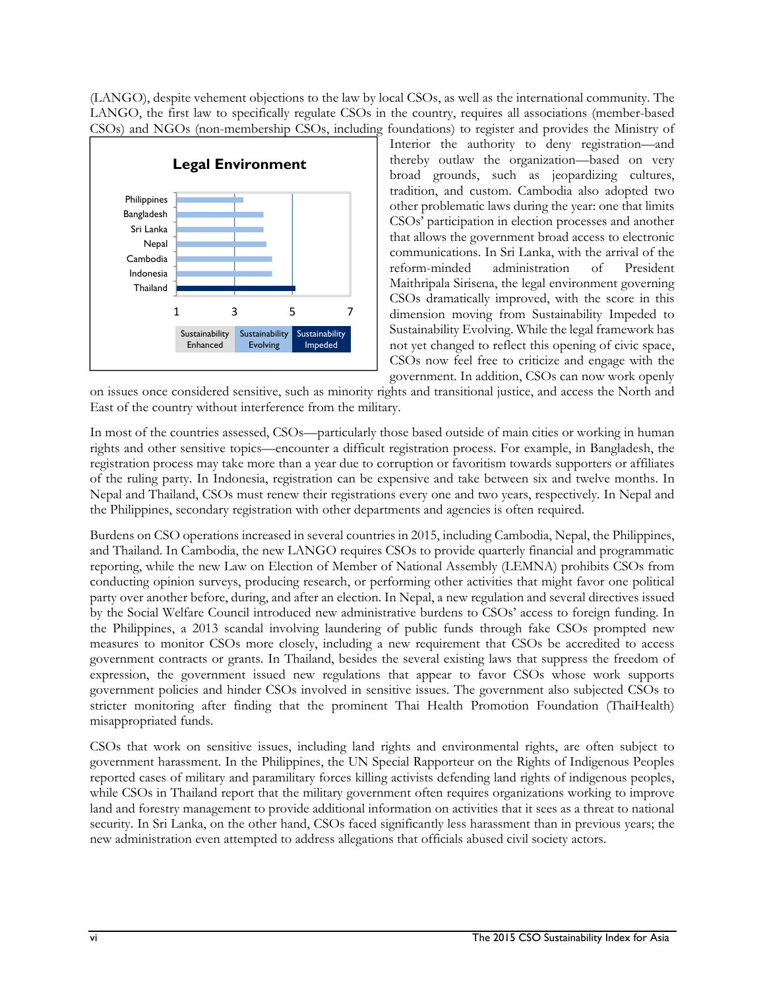(LANGO), despite vehement objections to the law by local CSOs, as well as the international community. The LANGO, the first law to specifically regulate CSOs in the country, requires all associations (member-based CSOs) and NGOs (non-membership CSOs, including foundations) to register and provides the Ministry of



Interior the authority to deny registration—and thereby outlaw the organization—based on very broad grounds, such as jeopardizing cultures, tradition, and custom. Cambodia also adopted two other problematic laws during the year: one that limits CSOs' participation in election processes and another that allows the government broad access to electronic communications. In Sri Lanka, with the arrival of the reform-minded administration of President Maithripala Sirisena, the legal environment governing CSOs dramatically improved, with the score in this dimension moving from Sustainability Impeded to Sustainability Evolving. While the legal framework has not yet changed to reflect this opening of civic space, CSOs now feel free to criticize and engage with the government. In addition, CSOs can now work openly

on issues once considered sensitive, such as minority rights and transitional justice, and access the North and East of the country without interference from the military.

In most of the countries assessed, CSOs—particularly those based outside of main cities or working in human rights and other sensitive topics—encounter a difficult registration process. For example, in Bangladesh, the registration process may take more than a year due to corruption or favoritism towards supporters or affiliates of the ruling party. In Indonesia, registration can be expensive and take between six and twelve months. In Nepal and Thailand, CSOs must renew their registrations every one and two years, respectively. In Nepal and the Philippines, secondary registration with other departments and agencies is often required.

Burdens on CSO operations increased in several countries in 2015, including Cambodia, Nepal, the Philippines, and Thailand. In Cambodia, the new LANGO requires CSOs to provide quarterly financial and programmatic reporting, while the new Law on Election of Member of National Assembly (LEMNA) prohibits CSOs from conducting opinion surveys, producing research, or performing other activities that might favor one political party over another before, during, and after an election. In Nepal, a new regulation and several directives issued by the Social Welfare Council introduced new administrative burdens to CSOs' access to foreign funding. In the Philippines, a 2013 scandal involving laundering of public funds through fake CSOs prompted new measures to monitor CSOs more closely, including a new requirement that CSOs be accredited to access government contracts or grants. In Thailand, besides the several existing laws that suppress the freedom of expression, the government issued new regulations that appear to favor CSOs whose work supports government policies and hinder CSOs involved in sensitive issues. The government also subjected CSOs to stricter monitoring after finding that the prominent Thai Health Promotion Foundation (ThaiHealth) misappropriated funds.

CSOs that work on sensitive issues, including land rights and environmental rights, are often subject to government harassment. In the Philippines, the UN Special Rapporteur on the Rights of Indigenous Peoples reported cases of military and paramilitary forces killing activists defending land rights of indigenous peoples, while CSOs in Thailand report that the military government often requires organizations working to improve land and forestry management to provide additional information on activities that it sees as a threat to national security. In Sri Lanka, on the other hand, CSOs faced significantly less harassment than in previous years; the new administration even attempted to address allegations that officials abused civil society actors.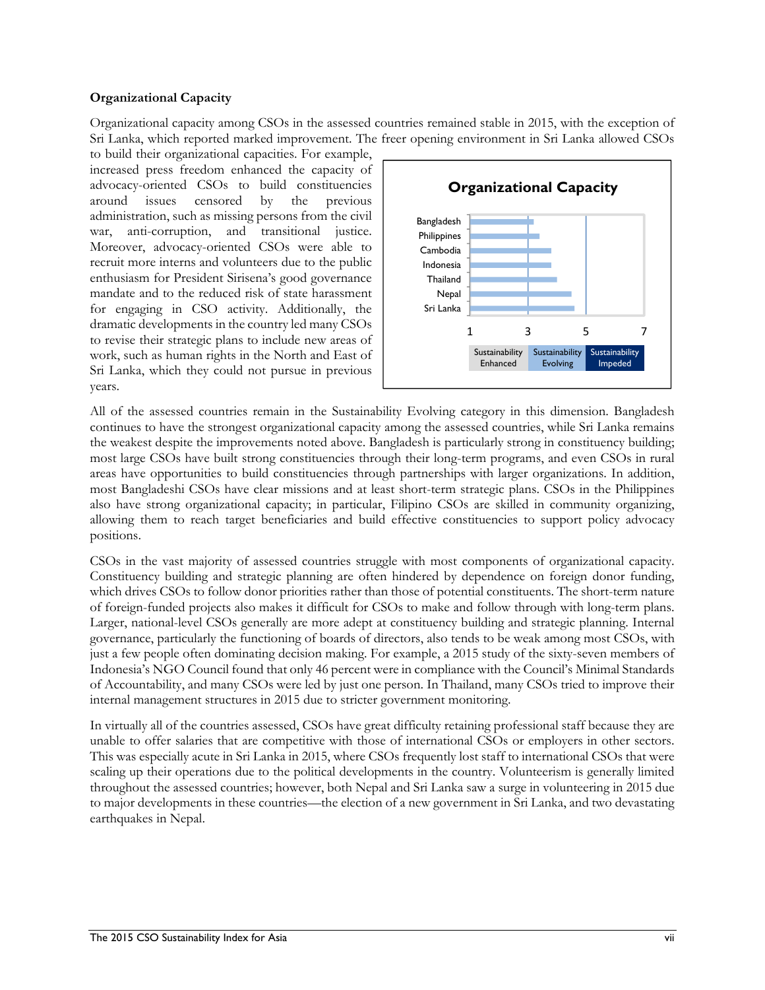#### **Organizational Capacity**

Organizational capacity among CSOs in the assessed countries remained stable in 2015, with the exception of Sri Lanka, which reported marked improvement. The freer opening environment in Sri Lanka allowed CSOs

to build their organizational capacities. For example, increased press freedom enhanced the capacity of advocacy-oriented CSOs to build constituencies around issues censored by the previous administration, such as missing persons from the civil war, anti-corruption, and transitional justice. Moreover, advocacy-oriented CSOs were able to recruit more interns and volunteers due to the public enthusiasm for President Sirisena's good governance mandate and to the reduced risk of state harassment for engaging in CSO activity. Additionally, the dramatic developments in the country led many CSOs to revise their strategic plans to include new areas of work, such as human rights in the North and East of Sri Lanka, which they could not pursue in previous years.



All of the assessed countries remain in the Sustainability Evolving category in this dimension. Bangladesh continues to have the strongest organizational capacity among the assessed countries, while Sri Lanka remains the weakest despite the improvements noted above. Bangladesh is particularly strong in constituency building; most large CSOs have built strong constituencies through their long-term programs, and even CSOs in rural areas have opportunities to build constituencies through partnerships with larger organizations. In addition, most Bangladeshi CSOs have clear missions and at least short-term strategic plans. CSOs in the Philippines also have strong organizational capacity; in particular, Filipino CSOs are skilled in community organizing, allowing them to reach target beneficiaries and build effective constituencies to support policy advocacy positions.

CSOs in the vast majority of assessed countries struggle with most components of organizational capacity. Constituency building and strategic planning are often hindered by dependence on foreign donor funding, which drives CSOs to follow donor priorities rather than those of potential constituents. The short-term nature of foreign-funded projects also makes it difficult for CSOs to make and follow through with long-term plans. Larger, national-level CSOs generally are more adept at constituency building and strategic planning. Internal governance, particularly the functioning of boards of directors, also tends to be weak among most CSOs, with just a few people often dominating decision making. For example, a 2015 study of the sixty-seven members of Indonesia's NGO Council found that only 46 percent were in compliance with the Council's Minimal Standards of Accountability, and many CSOs were led by just one person. In Thailand, many CSOs tried to improve their internal management structures in 2015 due to stricter government monitoring.

In virtually all of the countries assessed, CSOs have great difficulty retaining professional staff because they are unable to offer salaries that are competitive with those of international CSOs or employers in other sectors. This was especially acute in Sri Lanka in 2015, where CSOs frequently lost staff to international CSOs that were scaling up their operations due to the political developments in the country. Volunteerism is generally limited throughout the assessed countries; however, both Nepal and Sri Lanka saw a surge in volunteering in 2015 due to major developments in these countries—the election of a new government in Sri Lanka, and two devastating earthquakes in Nepal.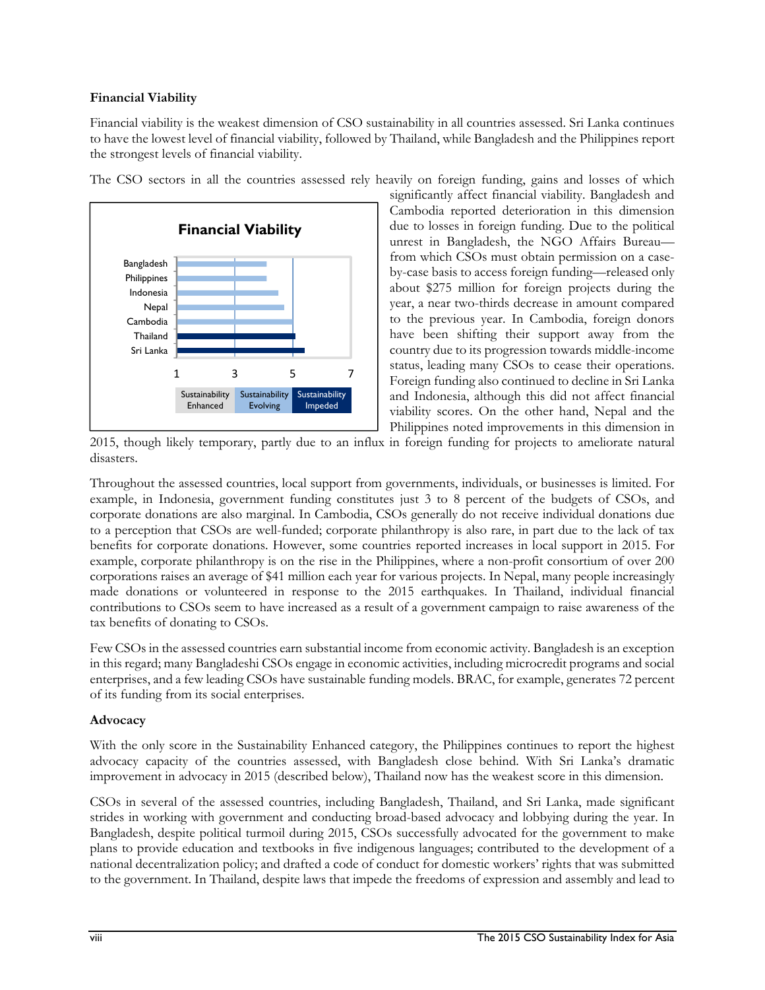#### **Financial Viability**

Financial viability is the weakest dimension of CSO sustainability in all countries assessed. Sri Lanka continues to have the lowest level of financial viability, followed by Thailand, while Bangladesh and the Philippines report the strongest levels of financial viability.



The CSO sectors in all the countries assessed rely heavily on foreign funding, gains and losses of which

significantly affect financial viability. Bangladesh and Cambodia reported deterioration in this dimension due to losses in foreign funding. Due to the political unrest in Bangladesh, the NGO Affairs Bureau from which CSOs must obtain permission on a caseby-case basis to access foreign funding—released only about \$275 million for foreign projects during the year, a near two-thirds decrease in amount compared to the previous year. In Cambodia, foreign donors have been shifting their support away from the country due to its progression towards middle-income status, leading many CSOs to cease their operations. Foreign funding also continued to decline in Sri Lanka and Indonesia, although this did not affect financial viability scores. On the other hand, Nepal and the Philippines noted improvements in this dimension in

2015, though likely temporary, partly due to an influx in foreign funding for projects to ameliorate natural disasters.

Throughout the assessed countries, local support from governments, individuals, or businesses is limited. For example, in Indonesia, government funding constitutes just 3 to 8 percent of the budgets of CSOs, and corporate donations are also marginal. In Cambodia, CSOs generally do not receive individual donations due to a perception that CSOs are well-funded; corporate philanthropy is also rare, in part due to the lack of tax benefits for corporate donations. However, some countries reported increases in local support in 2015. For example, corporate philanthropy is on the rise in the Philippines, where a non-profit consortium of over 200 corporations raises an average of \$41 million each year for various projects. In Nepal, many people increasingly made donations or volunteered in response to the 2015 earthquakes. In Thailand, individual financial contributions to CSOs seem to have increased as a result of a government campaign to raise awareness of the tax benefits of donating to CSOs.

Few CSOs in the assessed countries earn substantial income from economic activity. Bangladesh is an exception in this regard; many Bangladeshi CSOs engage in economic activities, including microcredit programs and social enterprises, and a few leading CSOs have sustainable funding models. BRAC, for example, generates 72 percent of its funding from its social enterprises.

#### **Advocacy**

With the only score in the Sustainability Enhanced category, the Philippines continues to report the highest advocacy capacity of the countries assessed, with Bangladesh close behind. With Sri Lanka's dramatic improvement in advocacy in 2015 (described below), Thailand now has the weakest score in this dimension.

CSOs in several of the assessed countries, including Bangladesh, Thailand, and Sri Lanka, made significant strides in working with government and conducting broad-based advocacy and lobbying during the year. In Bangladesh, despite political turmoil during 2015, CSOs successfully advocated for the government to make plans to provide education and textbooks in five indigenous languages; contributed to the development of a national decentralization policy; and drafted a code of conduct for domestic workers' rights that was submitted to the government. In Thailand, despite laws that impede the freedoms of expression and assembly and lead to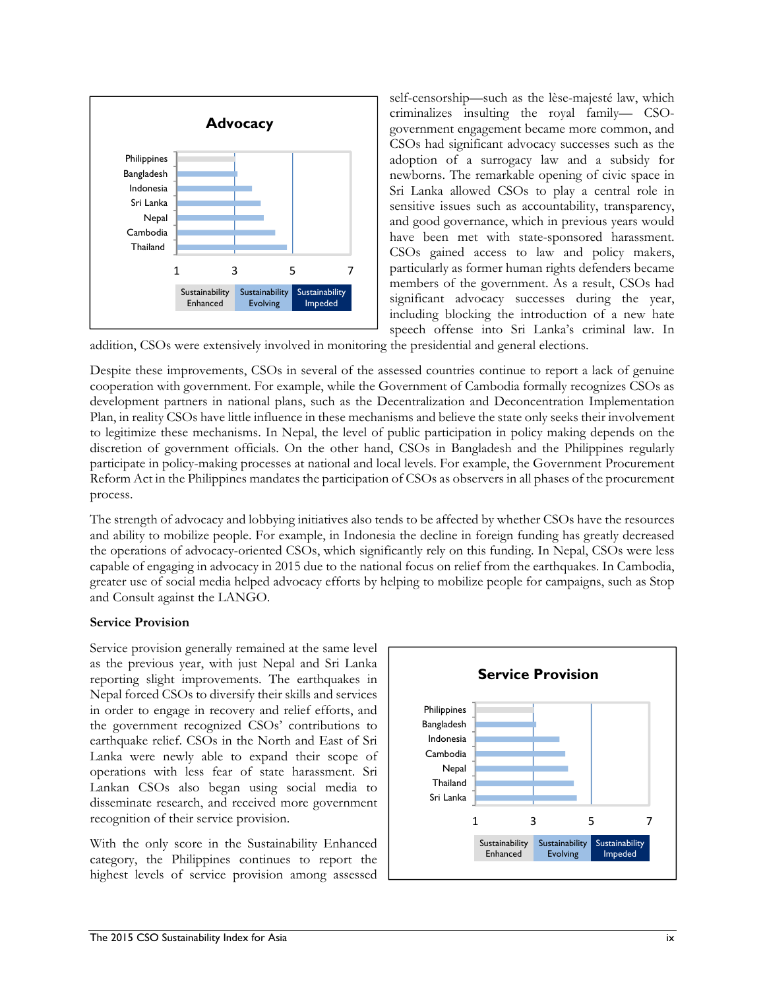

self-censorship—such as the lèse-majesté law, which criminalizes insulting the royal family— CSOgovernment engagement became more common, and CSOs had significant advocacy successes such as the adoption of a surrogacy law and a subsidy for newborns. The remarkable opening of civic space in Sri Lanka allowed CSOs to play a central role in sensitive issues such as accountability, transparency, and good governance, which in previous years would have been met with state-sponsored harassment. CSOs gained access to law and policy makers, particularly as former human rights defenders became members of the government. As a result, CSOs had significant advocacy successes during the year, including blocking the introduction of a new hate speech offense into Sri Lanka's criminal law. In

addition, CSOs were extensively involved in monitoring the presidential and general elections.

Despite these improvements, CSOs in several of the assessed countries continue to report a lack of genuine cooperation with government. For example, while the Government of Cambodia formally recognizes CSOs as development partners in national plans, such as the Decentralization and Deconcentration Implementation Plan, in reality CSOs have little influence in these mechanisms and believe the state only seeks their involvement to legitimize these mechanisms. In Nepal, the level of public participation in policy making depends on the discretion of government officials. On the other hand, CSOs in Bangladesh and the Philippines regularly participate in policy-making processes at national and local levels. For example, the Government Procurement Reform Act in the Philippines mandates the participation of CSOs as observers in all phases of the procurement process.

The strength of advocacy and lobbying initiatives also tends to be affected by whether CSOs have the resources and ability to mobilize people. For example, in Indonesia the decline in foreign funding has greatly decreased the operations of advocacy-oriented CSOs, which significantly rely on this funding. In Nepal, CSOs were less capable of engaging in advocacy in 2015 due to the national focus on relief from the earthquakes. In Cambodia, greater use of social media helped advocacy efforts by helping to mobilize people for campaigns, such as Stop and Consult against the LANGO.

#### **Service Provision**

Service provision generally remained at the same level as the previous year, with just Nepal and Sri Lanka reporting slight improvements. The earthquakes in Nepal forced CSOs to diversify their skills and services in order to engage in recovery and relief efforts, and the government recognized CSOs' contributions to earthquake relief. CSOs in the North and East of Sri Lanka were newly able to expand their scope of operations with less fear of state harassment. Sri Lankan CSOs also began using social media to disseminate research, and received more government recognition of their service provision.

With the only score in the Sustainability Enhanced category, the Philippines continues to report the highest levels of service provision among assessed

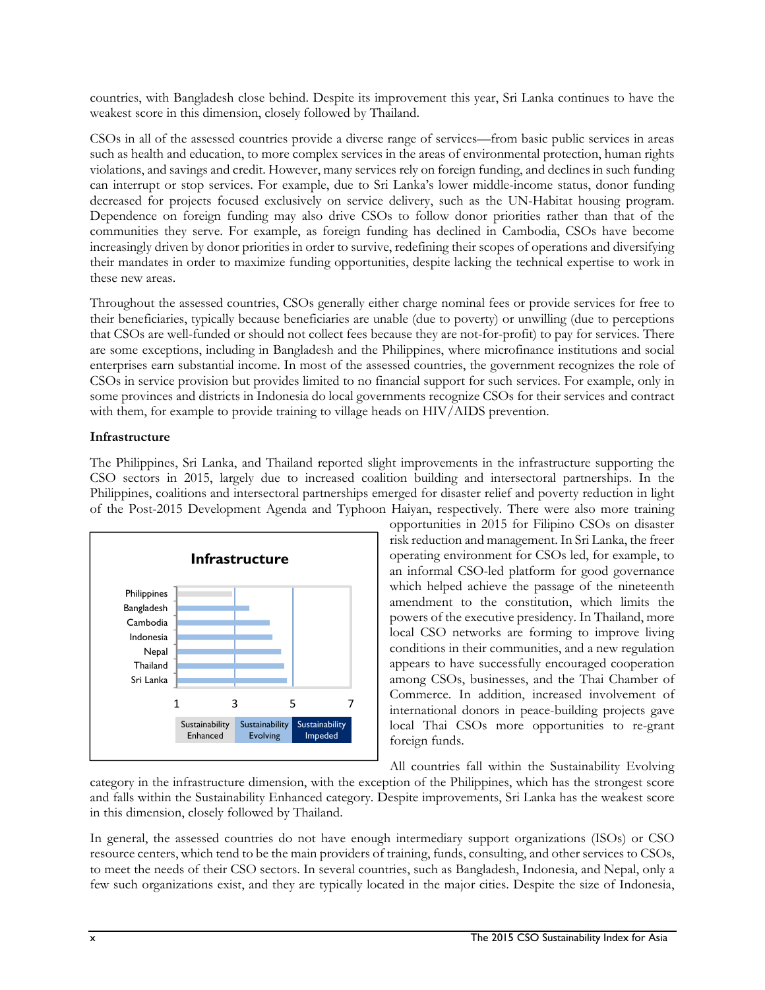countries, with Bangladesh close behind. Despite its improvement this year, Sri Lanka continues to have the weakest score in this dimension, closely followed by Thailand.

CSOs in all of the assessed countries provide a diverse range of services—from basic public services in areas such as health and education, to more complex services in the areas of environmental protection, human rights violations, and savings and credit. However, many services rely on foreign funding, and declines in such funding can interrupt or stop services. For example, due to Sri Lanka's lower middle-income status, donor funding decreased for projects focused exclusively on service delivery, such as the UN-Habitat housing program. Dependence on foreign funding may also drive CSOs to follow donor priorities rather than that of the communities they serve. For example, as foreign funding has declined in Cambodia, CSOs have become increasingly driven by donor priorities in order to survive, redefining their scopes of operations and diversifying their mandates in order to maximize funding opportunities, despite lacking the technical expertise to work in these new areas.

Throughout the assessed countries, CSOs generally either charge nominal fees or provide services for free to their beneficiaries, typically because beneficiaries are unable (due to poverty) or unwilling (due to perceptions that CSOs are well-funded or should not collect fees because they are not-for-profit) to pay for services. There are some exceptions, including in Bangladesh and the Philippines, where microfinance institutions and social enterprises earn substantial income. In most of the assessed countries, the government recognizes the role of CSOs in service provision but provides limited to no financial support for such services. For example, only in some provinces and districts in Indonesia do local governments recognize CSOs for their services and contract with them, for example to provide training to village heads on HIV/AIDS prevention.

#### **Infrastructure**

The Philippines, Sri Lanka, and Thailand reported slight improvements in the infrastructure supporting the CSO sectors in 2015, largely due to increased coalition building and intersectoral partnerships. In the Philippines, coalitions and intersectoral partnerships emerged for disaster relief and poverty reduction in light of the Post-2015 Development Agenda and Typhoon Haiyan, respectively. There were also more training



opportunities in 2015 for Filipino CSOs on disaster risk reduction and management. In Sri Lanka, the freer operating environment for CSOs led, for example, to an informal CSO-led platform for good governance which helped achieve the passage of the nineteenth amendment to the constitution, which limits the powers of the executive presidency. In Thailand, more local CSO networks are forming to improve living conditions in their communities, and a new regulation appears to have successfully encouraged cooperation among CSOs, businesses, and the Thai Chamber of Commerce. In addition, increased involvement of international donors in peace-building projects gave local Thai CSOs more opportunities to re-grant foreign funds.

All countries fall within the Sustainability Evolving

category in the infrastructure dimension, with the exception of the Philippines, which has the strongest score and falls within the Sustainability Enhanced category. Despite improvements, Sri Lanka has the weakest score in this dimension, closely followed by Thailand.

In general, the assessed countries do not have enough intermediary support organizations (ISOs) or CSO resource centers, which tend to be the main providers of training, funds, consulting, and other services to CSOs, to meet the needs of their CSO sectors. In several countries, such as Bangladesh, Indonesia, and Nepal, only a few such organizations exist, and they are typically located in the major cities. Despite the size of Indonesia,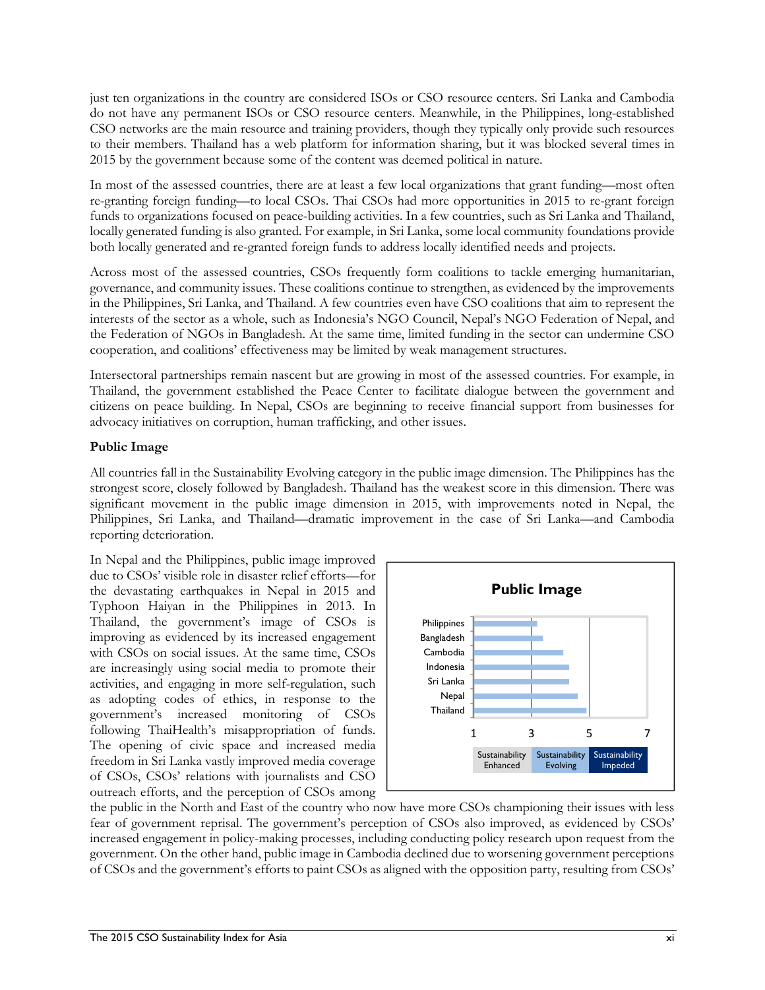just ten organizations in the country are considered ISOs or CSO resource centers. Sri Lanka and Cambodia do not have any permanent ISOs or CSO resource centers. Meanwhile, in the Philippines, long-established CSO networks are the main resource and training providers, though they typically only provide such resources to their members. Thailand has a web platform for information sharing, but it was blocked several times in 2015 by the government because some of the content was deemed political in nature.

In most of the assessed countries, there are at least a few local organizations that grant funding—most often re-granting foreign funding—to local CSOs. Thai CSOs had more opportunities in 2015 to re-grant foreign funds to organizations focused on peace-building activities. In a few countries, such as Sri Lanka and Thailand, locally generated funding is also granted. For example, in Sri Lanka, some local community foundations provide both locally generated and re-granted foreign funds to address locally identified needs and projects.

Across most of the assessed countries, CSOs frequently form coalitions to tackle emerging humanitarian, governance, and community issues. These coalitions continue to strengthen, as evidenced by the improvements in the Philippines, Sri Lanka, and Thailand. A few countries even have CSO coalitions that aim to represent the interests of the sector as a whole, such as Indonesia's NGO Council, Nepal's NGO Federation of Nepal, and the Federation of NGOs in Bangladesh. At the same time, limited funding in the sector can undermine CSO cooperation, and coalitions' effectiveness may be limited by weak management structures.

Intersectoral partnerships remain nascent but are growing in most of the assessed countries. For example, in Thailand, the government established the Peace Center to facilitate dialogue between the government and citizens on peace building. In Nepal, CSOs are beginning to receive financial support from businesses for advocacy initiatives on corruption, human trafficking, and other issues.

#### **Public Image**

All countries fall in the Sustainability Evolving category in the public image dimension. The Philippines has the strongest score, closely followed by Bangladesh. Thailand has the weakest score in this dimension. There was significant movement in the public image dimension in 2015, with improvements noted in Nepal, the Philippines, Sri Lanka, and Thailand—dramatic improvement in the case of Sri Lanka—and Cambodia reporting deterioration.

In Nepal and the Philippines, public image improved due to CSOs' visible role in disaster relief efforts—for the devastating earthquakes in Nepal in 2015 and Typhoon Haiyan in the Philippines in 2013. In Thailand, the government's image of CSOs is improving as evidenced by its increased engagement with CSOs on social issues. At the same time, CSOs are increasingly using social media to promote their activities, and engaging in more self-regulation, such as adopting codes of ethics, in response to the government's increased monitoring of CSOs following ThaiHealth's misappropriation of funds. The opening of civic space and increased media freedom in Sri Lanka vastly improved media coverage of CSOs, CSOs' relations with journalists and CSO outreach efforts, and the perception of CSOs among



the public in the North and East of the country who now have more CSOs championing their issues with less fear of government reprisal. The government's perception of CSOs also improved, as evidenced by CSOs' increased engagement in policy-making processes, including conducting policy research upon request from the government. On the other hand, public image in Cambodia declined due to worsening government perceptions of CSOs and the government's efforts to paint CSOs as aligned with the opposition party, resulting from CSOs'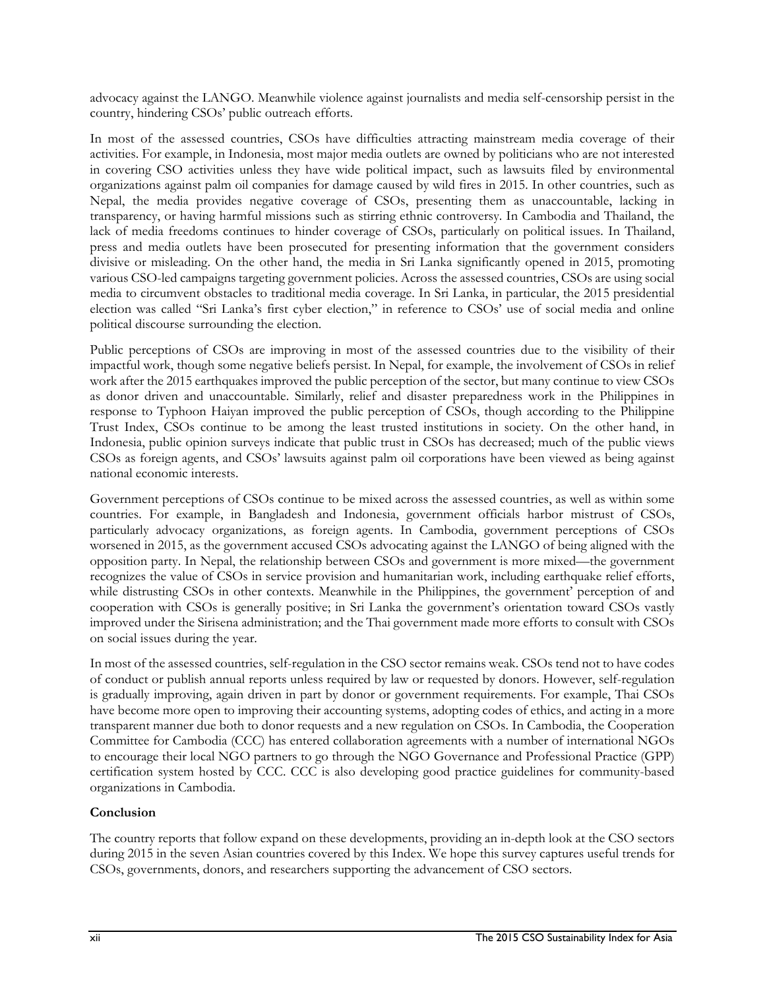advocacy against the LANGO. Meanwhile violence against journalists and media self-censorship persist in the country, hindering CSOs' public outreach efforts.

In most of the assessed countries, CSOs have difficulties attracting mainstream media coverage of their activities. For example, in Indonesia, most major media outlets are owned by politicians who are not interested in covering CSO activities unless they have wide political impact, such as lawsuits filed by environmental organizations against palm oil companies for damage caused by wild fires in 2015. In other countries, such as Nepal, the media provides negative coverage of CSOs, presenting them as unaccountable, lacking in transparency, or having harmful missions such as stirring ethnic controversy. In Cambodia and Thailand, the lack of media freedoms continues to hinder coverage of CSOs, particularly on political issues. In Thailand, press and media outlets have been prosecuted for presenting information that the government considers divisive or misleading. On the other hand, the media in Sri Lanka significantly opened in 2015, promoting various CSO-led campaigns targeting government policies. Across the assessed countries, CSOs are using social media to circumvent obstacles to traditional media coverage. In Sri Lanka, in particular, the 2015 presidential election was called "Sri Lanka's first cyber election," in reference to CSOs' use of social media and online political discourse surrounding the election.

Public perceptions of CSOs are improving in most of the assessed countries due to the visibility of their impactful work, though some negative beliefs persist. In Nepal, for example, the involvement of CSOs in relief work after the 2015 earthquakes improved the public perception of the sector, but many continue to view CSOs as donor driven and unaccountable. Similarly, relief and disaster preparedness work in the Philippines in response to Typhoon Haiyan improved the public perception of CSOs, though according to the Philippine Trust Index, CSOs continue to be among the least trusted institutions in society. On the other hand, in Indonesia, public opinion surveys indicate that public trust in CSOs has decreased; much of the public views CSOs as foreign agents, and CSOs' lawsuits against palm oil corporations have been viewed as being against national economic interests.

Government perceptions of CSOs continue to be mixed across the assessed countries, as well as within some countries. For example, in Bangladesh and Indonesia, government officials harbor mistrust of CSOs, particularly advocacy organizations, as foreign agents. In Cambodia, government perceptions of CSOs worsened in 2015, as the government accused CSOs advocating against the LANGO of being aligned with the opposition party. In Nepal, the relationship between CSOs and government is more mixed—the government recognizes the value of CSOs in service provision and humanitarian work, including earthquake relief efforts, while distrusting CSOs in other contexts. Meanwhile in the Philippines, the government' perception of and cooperation with CSOs is generally positive; in Sri Lanka the government's orientation toward CSOs vastly improved under the Sirisena administration; and the Thai government made more efforts to consult with CSOs on social issues during the year.

In most of the assessed countries, self-regulation in the CSO sector remains weak. CSOs tend not to have codes of conduct or publish annual reports unless required by law or requested by donors. However, self-regulation is gradually improving, again driven in part by donor or government requirements. For example, Thai CSOs have become more open to improving their accounting systems, adopting codes of ethics, and acting in a more transparent manner due both to donor requests and a new regulation on CSOs. In Cambodia, the Cooperation Committee for Cambodia (CCC) has entered collaboration agreements with a number of international NGOs to encourage their local NGO partners to go through the NGO Governance and Professional Practice (GPP) certification system hosted by CCC. CCC is also developing good practice guidelines for community-based organizations in Cambodia.

#### **Conclusion**

The country reports that follow expand on these developments, providing an in-depth look at the CSO sectors during 2015 in the seven Asian countries covered by this Index. We hope this survey captures useful trends for CSOs, governments, donors, and researchers supporting the advancement of CSO sectors.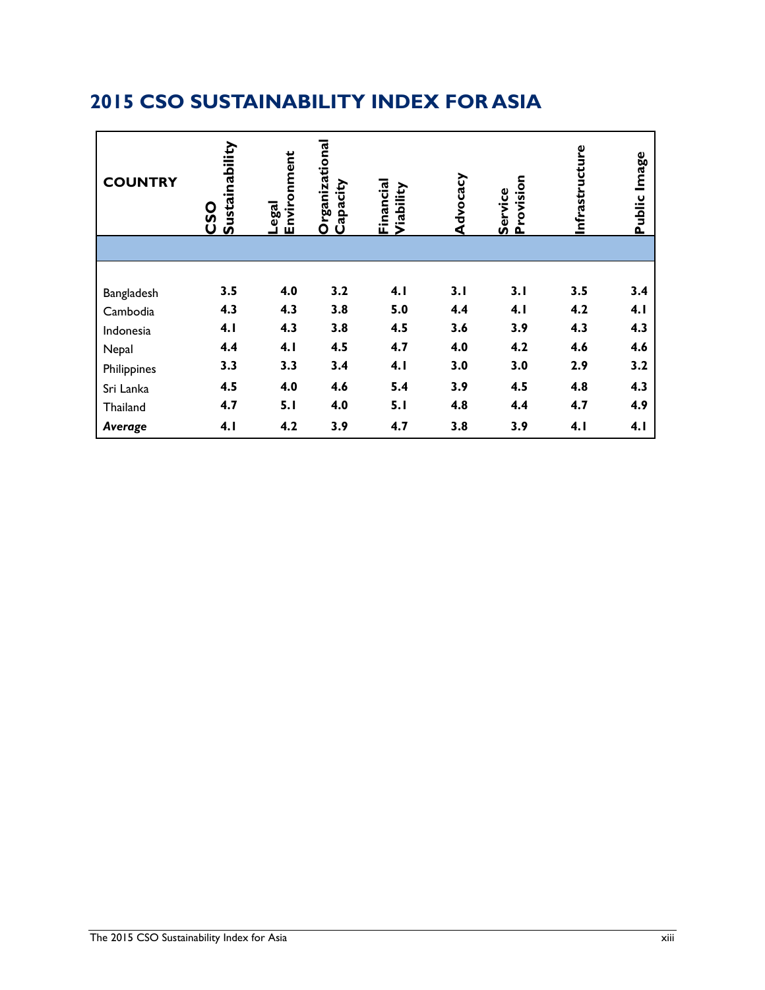| <b>COUNTRY</b> | Sustainability<br><u>OSO</u> | Environment<br>Legal | Organizational<br>Capacity | Financial<br>Viability | Advocacy | Provision<br>Service | Infrastructure | Image<br>Public |
|----------------|------------------------------|----------------------|----------------------------|------------------------|----------|----------------------|----------------|-----------------|
|                |                              |                      |                            |                        |          |                      |                |                 |
|                |                              |                      |                            |                        |          |                      |                |                 |
| Bangladesh     | 3.5                          | 4.0                  | 3.2                        | 4.1                    | 3.1      | 3.1                  | 3.5            | 3.4             |
| Cambodia       | 4.3                          | 4.3                  | 3.8                        | 5.0                    | 4.4      | 4.1                  | 4.2            | 4.1             |
| Indonesia      | 4.1                          | 4.3                  | 3.8                        | 4.5                    | 3.6      | 3.9                  | 4.3            | 4.3             |
| Nepal          | 4.4                          | 4.1                  | 4.5                        | 4.7                    | 4.0      | 4.2                  | 4.6            | 4.6             |
| Philippines    | 3.3                          | 3.3                  | 3.4                        | 4.1                    | 3.0      | 3.0                  | 2.9            | 3.2             |
| Sri Lanka      | 4.5                          | 4.0                  | 4.6                        | 5.4                    | 3.9      | 4.5                  | 4.8            | 4.3             |
| Thailand       | 4.7                          | 5.1                  | 4.0                        | 5.1                    | 4.8      | 4.4                  | 4.7            | 4.9             |
| Average        | 4.1                          | 4.2                  | 3.9                        | 4.7                    | 3.8      | 3.9                  | 4.1            | 4.1             |

# **2015 CSO SUSTAINABILITY INDEX FOR ASIA**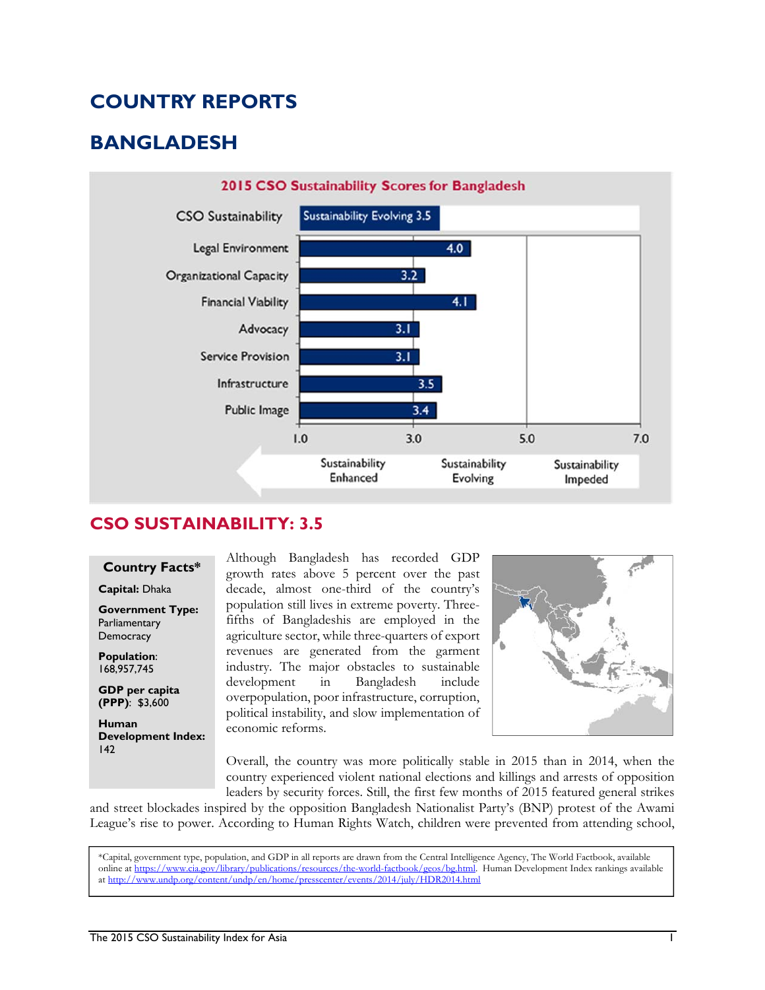# **COUNTRY REPORTS**

# **BANGLADESH**



#### **CSO SUSTAINABILITY: 3.5**

#### **Country Facts\***

**Capital:** Dhaka

**Government Type: Parliamentary Democracy** 

**Population**: 168,957,745

**GDP per capita (PPP)**: \$3,600

**Human Development Index:**  142

Although Bangladesh has recorded GDP growth rates above 5 percent over the past decade, almost one-third of the country's population still lives in extreme poverty. Threefifths of Bangladeshis are employed in the agriculture sector, while three-quarters of export revenues are generated from the garment industry. The major obstacles to sustainable development in Bangladesh include overpopulation, poor infrastructure, corruption, political instability, and slow implementation of economic reforms.



Overall, the country was more politically stable in 2015 than in 2014, when the country experienced violent national elections and killings and arrests of opposition leaders by security forces. Still, the first few months of 2015 featured general strikes

and street blockades inspired by the opposition Bangladesh Nationalist Party's (BNP) protest of the Awami League's rise to power. According to Human Rights Watch, children were prevented from attending school,

\*Capital, government type, population, and GDP in all reports are drawn from the Central Intelligence Agency, The World Factbook, available online at https://www.cia.gov/library/publications/resources/the-world-factbook/geos/bg.html. Human Development Index rankings available at http://www.undp.org/content/undp/en/home/presscenter/events/2014/july/HDR2014.html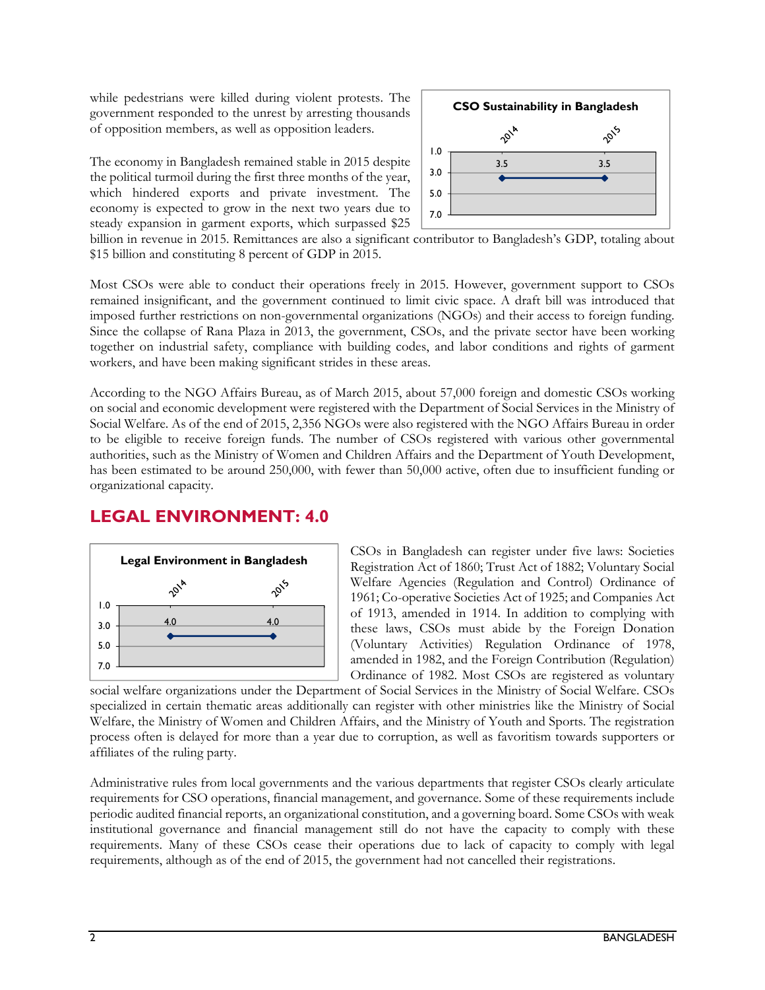while pedestrians were killed during violent protests. The government responded to the unrest by arresting thousands of opposition members, as well as opposition leaders.

The economy in Bangladesh remained stable in 2015 despite the political turmoil during the first three months of the year, which hindered exports and private investment. The economy is expected to grow in the next two years due to steady expansion in garment exports, which surpassed \$25



billion in revenue in 2015. Remittances are also a significant contributor to Bangladesh's GDP, totaling about \$15 billion and constituting 8 percent of GDP in 2015.

Most CSOs were able to conduct their operations freely in 2015. However, government support to CSOs remained insignificant, and the government continued to limit civic space. A draft bill was introduced that imposed further restrictions on non-governmental organizations (NGOs) and their access to foreign funding. Since the collapse of Rana Plaza in 2013, the government, CSOs, and the private sector have been working together on industrial safety, compliance with building codes, and labor conditions and rights of garment workers, and have been making significant strides in these areas.

According to the NGO Affairs Bureau, as of March 2015, about 57,000 foreign and domestic CSOs working on social and economic development were registered with the Department of Social Services in the Ministry of Social Welfare. As of the end of 2015, 2,356 NGOs were also registered with the NGO Affairs Bureau in order to be eligible to receive foreign funds. The number of CSOs registered with various other governmental authorities, such as the Ministry of Women and Children Affairs and the Department of Youth Development, has been estimated to be around 250,000, with fewer than 50,000 active, often due to insufficient funding or organizational capacity.

### **LEGAL ENVIRONMENT: 4.0**



CSOs in Bangladesh can register under five laws: Societies Registration Act of 1860; Trust Act of 1882; Voluntary Social Welfare Agencies (Regulation and Control) Ordinance of 1961; Co-operative Societies Act of 1925; and Companies Act of 1913, amended in 1914. In addition to complying with these laws, CSOs must abide by the Foreign Donation (Voluntary Activities) Regulation Ordinance of 1978, amended in 1982, and the Foreign Contribution (Regulation) Ordinance of 1982. Most CSOs are registered as voluntary

social welfare organizations under the Department of Social Services in the Ministry of Social Welfare. CSOs specialized in certain thematic areas additionally can register with other ministries like the Ministry of Social Welfare, the Ministry of Women and Children Affairs, and the Ministry of Youth and Sports. The registration process often is delayed for more than a year due to corruption, as well as favoritism towards supporters or affiliates of the ruling party.

Administrative rules from local governments and the various departments that register CSOs clearly articulate requirements for CSO operations, financial management, and governance. Some of these requirements include periodic audited financial reports, an organizational constitution, and a governing board. Some CSOs with weak institutional governance and financial management still do not have the capacity to comply with these requirements. Many of these CSOs cease their operations due to lack of capacity to comply with legal requirements, although as of the end of 2015, the government had not cancelled their registrations.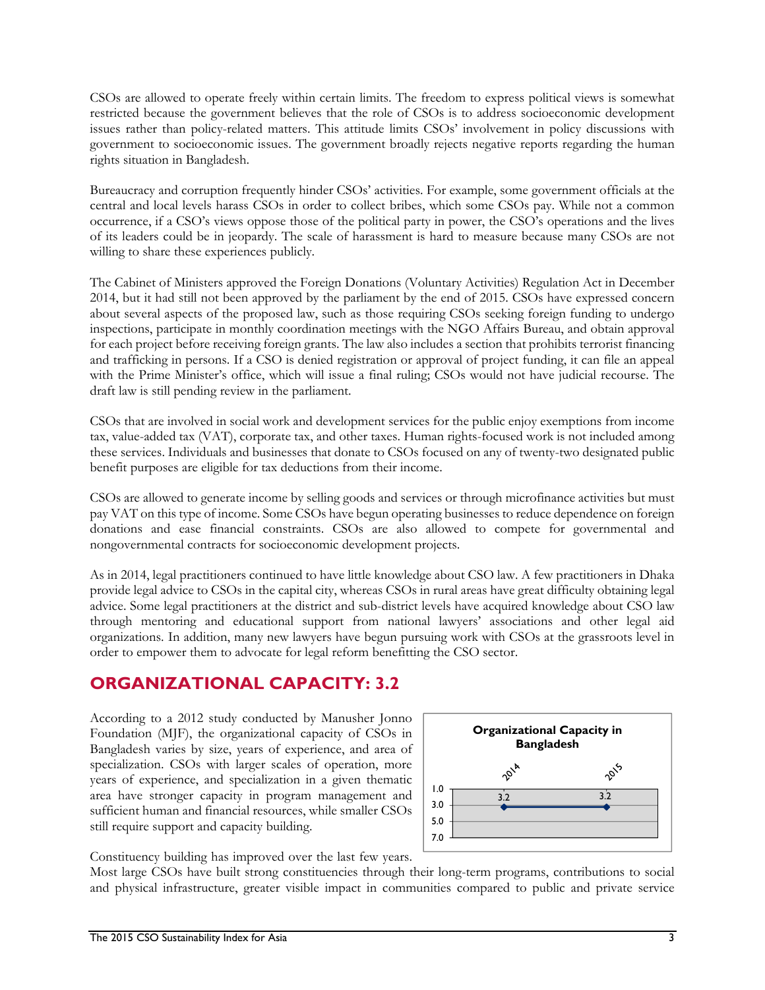CSOs are allowed to operate freely within certain limits. The freedom to express political views is somewhat restricted because the government believes that the role of CSOs is to address socioeconomic development issues rather than policy-related matters. This attitude limits CSOs' involvement in policy discussions with government to socioeconomic issues. The government broadly rejects negative reports regarding the human rights situation in Bangladesh.

Bureaucracy and corruption frequently hinder CSOs' activities. For example, some government officials at the central and local levels harass CSOs in order to collect bribes, which some CSOs pay. While not a common occurrence, if a CSO's views oppose those of the political party in power, the CSO's operations and the lives of its leaders could be in jeopardy. The scale of harassment is hard to measure because many CSOs are not willing to share these experiences publicly.

The Cabinet of Ministers approved the Foreign Donations (Voluntary Activities) Regulation Act in December 2014, but it had still not been approved by the parliament by the end of 2015. CSOs have expressed concern about several aspects of the proposed law, such as those requiring CSOs seeking foreign funding to undergo inspections, participate in monthly coordination meetings with the NGO Affairs Bureau, and obtain approval for each project before receiving foreign grants. The law also includes a section that prohibits terrorist financing and trafficking in persons. If a CSO is denied registration or approval of project funding, it can file an appeal with the Prime Minister's office, which will issue a final ruling; CSOs would not have judicial recourse. The draft law is still pending review in the parliament.

CSOs that are involved in social work and development services for the public enjoy exemptions from income tax, value-added tax (VAT), corporate tax, and other taxes. Human rights-focused work is not included among these services. Individuals and businesses that donate to CSOs focused on any of twenty-two designated public benefit purposes are eligible for tax deductions from their income.

CSOs are allowed to generate income by selling goods and services or through microfinance activities but must pay VAT on this type of income. Some CSOs have begun operating businesses to reduce dependence on foreign donations and ease financial constraints. CSOs are also allowed to compete for governmental and nongovernmental contracts for socioeconomic development projects.

As in 2014, legal practitioners continued to have little knowledge about CSO law. A few practitioners in Dhaka provide legal advice to CSOs in the capital city, whereas CSOs in rural areas have great difficulty obtaining legal advice. Some legal practitioners at the district and sub-district levels have acquired knowledge about CSO law through mentoring and educational support from national lawyers' associations and other legal aid organizations. In addition, many new lawyers have begun pursuing work with CSOs at the grassroots level in order to empower them to advocate for legal reform benefitting the CSO sector.

### **ORGANIZATIONAL CAPACITY: 3.2**

According to a 2012 study conducted by Manusher Jonno Foundation (MJF), the organizational capacity of CSOs in Bangladesh varies by size, years of experience, and area of specialization. CSOs with larger scales of operation, more years of experience, and specialization in a given thematic area have stronger capacity in program management and sufficient human and financial resources, while smaller CSOs still require support and capacity building.



Constituency building has improved over the last few years.

Most large CSOs have built strong constituencies through their long-term programs, contributions to social and physical infrastructure, greater visible impact in communities compared to public and private service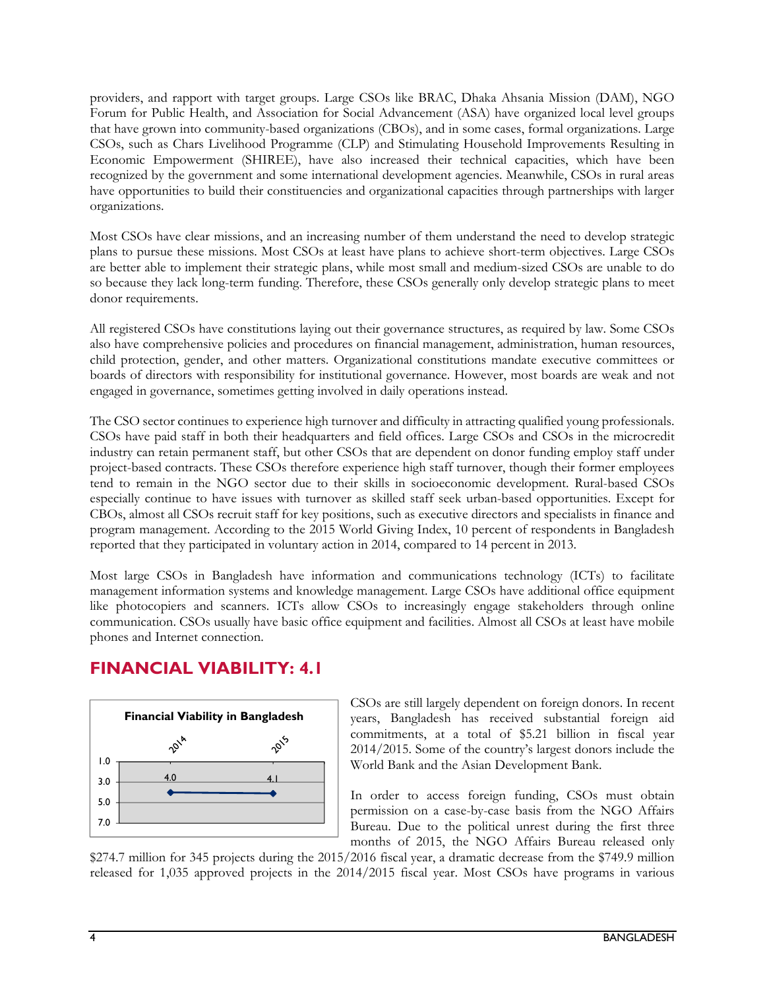providers, and rapport with target groups. Large CSOs like BRAC, Dhaka Ahsania Mission (DAM), NGO Forum for Public Health, and Association for Social Advancement (ASA) have organized local level groups that have grown into community-based organizations (CBOs), and in some cases, formal organizations. Large CSOs, such as Chars Livelihood Programme (CLP) and Stimulating Household Improvements Resulting in Economic Empowerment (SHIREE), have also increased their technical capacities, which have been recognized by the government and some international development agencies. Meanwhile, CSOs in rural areas have opportunities to build their constituencies and organizational capacities through partnerships with larger organizations.

Most CSOs have clear missions, and an increasing number of them understand the need to develop strategic plans to pursue these missions. Most CSOs at least have plans to achieve short-term objectives. Large CSOs are better able to implement their strategic plans, while most small and medium-sized CSOs are unable to do so because they lack long-term funding. Therefore, these CSOs generally only develop strategic plans to meet donor requirements.

All registered CSOs have constitutions laying out their governance structures, as required by law. Some CSOs also have comprehensive policies and procedures on financial management, administration, human resources, child protection, gender, and other matters. Organizational constitutions mandate executive committees or boards of directors with responsibility for institutional governance. However, most boards are weak and not engaged in governance, sometimes getting involved in daily operations instead.

The CSO sector continues to experience high turnover and difficulty in attracting qualified young professionals. CSOs have paid staff in both their headquarters and field offices. Large CSOs and CSOs in the microcredit industry can retain permanent staff, but other CSOs that are dependent on donor funding employ staff under project-based contracts. These CSOs therefore experience high staff turnover, though their former employees tend to remain in the NGO sector due to their skills in socioeconomic development. Rural-based CSOs especially continue to have issues with turnover as skilled staff seek urban-based opportunities. Except for CBOs, almost all CSOs recruit staff for key positions, such as executive directors and specialists in finance and program management. According to the 2015 World Giving Index, 10 percent of respondents in Bangladesh reported that they participated in voluntary action in 2014, compared to 14 percent in 2013.

Most large CSOs in Bangladesh have information and communications technology (ICTs) to facilitate management information systems and knowledge management. Large CSOs have additional office equipment like photocopiers and scanners. ICTs allow CSOs to increasingly engage stakeholders through online communication. CSOs usually have basic office equipment and facilities. Almost all CSOs at least have mobile phones and Internet connection.

### **FINANCIAL VIABILITY: 4.1**



CSOs are still largely dependent on foreign donors. In recent years, Bangladesh has received substantial foreign aid commitments, at a total of \$5.21 billion in fiscal year 2014/2015. Some of the country's largest donors include the World Bank and the Asian Development Bank.

In order to access foreign funding, CSOs must obtain permission on a case-by-case basis from the NGO Affairs Bureau. Due to the political unrest during the first three months of 2015, the NGO Affairs Bureau released only

\$274.7 million for 345 projects during the 2015/2016 fiscal year, a dramatic decrease from the \$749.9 million released for 1,035 approved projects in the 2014/2015 fiscal year. Most CSOs have programs in various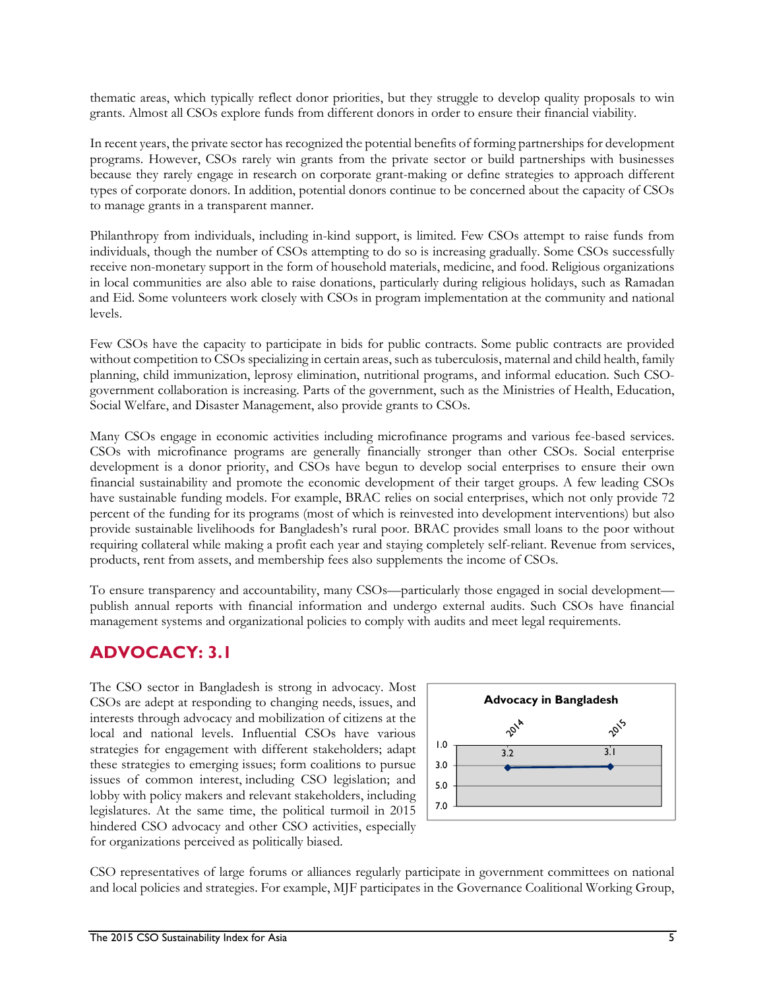thematic areas, which typically reflect donor priorities, but they struggle to develop quality proposals to win grants. Almost all CSOs explore funds from different donors in order to ensure their financial viability.

In recent years, the private sector has recognized the potential benefits of forming partnerships for development programs. However, CSOs rarely win grants from the private sector or build partnerships with businesses because they rarely engage in research on corporate grant-making or define strategies to approach different types of corporate donors. In addition, potential donors continue to be concerned about the capacity of CSOs to manage grants in a transparent manner.

Philanthropy from individuals, including in-kind support, is limited. Few CSOs attempt to raise funds from individuals, though the number of CSOs attempting to do so is increasing gradually. Some CSOs successfully receive non-monetary support in the form of household materials, medicine, and food. Religious organizations in local communities are also able to raise donations, particularly during religious holidays, such as Ramadan and Eid. Some volunteers work closely with CSOs in program implementation at the community and national levels.

Few CSOs have the capacity to participate in bids for public contracts. Some public contracts are provided without competition to CSOs specializing in certain areas, such as tuberculosis, maternal and child health, family planning, child immunization, leprosy elimination, nutritional programs, and informal education. Such CSOgovernment collaboration is increasing. Parts of the government, such as the Ministries of Health, Education, Social Welfare, and Disaster Management, also provide grants to CSOs.

Many CSOs engage in economic activities including microfinance programs and various fee-based services. CSOs with microfinance programs are generally financially stronger than other CSOs. Social enterprise development is a donor priority, and CSOs have begun to develop social enterprises to ensure their own financial sustainability and promote the economic development of their target groups. A few leading CSOs have sustainable funding models. For example, BRAC relies on social enterprises, which not only provide 72 percent of the funding for its programs (most of which is reinvested into development interventions) but also provide sustainable livelihoods for Bangladesh's rural poor. BRAC provides small loans to the poor without requiring collateral while making a profit each year and staying completely self-reliant. Revenue from services, products, rent from assets, and membership fees also supplements the income of CSOs.

To ensure transparency and accountability, many CSOs—particularly those engaged in social development publish annual reports with financial information and undergo external audits. Such CSOs have financial management systems and organizational policies to comply with audits and meet legal requirements.

## **ADVOCACY: 3.1**

The CSO sector in Bangladesh is strong in advocacy. Most CSOs are adept at responding to changing needs, issues, and interests through advocacy and mobilization of citizens at the local and national levels. Influential CSOs have various strategies for engagement with different stakeholders; adapt these strategies to emerging issues; form coalitions to pursue issues of common interest, including CSO legislation; and lobby with policy makers and relevant stakeholders, including legislatures. At the same time, the political turmoil in 2015 hindered CSO advocacy and other CSO activities, especially for organizations perceived as politically biased.



CSO representatives of large forums or alliances regularly participate in government committees on national and local policies and strategies. For example, MJF participates in the Governance Coalitional Working Group,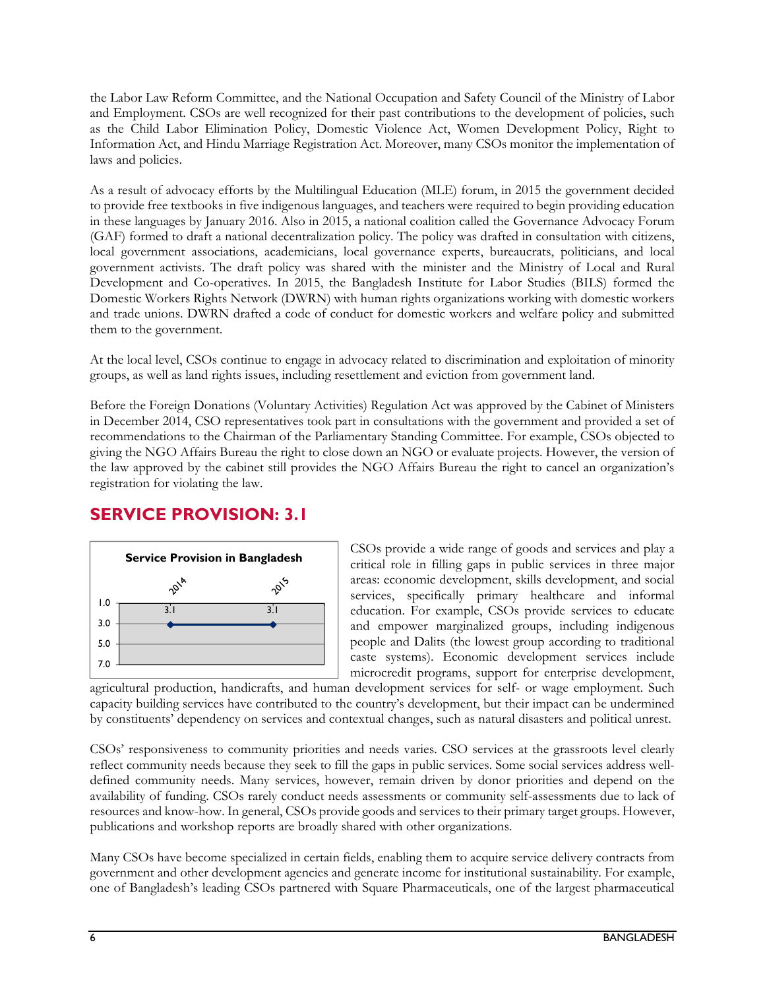the Labor Law Reform Committee, and the National Occupation and Safety Council of the Ministry of Labor and Employment. CSOs are well recognized for their past contributions to the development of policies, such as the Child Labor Elimination Policy, Domestic Violence Act, Women Development Policy, Right to Information Act, and Hindu Marriage Registration Act. Moreover, many CSOs monitor the implementation of laws and policies.

As a result of advocacy efforts by the Multilingual Education (MLE) forum, in 2015 the government decided to provide free textbooks in five indigenous languages, and teachers were required to begin providing education in these languages by January 2016. Also in 2015, a national coalition called the Governance Advocacy Forum (GAF) formed to draft a national decentralization policy. The policy was drafted in consultation with citizens, local government associations, academicians, local governance experts, bureaucrats, politicians, and local government activists. The draft policy was shared with the minister and the Ministry of Local and Rural Development and Co-operatives. In 2015, the Bangladesh Institute for Labor Studies (BILS) formed the Domestic Workers Rights Network (DWRN) with human rights organizations working with domestic workers and trade unions. DWRN drafted a code of conduct for domestic workers and welfare policy and submitted them to the government.

At the local level, CSOs continue to engage in advocacy related to discrimination and exploitation of minority groups, as well as land rights issues, including resettlement and eviction from government land.

Before the Foreign Donations (Voluntary Activities) Regulation Act was approved by the Cabinet of Ministers in December 2014, CSO representatives took part in consultations with the government and provided a set of recommendations to the Chairman of the Parliamentary Standing Committee. For example, CSOs objected to giving the NGO Affairs Bureau the right to close down an NGO or evaluate projects. However, the version of the law approved by the cabinet still provides the NGO Affairs Bureau the right to cancel an organization's registration for violating the law.

### **SERVICE PROVISION: 3.1**



CSOs provide a wide range of goods and services and play a critical role in filling gaps in public services in three major areas: economic development, skills development, and social services, specifically primary healthcare and informal education. For example, CSOs provide services to educate and empower marginalized groups, including indigenous people and Dalits (the lowest group according to traditional caste systems). Economic development services include microcredit programs, support for enterprise development,

agricultural production, handicrafts, and human development services for self- or wage employment. Such capacity building services have contributed to the country's development, but their impact can be undermined by constituents' dependency on services and contextual changes, such as natural disasters and political unrest.

CSOs' responsiveness to community priorities and needs varies. CSO services at the grassroots level clearly reflect community needs because they seek to fill the gaps in public services. Some social services address welldefined community needs. Many services, however, remain driven by donor priorities and depend on the availability of funding. CSOs rarely conduct needs assessments or community self-assessments due to lack of resources and know-how. In general, CSOs provide goods and services to their primary target groups. However, publications and workshop reports are broadly shared with other organizations.

Many CSOs have become specialized in certain fields, enabling them to acquire service delivery contracts from government and other development agencies and generate income for institutional sustainability. For example, one of Bangladesh's leading CSOs partnered with Square Pharmaceuticals, one of the largest pharmaceutical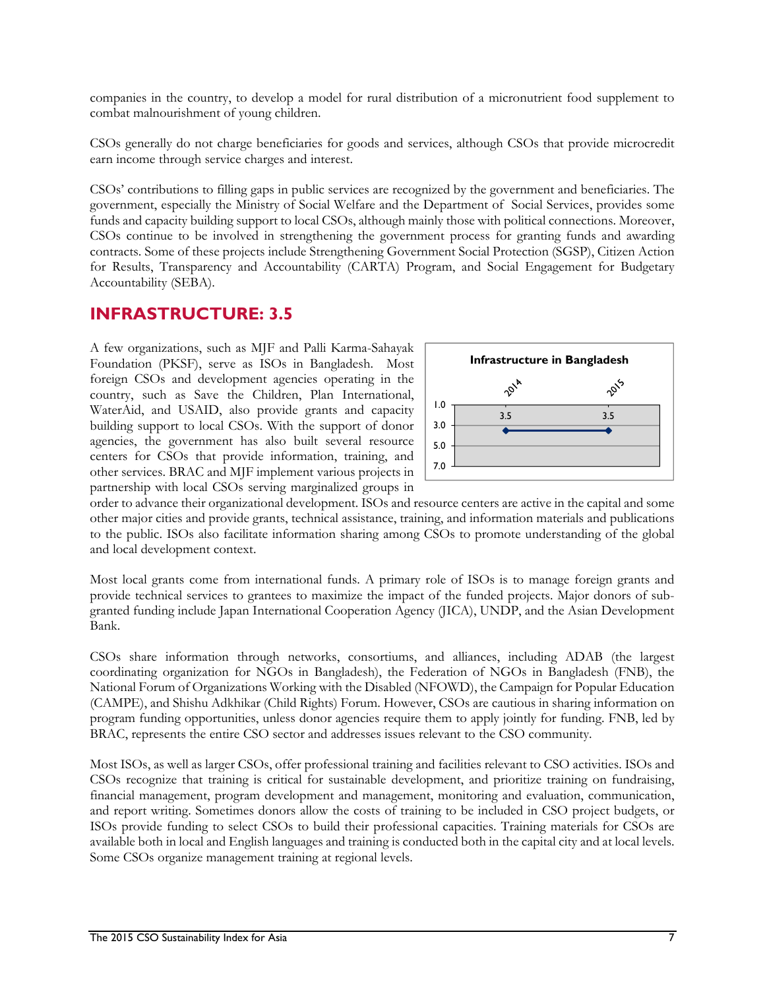companies in the country, to develop a model for rural distribution of a micronutrient food supplement to combat malnourishment of young children.

CSOs generally do not charge beneficiaries for goods and services, although CSOs that provide microcredit earn income through service charges and interest.

CSOs' contributions to filling gaps in public services are recognized by the government and beneficiaries. The government, especially the Ministry of Social Welfare and the Department of Social Services, provides some funds and capacity building support to local CSOs, although mainly those with political connections. Moreover, CSOs continue to be involved in strengthening the government process for granting funds and awarding contracts. Some of these projects include Strengthening Government Social Protection (SGSP), Citizen Action for Results, Transparency and Accountability (CARTA) Program, and Social Engagement for Budgetary Accountability (SEBA).

### **INFRASTRUCTURE: 3.5**

A few organizations, such as MJF and Palli Karma-Sahayak Foundation (PKSF), serve as ISOs in Bangladesh. Most foreign CSOs and development agencies operating in the country, such as Save the Children, Plan International, WaterAid, and USAID, also provide grants and capacity building support to local CSOs. With the support of donor agencies, the government has also built several resource centers for CSOs that provide information, training, and other services. BRAC and MJF implement various projects in partnership with local CSOs serving marginalized groups in



order to advance their organizational development. ISOs and resource centers are active in the capital and some other major cities and provide grants, technical assistance, training, and information materials and publications to the public. ISOs also facilitate information sharing among CSOs to promote understanding of the global and local development context.

Most local grants come from international funds. A primary role of ISOs is to manage foreign grants and provide technical services to grantees to maximize the impact of the funded projects. Major donors of subgranted funding include Japan International Cooperation Agency (JICA), UNDP, and the Asian Development Bank.

CSOs share information through networks, consortiums, and alliances, including ADAB (the largest coordinating organization for NGOs in Bangladesh), the Federation of NGOs in Bangladesh (FNB), the National Forum of Organizations Working with the Disabled (NFOWD), the Campaign for Popular Education (CAMPE), and Shishu Adkhikar (Child Rights) Forum. However, CSOs are cautious in sharing information on program funding opportunities, unless donor agencies require them to apply jointly for funding. FNB, led by BRAC, represents the entire CSO sector and addresses issues relevant to the CSO community.

Most ISOs, as well as larger CSOs, offer professional training and facilities relevant to CSO activities. ISOs and CSOs recognize that training is critical for sustainable development, and prioritize training on fundraising, financial management, program development and management, monitoring and evaluation, communication, and report writing. Sometimes donors allow the costs of training to be included in CSO project budgets, or ISOs provide funding to select CSOs to build their professional capacities. Training materials for CSOs are available both in local and English languages and training is conducted both in the capital city and at local levels. Some CSOs organize management training at regional levels.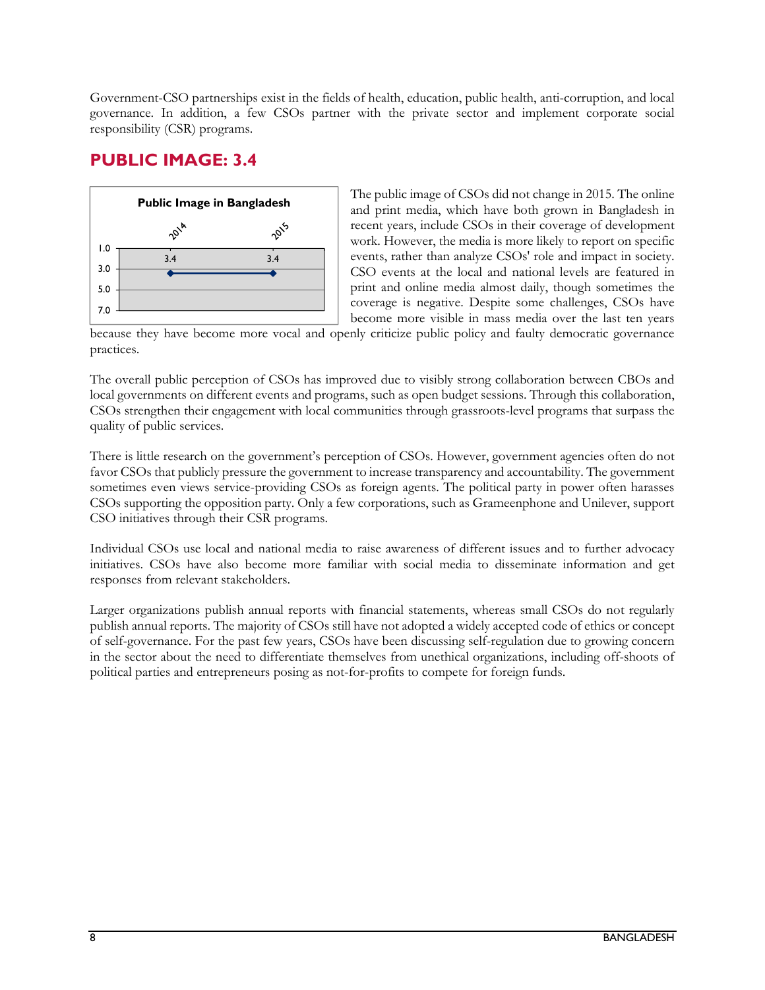Government-CSO partnerships exist in the fields of health, education, public health, anti-corruption, and local governance. In addition, a few CSOs partner with the private sector and implement corporate social responsibility (CSR) programs.

### **PUBLIC IMAGE: 3.4**



The public image of CSOs did not change in 2015. The online and print media, which have both grown in Bangladesh in recent years, include CSOs in their coverage of development work. However, the media is more likely to report on specific events, rather than analyze CSOs' role and impact in society. CSO events at the local and national levels are featured in print and online media almost daily, though sometimes the coverage is negative. Despite some challenges, CSOs have become more visible in mass media over the last ten years

because they have become more vocal and openly criticize public policy and faulty democratic governance practices.

The overall public perception of CSOs has improved due to visibly strong collaboration between CBOs and local governments on different events and programs, such as open budget sessions. Through this collaboration, CSOs strengthen their engagement with local communities through grassroots-level programs that surpass the quality of public services.

There is little research on the government's perception of CSOs. However, government agencies often do not favor CSOs that publicly pressure the government to increase transparency and accountability. The government sometimes even views service-providing CSOs as foreign agents. The political party in power often harasses CSOs supporting the opposition party. Only a few corporations, such as Grameenphone and Unilever, support CSO initiatives through their CSR programs.

Individual CSOs use local and national media to raise awareness of different issues and to further advocacy initiatives. CSOs have also become more familiar with social media to disseminate information and get responses from relevant stakeholders.

Larger organizations publish annual reports with financial statements, whereas small CSOs do not regularly publish annual reports. The majority of CSOs still have not adopted a widely accepted code of ethics or concept of self-governance. For the past few years, CSOs have been discussing self-regulation due to growing concern in the sector about the need to differentiate themselves from unethical organizations, including off-shoots of political parties and entrepreneurs posing as not-for-profits to compete for foreign funds.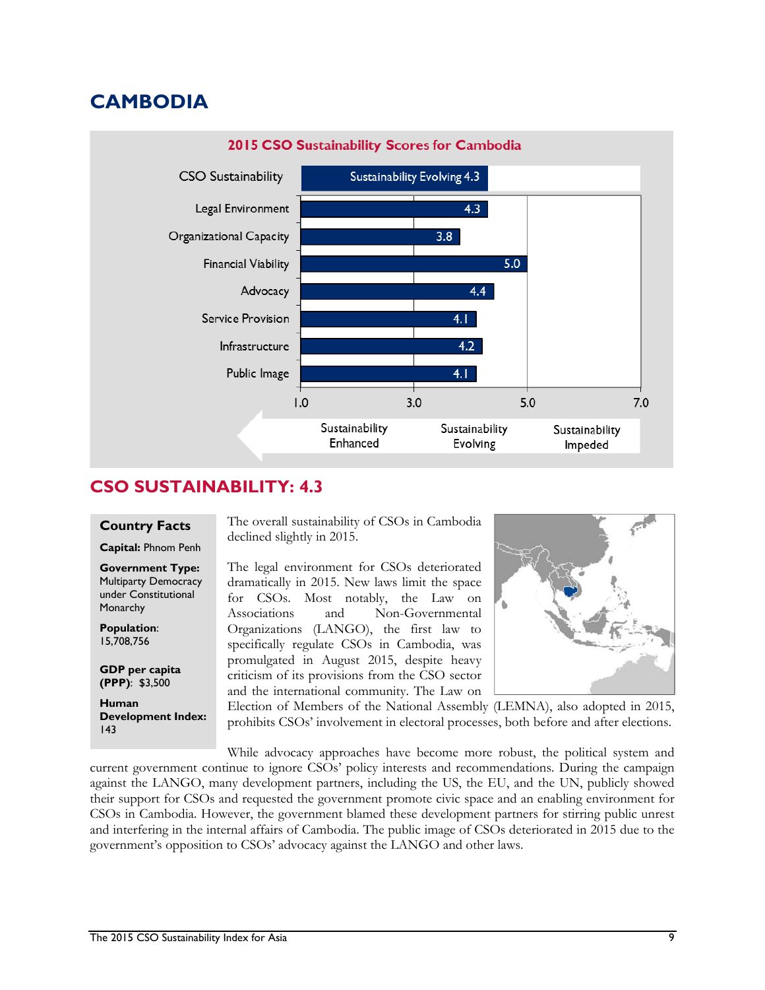# **CAMBODIA**



### **CSO SUSTAINABILITY: 4.3**

#### **Country Facts**

**Capital:** Phnom Penh

**Government Type:**  Multiparty Democracy under Constitutional **Monarchy** 

**Population**: 15,708,756

**GDP per capita (PPP)**: \$3,500

**Human Development Index:**  143

The overall sustainability of CSOs in Cambodia declined slightly in 2015.

The legal environment for CSOs deteriorated dramatically in 2015. New laws limit the space for CSOs. Most notably, the Law on Associations and Non-Governmental Organizations (LANGO), the first law to specifically regulate CSOs in Cambodia, was promulgated in August 2015, despite heavy criticism of its provisions from the CSO sector and the international community. The Law on



Election of Members of the National Assembly (LEMNA), also adopted in 2015, prohibits CSOs' involvement in electoral processes, both before and after elections.

While advocacy approaches have become more robust, the political system and current government continue to ignore CSOs' policy interests and recommendations. During the campaign against the LANGO, many development partners, including the US, the EU, and the UN, publicly showed their support for CSOs and requested the government promote civic space and an enabling environment for CSOs in Cambodia. However, the government blamed these development partners for stirring public unrest and interfering in the internal affairs of Cambodia. The public image of CSOs deteriorated in 2015 due to the government's opposition to CSOs' advocacy against the LANGO and other laws.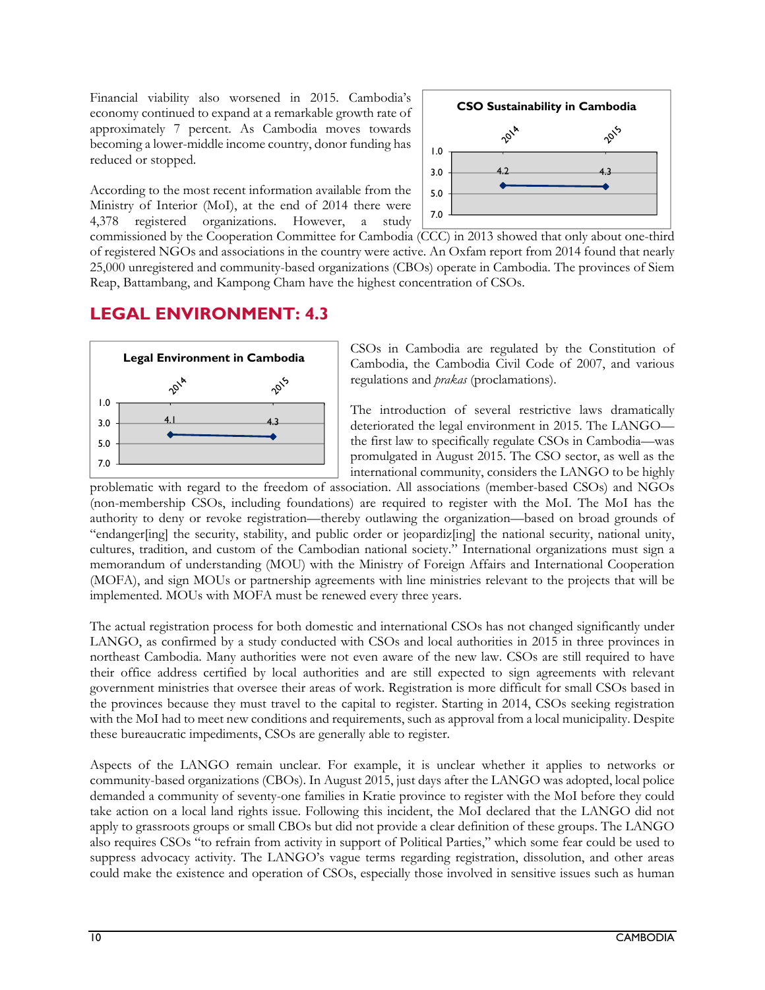Financial viability also worsened in 2015. Cambodia's economy continued to expand at a remarkable growth rate of approximately 7 percent. As Cambodia moves towards becoming a lower-middle income country, donor funding has reduced or stopped.

According to the most recent information available from the Ministry of Interior (MoI), at the end of 2014 there were 4,378 registered organizations. However, a study



commissioned by the Cooperation Committee for Cambodia (CCC) in 2013 showed that only about one-third of registered NGOs and associations in the country were active. An Oxfam report from 2014 found that nearly 25,000 unregistered and community-based organizations (CBOs) operate in Cambodia. The provinces of Siem Reap, Battambang, and Kampong Cham have the highest concentration of CSOs.

### **LEGAL ENVIRONMENT: 4.3**



CSOs in Cambodia are regulated by the Constitution of Cambodia, the Cambodia Civil Code of 2007, and various regulations and *prakas* (proclamations).

The introduction of several restrictive laws dramatically deteriorated the legal environment in 2015. The LANGO the first law to specifically regulate CSOs in Cambodia—was promulgated in August 2015. The CSO sector, as well as the international community, considers the LANGO to be highly

problematic with regard to the freedom of association. All associations (member-based CSOs) and NGOs (non-membership CSOs, including foundations) are required to register with the MoI. The MoI has the authority to deny or revoke registration—thereby outlawing the organization—based on broad grounds of "endanger[ing] the security, stability, and public order or jeopardiz[ing] the national security, national unity, cultures, tradition, and custom of the Cambodian national society." International organizations must sign a memorandum of understanding (MOU) with the Ministry of Foreign Affairs and International Cooperation (MOFA), and sign MOUs or partnership agreements with line ministries relevant to the projects that will be implemented. MOUs with MOFA must be renewed every three years.

The actual registration process for both domestic and international CSOs has not changed significantly under LANGO, as confirmed by a study conducted with CSOs and local authorities in 2015 in three provinces in northeast Cambodia. Many authorities were not even aware of the new law. CSOs are still required to have their office address certified by local authorities and are still expected to sign agreements with relevant government ministries that oversee their areas of work. Registration is more difficult for small CSOs based in the provinces because they must travel to the capital to register. Starting in 2014, CSOs seeking registration with the MoI had to meet new conditions and requirements, such as approval from a local municipality. Despite these bureaucratic impediments, CSOs are generally able to register.

Aspects of the LANGO remain unclear. For example, it is unclear whether it applies to networks or community-based organizations (CBOs). In August 2015, just days after the LANGO was adopted, local police demanded a community of seventy-one families in Kratie province to register with the MoI before they could take action on a local land rights issue. Following this incident, the MoI declared that the LANGO did not apply to grassroots groups or small CBOs but did not provide a clear definition of these groups. The LANGO also requires CSOs "to refrain from activity in support of Political Parties," which some fear could be used to suppress advocacy activity. The LANGO's vague terms regarding registration, dissolution, and other areas could make the existence and operation of CSOs, especially those involved in sensitive issues such as human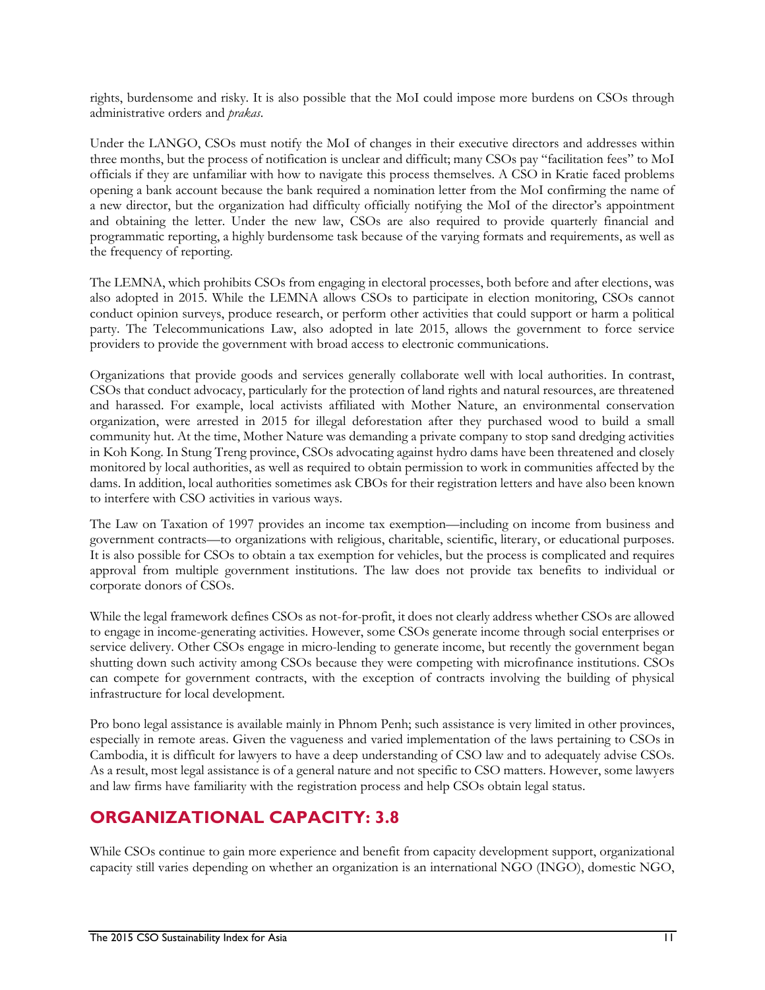rights, burdensome and risky. It is also possible that the MoI could impose more burdens on CSOs through administrative orders and *prakas*.

Under the LANGO, CSOs must notify the MoI of changes in their executive directors and addresses within three months, but the process of notification is unclear and difficult; many CSOs pay "facilitation fees" to MoI officials if they are unfamiliar with how to navigate this process themselves. A CSO in Kratie faced problems opening a bank account because the bank required a nomination letter from the MoI confirming the name of a new director, but the organization had difficulty officially notifying the MoI of the director's appointment and obtaining the letter. Under the new law, CSOs are also required to provide quarterly financial and programmatic reporting, a highly burdensome task because of the varying formats and requirements, as well as the frequency of reporting.

The LEMNA, which prohibits CSOs from engaging in electoral processes, both before and after elections, was also adopted in 2015. While the LEMNA allows CSOs to participate in election monitoring, CSOs cannot conduct opinion surveys, produce research, or perform other activities that could support or harm a political party. The Telecommunications Law, also adopted in late 2015, allows the government to force service providers to provide the government with broad access to electronic communications.

Organizations that provide goods and services generally collaborate well with local authorities. In contrast, CSOs that conduct advocacy, particularly for the protection of land rights and natural resources, are threatened and harassed. For example, local activists affiliated with Mother Nature, an environmental conservation organization, were arrested in 2015 for illegal deforestation after they purchased wood to build a small community hut. At the time, Mother Nature was demanding a private company to stop sand dredging activities in Koh Kong. In Stung Treng province, CSOs advocating against hydro dams have been threatened and closely monitored by local authorities, as well as required to obtain permission to work in communities affected by the dams. In addition, local authorities sometimes ask CBOs for their registration letters and have also been known to interfere with CSO activities in various ways.

The Law on Taxation of 1997 provides an income tax exemption—including on income from business and government contracts—to organizations with religious, charitable, scientific, literary, or educational purposes. It is also possible for CSOs to obtain a tax exemption for vehicles, but the process is complicated and requires approval from multiple government institutions. The law does not provide tax benefits to individual or corporate donors of CSOs.

While the legal framework defines CSOs as not-for-profit, it does not clearly address whether CSOs are allowed to engage in income-generating activities. However, some CSOs generate income through social enterprises or service delivery. Other CSOs engage in micro-lending to generate income, but recently the government began shutting down such activity among CSOs because they were competing with microfinance institutions. CSOs can compete for government contracts, with the exception of contracts involving the building of physical infrastructure for local development.

Pro bono legal assistance is available mainly in Phnom Penh; such assistance is very limited in other provinces, especially in remote areas. Given the vagueness and varied implementation of the laws pertaining to CSOs in Cambodia, it is difficult for lawyers to have a deep understanding of CSO law and to adequately advise CSOs. As a result, most legal assistance is of a general nature and not specific to CSO matters. However, some lawyers and law firms have familiarity with the registration process and help CSOs obtain legal status.

### **ORGANIZATIONAL CAPACITY: 3.8**

While CSOs continue to gain more experience and benefit from capacity development support, organizational capacity still varies depending on whether an organization is an international NGO (INGO), domestic NGO,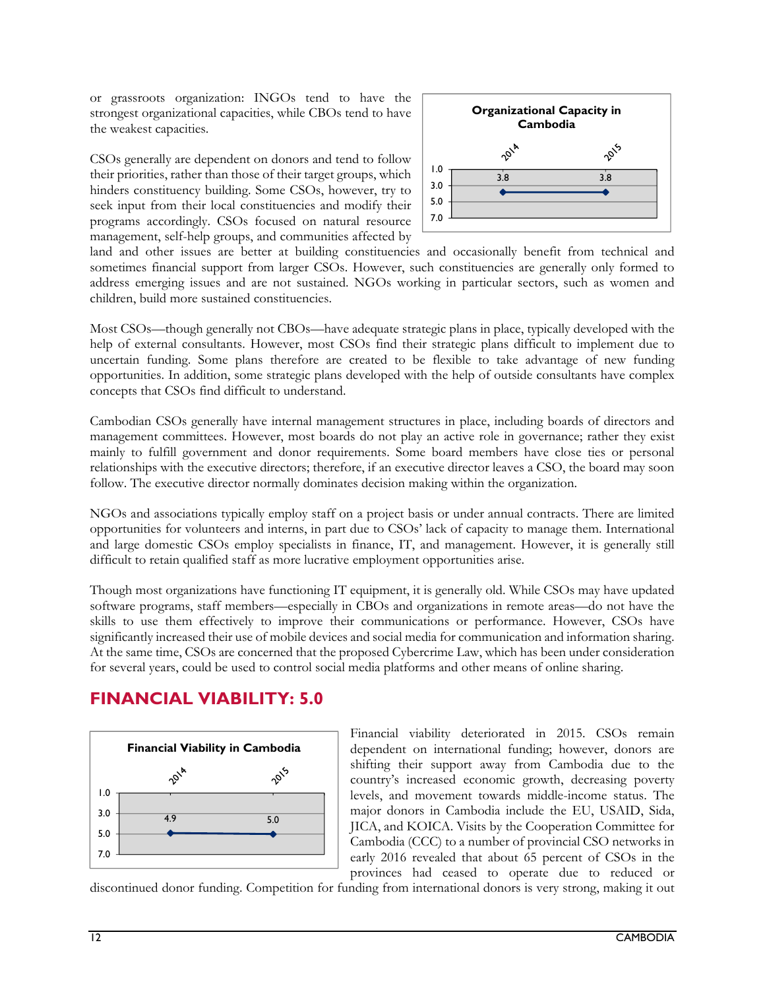or grassroots organization: INGOs tend to have the strongest organizational capacities, while CBOs tend to have the weakest capacities.

CSOs generally are dependent on donors and tend to follow their priorities, rather than those of their target groups, which hinders constituency building. Some CSOs, however, try to seek input from their local constituencies and modify their programs accordingly. CSOs focused on natural resource management, self-help groups, and communities affected by



land and other issues are better at building constituencies and occasionally benefit from technical and sometimes financial support from larger CSOs. However, such constituencies are generally only formed to address emerging issues and are not sustained. NGOs working in particular sectors, such as women and children, build more sustained constituencies.

Most CSOs—though generally not CBOs—have adequate strategic plans in place, typically developed with the help of external consultants. However, most CSOs find their strategic plans difficult to implement due to uncertain funding. Some plans therefore are created to be flexible to take advantage of new funding opportunities. In addition, some strategic plans developed with the help of outside consultants have complex concepts that CSOs find difficult to understand.

Cambodian CSOs generally have internal management structures in place, including boards of directors and management committees. However, most boards do not play an active role in governance; rather they exist mainly to fulfill government and donor requirements. Some board members have close ties or personal relationships with the executive directors; therefore, if an executive director leaves a CSO, the board may soon follow. The executive director normally dominates decision making within the organization.

NGOs and associations typically employ staff on a project basis or under annual contracts. There are limited opportunities for volunteers and interns, in part due to CSOs' lack of capacity to manage them. International and large domestic CSOs employ specialists in finance, IT, and management. However, it is generally still difficult to retain qualified staff as more lucrative employment opportunities arise.

Though most organizations have functioning IT equipment, it is generally old. While CSOs may have updated software programs, staff members—especially in CBOs and organizations in remote areas—do not have the skills to use them effectively to improve their communications or performance. However, CSOs have significantly increased their use of mobile devices and social media for communication and information sharing. At the same time, CSOs are concerned that the proposed Cybercrime Law, which has been under consideration for several years, could be used to control social media platforms and other means of online sharing.

### **FINANCIAL VIABILITY: 5.0**



Financial viability deteriorated in 2015. CSOs remain dependent on international funding; however, donors are shifting their support away from Cambodia due to the country's increased economic growth, decreasing poverty levels, and movement towards middle-income status. The major donors in Cambodia include the EU, USAID, Sida, JICA, and KOICA. Visits by the Cooperation Committee for Cambodia (CCC) to a number of provincial CSO networks in early 2016 revealed that about 65 percent of CSOs in the provinces had ceased to operate due to reduced or

discontinued donor funding. Competition for funding from international donors is very strong, making it out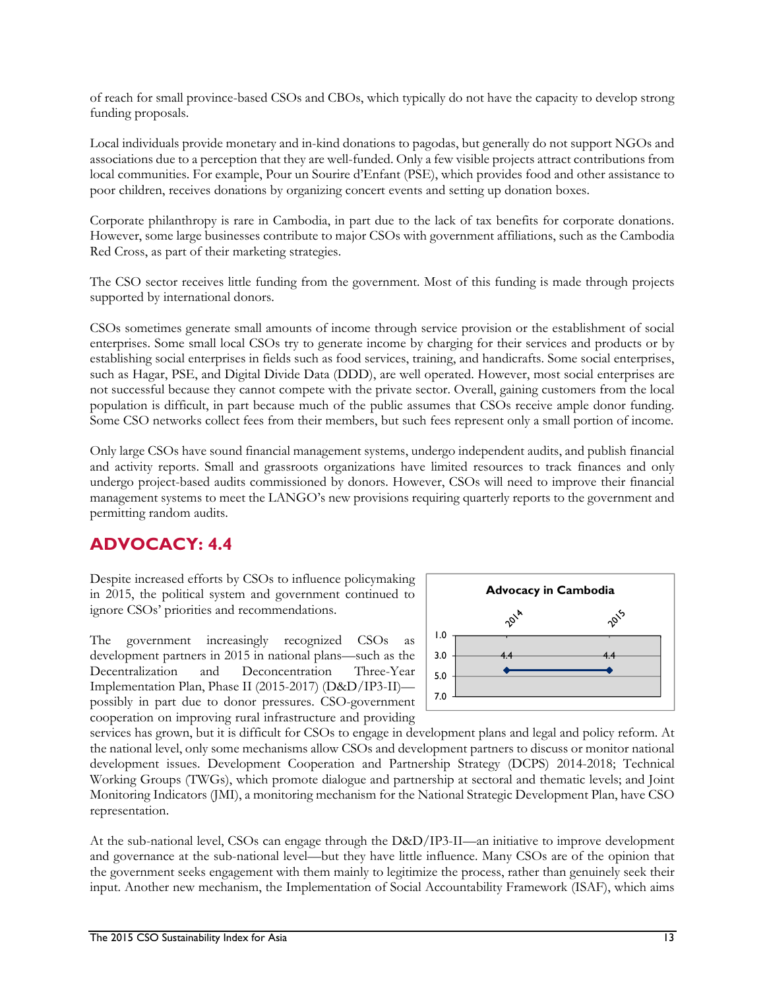of reach for small province-based CSOs and CBOs, which typically do not have the capacity to develop strong funding proposals.

Local individuals provide monetary and in-kind donations to pagodas, but generally do not support NGOs and associations due to a perception that they are well-funded. Only a few visible projects attract contributions from local communities. For example, Pour un Sourire d'Enfant (PSE), which provides food and other assistance to poor children, receives donations by organizing concert events and setting up donation boxes.

Corporate philanthropy is rare in Cambodia, in part due to the lack of tax benefits for corporate donations. However, some large businesses contribute to major CSOs with government affiliations, such as the Cambodia Red Cross, as part of their marketing strategies.

The CSO sector receives little funding from the government. Most of this funding is made through projects supported by international donors.

CSOs sometimes generate small amounts of income through service provision or the establishment of social enterprises. Some small local CSOs try to generate income by charging for their services and products or by establishing social enterprises in fields such as food services, training, and handicrafts. Some social enterprises, such as Hagar, PSE, and Digital Divide Data (DDD), are well operated. However, most social enterprises are not successful because they cannot compete with the private sector. Overall, gaining customers from the local population is difficult, in part because much of the public assumes that CSOs receive ample donor funding. Some CSO networks collect fees from their members, but such fees represent only a small portion of income.

Only large CSOs have sound financial management systems, undergo independent audits, and publish financial and activity reports. Small and grassroots organizations have limited resources to track finances and only undergo project-based audits commissioned by donors. However, CSOs will need to improve their financial management systems to meet the LANGO's new provisions requiring quarterly reports to the government and permitting random audits.

### **ADVOCACY: 4.4**

Despite increased efforts by CSOs to influence policymaking in 2015, the political system and government continued to ignore CSOs' priorities and recommendations.

The government increasingly recognized CSOs as development partners in 2015 in national plans—such as the Decentralization and Deconcentration Three-Year Implementation Plan, Phase II (2015-2017) (D&D/IP3-II) possibly in part due to donor pressures. CSO-government cooperation on improving rural infrastructure and providing



services has grown, but it is difficult for CSOs to engage in development plans and legal and policy reform. At the national level, only some mechanisms allow CSOs and development partners to discuss or monitor national development issues. Development Cooperation and Partnership Strategy (DCPS) 2014-2018; Technical Working Groups (TWGs), which promote dialogue and partnership at sectoral and thematic levels; and Joint Monitoring Indicators (JMI), a monitoring mechanism for the National Strategic Development Plan, have CSO representation.

At the sub-national level, CSOs can engage through the D&D/IP3-II—an initiative to improve development and governance at the sub-national level—but they have little influence. Many CSOs are of the opinion that the government seeks engagement with them mainly to legitimize the process, rather than genuinely seek their input. Another new mechanism, the Implementation of Social Accountability Framework (ISAF), which aims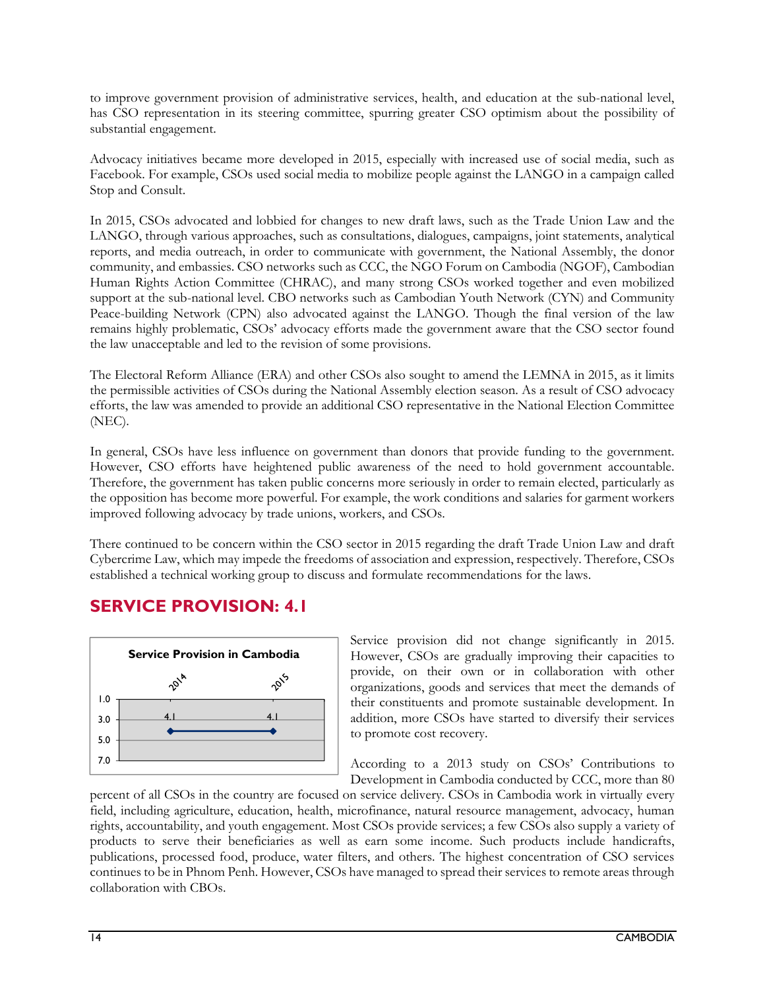to improve government provision of administrative services, health, and education at the sub-national level, has CSO representation in its steering committee, spurring greater CSO optimism about the possibility of substantial engagement.

Advocacy initiatives became more developed in 2015, especially with increased use of social media, such as Facebook. For example, CSOs used social media to mobilize people against the LANGO in a campaign called Stop and Consult.

In 2015, CSOs advocated and lobbied for changes to new draft laws, such as the Trade Union Law and the LANGO, through various approaches, such as consultations, dialogues, campaigns, joint statements, analytical reports, and media outreach, in order to communicate with government, the National Assembly, the donor community, and embassies. CSO networks such as CCC, the NGO Forum on Cambodia (NGOF), Cambodian Human Rights Action Committee (CHRAC), and many strong CSOs worked together and even mobilized support at the sub-national level. CBO networks such as Cambodian Youth Network (CYN) and Community Peace-building Network (CPN) also advocated against the LANGO. Though the final version of the law remains highly problematic, CSOs' advocacy efforts made the government aware that the CSO sector found the law unacceptable and led to the revision of some provisions.

The Electoral Reform Alliance (ERA) and other CSOs also sought to amend the LEMNA in 2015, as it limits the permissible activities of CSOs during the National Assembly election season. As a result of CSO advocacy efforts, the law was amended to provide an additional CSO representative in the National Election Committee (NEC).

In general, CSOs have less influence on government than donors that provide funding to the government. However, CSO efforts have heightened public awareness of the need to hold government accountable. Therefore, the government has taken public concerns more seriously in order to remain elected, particularly as the opposition has become more powerful. For example, the work conditions and salaries for garment workers improved following advocacy by trade unions, workers, and CSOs.

There continued to be concern within the CSO sector in 2015 regarding the draft Trade Union Law and draft Cybercrime Law, which may impede the freedoms of association and expression, respectively. Therefore, CSOs established a technical working group to discuss and formulate recommendations for the laws.

### **SERVICE PROVISION: 4.1**



Service provision did not change significantly in 2015. However, CSOs are gradually improving their capacities to provide, on their own or in collaboration with other organizations, goods and services that meet the demands of their constituents and promote sustainable development. In addition, more CSOs have started to diversify their services to promote cost recovery.

According to a 2013 study on CSOs' Contributions to Development in Cambodia conducted by CCC, more than 80

percent of all CSOs in the country are focused on service delivery. CSOs in Cambodia work in virtually every field, including agriculture, education, health, microfinance, natural resource management, advocacy, human rights, accountability, and youth engagement. Most CSOs provide services; a few CSOs also supply a variety of products to serve their beneficiaries as well as earn some income. Such products include handicrafts, publications, processed food, produce, water filters, and others. The highest concentration of CSO services continues to be in Phnom Penh. However, CSOs have managed to spread their services to remote areas through collaboration with CBOs.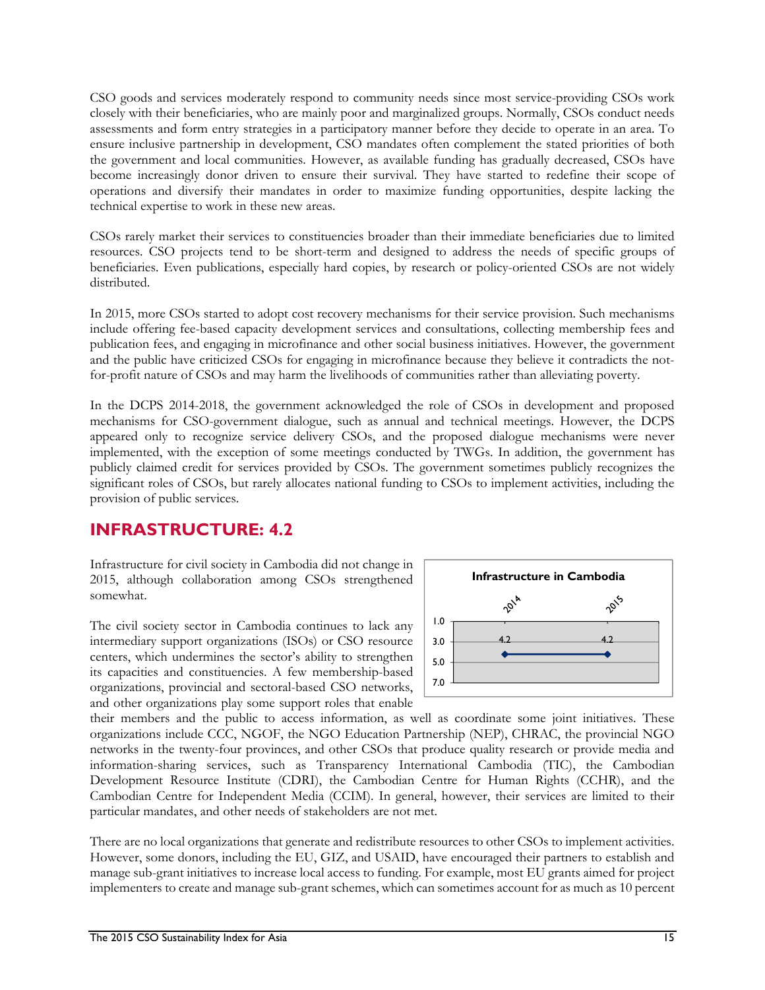CSO goods and services moderately respond to community needs since most service-providing CSOs work closely with their beneficiaries, who are mainly poor and marginalized groups. Normally, CSOs conduct needs assessments and form entry strategies in a participatory manner before they decide to operate in an area. To ensure inclusive partnership in development, CSO mandates often complement the stated priorities of both the government and local communities. However, as available funding has gradually decreased, CSOs have become increasingly donor driven to ensure their survival. They have started to redefine their scope of operations and diversify their mandates in order to maximize funding opportunities, despite lacking the technical expertise to work in these new areas.

CSOs rarely market their services to constituencies broader than their immediate beneficiaries due to limited resources. CSO projects tend to be short-term and designed to address the needs of specific groups of beneficiaries. Even publications, especially hard copies, by research or policy-oriented CSOs are not widely distributed.

In 2015, more CSOs started to adopt cost recovery mechanisms for their service provision. Such mechanisms include offering fee-based capacity development services and consultations, collecting membership fees and publication fees, and engaging in microfinance and other social business initiatives. However, the government and the public have criticized CSOs for engaging in microfinance because they believe it contradicts the notfor-profit nature of CSOs and may harm the livelihoods of communities rather than alleviating poverty.

In the DCPS 2014-2018, the government acknowledged the role of CSOs in development and proposed mechanisms for CSO-government dialogue, such as annual and technical meetings. However, the DCPS appeared only to recognize service delivery CSOs, and the proposed dialogue mechanisms were never implemented, with the exception of some meetings conducted by TWGs. In addition, the government has publicly claimed credit for services provided by CSOs. The government sometimes publicly recognizes the significant roles of CSOs, but rarely allocates national funding to CSOs to implement activities, including the provision of public services.

#### **INFRASTRUCTURE: 4.2**

Infrastructure for civil society in Cambodia did not change in 2015, although collaboration among CSOs strengthened somewhat.

The civil society sector in Cambodia continues to lack any intermediary support organizations (ISOs) or CSO resource centers, which undermines the sector's ability to strengthen its capacities and constituencies. A few membership-based organizations, provincial and sectoral-based CSO networks, and other organizations play some support roles that enable



their members and the public to access information, as well as coordinate some joint initiatives. These organizations include CCC, NGOF, the NGO Education Partnership (NEP), CHRAC, the provincial NGO networks in the twenty-four provinces, and other CSOs that produce quality research or provide media and information-sharing services, such as Transparency International Cambodia (TIC), the Cambodian Development Resource Institute (CDRI), the Cambodian Centre for Human Rights (CCHR), and the Cambodian Centre for Independent Media (CCIM). In general, however, their services are limited to their particular mandates, and other needs of stakeholders are not met.

There are no local organizations that generate and redistribute resources to other CSOs to implement activities. However, some donors, including the EU, GIZ, and USAID, have encouraged their partners to establish and manage sub-grant initiatives to increase local access to funding. For example, most EU grants aimed for project implementers to create and manage sub-grant schemes, which can sometimes account for as much as 10 percent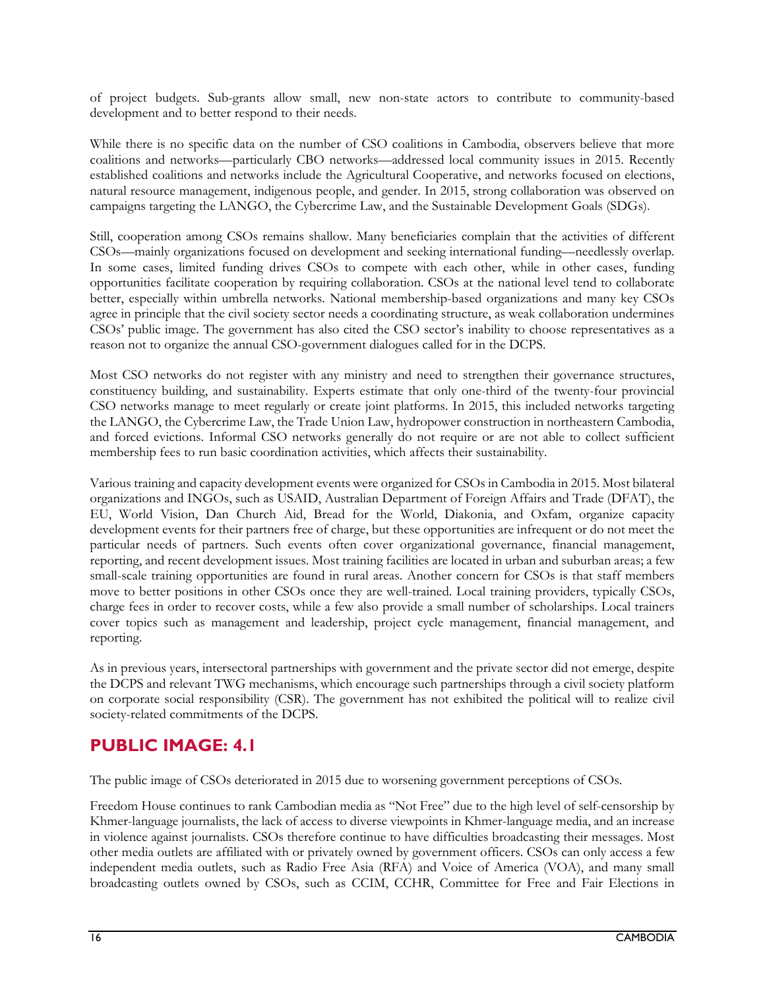of project budgets. Sub-grants allow small, new non-state actors to contribute to community-based development and to better respond to their needs.

While there is no specific data on the number of CSO coalitions in Cambodia, observers believe that more coalitions and networks—particularly CBO networks—addressed local community issues in 2015. Recently established coalitions and networks include the Agricultural Cooperative, and networks focused on elections, natural resource management, indigenous people, and gender. In 2015, strong collaboration was observed on campaigns targeting the LANGO, the Cybercrime Law, and the Sustainable Development Goals (SDGs).

Still, cooperation among CSOs remains shallow. Many beneficiaries complain that the activities of different CSOs—mainly organizations focused on development and seeking international funding—needlessly overlap. In some cases, limited funding drives CSOs to compete with each other, while in other cases, funding opportunities facilitate cooperation by requiring collaboration. CSOs at the national level tend to collaborate better, especially within umbrella networks. National membership-based organizations and many key CSOs agree in principle that the civil society sector needs a coordinating structure, as weak collaboration undermines CSOs' public image. The government has also cited the CSO sector's inability to choose representatives as a reason not to organize the annual CSO-government dialogues called for in the DCPS.

Most CSO networks do not register with any ministry and need to strengthen their governance structures, constituency building, and sustainability. Experts estimate that only one-third of the twenty-four provincial CSO networks manage to meet regularly or create joint platforms. In 2015, this included networks targeting the LANGO, the Cybercrime Law, the Trade Union Law, hydropower construction in northeastern Cambodia, and forced evictions. Informal CSO networks generally do not require or are not able to collect sufficient membership fees to run basic coordination activities, which affects their sustainability.

Various training and capacity development events were organized for CSOs in Cambodia in 2015. Most bilateral organizations and INGOs, such as USAID, Australian Department of Foreign Affairs and Trade (DFAT), the EU, World Vision, Dan Church Aid, Bread for the World, Diakonia, and Oxfam, organize capacity development events for their partners free of charge, but these opportunities are infrequent or do not meet the particular needs of partners. Such events often cover organizational governance, financial management, reporting, and recent development issues. Most training facilities are located in urban and suburban areas; a few small-scale training opportunities are found in rural areas. Another concern for CSOs is that staff members move to better positions in other CSOs once they are well-trained. Local training providers, typically CSOs, charge fees in order to recover costs, while a few also provide a small number of scholarships. Local trainers cover topics such as management and leadership, project cycle management, financial management, and reporting.

As in previous years, intersectoral partnerships with government and the private sector did not emerge, despite the DCPS and relevant TWG mechanisms, which encourage such partnerships through a civil society platform on corporate social responsibility (CSR). The government has not exhibited the political will to realize civil society-related commitments of the DCPS.

### **PUBLIC IMAGE: 4.1**

The public image of CSOs deteriorated in 2015 due to worsening government perceptions of CSOs.

Freedom House continues to rank Cambodian media as "Not Free" due to the high level of self-censorship by Khmer-language journalists, the lack of access to diverse viewpoints in Khmer-language media, and an increase in violence against journalists. CSOs therefore continue to have difficulties broadcasting their messages. Most other media outlets are affiliated with or privately owned by government officers. CSOs can only access a few independent media outlets, such as Radio Free Asia (RFA) and Voice of America (VOA), and many small broadcasting outlets owned by CSOs, such as CCIM, CCHR, Committee for Free and Fair Elections in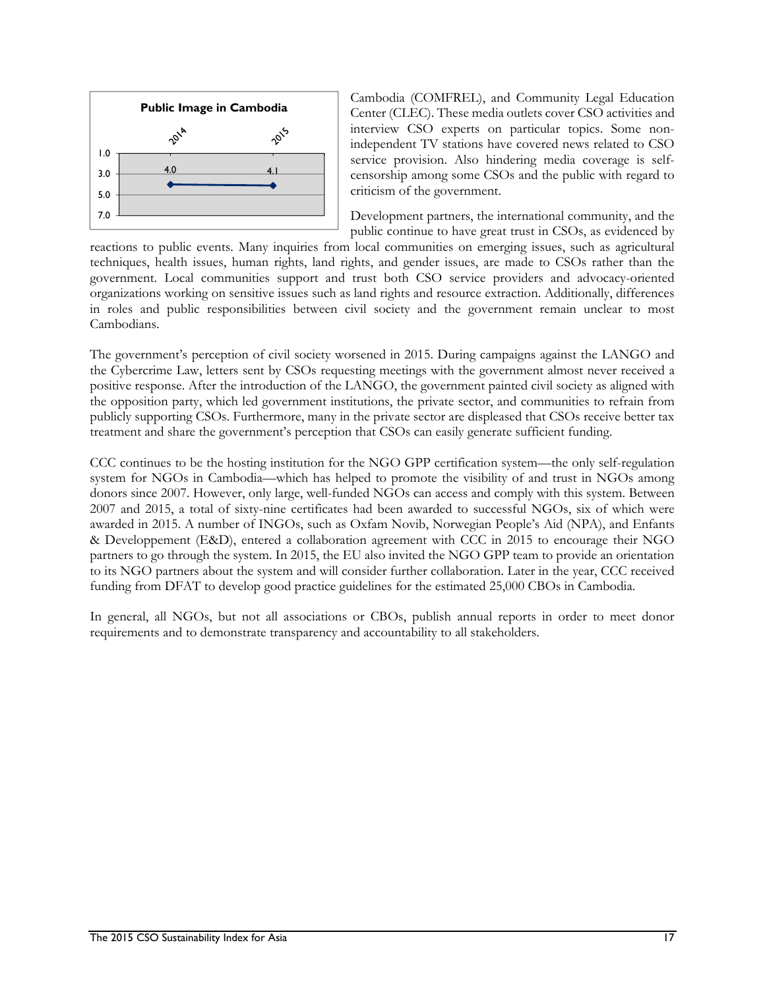

Cambodia (COMFREL), and Community Legal Education Center (CLEC). These media outlets cover CSO activities and interview CSO experts on particular topics. Some nonindependent TV stations have covered news related to CSO service provision. Also hindering media coverage is selfcensorship among some CSOs and the public with regard to criticism of the government.

Development partners, the international community, and the public continue to have great trust in CSOs, as evidenced by

reactions to public events. Many inquiries from local communities on emerging issues, such as agricultural techniques, health issues, human rights, land rights, and gender issues, are made to CSOs rather than the government. Local communities support and trust both CSO service providers and advocacy-oriented organizations working on sensitive issues such as land rights and resource extraction. Additionally, differences in roles and public responsibilities between civil society and the government remain unclear to most Cambodians.

The government's perception of civil society worsened in 2015. During campaigns against the LANGO and the Cybercrime Law, letters sent by CSOs requesting meetings with the government almost never received a positive response. After the introduction of the LANGO, the government painted civil society as aligned with the opposition party, which led government institutions, the private sector, and communities to refrain from publicly supporting CSOs. Furthermore, many in the private sector are displeased that CSOs receive better tax treatment and share the government's perception that CSOs can easily generate sufficient funding.

CCC continues to be the hosting institution for the NGO GPP certification system—the only self-regulation system for NGOs in Cambodia—which has helped to promote the visibility of and trust in NGOs among donors since 2007. However, only large, well-funded NGOs can access and comply with this system. Between 2007 and 2015, a total of sixty-nine certificates had been awarded to successful NGOs, six of which were awarded in 2015. A number of INGOs, such as Oxfam Novib, Norwegian People's Aid (NPA), and Enfants & Developpement (E&D), entered a collaboration agreement with CCC in 2015 to encourage their NGO partners to go through the system. In 2015, the EU also invited the NGO GPP team to provide an orientation to its NGO partners about the system and will consider further collaboration. Later in the year, CCC received funding from DFAT to develop good practice guidelines for the estimated 25,000 CBOs in Cambodia.

In general, all NGOs, but not all associations or CBOs, publish annual reports in order to meet donor requirements and to demonstrate transparency and accountability to all stakeholders.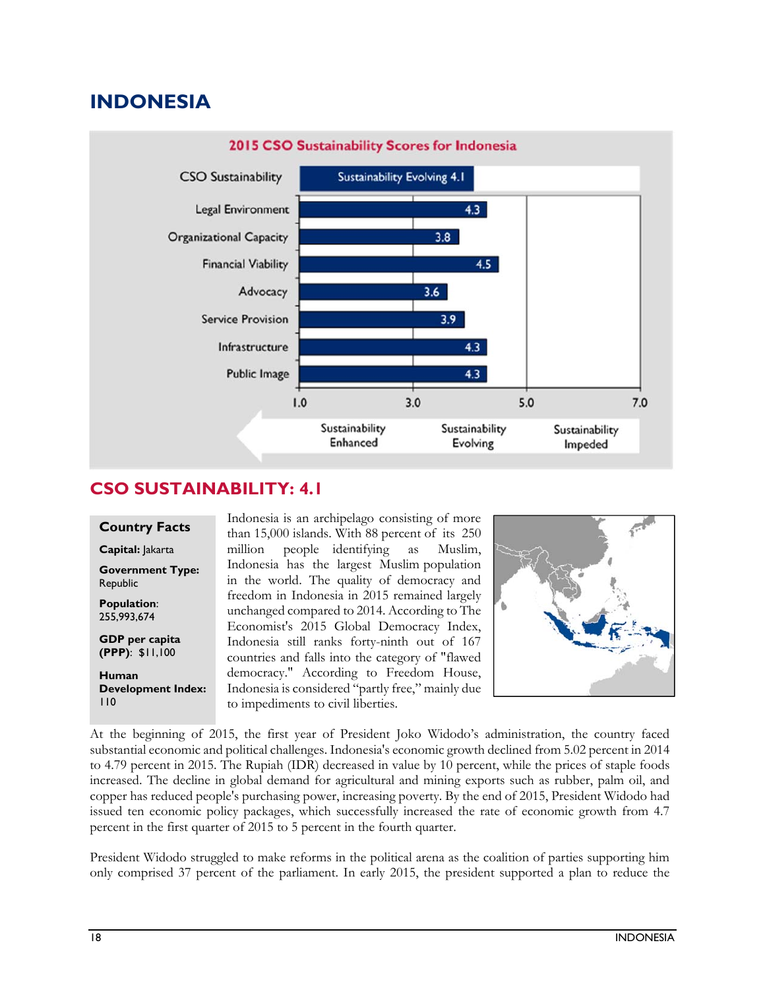# **INDONESIA**



### **CSO SUSTAINABILITY: 4.1**

#### **Country Facts**

**Capital:** Jakarta

**Government Type:**  Republic

**Population**: 255,993,674

**GDP per capita (PPP)**: \$11,100

**Human Development Index:**  110

Indonesia is an archipelago consisting of more than 15,000 islands. With 88 percent of its 250 million people identifying as Muslim, Indonesia has the largest Muslim population in the world. The quality of democracy and freedom in Indonesia in 2015 remained largely unchanged compared to 2014. According to The Economist's 2015 Global Democracy Index, Indonesia still ranks forty-ninth out of 167 countries and falls into the category of "flawed democracy." According to Freedom House, Indonesia is considered "partly free," mainly due to impediments to civil liberties.



At the beginning of 2015, the first year of President Joko Widodo's administration, the country faced substantial economic and political challenges. Indonesia's economic growth declined from 5.02 percent in 2014 to 4.79 percent in 2015. The Rupiah (IDR) decreased in value by 10 percent, while the prices of staple foods increased. The decline in global demand for agricultural and mining exports such as rubber, palm oil, and copper has reduced people's purchasing power, increasing poverty. By the end of 2015, President Widodo had issued ten economic policy packages, which successfully increased the rate of economic growth from 4.7 percent in the first quarter of 2015 to 5 percent in the fourth quarter.

President Widodo struggled to make reforms in the political arena as the coalition of parties supporting him only comprised 37 percent of the parliament. In early 2015, the president supported a plan to reduce the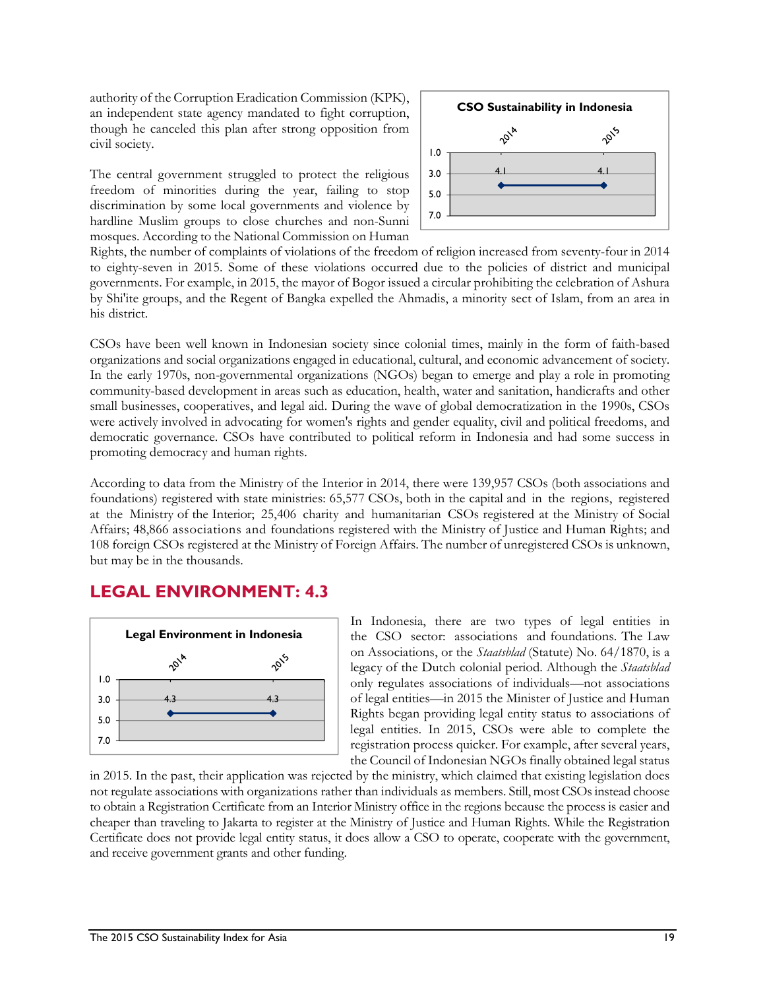authority of the Corruption Eradication Commission (KPK), an independent state agency mandated to fight corruption, though he canceled this plan after strong opposition from civil society.

The central government struggled to protect the religious freedom of minorities during the year, failing to stop discrimination by some local governments and violence by hardline Muslim groups to close churches and non-Sunni mosques. According to the National Commission on Human



Rights, the number of complaints of violations of the freedom of religion increased from seventy-four in 2014 to eighty-seven in 2015. Some of these violations occurred due to the policies of district and municipal governments. For example, in 2015, the mayor of Bogor issued a circular prohibiting the celebration of Ashura by Shi'ite groups, and the Regent of Bangka expelled the Ahmadis, a minority sect of Islam, from an area in his district.

CSOs have been well known in Indonesian society since colonial times, mainly in the form of faith-based organizations and social organizations engaged in educational, cultural, and economic advancement of society. In the early 1970s, non-governmental organizations (NGOs) began to emerge and play a role in promoting community-based development in areas such as education, health, water and sanitation, handicrafts and other small businesses, cooperatives, and legal aid. During the wave of global democratization in the 1990s, CSOs were actively involved in advocating for women's rights and gender equality, civil and political freedoms, and democratic governance. CSOs have contributed to political reform in Indonesia and had some success in promoting democracy and human rights.

According to data from the Ministry of the Interior in 2014, there were 139,957 CSOs (both associations and foundations) registered with state ministries: 65,577 CSOs, both in the capital and in the regions, registered at the Ministry of the Interior; 25,406 charity and humanitarian CSOs registered at the Ministry of Social Affairs; 48,866 associations and foundations registered with the Ministry of Justice and Human Rights; and 108 foreign CSOs registered at the Ministry of Foreign Affairs. The number of unregistered CSOs is unknown, but may be in the thousands.

### **LEGAL ENVIRONMENT: 4.3**



In Indonesia, there are two types of legal entities in the CSO sector: associations and foundations. The Law on Associations, or the *Staatsblad* (Statute) No. 64/1870, is a legacy of the Dutch colonial period. Although the *Staatsblad* only regulates associations of individuals—not associations of legal entities—in 2015 the Minister of Justice and Human Rights began providing legal entity status to associations of legal entities. In 2015, CSOs were able to complete the registration process quicker. For example, after several years, the Council of Indonesian NGOs finally obtained legal status

in 2015. In the past, their application was rejected by the ministry, which claimed that existing legislation does not regulate associations with organizations rather than individuals as members. Still, most CSOs instead choose to obtain a Registration Certificate from an Interior Ministry office in the regions because the process is easier and cheaper than traveling to Jakarta to register at the Ministry of Justice and Human Rights. While the Registration Certificate does not provide legal entity status, it does allow a CSO to operate, cooperate with the government, and receive government grants and other funding.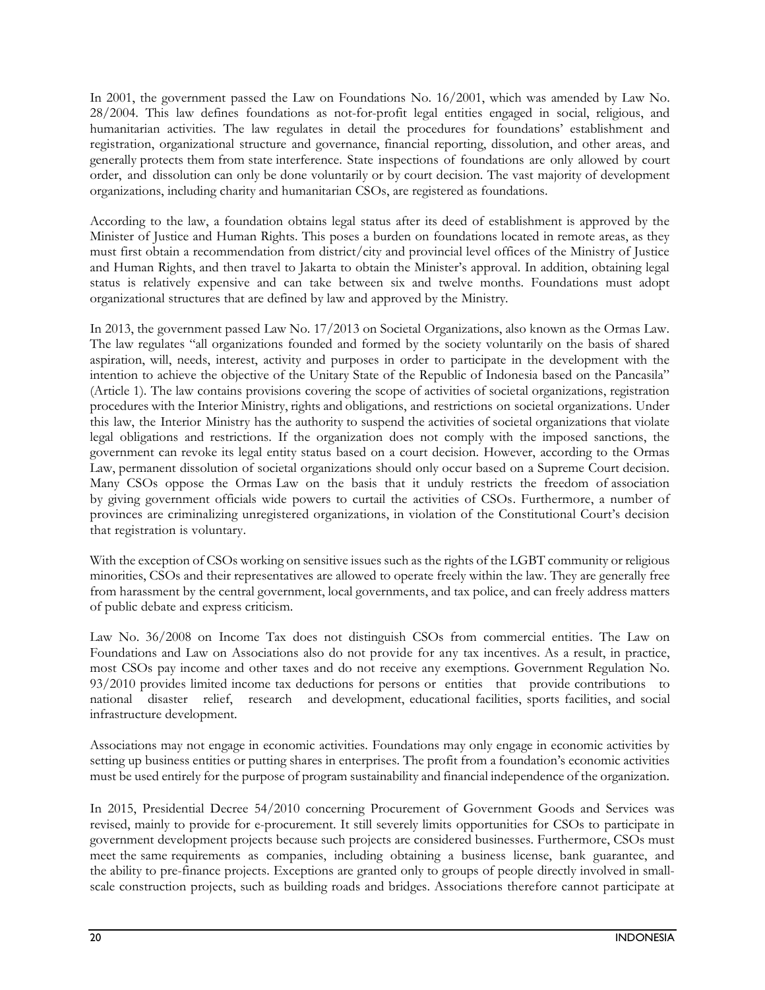In 2001, the government passed the Law on Foundations No. 16/2001, which was amended by Law No. 28/2004. This law defines foundations as not-for-profit legal entities engaged in social, religious, and humanitarian activities. The law regulates in detail the procedures for foundations' establishment and registration, organizational structure and governance, financial reporting, dissolution, and other areas, and generally protects them from state interference. State inspections of foundations are only allowed by court order, and dissolution can only be done voluntarily or by court decision. The vast majority of development organizations, including charity and humanitarian CSOs, are registered as foundations.

According to the law, a foundation obtains legal status after its deed of establishment is approved by the Minister of Justice and Human Rights. This poses a burden on foundations located in remote areas, as they must first obtain a recommendation from district/city and provincial level offices of the Ministry of Justice and Human Rights, and then travel to Jakarta to obtain the Minister's approval. In addition, obtaining legal status is relatively expensive and can take between six and twelve months. Foundations must adopt organizational structures that are defined by law and approved by the Ministry.

In 2013, the government passed Law No. 17/2013 on Societal Organizations, also known as the Ormas Law. The law regulates "all organizations founded and formed by the society voluntarily on the basis of shared aspiration, will, needs, interest, activity and purposes in order to participate in the development with the intention to achieve the objective of the Unitary State of the Republic of Indonesia based on the Pancasila" (Article 1). The law contains provisions covering the scope of activities of societal organizations, registration procedures with the Interior Ministry, rights and obligations, and restrictions on societal organizations. Under this law, the Interior Ministry has the authority to suspend the activities of societal organizations that violate legal obligations and restrictions. If the organization does not comply with the imposed sanctions, the government can revoke its legal entity status based on a court decision. However, according to the Ormas Law, permanent dissolution of societal organizations should only occur based on a Supreme Court decision. Many CSOs oppose the Ormas Law on the basis that it unduly restricts the freedom of association by giving government officials wide powers to curtail the activities of CSOs. Furthermore, a number of provinces are criminalizing unregistered organizations, in violation of the Constitutional Court's decision that registration is voluntary.

With the exception of CSOs working on sensitive issues such as the rights of the LGBT community or religious minorities, CSOs and their representatives are allowed to operate freely within the law. They are generally free from harassment by the central government, local governments, and tax police, and can freely address matters of public debate and express criticism.

Law No. 36/2008 on Income Tax does not distinguish CSOs from commercial entities. The Law on Foundations and Law on Associations also do not provide for any tax incentives. As a result, in practice, most CSOs pay income and other taxes and do not receive any exemptions. Government Regulation No. 93/2010 provides limited income tax deductions for persons or entities that provide contributions to national disaster relief, research and development, educational facilities, sports facilities, and social infrastructure development.

Associations may not engage in economic activities. Foundations may only engage in economic activities by setting up business entities or putting shares in enterprises. The profit from a foundation's economic activities must be used entirely for the purpose of program sustainability and financial independence of the organization.

In 2015, Presidential Decree 54/2010 concerning Procurement of Government Goods and Services was revised, mainly to provide for e-procurement. It still severely limits opportunities for CSOs to participate in government development projects because such projects are considered businesses. Furthermore, CSOs must meet the same requirements as companies, including obtaining a business license, bank guarantee, and the ability to pre-finance projects. Exceptions are granted only to groups of people directly involved in smallscale construction projects, such as building roads and bridges. Associations therefore cannot participate at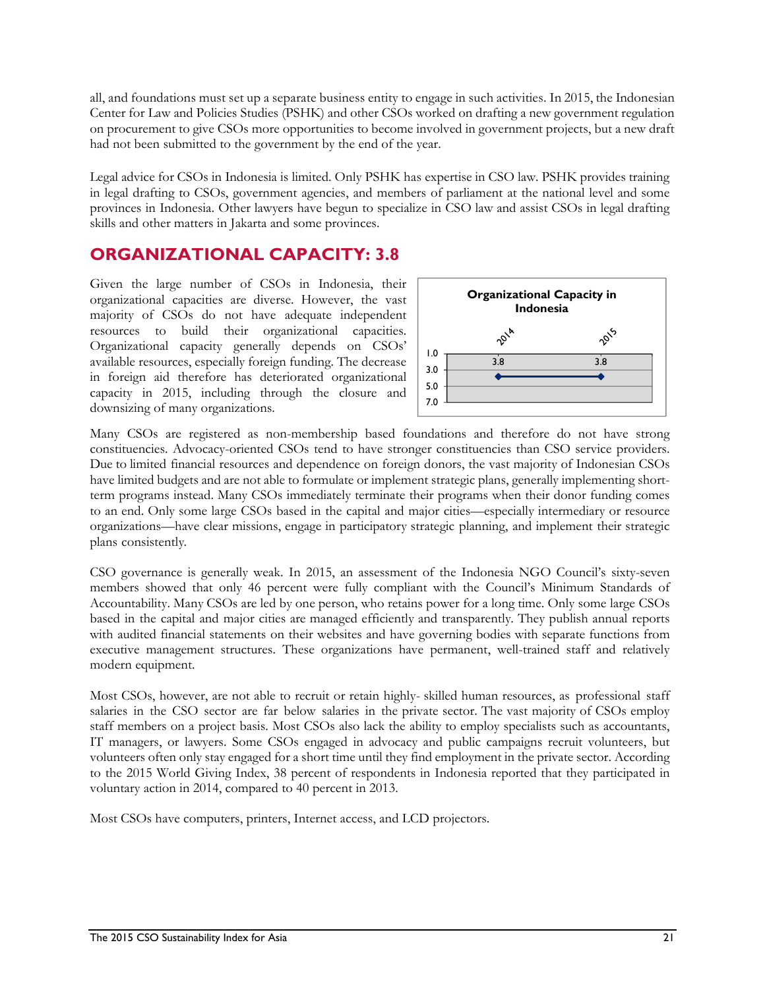all, and foundations must set up a separate business entity to engage in such activities. In 2015, the Indonesian Center for Law and Policies Studies (PSHK) and other CSOs worked on drafting a new government regulation on procurement to give CSOs more opportunities to become involved in government projects, but a new draft had not been submitted to the government by the end of the year.

Legal advice for CSOs in Indonesia is limited. Only PSHK has expertise in CSO law. PSHK provides training in legal drafting to CSOs, government agencies, and members of parliament at the national level and some provinces in Indonesia. Other lawyers have begun to specialize in CSO law and assist CSOs in legal drafting skills and other matters in Jakarta and some provinces.

### **ORGANIZATIONAL CAPACITY: 3.8**

Given the large number of CSOs in Indonesia, their organizational capacities are diverse. However, the vast majority of CSOs do not have adequate independent resources to build their organizational capacities. Organizational capacity generally depends on CSOs' available resources, especially foreign funding. The decrease in foreign aid therefore has deteriorated organizational capacity in 2015, including through the closure and downsizing of many organizations.



Many CSOs are registered as non-membership based foundations and therefore do not have strong constituencies. Advocacy-oriented CSOs tend to have stronger constituencies than CSO service providers. Due to limited financial resources and dependence on foreign donors, the vast majority of Indonesian CSOs have limited budgets and are not able to formulate or implement strategic plans, generally implementing shortterm programs instead. Many CSOs immediately terminate their programs when their donor funding comes to an end. Only some large CSOs based in the capital and major cities—especially intermediary or resource organizations—have clear missions, engage in participatory strategic planning, and implement their strategic plans consistently.

CSO governance is generally weak. In 2015, an assessment of the Indonesia NGO Council's sixty-seven members showed that only 46 percent were fully compliant with the Council's Minimum Standards of Accountability. Many CSOs are led by one person, who retains power for a long time. Only some large CSOs based in the capital and major cities are managed efficiently and transparently. They publish annual reports with audited financial statements on their websites and have governing bodies with separate functions from executive management structures. These organizations have permanent, well-trained staff and relatively modern equipment.

Most CSOs, however, are not able to recruit or retain highly- skilled human resources, as professional staff salaries in the CSO sector are far below salaries in the private sector. The vast majority of CSOs employ staff members on a project basis. Most CSOs also lack the ability to employ specialists such as accountants, IT managers, or lawyers. Some CSOs engaged in advocacy and public campaigns recruit volunteers, but volunteers often only stay engaged for a short time until they find employment in the private sector. According to the 2015 World Giving Index, 38 percent of respondents in Indonesia reported that they participated in voluntary action in 2014, compared to 40 percent in 2013.

Most CSOs have computers, printers, Internet access, and LCD projectors.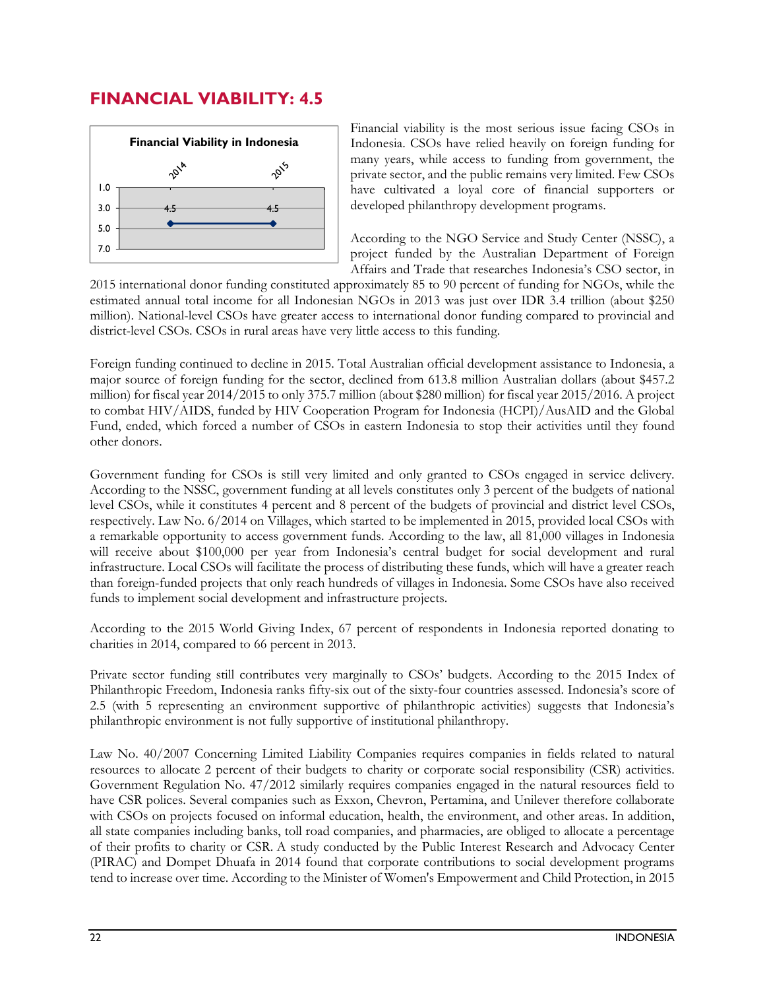### **FINANCIAL VIABILITY: 4.5**



Financial viability is the most serious issue facing CSOs in Indonesia. CSOs have relied heavily on foreign funding for many years, while access to funding from government, the private sector, and the public remains very limited. Few CSOs have cultivated a loyal core of financial supporters or developed philanthropy development programs.

According to the NGO Service and Study Center (NSSC), a project funded by the Australian Department of Foreign Affairs and Trade that researches Indonesia's CSO sector, in

2015 international donor funding constituted approximately 85 to 90 percent of funding for NGOs, while the estimated annual total income for all Indonesian NGOs in 2013 was just over IDR 3.4 trillion (about \$250 million). National-level CSOs have greater access to international donor funding compared to provincial and district-level CSOs. CSOs in rural areas have very little access to this funding.

Foreign funding continued to decline in 2015. Total Australian official development assistance to Indonesia, a major source of foreign funding for the sector, declined from 613.8 million Australian dollars (about \$457.2 million) for fiscal year 2014/2015 to only 375.7 million (about \$280 million) for fiscal year 2015/2016. A project to combat HIV/AIDS, funded by HIV Cooperation Program for Indonesia (HCPI)/AusAID and the Global Fund, ended, which forced a number of CSOs in eastern Indonesia to stop their activities until they found other donors.

Government funding for CSOs is still very limited and only granted to CSOs engaged in service delivery. According to the NSSC, government funding at all levels constitutes only 3 percent of the budgets of national level CSOs, while it constitutes 4 percent and 8 percent of the budgets of provincial and district level CSOs, respectively. Law No. 6/2014 on Villages, which started to be implemented in 2015, provided local CSOs with a remarkable opportunity to access government funds. According to the law, all 81,000 villages in Indonesia will receive about \$100,000 per year from Indonesia's central budget for social development and rural infrastructure. Local CSOs will facilitate the process of distributing these funds, which will have a greater reach than foreign-funded projects that only reach hundreds of villages in Indonesia. Some CSOs have also received funds to implement social development and infrastructure projects.

According to the 2015 World Giving Index, 67 percent of respondents in Indonesia reported donating to charities in 2014, compared to 66 percent in 2013.

Private sector funding still contributes very marginally to CSOs' budgets. According to the 2015 Index of Philanthropic Freedom, Indonesia ranks fifty-six out of the sixty-four countries assessed. Indonesia's score of 2.5 (with 5 representing an environment supportive of philanthropic activities) suggests that Indonesia's philanthropic environment is not fully supportive of institutional philanthropy.

Law No. 40/2007 Concerning Limited Liability Companies requires companies in fields related to natural resources to allocate 2 percent of their budgets to charity or corporate social responsibility (CSR) activities. Government Regulation No. 47/2012 similarly requires companies engaged in the natural resources field to have CSR polices. Several companies such as Exxon, Chevron, Pertamina, and Unilever therefore collaborate with CSOs on projects focused on informal education, health, the environment, and other areas. In addition, all state companies including banks, toll road companies, and pharmacies, are obliged to allocate a percentage of their profits to charity or CSR. A study conducted by the Public Interest Research and Advocacy Center (PIRAC) and Dompet Dhuafa in 2014 found that corporate contributions to social development programs tend to increase over time. According to the Minister of Women's Empowerment and Child Protection, in 2015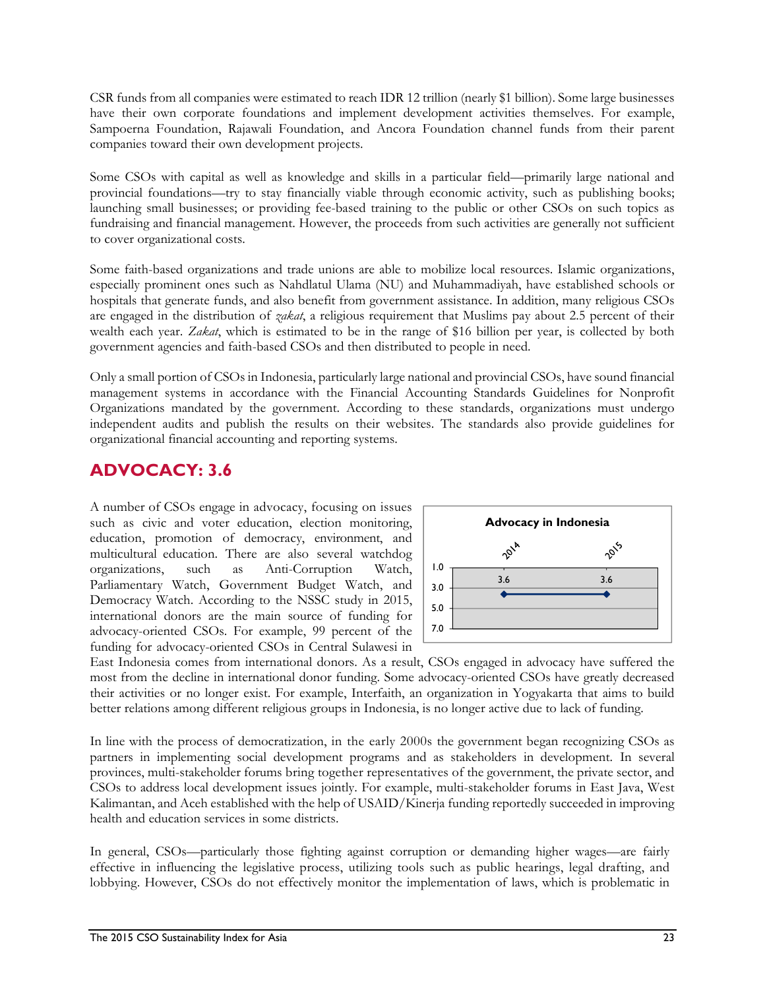CSR funds from all companies were estimated to reach IDR 12 trillion (nearly \$1 billion). Some large businesses have their own corporate foundations and implement development activities themselves. For example, Sampoerna Foundation, Rajawali Foundation, and Ancora Foundation channel funds from their parent companies toward their own development projects.

Some CSOs with capital as well as knowledge and skills in a particular field—primarily large national and provincial foundations—try to stay financially viable through economic activity, such as publishing books; launching small businesses; or providing fee-based training to the public or other CSOs on such topics as fundraising and financial management. However, the proceeds from such activities are generally not sufficient to cover organizational costs.

Some faith-based organizations and trade unions are able to mobilize local resources. Islamic organizations, especially prominent ones such as Nahdlatul Ulama (NU) and Muhammadiyah, have established schools or hospitals that generate funds, and also benefit from government assistance. In addition, many religious CSOs are engaged in the distribution of *zakat*, a religious requirement that Muslims pay about 2.5 percent of their wealth each year. *Zakat*, which is estimated to be in the range of \$16 billion per year, is collected by both government agencies and faith-based CSOs and then distributed to people in need.

Only a small portion of CSOs in Indonesia, particularly large national and provincial CSOs, have sound financial management systems in accordance with the Financial Accounting Standards Guidelines for Nonprofit Organizations mandated by the government. According to these standards, organizations must undergo independent audits and publish the results on their websites. The standards also provide guidelines for organizational financial accounting and reporting systems.

### **ADVOCACY: 3.6**

A number of CSOs engage in advocacy, focusing on issues such as civic and voter education, election monitoring, education, promotion of democracy, environment, and multicultural education. There are also several watchdog organizations, such as Anti-Corruption Watch, Parliamentary Watch, Government Budget Watch, and Democracy Watch. According to the NSSC study in 2015, international donors are the main source of funding for advocacy-oriented CSOs. For example, 99 percent of the funding for advocacy-oriented CSOs in Central Sulawesi in



East Indonesia comes from international donors. As a result, CSOs engaged in advocacy have suffered the most from the decline in international donor funding. Some advocacy-oriented CSOs have greatly decreased their activities or no longer exist. For example, Interfaith, an organization in Yogyakarta that aims to build better relations among different religious groups in Indonesia, is no longer active due to lack of funding.

In line with the process of democratization, in the early 2000s the government began recognizing CSOs as partners in implementing social development programs and as stakeholders in development. In several provinces, multi-stakeholder forums bring together representatives of the government, the private sector, and CSOs to address local development issues jointly. For example, multi-stakeholder forums in East Java, West Kalimantan, and Aceh established with the help of USAID/Kinerja funding reportedly succeeded in improving health and education services in some districts.

In general, CSOs—particularly those fighting against corruption or demanding higher wages—are fairly effective in influencing the legislative process, utilizing tools such as public hearings, legal drafting, and lobbying. However, CSOs do not effectively monitor the implementation of laws, which is problematic in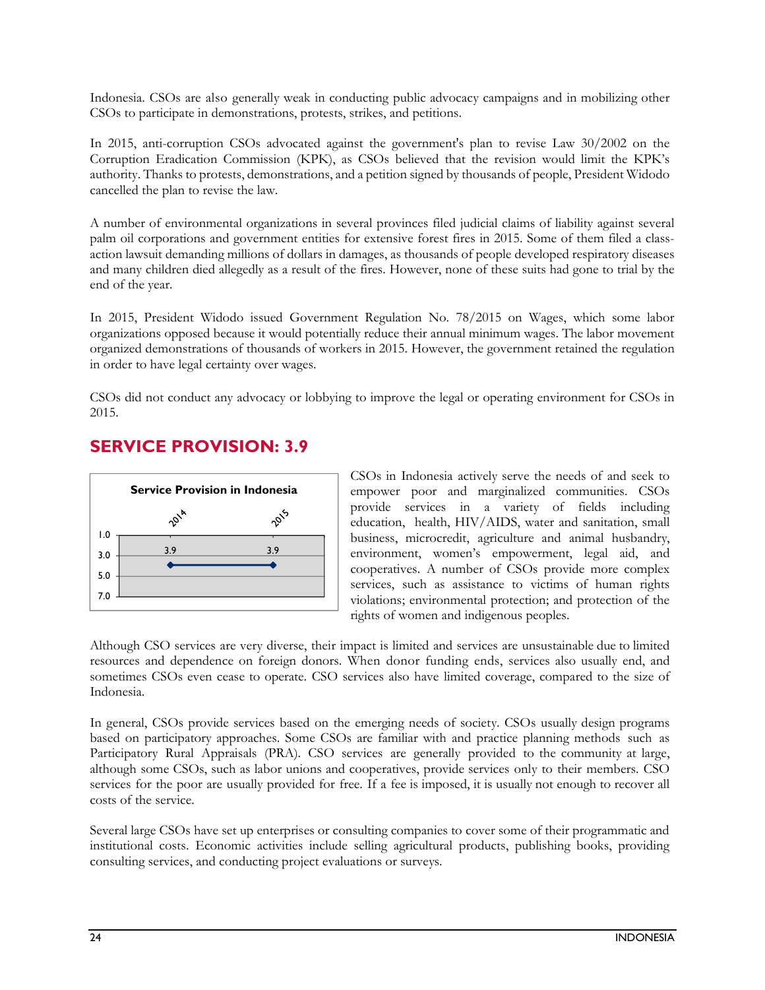Indonesia. CSOs are also generally weak in conducting public advocacy campaigns and in mobilizing other CSOs to participate in demonstrations, protests, strikes, and petitions.

In 2015, anti-corruption CSOs advocated against the government's plan to revise Law 30/2002 on the Corruption Eradication Commission (KPK), as CSOs believed that the revision would limit the KPK's authority. Thanks to protests, demonstrations, and a petition signed by thousands of people, President Widodo cancelled the plan to revise the law.

A number of environmental organizations in several provinces filed judicial claims of liability against several palm oil corporations and government entities for extensive forest fires in 2015. Some of them filed a classaction lawsuit demanding millions of dollars in damages, as thousands of people developed respiratory diseases and many children died allegedly as a result of the fires. However, none of these suits had gone to trial by the end of the year.

In 2015, President Widodo issued Government Regulation No. 78/2015 on Wages, which some labor organizations opposed because it would potentially reduce their annual minimum wages. The labor movement organized demonstrations of thousands of workers in 2015. However, the government retained the regulation in order to have legal certainty over wages.

CSOs did not conduct any advocacy or lobbying to improve the legal or operating environment for CSOs in 2015.

#### **SERVICE PROVISION: 3.9**



CSOs in Indonesia actively serve the needs of and seek to empower poor and marginalized communities. CSOs provide services in a variety of fields including education, health, HIV/AIDS, water and sanitation, small business, microcredit, agriculture and animal husbandry, environment, women's empowerment, legal aid, and cooperatives. A number of CSOs provide more complex services, such as assistance to victims of human rights violations; environmental protection; and protection of the rights of women and indigenous peoples.

Although CSO services are very diverse, their impact is limited and services are unsustainable due to limited resources and dependence on foreign donors. When donor funding ends, services also usually end, and sometimes CSOs even cease to operate. CSO services also have limited coverage, compared to the size of Indonesia.

In general, CSOs provide services based on the emerging needs of society. CSOs usually design programs based on participatory approaches. Some CSOs are familiar with and practice planning methods such as Participatory Rural Appraisals (PRA). CSO services are generally provided to the community at large, although some CSOs, such as labor unions and cooperatives, provide services only to their members. CSO services for the poor are usually provided for free. If a fee is imposed, it is usually not enough to recover all costs of the service.

Several large CSOs have set up enterprises or consulting companies to cover some of their programmatic and institutional costs. Economic activities include selling agricultural products, publishing books, providing consulting services, and conducting project evaluations or surveys.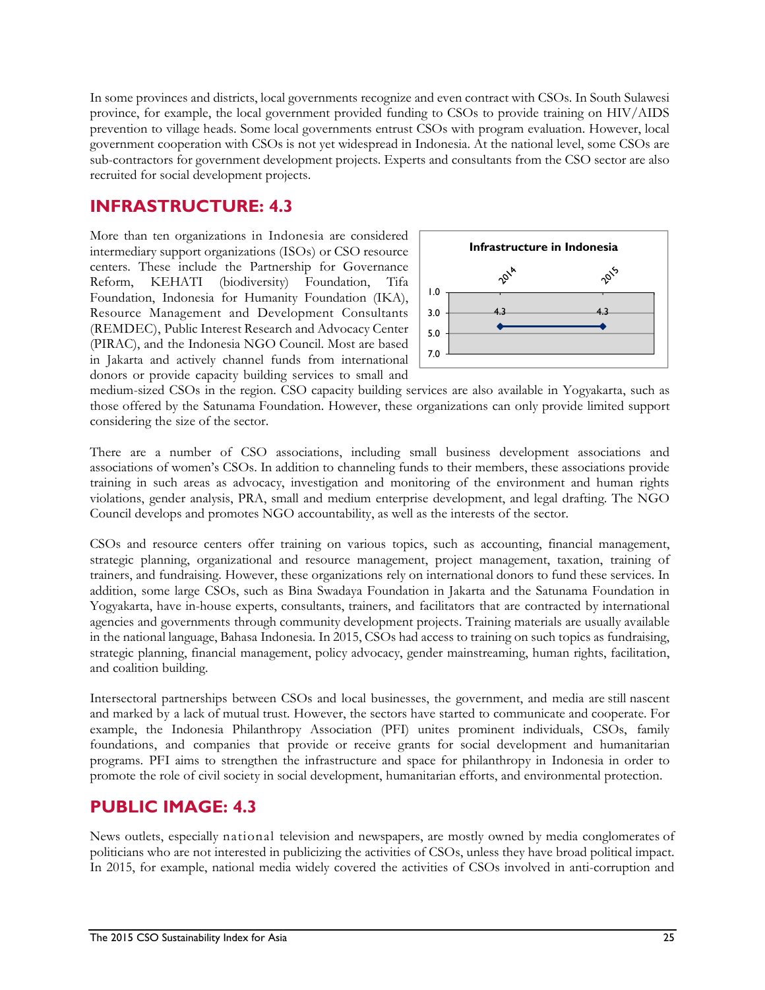In some provinces and districts, local governments recognize and even contract with CSOs. In South Sulawesi province, for example, the local government provided funding to CSOs to provide training on HIV/AIDS prevention to village heads. Some local governments entrust CSOs with program evaluation. However, local government cooperation with CSOs is not yet widespread in Indonesia. At the national level, some CSOs are sub-contractors for government development projects. Experts and consultants from the CSO sector are also recruited for social development projects.

#### **INFRASTRUCTURE: 4.3**

More than ten organizations in Indonesia are considered intermediary support organizations (ISOs) or CSO resource centers. These include the Partnership for Governance Reform, KEHATI (biodiversity) Foundation, Tifa Foundation, Indonesia for Humanity Foundation (IKA), Resource Management and Development Consultants (REMDEC), Public Interest Research and Advocacy Center (PIRAC), and the Indonesia NGO Council. Most are based in Jakarta and actively channel funds from international donors or provide capacity building services to small and



medium-sized CSOs in the region. CSO capacity building services are also available in Yogyakarta, such as those offered by the Satunama Foundation. However, these organizations can only provide limited support considering the size of the sector.

There are a number of CSO associations, including small business development associations and associations of women's CSOs. In addition to channeling funds to their members, these associations provide training in such areas as advocacy, investigation and monitoring of the environment and human rights violations, gender analysis, PRA, small and medium enterprise development, and legal drafting. The NGO Council develops and promotes NGO accountability, as well as the interests of the sector.

CSOs and resource centers offer training on various topics, such as accounting, financial management, strategic planning, organizational and resource management, project management, taxation, training of trainers, and fundraising. However, these organizations rely on international donors to fund these services. In addition, some large CSOs, such as Bina Swadaya Foundation in Jakarta and the Satunama Foundation in Yogyakarta, have in-house experts, consultants, trainers, and facilitators that are contracted by international agencies and governments through community development projects. Training materials are usually available in the national language, Bahasa Indonesia. In 2015, CSOs had access to training on such topics as fundraising, strategic planning, financial management, policy advocacy, gender mainstreaming, human rights, facilitation, and coalition building.

Intersectoral partnerships between CSOs and local businesses, the government, and media are still nascent and marked by a lack of mutual trust. However, the sectors have started to communicate and cooperate. For example, the Indonesia Philanthropy Association (PFI) unites prominent individuals, CSOs, family foundations, and companies that provide or receive grants for social development and humanitarian programs. PFI aims to strengthen the infrastructure and space for philanthropy in Indonesia in order to promote the role of civil society in social development, humanitarian efforts, and environmental protection.

### **PUBLIC IMAGE: 4.3**

News outlets, especially national television and newspapers, are mostly owned by media conglomerates of politicians who are not interested in publicizing the activities of CSOs, unless they have broad political impact. In 2015, for example, national media widely covered the activities of CSOs involved in anti-corruption and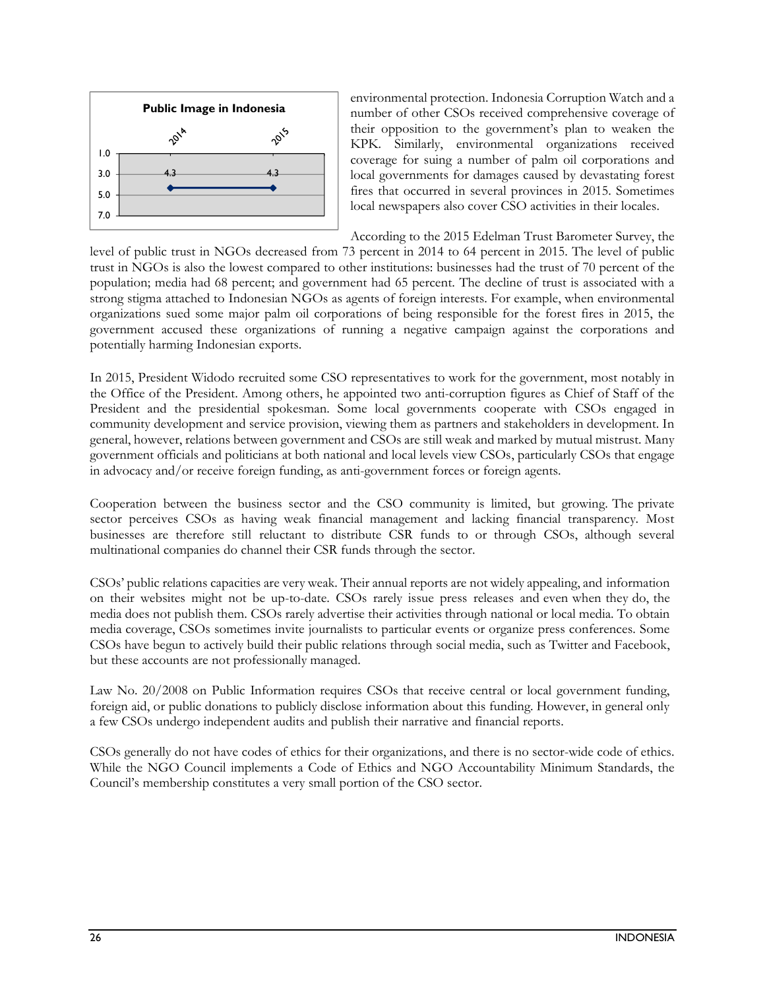

environmental protection. Indonesia Corruption Watch and a number of other CSOs received comprehensive coverage of their opposition to the government's plan to weaken the KPK. Similarly, environmental organizations received coverage for suing a number of palm oil corporations and local governments for damages caused by devastating forest fires that occurred in several provinces in 2015. Sometimes local newspapers also cover CSO activities in their locales.

According to the 2015 Edelman Trust Barometer Survey, the

level of public trust in NGOs decreased from 73 percent in 2014 to 64 percent in 2015. The level of public trust in NGOs is also the lowest compared to other institutions: businesses had the trust of 70 percent of the population; media had 68 percent; and government had 65 percent. The decline of trust is associated with a strong stigma attached to Indonesian NGOs as agents of foreign interests. For example, when environmental organizations sued some major palm oil corporations of being responsible for the forest fires in 2015, the government accused these organizations of running a negative campaign against the corporations and potentially harming Indonesian exports.

In 2015, President Widodo recruited some CSO representatives to work for the government, most notably in the Office of the President. Among others, he appointed two anti-corruption figures as Chief of Staff of the President and the presidential spokesman. Some local governments cooperate with CSOs engaged in community development and service provision, viewing them as partners and stakeholders in development. In general, however, relations between government and CSOs are still weak and marked by mutual mistrust. Many government officials and politicians at both national and local levels view CSOs, particularly CSOs that engage in advocacy and/or receive foreign funding, as anti-government forces or foreign agents.

Cooperation between the business sector and the CSO community is limited, but growing. The private sector perceives CSOs as having weak financial management and lacking financial transparency. Most businesses are therefore still reluctant to distribute CSR funds to or through CSOs, although several multinational companies do channel their CSR funds through the sector.

CSOs' public relations capacities are very weak. Their annual reports are not widely appealing, and information on their websites might not be up-to-date. CSOs rarely issue press releases and even when they do, the media does not publish them. CSOs rarely advertise their activities through national or local media. To obtain media coverage, CSOs sometimes invite journalists to particular events or organize press conferences. Some CSOs have begun to actively build their public relations through social media, such as Twitter and Facebook, but these accounts are not professionally managed.

Law No. 20/2008 on Public Information requires CSOs that receive central or local government funding, foreign aid, or public donations to publicly disclose information about this funding. However, in general only a few CSOs undergo independent audits and publish their narrative and financial reports.

CSOs generally do not have codes of ethics for their organizations, and there is no sector-wide code of ethics. While the NGO Council implements a Code of Ethics and NGO Accountability Minimum Standards, the Council's membership constitutes a very small portion of the CSO sector.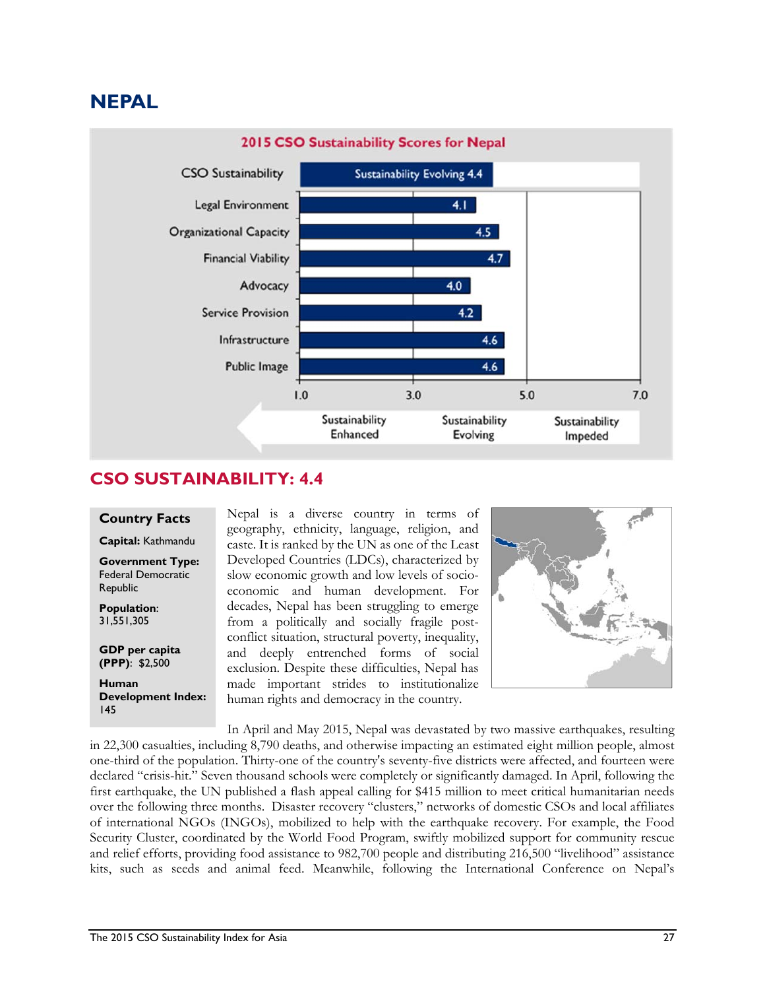# **NEPAL**



#### **CSO SUSTAINABILITY: 4.4**

#### **Country Facts**

**Capital:** Kathmandu

**Government Type:**  Federal Democratic Republic

**Population**: 31,551,305

**GDP per capita (PPP)**: \$2,500

**Human Development Index:**  145

Nepal is a diverse country in terms of geography, ethnicity, language, religion, and caste. It is ranked by the UN as one of the Least Developed Countries (LDCs), characterized by slow economic growth and low levels of socioeconomic and human development. For decades, Nepal has been struggling to emerge from a politically and socially fragile postconflict situation, structural poverty, inequality, and deeply entrenched forms of social exclusion. Despite these difficulties, Nepal has made important strides to institutionalize human rights and democracy in the country.



In April and May 2015, Nepal was devastated by two massive earthquakes, resulting in 22,300 casualties, including 8,790 deaths, and otherwise impacting an estimated eight million people, almost one-third of the population. Thirty-one of the country's seventy-five districts were affected, and fourteen were declared "crisis-hit." Seven thousand schools were completely or significantly damaged. In April, following the first earthquake, the UN published a flash appeal calling for \$415 million to meet critical humanitarian needs over the following three months. Disaster recovery "clusters," networks of domestic CSOs and local affiliates of international NGOs (INGOs), mobilized to help with the earthquake recovery. For example, the Food Security Cluster, coordinated by the World Food Program, swiftly mobilized support for community rescue and relief efforts, providing food assistance to 982,700 people and distributing 216,500 "livelihood" assistance kits, such as seeds and animal feed. Meanwhile, following the International Conference on Nepal's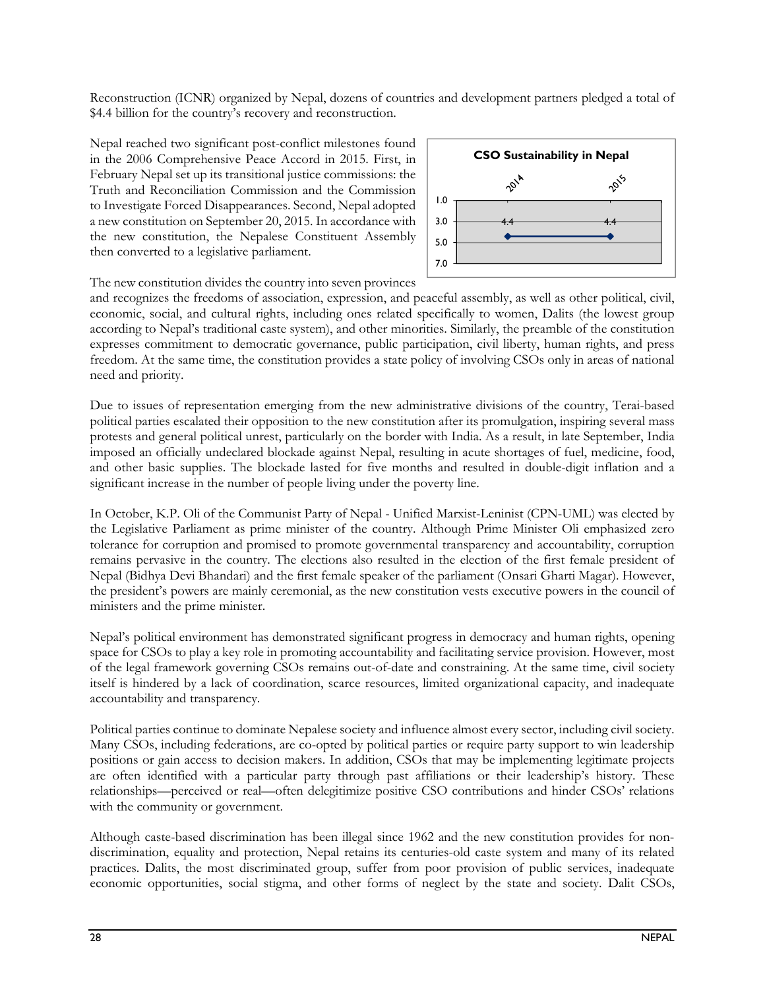Reconstruction (ICNR) organized by Nepal, dozens of countries and development partners pledged a total of \$4.4 billion for the country's recovery and reconstruction.

Nepal reached two significant post-conflict milestones found in the 2006 Comprehensive Peace Accord in 2015. First, in February Nepal set up its transitional justice commissions: the Truth and Reconciliation Commission and the Commission to Investigate Forced Disappearances. Second, Nepal adopted a new constitution on September 20, 2015. In accordance with the new constitution, the Nepalese Constituent Assembly then converted to a legislative parliament.



The new constitution divides the country into seven provinces

and recognizes the freedoms of association, expression, and peaceful assembly, as well as other political, civil, economic, social, and cultural rights, including ones related specifically to women, Dalits (the lowest group according to Nepal's traditional caste system), and other minorities. Similarly, the preamble of the constitution expresses commitment to democratic governance, public participation, civil liberty, human rights, and press freedom. At the same time, the constitution provides a state policy of involving CSOs only in areas of national need and priority.

Due to issues of representation emerging from the new administrative divisions of the country, Terai-based political parties escalated their opposition to the new constitution after its promulgation, inspiring several mass protests and general political unrest, particularly on the border with India. As a result, in late September, India imposed an officially undeclared blockade against Nepal, resulting in acute shortages of fuel, medicine, food, and other basic supplies. The blockade lasted for five months and resulted in double-digit inflation and a significant increase in the number of people living under the poverty line.

In October, K.P. Oli of the Communist Party of Nepal - Unified Marxist-Leninist (CPN-UML) was elected by the Legislative Parliament as prime minister of the country. Although Prime Minister Oli emphasized zero tolerance for corruption and promised to promote governmental transparency and accountability, corruption remains pervasive in the country. The elections also resulted in the election of the first female president of Nepal (Bidhya Devi Bhandari) and the first female speaker of the parliament (Onsari Gharti Magar). However, the president's powers are mainly ceremonial, as the new constitution vests executive powers in the council of ministers and the prime minister.

Nepal's political environment has demonstrated significant progress in democracy and human rights, opening space for CSOs to play a key role in promoting accountability and facilitating service provision. However, most of the legal framework governing CSOs remains out-of-date and constraining. At the same time, civil society itself is hindered by a lack of coordination, scarce resources, limited organizational capacity, and inadequate accountability and transparency.

Political parties continue to dominate Nepalese society and influence almost every sector, including civil society. Many CSOs, including federations, are co-opted by political parties or require party support to win leadership positions or gain access to decision makers. In addition, CSOs that may be implementing legitimate projects are often identified with a particular party through past affiliations or their leadership's history. These relationships—perceived or real—often delegitimize positive CSO contributions and hinder CSOs' relations with the community or government.

Although caste-based discrimination has been illegal since 1962 and the new constitution provides for nondiscrimination, equality and protection, Nepal retains its centuries-old caste system and many of its related practices. Dalits, the most discriminated group, suffer from poor provision of public services, inadequate economic opportunities, social stigma, and other forms of neglect by the state and society. Dalit CSOs,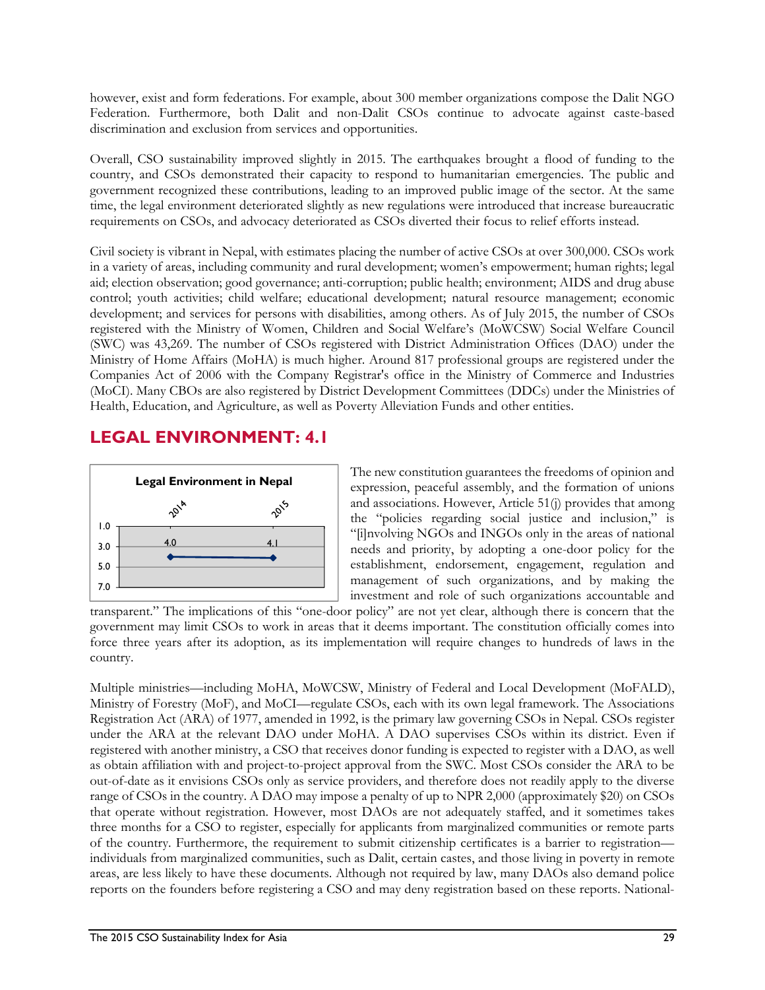however, exist and form federations. For example, about 300 member organizations compose the Dalit NGO Federation. Furthermore, both Dalit and non-Dalit CSOs continue to advocate against caste-based discrimination and exclusion from services and opportunities.

Overall, CSO sustainability improved slightly in 2015. The earthquakes brought a flood of funding to the country, and CSOs demonstrated their capacity to respond to humanitarian emergencies. The public and government recognized these contributions, leading to an improved public image of the sector. At the same time, the legal environment deteriorated slightly as new regulations were introduced that increase bureaucratic requirements on CSOs, and advocacy deteriorated as CSOs diverted their focus to relief efforts instead.

Civil society is vibrant in Nepal, with estimates placing the number of active CSOs at over 300,000. CSOs work in a variety of areas, including community and rural development; women's empowerment; human rights; legal aid; election observation; good governance; anti-corruption; public health; environment; AIDS and drug abuse control; youth activities; child welfare; educational development; natural resource management; economic development; and services for persons with disabilities, among others. As of July 2015, the number of CSOs registered with the Ministry of Women, Children and Social Welfare's (MoWCSW) Social Welfare Council (SWC) was 43,269. The number of CSOs registered with District Administration Offices (DAO) under the Ministry of Home Affairs (MoHA) is much higher. Around 817 professional groups are registered under the Companies Act of 2006 with the Company Registrar's office in the Ministry of Commerce and Industries (MoCI). Many CBOs are also registered by District Development Committees (DDCs) under the Ministries of Health, Education, and Agriculture, as well as Poverty Alleviation Funds and other entities.

### **LEGAL ENVIRONMENT: 4.1**



The new constitution guarantees the freedoms of opinion and expression, peaceful assembly, and the formation of unions and associations. However, Article 51(j) provides that among the "policies regarding social justice and inclusion," is "[i]nvolving NGOs and INGOs only in the areas of national needs and priority, by adopting a one-door policy for the establishment, endorsement, engagement, regulation and management of such organizations, and by making the investment and role of such organizations accountable and

transparent." The implications of this "one-door policy" are not yet clear, although there is concern that the government may limit CSOs to work in areas that it deems important. The constitution officially comes into force three years after its adoption, as its implementation will require changes to hundreds of laws in the country.

Multiple ministries—including MoHA, MoWCSW, Ministry of Federal and Local Development (MoFALD), Ministry of Forestry (MoF), and MoCI—regulate CSOs, each with its own legal framework. The Associations Registration Act (ARA) of 1977, amended in 1992, is the primary law governing CSOs in Nepal. CSOs register under the ARA at the relevant DAO under MoHA. A DAO supervises CSOs within its district. Even if registered with another ministry, a CSO that receives donor funding is expected to register with a DAO, as well as obtain affiliation with and project-to-project approval from the SWC. Most CSOs consider the ARA to be out-of-date as it envisions CSOs only as service providers, and therefore does not readily apply to the diverse range of CSOs in the country. A DAO may impose a penalty of up to NPR 2,000 (approximately \$20) on CSOs that operate without registration. However, most DAOs are not adequately staffed, and it sometimes takes three months for a CSO to register, especially for applicants from marginalized communities or remote parts of the country. Furthermore, the requirement to submit citizenship certificates is a barrier to registration individuals from marginalized communities, such as Dalit, certain castes, and those living in poverty in remote areas, are less likely to have these documents. Although not required by law, many DAOs also demand police reports on the founders before registering a CSO and may deny registration based on these reports. National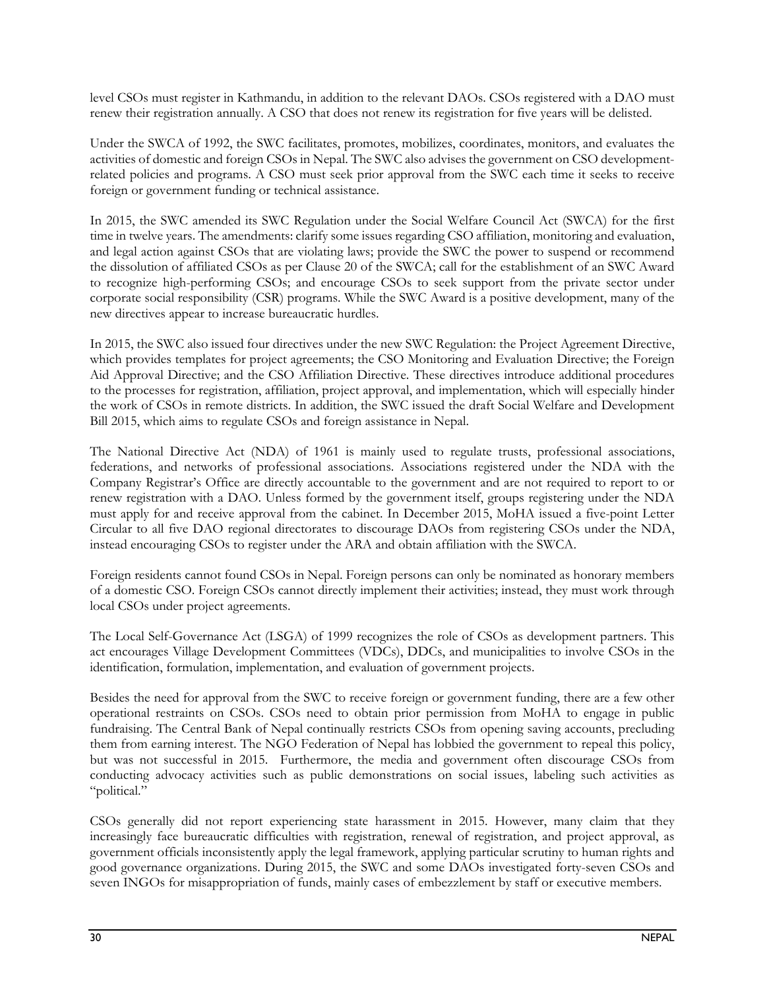level CSOs must register in Kathmandu, in addition to the relevant DAOs. CSOs registered with a DAO must renew their registration annually. A CSO that does not renew its registration for five years will be delisted.

Under the SWCA of 1992, the SWC facilitates, promotes, mobilizes, coordinates, monitors, and evaluates the activities of domestic and foreign CSOs in Nepal. The SWC also advises the government on CSO developmentrelated policies and programs. A CSO must seek prior approval from the SWC each time it seeks to receive foreign or government funding or technical assistance.

In 2015, the SWC amended its SWC Regulation under the Social Welfare Council Act (SWCA) for the first time in twelve years. The amendments: clarify some issues regarding CSO affiliation, monitoring and evaluation, and legal action against CSOs that are violating laws; provide the SWC the power to suspend or recommend the dissolution of affiliated CSOs as per Clause 20 of the SWCA; call for the establishment of an SWC Award to recognize high-performing CSOs; and encourage CSOs to seek support from the private sector under corporate social responsibility (CSR) programs. While the SWC Award is a positive development, many of the new directives appear to increase bureaucratic hurdles.

In 2015, the SWC also issued four directives under the new SWC Regulation: the Project Agreement Directive, which provides templates for project agreements; the CSO Monitoring and Evaluation Directive; the Foreign Aid Approval Directive; and the CSO Affiliation Directive. These directives introduce additional procedures to the processes for registration, affiliation, project approval, and implementation, which will especially hinder the work of CSOs in remote districts. In addition, the SWC issued the draft Social Welfare and Development Bill 2015, which aims to regulate CSOs and foreign assistance in Nepal.

The National Directive Act (NDA) of 1961 is mainly used to regulate trusts, professional associations, federations, and networks of professional associations. Associations registered under the NDA with the Company Registrar's Office are directly accountable to the government and are not required to report to or renew registration with a DAO. Unless formed by the government itself, groups registering under the NDA must apply for and receive approval from the cabinet. In December 2015, MoHA issued a five-point Letter Circular to all five DAO regional directorates to discourage DAOs from registering CSOs under the NDA, instead encouraging CSOs to register under the ARA and obtain affiliation with the SWCA.

Foreign residents cannot found CSOs in Nepal. Foreign persons can only be nominated as honorary members of a domestic CSO. Foreign CSOs cannot directly implement their activities; instead, they must work through local CSOs under project agreements.

The Local Self-Governance Act (LSGA) of 1999 recognizes the role of CSOs as development partners. This act encourages Village Development Committees (VDCs), DDCs, and municipalities to involve CSOs in the identification, formulation, implementation, and evaluation of government projects.

Besides the need for approval from the SWC to receive foreign or government funding, there are a few other operational restraints on CSOs. CSOs need to obtain prior permission from MoHA to engage in public fundraising. The Central Bank of Nepal continually restricts CSOs from opening saving accounts, precluding them from earning interest. The NGO Federation of Nepal has lobbied the government to repeal this policy, but was not successful in 2015. Furthermore, the media and government often discourage CSOs from conducting advocacy activities such as public demonstrations on social issues, labeling such activities as "political."

CSOs generally did not report experiencing state harassment in 2015. However, many claim that they increasingly face bureaucratic difficulties with registration, renewal of registration, and project approval, as government officials inconsistently apply the legal framework, applying particular scrutiny to human rights and good governance organizations. During 2015, the SWC and some DAOs investigated forty-seven CSOs and seven INGOs for misappropriation of funds, mainly cases of embezzlement by staff or executive members.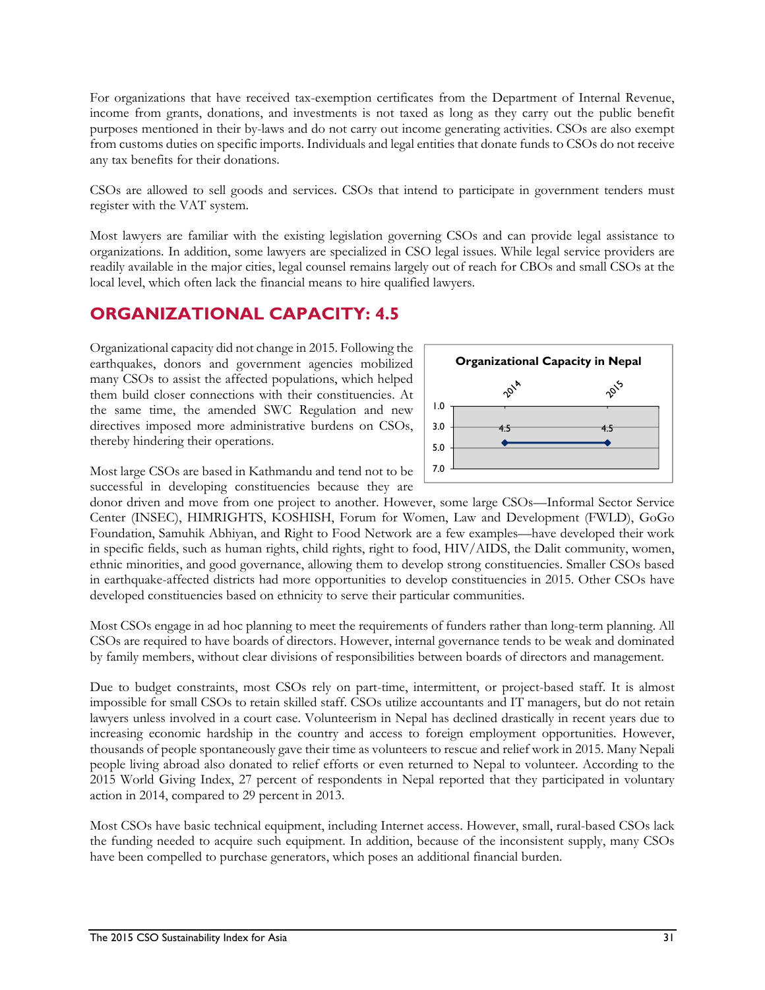For organizations that have received tax-exemption certificates from the Department of Internal Revenue, income from grants, donations, and investments is not taxed as long as they carry out the public benefit purposes mentioned in their by-laws and do not carry out income generating activities. CSOs are also exempt from customs duties on specific imports. Individuals and legal entities that donate funds to CSOs do not receive any tax benefits for their donations.

CSOs are allowed to sell goods and services. CSOs that intend to participate in government tenders must register with the VAT system.

Most lawyers are familiar with the existing legislation governing CSOs and can provide legal assistance to organizations. In addition, some lawyers are specialized in CSO legal issues. While legal service providers are readily available in the major cities, legal counsel remains largely out of reach for CBOs and small CSOs at the local level, which often lack the financial means to hire qualified lawyers.

### **ORGANIZATIONAL CAPACITY: 4.5**

Organizational capacity did not change in 2015. Following the earthquakes, donors and government agencies mobilized many CSOs to assist the affected populations, which helped them build closer connections with their constituencies. At the same time, the amended SWC Regulation and new directives imposed more administrative burdens on CSOs, thereby hindering their operations.



Most large CSOs are based in Kathmandu and tend not to be successful in developing constituencies because they are

donor driven and move from one project to another. However, some large CSOs—Informal Sector Service Center (INSEC), HIMRIGHTS, KOSHISH, Forum for Women, Law and Development (FWLD), GoGo Foundation, Samuhik Abhiyan, and Right to Food Network are a few examples—have developed their work in specific fields, such as human rights, child rights, right to food, HIV/AIDS, the Dalit community, women, ethnic minorities, and good governance, allowing them to develop strong constituencies. Smaller CSOs based in earthquake-affected districts had more opportunities to develop constituencies in 2015. Other CSOs have developed constituencies based on ethnicity to serve their particular communities.

Most CSOs engage in ad hoc planning to meet the requirements of funders rather than long-term planning. All CSOs are required to have boards of directors. However, internal governance tends to be weak and dominated by family members, without clear divisions of responsibilities between boards of directors and management.

Due to budget constraints, most CSOs rely on part-time, intermittent, or project-based staff. It is almost impossible for small CSOs to retain skilled staff. CSOs utilize accountants and IT managers, but do not retain lawyers unless involved in a court case. Volunteerism in Nepal has declined drastically in recent years due to increasing economic hardship in the country and access to foreign employment opportunities. However, thousands of people spontaneously gave their time as volunteers to rescue and relief work in 2015. Many Nepali people living abroad also donated to relief efforts or even returned to Nepal to volunteer. According to the 2015 World Giving Index, 27 percent of respondents in Nepal reported that they participated in voluntary action in 2014, compared to 29 percent in 2013.

Most CSOs have basic technical equipment, including Internet access. However, small, rural-based CSOs lack the funding needed to acquire such equipment. In addition, because of the inconsistent supply, many CSOs have been compelled to purchase generators, which poses an additional financial burden.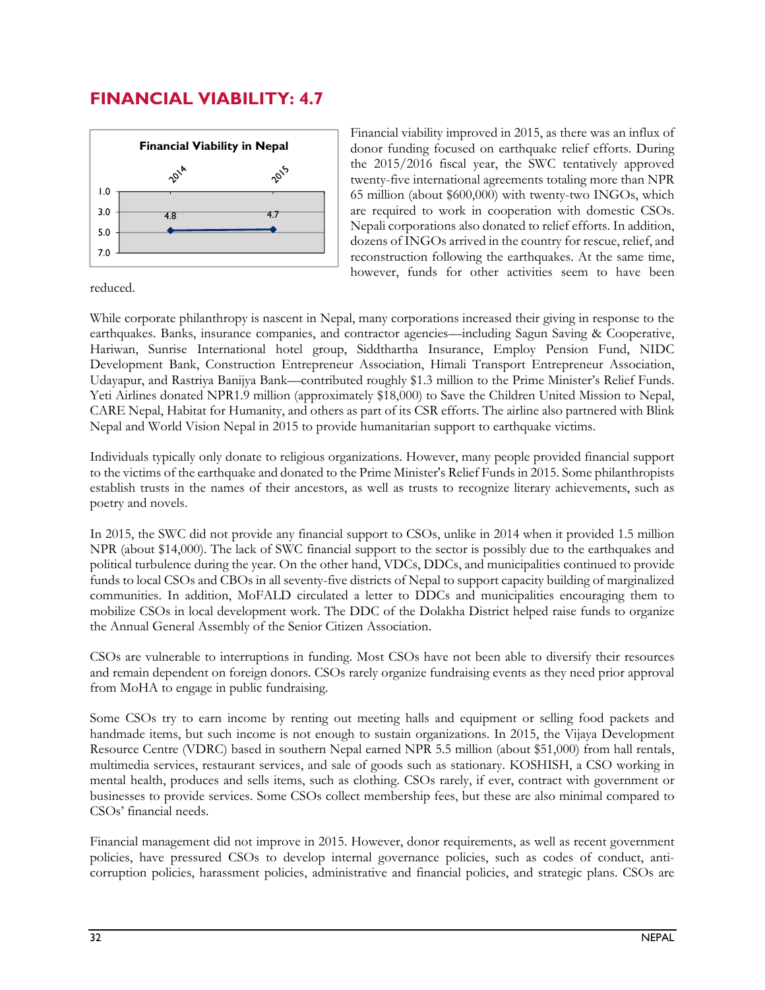### **FINANCIAL VIABILITY: 4.7**



Financial viability improved in 2015, as there was an influx of donor funding focused on earthquake relief efforts. During the 2015/2016 fiscal year, the SWC tentatively approved twenty-five international agreements totaling more than NPR 65 million (about \$600,000) with twenty-two INGOs, which are required to work in cooperation with domestic CSOs. Nepali corporations also donated to relief efforts. In addition, dozens of INGOs arrived in the country for rescue, relief, and reconstruction following the earthquakes. At the same time, however, funds for other activities seem to have been

reduced.

While corporate philanthropy is nascent in Nepal, many corporations increased their giving in response to the earthquakes. Banks, insurance companies, and contractor agencies—including Sagun Saving & Cooperative, Hariwan, Sunrise International hotel group, Siddthartha Insurance, Employ Pension Fund, NIDC Development Bank, Construction Entrepreneur Association, Himali Transport Entrepreneur Association, Udayapur, and Rastriya Banijya Bank—contributed roughly \$1.3 million to the Prime Minister's Relief Funds. Yeti Airlines donated NPR1.9 million (approximately \$18,000) to Save the Children United Mission to Nepal, CARE Nepal, Habitat for Humanity, and others as part of its CSR efforts. The airline also partnered with Blink Nepal and World Vision Nepal in 2015 to provide humanitarian support to earthquake victims.

Individuals typically only donate to religious organizations. However, many people provided financial support to the victims of the earthquake and donated to the Prime Minister's Relief Funds in 2015. Some philanthropists establish trusts in the names of their ancestors, as well as trusts to recognize literary achievements, such as poetry and novels.

In 2015, the SWC did not provide any financial support to CSOs, unlike in 2014 when it provided 1.5 million NPR (about \$14,000). The lack of SWC financial support to the sector is possibly due to the earthquakes and political turbulence during the year. On the other hand, VDCs, DDCs, and municipalities continued to provide funds to local CSOs and CBOs in all seventy-five districts of Nepal to support capacity building of marginalized communities. In addition, MoFALD circulated a letter to DDCs and municipalities encouraging them to mobilize CSOs in local development work. The DDC of the Dolakha District helped raise funds to organize the Annual General Assembly of the Senior Citizen Association.

CSOs are vulnerable to interruptions in funding. Most CSOs have not been able to diversify their resources and remain dependent on foreign donors. CSOs rarely organize fundraising events as they need prior approval from MoHA to engage in public fundraising.

Some CSOs try to earn income by renting out meeting halls and equipment or selling food packets and handmade items, but such income is not enough to sustain organizations. In 2015, the Vijaya Development Resource Centre (VDRC) based in southern Nepal earned NPR 5.5 million (about \$51,000) from hall rentals, multimedia services, restaurant services, and sale of goods such as stationary. KOSHISH, a CSO working in mental health, produces and sells items, such as clothing. CSOs rarely, if ever, contract with government or businesses to provide services. Some CSOs collect membership fees, but these are also minimal compared to CSOs' financial needs.

Financial management did not improve in 2015. However, donor requirements, as well as recent government policies, have pressured CSOs to develop internal governance policies, such as codes of conduct, anticorruption policies, harassment policies, administrative and financial policies, and strategic plans. CSOs are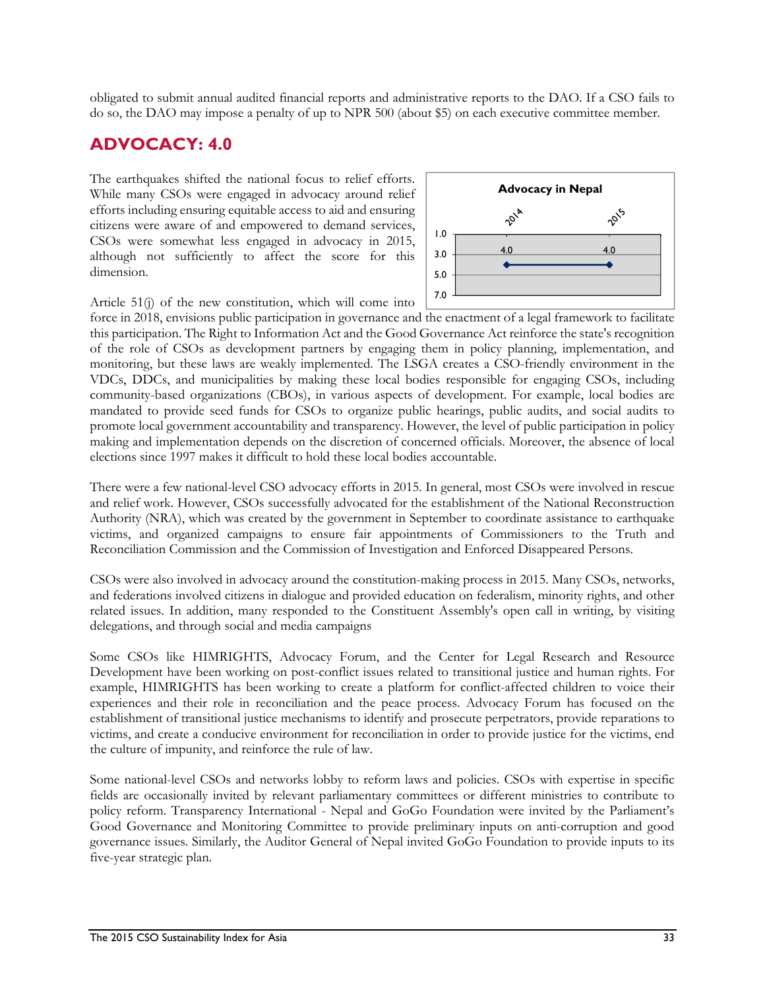obligated to submit annual audited financial reports and administrative reports to the DAO. If a CSO fails to do so, the DAO may impose a penalty of up to NPR 500 (about \$5) on each executive committee member.

### **ADVOCACY: 4.0**

The earthquakes shifted the national focus to relief efforts. While many CSOs were engaged in advocacy around relief efforts including ensuring equitable access to aid and ensuring citizens were aware of and empowered to demand services, CSOs were somewhat less engaged in advocacy in 2015, although not sufficiently to affect the score for this dimension.



Article 51(j) of the new constitution, which will come into

force in 2018, envisions public participation in governance and the enactment of a legal framework to facilitate this participation. The Right to Information Act and the Good Governance Act reinforce the state's recognition of the role of CSOs as development partners by engaging them in policy planning, implementation, and monitoring, but these laws are weakly implemented. The LSGA creates a CSO-friendly environment in the VDCs, DDCs, and municipalities by making these local bodies responsible for engaging CSOs, including community-based organizations (CBOs), in various aspects of development. For example, local bodies are mandated to provide seed funds for CSOs to organize public hearings, public audits, and social audits to promote local government accountability and transparency. However, the level of public participation in policy making and implementation depends on the discretion of concerned officials. Moreover, the absence of local elections since 1997 makes it difficult to hold these local bodies accountable.

There were a few national-level CSO advocacy efforts in 2015. In general, most CSOs were involved in rescue and relief work. However, CSOs successfully advocated for the establishment of the National Reconstruction Authority (NRA), which was created by the government in September to coordinate assistance to earthquake victims, and organized campaigns to ensure fair appointments of Commissioners to the Truth and Reconciliation Commission and the Commission of Investigation and Enforced Disappeared Persons.

CSOs were also involved in advocacy around the constitution-making process in 2015. Many CSOs, networks, and federations involved citizens in dialogue and provided education on federalism, minority rights, and other related issues. In addition, many responded to the Constituent Assembly's open call in writing, by visiting delegations, and through social and media campaigns

Some CSOs like HIMRIGHTS, Advocacy Forum, and the Center for Legal Research and Resource Development have been working on post-conflict issues related to transitional justice and human rights. For example, HIMRIGHTS has been working to create a platform for conflict-affected children to voice their experiences and their role in reconciliation and the peace process. Advocacy Forum has focused on the establishment of transitional justice mechanisms to identify and prosecute perpetrators, provide reparations to victims, and create a conducive environment for reconciliation in order to provide justice for the victims, end the culture of impunity, and reinforce the rule of law.

Some national-level CSOs and networks lobby to reform laws and policies. CSOs with expertise in specific fields are occasionally invited by relevant parliamentary committees or different ministries to contribute to policy reform. Transparency International - Nepal and GoGo Foundation were invited by the Parliament's Good Governance and Monitoring Committee to provide preliminary inputs on anti-corruption and good governance issues. Similarly, the Auditor General of Nepal invited GoGo Foundation to provide inputs to its five-year strategic plan.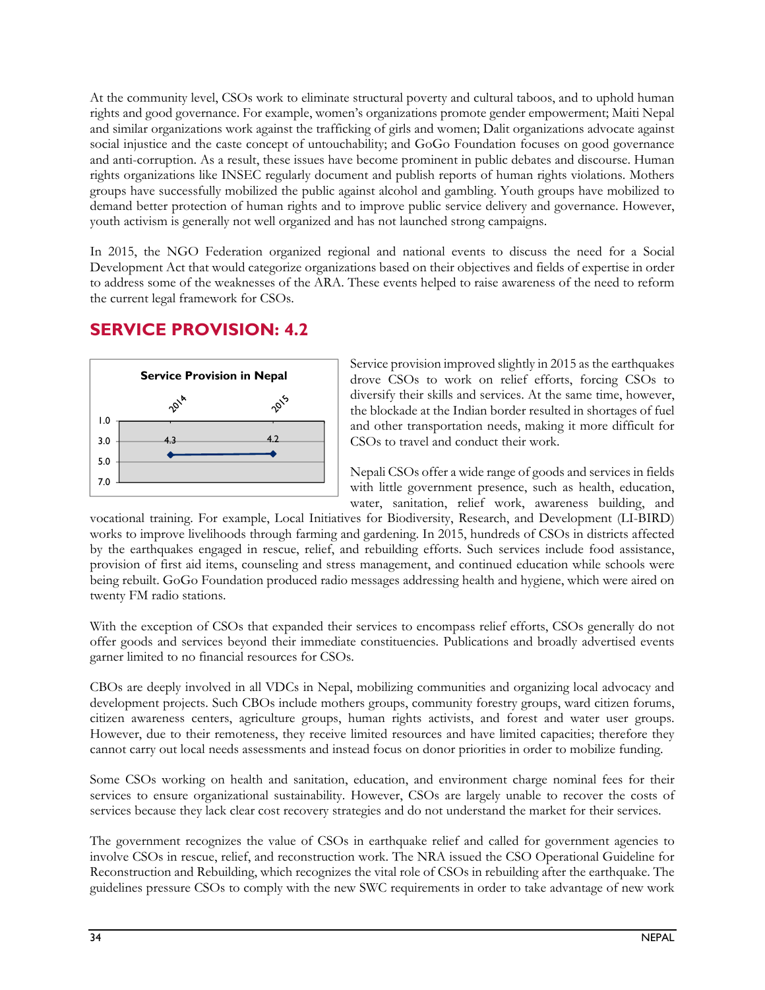At the community level, CSOs work to eliminate structural poverty and cultural taboos, and to uphold human rights and good governance. For example, women's organizations promote gender empowerment; Maiti Nepal and similar organizations work against the trafficking of girls and women; Dalit organizations advocate against social injustice and the caste concept of untouchability; and GoGo Foundation focuses on good governance and anti-corruption. As a result, these issues have become prominent in public debates and discourse. Human rights organizations like INSEC regularly document and publish reports of human rights violations. Mothers groups have successfully mobilized the public against alcohol and gambling. Youth groups have mobilized to demand better protection of human rights and to improve public service delivery and governance. However, youth activism is generally not well organized and has not launched strong campaigns.

In 2015, the NGO Federation organized regional and national events to discuss the need for a Social Development Act that would categorize organizations based on their objectives and fields of expertise in order to address some of the weaknesses of the ARA. These events helped to raise awareness of the need to reform the current legal framework for CSOs.

# **SERVICE PROVISION: 4.2**



Service provision improved slightly in 2015 as the earthquakes drove CSOs to work on relief efforts, forcing CSOs to diversify their skills and services. At the same time, however, the blockade at the Indian border resulted in shortages of fuel and other transportation needs, making it more difficult for CSOs to travel and conduct their work.

Nepali CSOs offer a wide range of goods and services in fields with little government presence, such as health, education, water, sanitation, relief work, awareness building, and

vocational training. For example, Local Initiatives for Biodiversity, Research, and Development (LI-BIRD) works to improve livelihoods through farming and gardening. In 2015, hundreds of CSOs in districts affected by the earthquakes engaged in rescue, relief, and rebuilding efforts. Such services include food assistance, provision of first aid items, counseling and stress management, and continued education while schools were being rebuilt. GoGo Foundation produced radio messages addressing health and hygiene, which were aired on twenty FM radio stations.

With the exception of CSOs that expanded their services to encompass relief efforts, CSOs generally do not offer goods and services beyond their immediate constituencies. Publications and broadly advertised events garner limited to no financial resources for CSOs.

CBOs are deeply involved in all VDCs in Nepal, mobilizing communities and organizing local advocacy and development projects. Such CBOs include mothers groups, community forestry groups, ward citizen forums, citizen awareness centers, agriculture groups, human rights activists, and forest and water user groups. However, due to their remoteness, they receive limited resources and have limited capacities; therefore they cannot carry out local needs assessments and instead focus on donor priorities in order to mobilize funding.

Some CSOs working on health and sanitation, education, and environment charge nominal fees for their services to ensure organizational sustainability. However, CSOs are largely unable to recover the costs of services because they lack clear cost recovery strategies and do not understand the market for their services.

The government recognizes the value of CSOs in earthquake relief and called for government agencies to involve CSOs in rescue, relief, and reconstruction work. The NRA issued the CSO Operational Guideline for Reconstruction and Rebuilding, which recognizes the vital role of CSOs in rebuilding after the earthquake. The guidelines pressure CSOs to comply with the new SWC requirements in order to take advantage of new work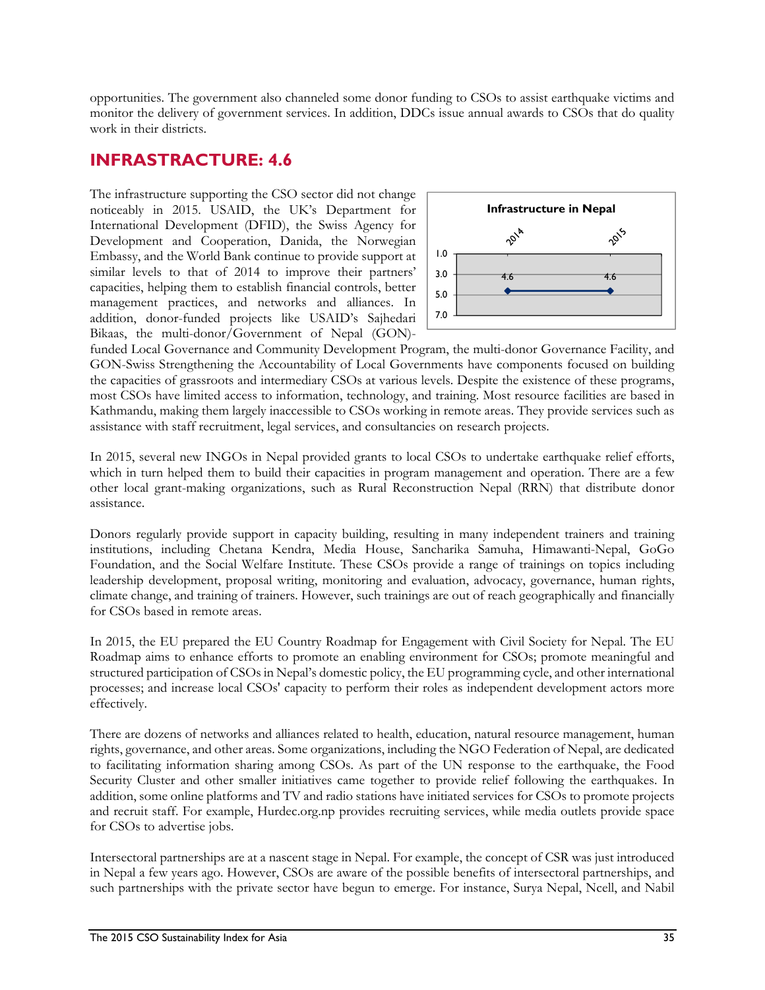opportunities. The government also channeled some donor funding to CSOs to assist earthquake victims and monitor the delivery of government services. In addition, DDCs issue annual awards to CSOs that do quality work in their districts.

### **INFRASTRACTURE: 4.6**

The infrastructure supporting the CSO sector did not change noticeably in 2015. USAID, the UK's Department for International Development (DFID), the Swiss Agency for Development and Cooperation, Danida, the Norwegian Embassy, and the World Bank continue to provide support at similar levels to that of 2014 to improve their partners' capacities, helping them to establish financial controls, better management practices, and networks and alliances. In addition, donor-funded projects like USAID's Sajhedari Bikaas, the multi-donor/Government of Nepal (GON)-



funded Local Governance and Community Development Program, the multi-donor Governance Facility, and GON-Swiss Strengthening the Accountability of Local Governments have components focused on building the capacities of grassroots and intermediary CSOs at various levels. Despite the existence of these programs, most CSOs have limited access to information, technology, and training. Most resource facilities are based in Kathmandu, making them largely inaccessible to CSOs working in remote areas. They provide services such as assistance with staff recruitment, legal services, and consultancies on research projects.

In 2015, several new INGOs in Nepal provided grants to local CSOs to undertake earthquake relief efforts, which in turn helped them to build their capacities in program management and operation. There are a few other local grant-making organizations, such as Rural Reconstruction Nepal (RRN) that distribute donor assistance.

Donors regularly provide support in capacity building, resulting in many independent trainers and training institutions, including Chetana Kendra, Media House, Sancharika Samuha, Himawanti-Nepal, GoGo Foundation, and the Social Welfare Institute. These CSOs provide a range of trainings on topics including leadership development, proposal writing, monitoring and evaluation, advocacy, governance, human rights, climate change, and training of trainers. However, such trainings are out of reach geographically and financially for CSOs based in remote areas.

In 2015, the EU prepared the EU Country Roadmap for Engagement with Civil Society for Nepal. The EU Roadmap aims to enhance efforts to promote an enabling environment for CSOs; promote meaningful and structured participation of CSOs in Nepal's domestic policy, the EU programming cycle, and other international processes; and increase local CSOs' capacity to perform their roles as independent development actors more effectively.

There are dozens of networks and alliances related to health, education, natural resource management, human rights, governance, and other areas. Some organizations, including the NGO Federation of Nepal, are dedicated to facilitating information sharing among CSOs. As part of the UN response to the earthquake, the Food Security Cluster and other smaller initiatives came together to provide relief following the earthquakes. In addition, some online platforms and TV and radio stations have initiated services for CSOs to promote projects and recruit staff. For example, Hurdec.org.np provides recruiting services, while media outlets provide space for CSOs to advertise jobs.

Intersectoral partnerships are at a nascent stage in Nepal. For example, the concept of CSR was just introduced in Nepal a few years ago. However, CSOs are aware of the possible benefits of intersectoral partnerships, and such partnerships with the private sector have begun to emerge. For instance, Surya Nepal, Ncell, and Nabil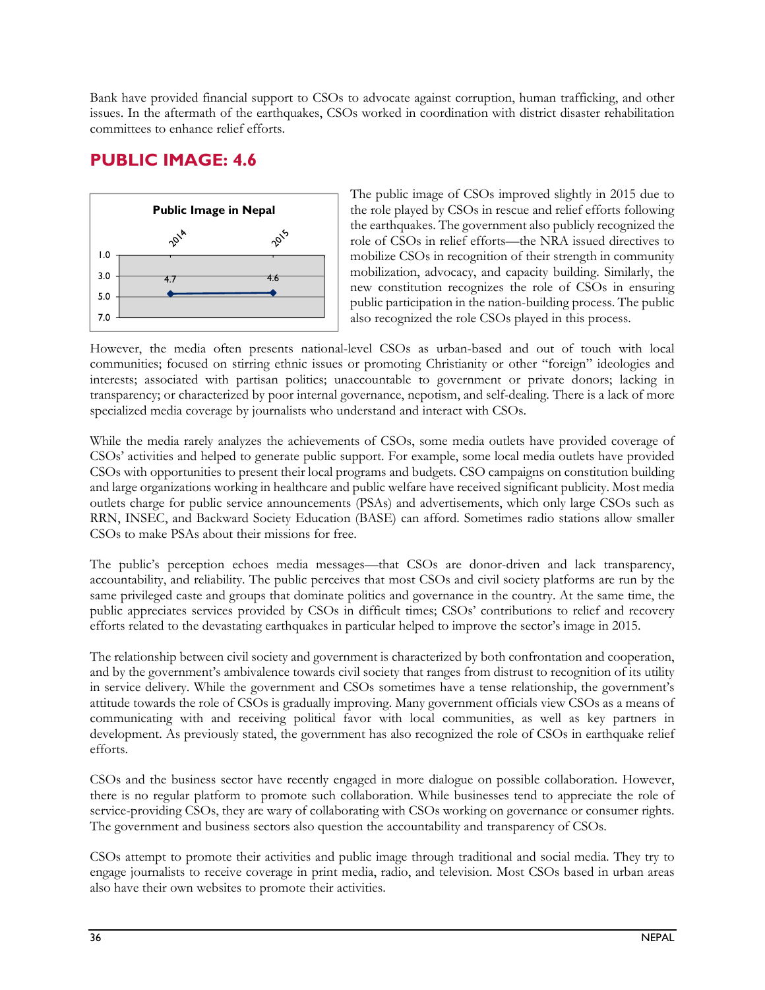Bank have provided financial support to CSOs to advocate against corruption, human trafficking, and other issues. In the aftermath of the earthquakes, CSOs worked in coordination with district disaster rehabilitation committees to enhance relief efforts.

### **PUBLIC IMAGE: 4.6**



The public image of CSOs improved slightly in 2015 due to the role played by CSOs in rescue and relief efforts following the earthquakes. The government also publicly recognized the role of CSOs in relief efforts—the NRA issued directives to mobilize CSOs in recognition of their strength in community mobilization, advocacy, and capacity building. Similarly, the new constitution recognizes the role of CSOs in ensuring public participation in the nation-building process. The public also recognized the role CSOs played in this process.

However, the media often presents national-level CSOs as urban-based and out of touch with local communities; focused on stirring ethnic issues or promoting Christianity or other "foreign" ideologies and interests; associated with partisan politics; unaccountable to government or private donors; lacking in transparency; or characterized by poor internal governance, nepotism, and self-dealing. There is a lack of more specialized media coverage by journalists who understand and interact with CSOs.

While the media rarely analyzes the achievements of CSOs, some media outlets have provided coverage of CSOs' activities and helped to generate public support. For example, some local media outlets have provided CSOs with opportunities to present their local programs and budgets. CSO campaigns on constitution building and large organizations working in healthcare and public welfare have received significant publicity. Most media outlets charge for public service announcements (PSAs) and advertisements, which only large CSOs such as RRN, INSEC, and Backward Society Education (BASE) can afford. Sometimes radio stations allow smaller CSOs to make PSAs about their missions for free.

The public's perception echoes media messages—that CSOs are donor-driven and lack transparency, accountability, and reliability. The public perceives that most CSOs and civil society platforms are run by the same privileged caste and groups that dominate politics and governance in the country. At the same time, the public appreciates services provided by CSOs in difficult times; CSOs' contributions to relief and recovery efforts related to the devastating earthquakes in particular helped to improve the sector's image in 2015.

The relationship between civil society and government is characterized by both confrontation and cooperation, and by the government's ambivalence towards civil society that ranges from distrust to recognition of its utility in service delivery. While the government and CSOs sometimes have a tense relationship, the government's attitude towards the role of CSOs is gradually improving. Many government officials view CSOs as a means of communicating with and receiving political favor with local communities, as well as key partners in development. As previously stated, the government has also recognized the role of CSOs in earthquake relief efforts.

CSOs and the business sector have recently engaged in more dialogue on possible collaboration. However, there is no regular platform to promote such collaboration. While businesses tend to appreciate the role of service-providing CSOs, they are wary of collaborating with CSOs working on governance or consumer rights. The government and business sectors also question the accountability and transparency of CSOs.

CSOs attempt to promote their activities and public image through traditional and social media. They try to engage journalists to receive coverage in print media, radio, and television. Most CSOs based in urban areas also have their own websites to promote their activities.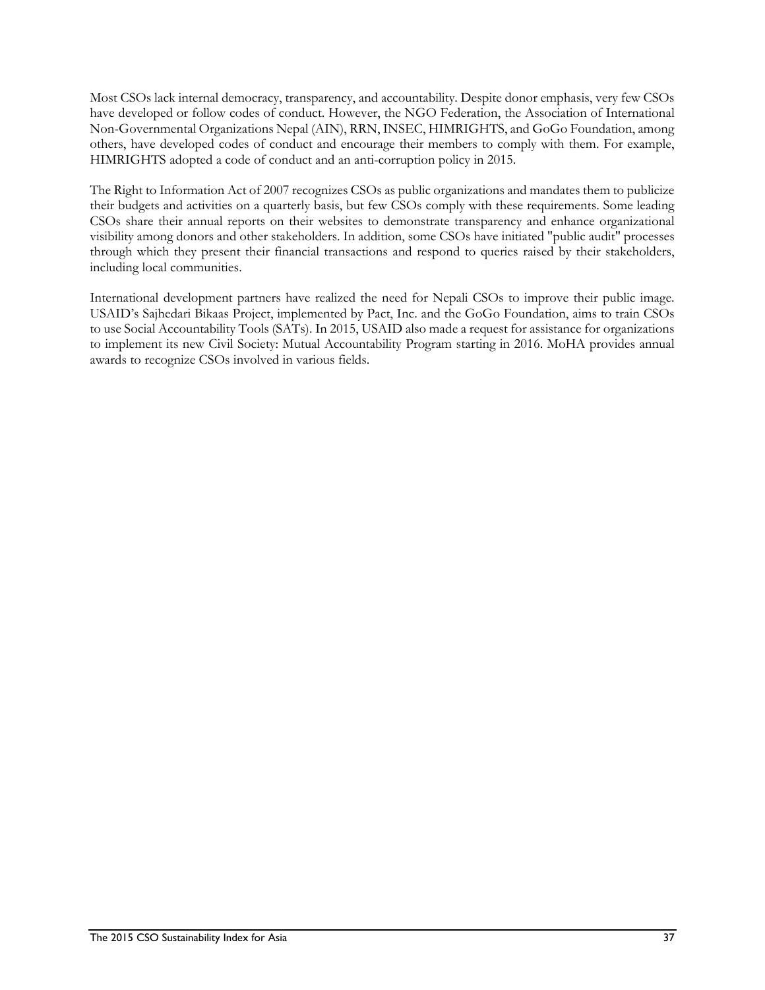Most CSOs lack internal democracy, transparency, and accountability. Despite donor emphasis, very few CSOs have developed or follow codes of conduct. However, the NGO Federation, the Association of International Non-Governmental Organizations Nepal (AIN), RRN, INSEC, HIMRIGHTS, and GoGo Foundation, among others, have developed codes of conduct and encourage their members to comply with them. For example, HIMRIGHTS adopted a code of conduct and an anti-corruption policy in 2015.

The Right to Information Act of 2007 recognizes CSOs as public organizations and mandates them to publicize their budgets and activities on a quarterly basis, but few CSOs comply with these requirements. Some leading CSOs share their annual reports on their websites to demonstrate transparency and enhance organizational visibility among donors and other stakeholders. In addition, some CSOs have initiated "public audit" processes through which they present their financial transactions and respond to queries raised by their stakeholders, including local communities.

International development partners have realized the need for Nepali CSOs to improve their public image. USAID's Sajhedari Bikaas Project, implemented by Pact, Inc. and the GoGo Foundation, aims to train CSOs to use Social Accountability Tools (SATs). In 2015, USAID also made a request for assistance for organizations to implement its new Civil Society: Mutual Accountability Program starting in 2016. MoHA provides annual awards to recognize CSOs involved in various fields.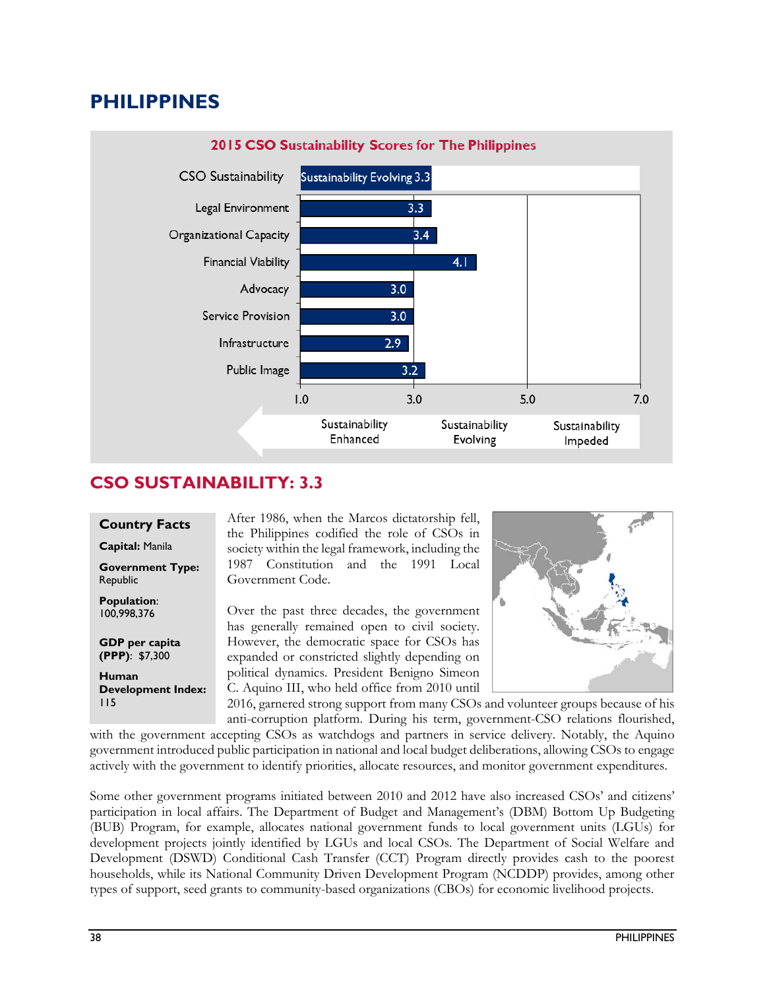# **PHILIPPINES**



### **CSO SUSTAINABILITY: 3.3**

#### **Country Facts**

**Capital:** Manila

**Government Type:**  Republic

**Population**: 100,998,376

**GDP per capita (PPP)**: \$7,300 **Human Development Index:**  After 1986, when the Marcos dictatorship fell, the Philippines codified the role of CSOs in society within the legal framework, including the 1987 Constitution and the 1991 Local Government Code.

Over the past three decades, the government has generally remained open to civil society. However, the democratic space for CSOs has expanded or constricted slightly depending on political dynamics. President Benigno Simeon C. Aquino III, who held office from 2010 until



2016, garnered strong support from many CSOs and volunteer groups because of his anti-corruption platform. During his term, government-CSO relations flourished, with the government accepting CSOs as watchdogs and partners in service delivery. Notably, the Aquino government introduced public participation in national and local budget deliberations, allowing CSOs to engage actively with the government to identify priorities, allocate resources, and monitor government expenditures. 115

Some other government programs initiated between 2010 and 2012 have also increased CSOs' and citizens' participation in local affairs. The Department of Budget and Management's (DBM) Bottom Up Budgeting (BUB) Program, for example, allocates national government funds to local government units (LGUs) for development projects jointly identified by LGUs and local CSOs. The Department of Social Welfare and Development (DSWD) Conditional Cash Transfer (CCT) Program directly provides cash to the poorest households, while its National Community Driven Development Program (NCDDP) provides, among other types of support, seed grants to community-based organizations (CBOs) for economic livelihood projects.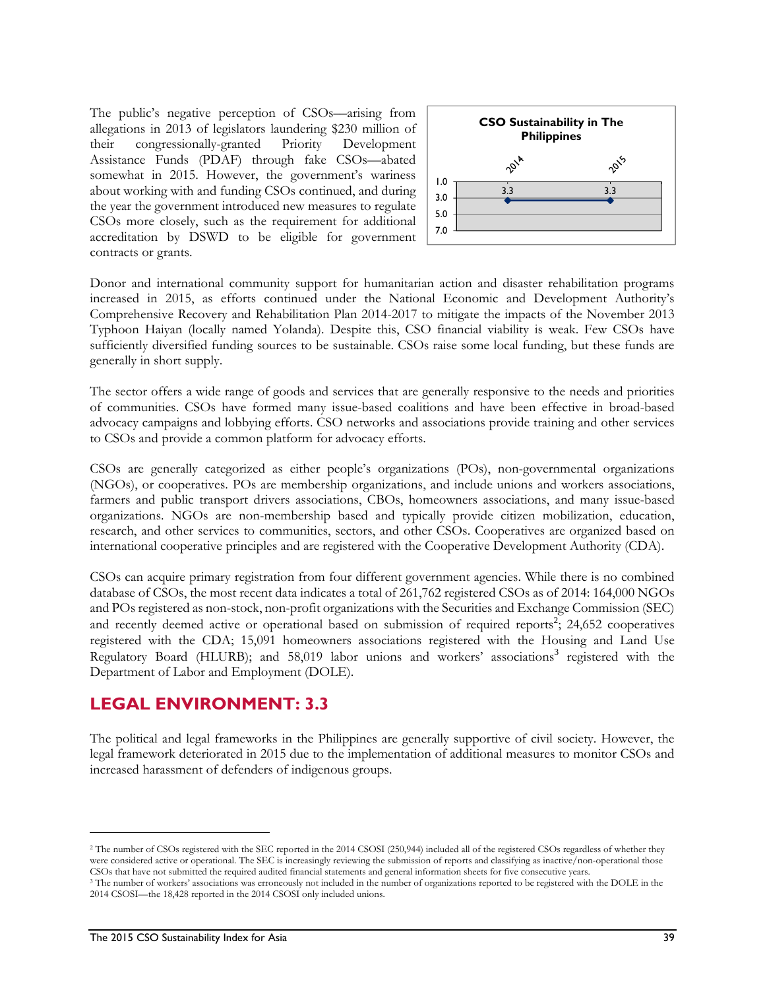The public's negative perception of CSOs—arising from allegations in 2013 of legislators laundering \$230 million of their congressionally-granted Priority Development Assistance Funds (PDAF) through fake CSOs—abated somewhat in 2015. However, the government's wariness about working with and funding CSOs continued, and during the year the government introduced new measures to regulate CSOs more closely, such as the requirement for additional accreditation by DSWD to be eligible for government contracts or grants.



Donor and international community support for humanitarian action and disaster rehabilitation programs increased in 2015, as efforts continued under the National Economic and Development Authority's Comprehensive Recovery and Rehabilitation Plan 2014-2017 to mitigate the impacts of the November 2013 Typhoon Haiyan (locally named Yolanda). Despite this, CSO financial viability is weak. Few CSOs have sufficiently diversified funding sources to be sustainable. CSOs raise some local funding, but these funds are generally in short supply.

The sector offers a wide range of goods and services that are generally responsive to the needs and priorities of communities. CSOs have formed many issue-based coalitions and have been effective in broad-based advocacy campaigns and lobbying efforts. CSO networks and associations provide training and other services to CSOs and provide a common platform for advocacy efforts.

CSOs are generally categorized as either people's organizations (POs), non-governmental organizations (NGOs), or cooperatives. POs are membership organizations, and include unions and workers associations, farmers and public transport drivers associations, CBOs, homeowners associations, and many issue-based organizations. NGOs are non-membership based and typically provide citizen mobilization, education, research, and other services to communities, sectors, and other CSOs. Cooperatives are organized based on international cooperative principles and are registered with the Cooperative Development Authority (CDA).

CSOs can acquire primary registration from four different government agencies. While there is no combined database of CSOs, the most recent data indicates a total of 261,762 registered CSOs as of 2014: 164,000 NGOs and POs registered as non-stock, non-profit organizations with the Securities and Exchange Commission (SEC) and recently deemed active or operational based on submission of required reports<sup>2</sup>; 24,652 cooperatives registered with the CDA; 15,091 homeowners associations registered with the Housing and Land Use Regulatory Board (HLURB); and 58,019 labor unions and workers' associations<sup>3</sup> registered with the Department of Labor and Employment (DOLE).

#### **LEGAL ENVIRONMENT: 3.3**

The political and legal frameworks in the Philippines are generally supportive of civil society. However, the legal framework deteriorated in 2015 due to the implementation of additional measures to monitor CSOs and increased harassment of defenders of indigenous groups.

1

<sup>&</sup>lt;sup>2</sup> The number of CSOs registered with the SEC reported in the 2014 CSOSI (250,944) included all of the registered CSOs regardless of whether they were considered active or operational. The SEC is increasingly reviewing the submission of reports and classifying as inactive/non-operational those CSOs that have not submitted the required audited financial statements an

<sup>&</sup>lt;sup>3</sup> The number of workers' associations was erroneously not included in the number of organizations reported to be registered with the DOLE in the 2014 CSOSI—the 18,428 reported in the 2014 CSOSI only included unions.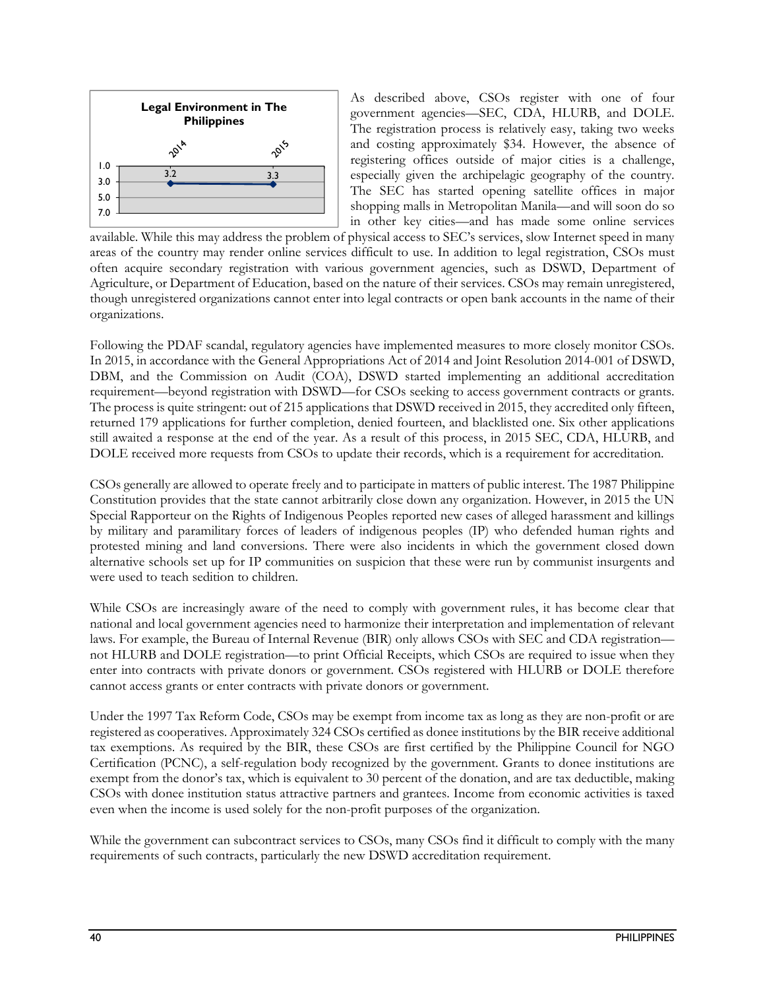

As described above, CSOs register with one of four government agencies—SEC, CDA, HLURB, and DOLE. The registration process is relatively easy, taking two weeks and costing approximately \$34. However, the absence of registering offices outside of major cities is a challenge, especially given the archipelagic geography of the country. The SEC has started opening satellite offices in major shopping malls in Metropolitan Manila—and will soon do so in other key cities—and has made some online services

available. While this may address the problem of physical access to SEC's services, slow Internet speed in many areas of the country may render online services difficult to use. In addition to legal registration, CSOs must often acquire secondary registration with various government agencies, such as DSWD, Department of Agriculture, or Department of Education, based on the nature of their services. CSOs may remain unregistered, though unregistered organizations cannot enter into legal contracts or open bank accounts in the name of their organizations.

Following the PDAF scandal, regulatory agencies have implemented measures to more closely monitor CSOs. In 2015, in accordance with the General Appropriations Act of 2014 and Joint Resolution 2014-001 of DSWD, DBM, and the Commission on Audit (COA), DSWD started implementing an additional accreditation requirement—beyond registration with DSWD—for CSOs seeking to access government contracts or grants. The process is quite stringent: out of 215 applications that DSWD received in 2015, they accredited only fifteen, returned 179 applications for further completion, denied fourteen, and blacklisted one. Six other applications still awaited a response at the end of the year. As a result of this process, in 2015 SEC, CDA, HLURB, and DOLE received more requests from CSOs to update their records, which is a requirement for accreditation.

CSOs generally are allowed to operate freely and to participate in matters of public interest. The 1987 Philippine Constitution provides that the state cannot arbitrarily close down any organization. However, in 2015 the UN Special Rapporteur on the Rights of Indigenous Peoples reported new cases of alleged harassment and killings by military and paramilitary forces of leaders of indigenous peoples (IP) who defended human rights and protested mining and land conversions. There were also incidents in which the government closed down alternative schools set up for IP communities on suspicion that these were run by communist insurgents and were used to teach sedition to children.

While CSOs are increasingly aware of the need to comply with government rules, it has become clear that national and local government agencies need to harmonize their interpretation and implementation of relevant laws. For example, the Bureau of Internal Revenue (BIR) only allows CSOs with SEC and CDA registration not HLURB and DOLE registration—to print Official Receipts, which CSOs are required to issue when they enter into contracts with private donors or government. CSOs registered with HLURB or DOLE therefore cannot access grants or enter contracts with private donors or government.

Under the 1997 Tax Reform Code, CSOs may be exempt from income tax as long as they are non-profit or are registered as cooperatives. Approximately 324 CSOs certified as donee institutions by the BIR receive additional tax exemptions. As required by the BIR, these CSOs are first certified by the Philippine Council for NGO Certification (PCNC), a self-regulation body recognized by the government. Grants to donee institutions are exempt from the donor's tax, which is equivalent to 30 percent of the donation, and are tax deductible, making CSOs with donee institution status attractive partners and grantees. Income from economic activities is taxed even when the income is used solely for the non-profit purposes of the organization.

While the government can subcontract services to CSOs, many CSOs find it difficult to comply with the many requirements of such contracts, particularly the new DSWD accreditation requirement.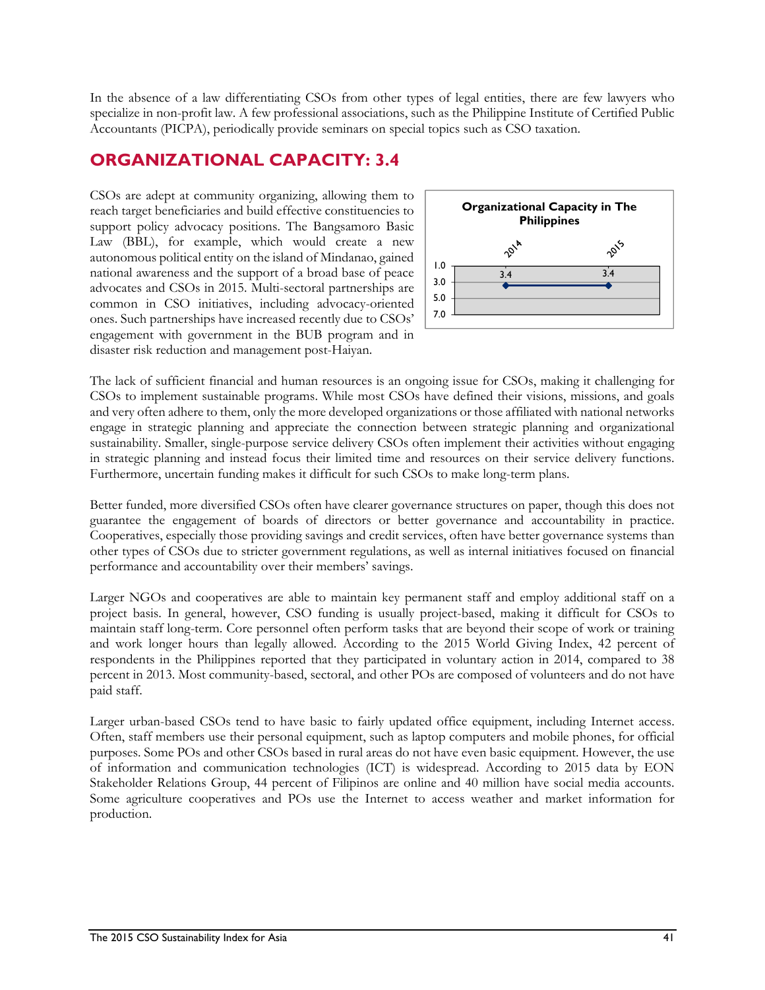In the absence of a law differentiating CSOs from other types of legal entities, there are few lawyers who specialize in non-profit law. A few professional associations, such as the Philippine Institute of Certified Public Accountants (PICPA), periodically provide seminars on special topics such as CSO taxation.

## **ORGANIZATIONAL CAPACITY: 3.4**

CSOs are adept at community organizing, allowing them to reach target beneficiaries and build effective constituencies to support policy advocacy positions. The Bangsamoro Basic Law (BBL), for example, which would create a new autonomous political entity on the island of Mindanao, gained national awareness and the support of a broad base of peace advocates and CSOs in 2015. Multi-sectoral partnerships are common in CSO initiatives, including advocacy-oriented ones. Such partnerships have increased recently due to CSOs' engagement with government in the BUB program and in disaster risk reduction and management post-Haiyan.



The lack of sufficient financial and human resources is an ongoing issue for CSOs, making it challenging for CSOs to implement sustainable programs. While most CSOs have defined their visions, missions, and goals and very often adhere to them, only the more developed organizations or those affiliated with national networks engage in strategic planning and appreciate the connection between strategic planning and organizational sustainability. Smaller, single-purpose service delivery CSOs often implement their activities without engaging in strategic planning and instead focus their limited time and resources on their service delivery functions. Furthermore, uncertain funding makes it difficult for such CSOs to make long-term plans.

Better funded, more diversified CSOs often have clearer governance structures on paper, though this does not guarantee the engagement of boards of directors or better governance and accountability in practice. Cooperatives, especially those providing savings and credit services, often have better governance systems than other types of CSOs due to stricter government regulations, as well as internal initiatives focused on financial performance and accountability over their members' savings.

Larger NGOs and cooperatives are able to maintain key permanent staff and employ additional staff on a project basis. In general, however, CSO funding is usually project-based, making it difficult for CSOs to maintain staff long-term. Core personnel often perform tasks that are beyond their scope of work or training and work longer hours than legally allowed. According to the 2015 World Giving Index, 42 percent of respondents in the Philippines reported that they participated in voluntary action in 2014, compared to 38 percent in 2013. Most community-based, sectoral, and other POs are composed of volunteers and do not have paid staff.

Larger urban-based CSOs tend to have basic to fairly updated office equipment, including Internet access. Often, staff members use their personal equipment, such as laptop computers and mobile phones, for official purposes. Some POs and other CSOs based in rural areas do not have even basic equipment. However, the use of information and communication technologies (ICT) is widespread. According to 2015 data by EON Stakeholder Relations Group, 44 percent of Filipinos are online and 40 million have social media accounts. Some agriculture cooperatives and POs use the Internet to access weather and market information for production.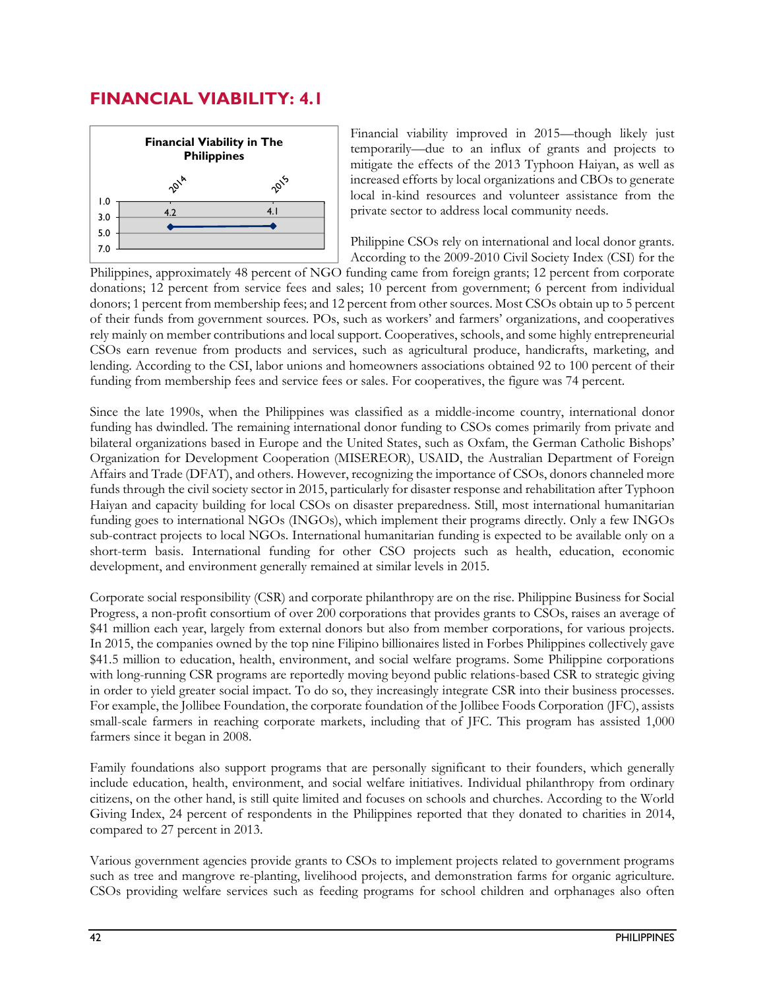### **FINANCIAL VIABILITY: 4.1**



Financial viability improved in 2015—though likely just temporarily—due to an influx of grants and projects to mitigate the effects of the 2013 Typhoon Haiyan, as well as increased efforts by local organizations and CBOs to generate local in-kind resources and volunteer assistance from the private sector to address local community needs.

Philippine CSOs rely on international and local donor grants. According to the 2009-2010 Civil Society Index (CSI) for the

Philippines, approximately 48 percent of NGO funding came from foreign grants; 12 percent from corporate donations; 12 percent from service fees and sales; 10 percent from government; 6 percent from individual donors; 1 percent from membership fees; and 12 percent from other sources. Most CSOs obtain up to 5 percent of their funds from government sources. POs, such as workers' and farmers' organizations, and cooperatives rely mainly on member contributions and local support. Cooperatives, schools, and some highly entrepreneurial CSOs earn revenue from products and services, such as agricultural produce, handicrafts, marketing, and lending. According to the CSI, labor unions and homeowners associations obtained 92 to 100 percent of their funding from membership fees and service fees or sales. For cooperatives, the figure was 74 percent.

Since the late 1990s, when the Philippines was classified as a middle-income country, international donor funding has dwindled. The remaining international donor funding to CSOs comes primarily from private and bilateral organizations based in Europe and the United States, such as Oxfam, the German Catholic Bishops' Organization for Development Cooperation (MISEREOR), USAID, the Australian Department of Foreign Affairs and Trade (DFAT), and others. However, recognizing the importance of CSOs, donors channeled more funds through the civil society sector in 2015, particularly for disaster response and rehabilitation after Typhoon Haiyan and capacity building for local CSOs on disaster preparedness. Still, most international humanitarian funding goes to international NGOs (INGOs), which implement their programs directly. Only a few INGOs sub-contract projects to local NGOs. International humanitarian funding is expected to be available only on a short-term basis. International funding for other CSO projects such as health, education, economic development, and environment generally remained at similar levels in 2015.

Corporate social responsibility (CSR) and corporate philanthropy are on the rise. Philippine Business for Social Progress, a non-profit consortium of over 200 corporations that provides grants to CSOs, raises an average of \$41 million each year, largely from external donors but also from member corporations, for various projects. In 2015, the companies owned by the top nine Filipino billionaires listed in Forbes Philippines collectively gave \$41.5 million to education, health, environment, and social welfare programs. Some Philippine corporations with long-running CSR programs are reportedly moving beyond public relations-based CSR to strategic giving in order to yield greater social impact. To do so, they increasingly integrate CSR into their business processes. For example, the Jollibee Foundation, the corporate foundation of the Jollibee Foods Corporation (JFC), assists small-scale farmers in reaching corporate markets, including that of JFC. This program has assisted 1,000 farmers since it began in 2008.

Family foundations also support programs that are personally significant to their founders, which generally include education, health, environment, and social welfare initiatives. Individual philanthropy from ordinary citizens, on the other hand, is still quite limited and focuses on schools and churches. According to the World Giving Index, 24 percent of respondents in the Philippines reported that they donated to charities in 2014, compared to 27 percent in 2013.

Various government agencies provide grants to CSOs to implement projects related to government programs such as tree and mangrove re-planting, livelihood projects, and demonstration farms for organic agriculture. CSOs providing welfare services such as feeding programs for school children and orphanages also often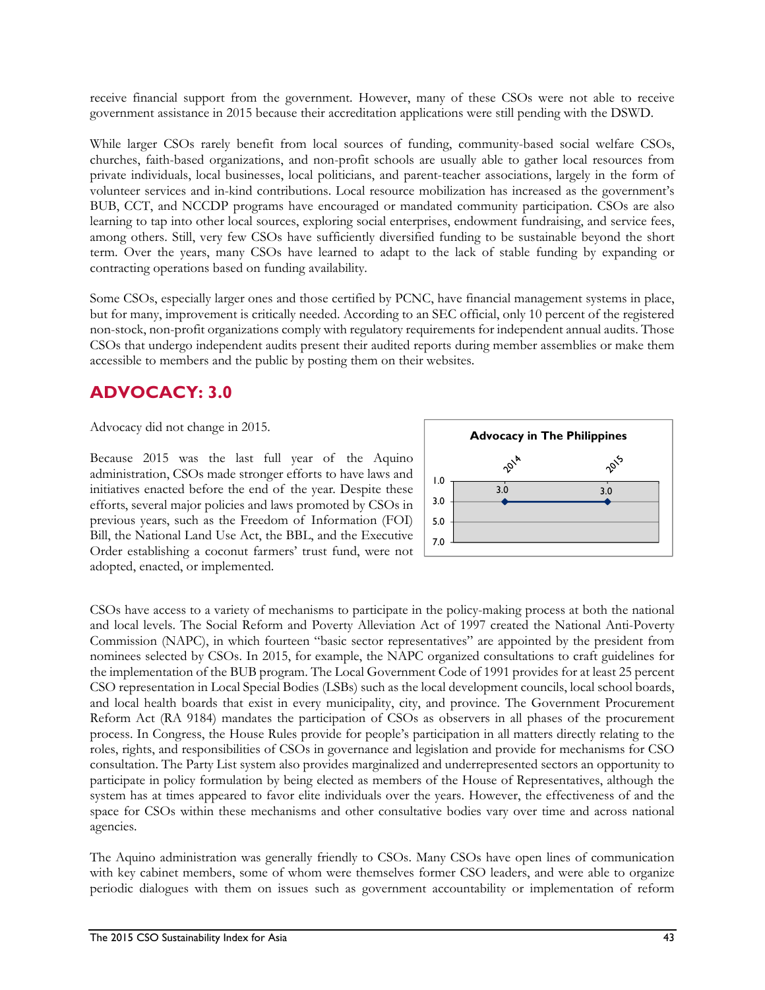receive financial support from the government. However, many of these CSOs were not able to receive government assistance in 2015 because their accreditation applications were still pending with the DSWD.

While larger CSOs rarely benefit from local sources of funding, community-based social welfare CSOs, churches, faith-based organizations, and non-profit schools are usually able to gather local resources from private individuals, local businesses, local politicians, and parent-teacher associations, largely in the form of volunteer services and in-kind contributions. Local resource mobilization has increased as the government's BUB, CCT, and NCCDP programs have encouraged or mandated community participation. CSOs are also learning to tap into other local sources, exploring social enterprises, endowment fundraising, and service fees, among others. Still, very few CSOs have sufficiently diversified funding to be sustainable beyond the short term. Over the years, many CSOs have learned to adapt to the lack of stable funding by expanding or contracting operations based on funding availability.

Some CSOs, especially larger ones and those certified by PCNC, have financial management systems in place, but for many, improvement is critically needed. According to an SEC official, only 10 percent of the registered non-stock, non-profit organizations comply with regulatory requirements for independent annual audits. Those CSOs that undergo independent audits present their audited reports during member assemblies or make them accessible to members and the public by posting them on their websites.

## **ADVOCACY: 3.0**

Advocacy did not change in 2015.

Because 2015 was the last full year of the Aquino administration, CSOs made stronger efforts to have laws and initiatives enacted before the end of the year. Despite these efforts, several major policies and laws promoted by CSOs in previous years, such as the Freedom of Information (FOI) Bill, the National Land Use Act, the BBL, and the Executive Order establishing a coconut farmers' trust fund, were not adopted, enacted, or implemented.



CSOs have access to a variety of mechanisms to participate in the policy-making process at both the national and local levels. The Social Reform and Poverty Alleviation Act of 1997 created the National Anti-Poverty Commission (NAPC), in which fourteen "basic sector representatives" are appointed by the president from nominees selected by CSOs. In 2015, for example, the NAPC organized consultations to craft guidelines for the implementation of the BUB program. The Local Government Code of 1991 provides for at least 25 percent CSO representation in Local Special Bodies (LSBs) such as the local development councils, local school boards, and local health boards that exist in every municipality, city, and province. The Government Procurement Reform Act (RA 9184) mandates the participation of CSOs as observers in all phases of the procurement process. In Congress, the House Rules provide for people's participation in all matters directly relating to the roles, rights, and responsibilities of CSOs in governance and legislation and provide for mechanisms for CSO consultation. The Party List system also provides marginalized and underrepresented sectors an opportunity to participate in policy formulation by being elected as members of the House of Representatives, although the system has at times appeared to favor elite individuals over the years. However, the effectiveness of and the space for CSOs within these mechanisms and other consultative bodies vary over time and across national agencies.

The Aquino administration was generally friendly to CSOs. Many CSOs have open lines of communication with key cabinet members, some of whom were themselves former CSO leaders, and were able to organize periodic dialogues with them on issues such as government accountability or implementation of reform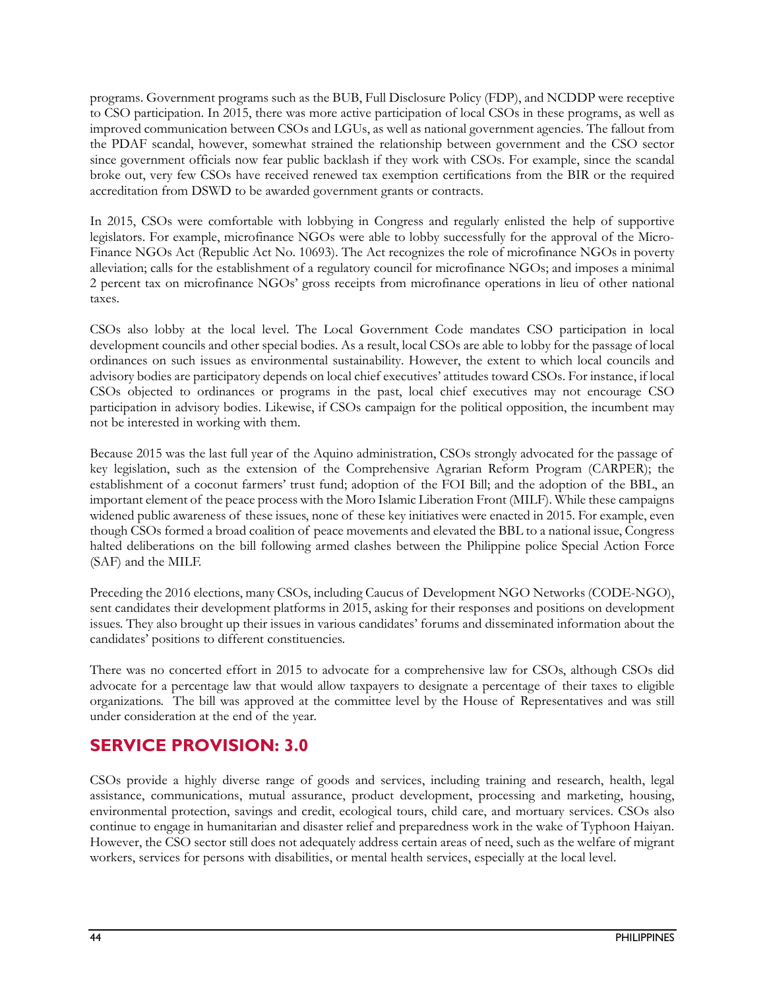programs. Government programs such as the BUB, Full Disclosure Policy (FDP), and NCDDP were receptive to CSO participation. In 2015, there was more active participation of local CSOs in these programs, as well as improved communication between CSOs and LGUs, as well as national government agencies. The fallout from the PDAF scandal, however, somewhat strained the relationship between government and the CSO sector since government officials now fear public backlash if they work with CSOs. For example, since the scandal broke out, very few CSOs have received renewed tax exemption certifications from the BIR or the required accreditation from DSWD to be awarded government grants or contracts.

In 2015, CSOs were comfortable with lobbying in Congress and regularly enlisted the help of supportive legislators. For example, microfinance NGOs were able to lobby successfully for the approval of the Micro-Finance NGOs Act (Republic Act No. 10693). The Act recognizes the role of microfinance NGOs in poverty alleviation; calls for the establishment of a regulatory council for microfinance NGOs; and imposes a minimal 2 percent tax on microfinance NGOs' gross receipts from microfinance operations in lieu of other national taxes.

CSOs also lobby at the local level. The Local Government Code mandates CSO participation in local development councils and other special bodies. As a result, local CSOs are able to lobby for the passage of local ordinances on such issues as environmental sustainability. However, the extent to which local councils and advisory bodies are participatory depends on local chief executives' attitudes toward CSOs. For instance, if local CSOs objected to ordinances or programs in the past, local chief executives may not encourage CSO participation in advisory bodies. Likewise, if CSOs campaign for the political opposition, the incumbent may not be interested in working with them.

Because 2015 was the last full year of the Aquino administration, CSOs strongly advocated for the passage of key legislation, such as the extension of the Comprehensive Agrarian Reform Program (CARPER); the establishment of a coconut farmers' trust fund; adoption of the FOI Bill; and the adoption of the BBL, an important element of the peace process with the Moro Islamic Liberation Front (MILF). While these campaigns widened public awareness of these issues, none of these key initiatives were enacted in 2015. For example, even though CSOs formed a broad coalition of peace movements and elevated the BBL to a national issue, Congress halted deliberations on the bill following armed clashes between the Philippine police Special Action Force (SAF) and the MILF.

Preceding the 2016 elections, many CSOs, including Caucus of Development NGO Networks (CODE-NGO), sent candidates their development platforms in 2015, asking for their responses and positions on development issues. They also brought up their issues in various candidates' forums and disseminated information about the candidates' positions to different constituencies.

There was no concerted effort in 2015 to advocate for a comprehensive law for CSOs, although CSOs did advocate for a percentage law that would allow taxpayers to designate a percentage of their taxes to eligible organizations. The bill was approved at the committee level by the House of Representatives and was still under consideration at the end of the year.

## **SERVICE PROVISION: 3.0**

CSOs provide a highly diverse range of goods and services, including training and research, health, legal assistance, communications, mutual assurance, product development, processing and marketing, housing, environmental protection, savings and credit, ecological tours, child care, and mortuary services. CSOs also continue to engage in humanitarian and disaster relief and preparedness work in the wake of Typhoon Haiyan. However, the CSO sector still does not adequately address certain areas of need, such as the welfare of migrant workers, services for persons with disabilities, or mental health services, especially at the local level.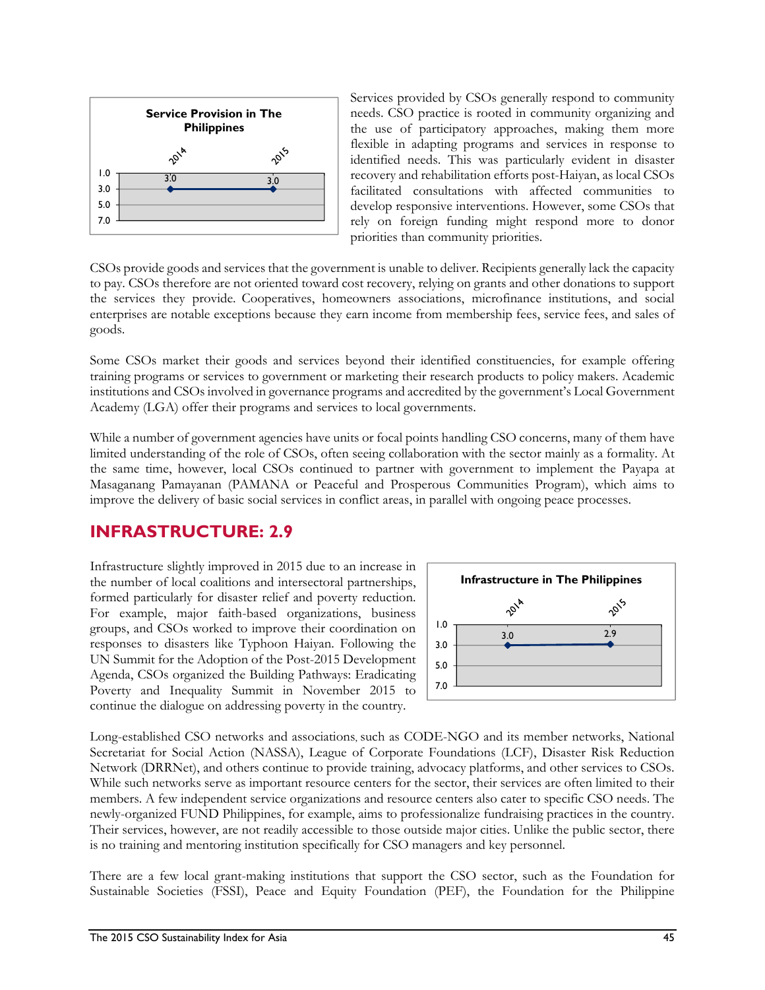

Services provided by CSOs generally respond to community needs. CSO practice is rooted in community organizing and the use of participatory approaches, making them more flexible in adapting programs and services in response to identified needs. This was particularly evident in disaster recovery and rehabilitation efforts post-Haiyan, as local CSOs facilitated consultations with affected communities to develop responsive interventions. However, some CSOs that rely on foreign funding might respond more to donor priorities than community priorities.

CSOs provide goods and services that the government is unable to deliver. Recipients generally lack the capacity to pay. CSOs therefore are not oriented toward cost recovery, relying on grants and other donations to support the services they provide. Cooperatives, homeowners associations, microfinance institutions, and social enterprises are notable exceptions because they earn income from membership fees, service fees, and sales of goods.

Some CSOs market their goods and services beyond their identified constituencies, for example offering training programs or services to government or marketing their research products to policy makers. Academic institutions and CSOs involved in governance programs and accredited by the government's Local Government Academy (LGA) offer their programs and services to local governments.

While a number of government agencies have units or focal points handling CSO concerns, many of them have limited understanding of the role of CSOs, often seeing collaboration with the sector mainly as a formality. At the same time, however, local CSOs continued to partner with government to implement the Payapa at Masaganang Pamayanan (PAMANA or Peaceful and Prosperous Communities Program), which aims to improve the delivery of basic social services in conflict areas, in parallel with ongoing peace processes.

## **INFRASTRUCTURE: 2.9**

Infrastructure slightly improved in 2015 due to an increase in the number of local coalitions and intersectoral partnerships, formed particularly for disaster relief and poverty reduction. For example, major faith-based organizations, business groups, and CSOs worked to improve their coordination on responses to disasters like Typhoon Haiyan. Following the UN Summit for the Adoption of the Post-2015 Development Agenda, CSOs organized the Building Pathways: Eradicating Poverty and Inequality Summit in November 2015 to continue the dialogue on addressing poverty in the country.



Long-established CSO networks and associations, such as CODE-NGO and its member networks, National Secretariat for Social Action (NASSA), League of Corporate Foundations (LCF), Disaster Risk Reduction Network (DRRNet), and others continue to provide training, advocacy platforms, and other services to CSOs. While such networks serve as important resource centers for the sector, their services are often limited to their members. A few independent service organizations and resource centers also cater to specific CSO needs. The newly-organized FUND Philippines, for example, aims to professionalize fundraising practices in the country. Their services, however, are not readily accessible to those outside major cities. Unlike the public sector, there is no training and mentoring institution specifically for CSO managers and key personnel.

There are a few local grant-making institutions that support the CSO sector, such as the Foundation for Sustainable Societies (FSSI), Peace and Equity Foundation (PEF), the Foundation for the Philippine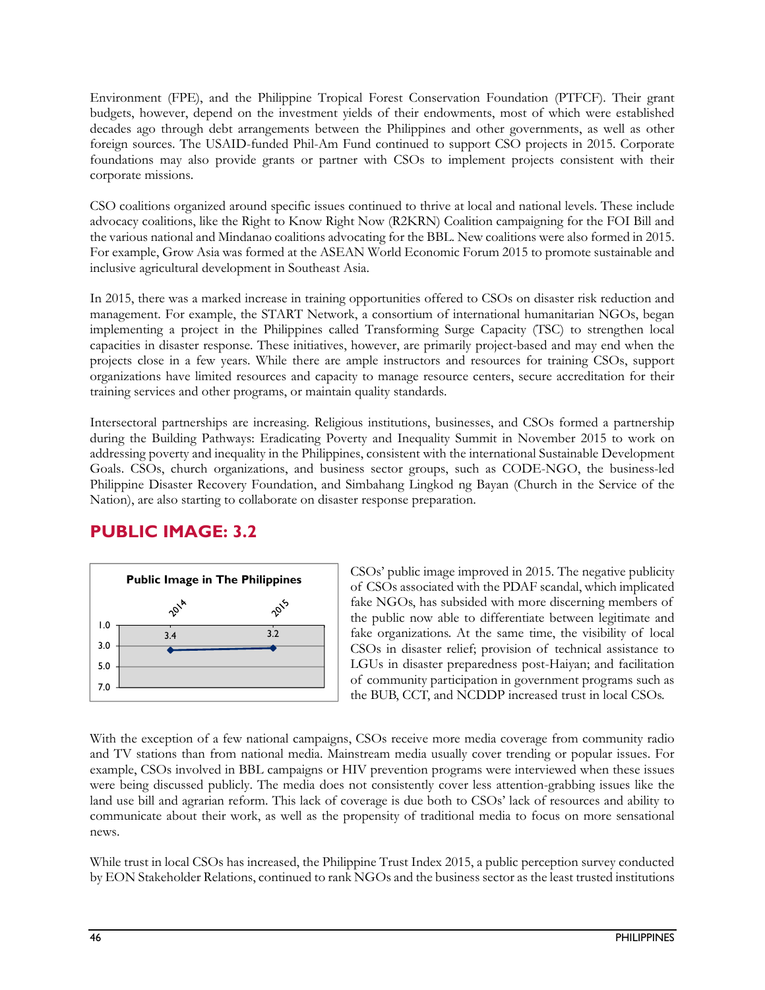Environment (FPE), and the Philippine Tropical Forest Conservation Foundation (PTFCF). Their grant budgets, however, depend on the investment yields of their endowments, most of which were established decades ago through debt arrangements between the Philippines and other governments, as well as other foreign sources. The USAID-funded Phil-Am Fund continued to support CSO projects in 2015. Corporate foundations may also provide grants or partner with CSOs to implement projects consistent with their corporate missions.

CSO coalitions organized around specific issues continued to thrive at local and national levels. These include advocacy coalitions, like the Right to Know Right Now (R2KRN) Coalition campaigning for the FOI Bill and the various national and Mindanao coalitions advocating for the BBL. New coalitions were also formed in 2015. For example, Grow Asia was formed at the ASEAN World Economic Forum 2015 to promote sustainable and inclusive agricultural development in Southeast Asia.

In 2015, there was a marked increase in training opportunities offered to CSOs on disaster risk reduction and management. For example, the START Network, a consortium of international humanitarian NGOs, began implementing a project in the Philippines called Transforming Surge Capacity (TSC) to strengthen local capacities in disaster response. These initiatives, however, are primarily project-based and may end when the projects close in a few years. While there are ample instructors and resources for training CSOs, support organizations have limited resources and capacity to manage resource centers, secure accreditation for their training services and other programs, or maintain quality standards.

Intersectoral partnerships are increasing. Religious institutions, businesses, and CSOs formed a partnership during the Building Pathways: Eradicating Poverty and Inequality Summit in November 2015 to work on addressing poverty and inequality in the Philippines, consistent with the international Sustainable Development Goals. CSOs, church organizations, and business sector groups, such as CODE-NGO, the business-led Philippine Disaster Recovery Foundation, and Simbahang Lingkod ng Bayan (Church in the Service of the Nation), are also starting to collaborate on disaster response preparation.

## **PUBLIC IMAGE: 3.2**



CSOs' public image improved in 2015. The negative publicity of CSOs associated with the PDAF scandal, which implicated fake NGOs, has subsided with more discerning members of the public now able to differentiate between legitimate and fake organizations. At the same time, the visibility of local CSOs in disaster relief; provision of technical assistance to LGUs in disaster preparedness post-Haiyan; and facilitation of community participation in government programs such as the BUB, CCT, and NCDDP increased trust in local CSOs.

With the exception of a few national campaigns, CSOs receive more media coverage from community radio and TV stations than from national media. Mainstream media usually cover trending or popular issues. For example, CSOs involved in BBL campaigns or HIV prevention programs were interviewed when these issues were being discussed publicly. The media does not consistently cover less attention-grabbing issues like the land use bill and agrarian reform. This lack of coverage is due both to CSOs' lack of resources and ability to communicate about their work, as well as the propensity of traditional media to focus on more sensational news.

While trust in local CSOs has increased, the Philippine Trust Index 2015, a public perception survey conducted by EON Stakeholder Relations, continued to rank NGOs and the business sector as the least trusted institutions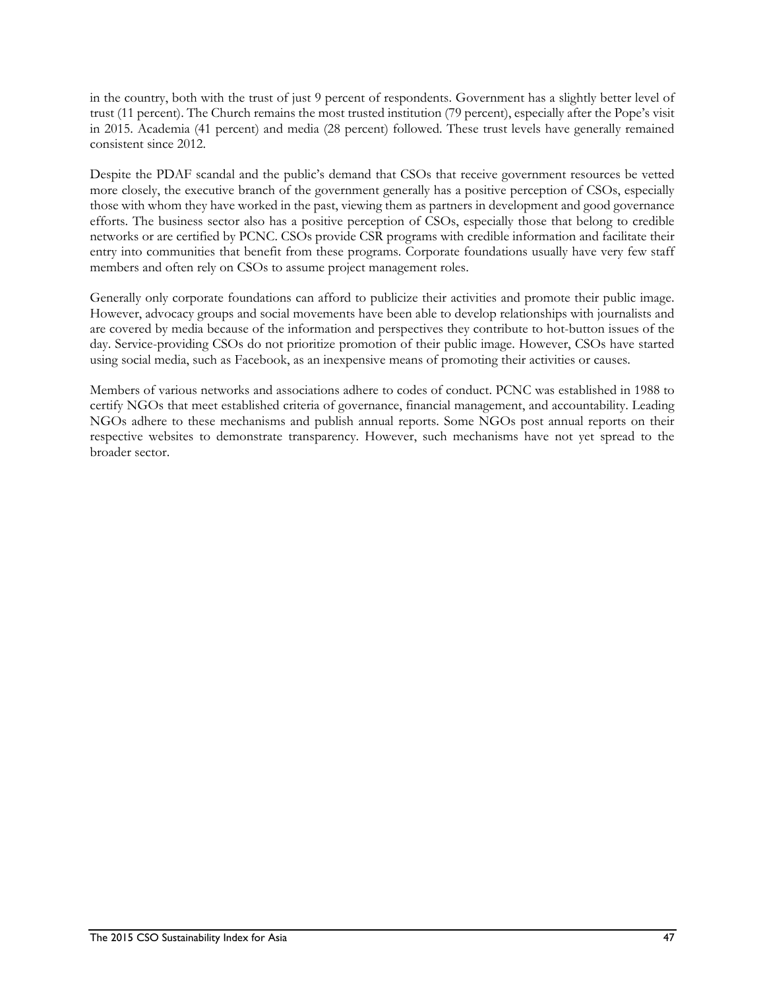in the country, both with the trust of just 9 percent of respondents. Government has a slightly better level of trust (11 percent). The Church remains the most trusted institution (79 percent), especially after the Pope's visit in 2015. Academia (41 percent) and media (28 percent) followed. These trust levels have generally remained consistent since 2012.

Despite the PDAF scandal and the public's demand that CSOs that receive government resources be vetted more closely, the executive branch of the government generally has a positive perception of CSOs, especially those with whom they have worked in the past, viewing them as partners in development and good governance efforts. The business sector also has a positive perception of CSOs, especially those that belong to credible networks or are certified by PCNC. CSOs provide CSR programs with credible information and facilitate their entry into communities that benefit from these programs. Corporate foundations usually have very few staff members and often rely on CSOs to assume project management roles.

Generally only corporate foundations can afford to publicize their activities and promote their public image. However, advocacy groups and social movements have been able to develop relationships with journalists and are covered by media because of the information and perspectives they contribute to hot-button issues of the day. Service-providing CSOs do not prioritize promotion of their public image. However, CSOs have started using social media, such as Facebook, as an inexpensive means of promoting their activities or causes.

Members of various networks and associations adhere to codes of conduct. PCNC was established in 1988 to certify NGOs that meet established criteria of governance, financial management, and accountability. Leading NGOs adhere to these mechanisms and publish annual reports. Some NGOs post annual reports on their respective websites to demonstrate transparency. However, such mechanisms have not yet spread to the broader sector.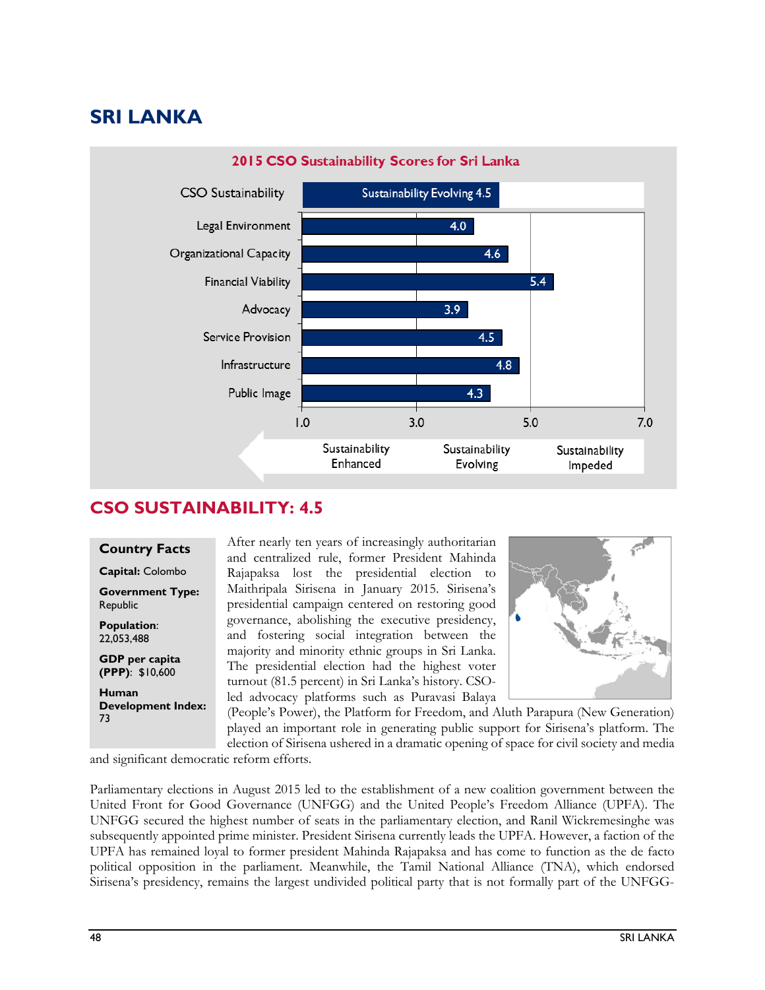# **SRI LANKA**



#### **CSO SUSTAINABILITY: 4.5**

#### **Country Facts**

**Capital:** Colombo

**Government Type:**  Republic

**Population**: 22,053,488

**GDP per capita (PPP)**: \$10,600

**Human Development Index:**  73

After nearly ten years of increasingly authoritarian and centralized rule, former President Mahinda Rajapaksa lost the presidential election to Maithripala Sirisena in January 2015. Sirisena's presidential campaign centered on restoring good governance, abolishing the executive presidency, and fostering social integration between the majority and minority ethnic groups in Sri Lanka. The presidential election had the highest voter turnout (81.5 percent) in Sri Lanka's history. CSOled advocacy platforms such as Puravasi Balaya



(People's Power), the Platform for Freedom, and Aluth Parapura (New Generation) played an important role in generating public support for Sirisena's platform. The election of Sirisena ushered in a dramatic opening of space for civil society and media

and significant democratic reform efforts.

Parliamentary elections in August 2015 led to the establishment of a new coalition government between the United Front for Good Governance (UNFGG) and the United People's Freedom Alliance (UPFA). The UNFGG secured the highest number of seats in the parliamentary election, and Ranil Wickremesinghe was subsequently appointed prime minister. President Sirisena currently leads the UPFA. However, a faction of the UPFA has remained loyal to former president Mahinda Rajapaksa and has come to function as the de facto political opposition in the parliament. Meanwhile, the Tamil National Alliance (TNA), which endorsed Sirisena's presidency, remains the largest undivided political party that is not formally part of the UNFGG-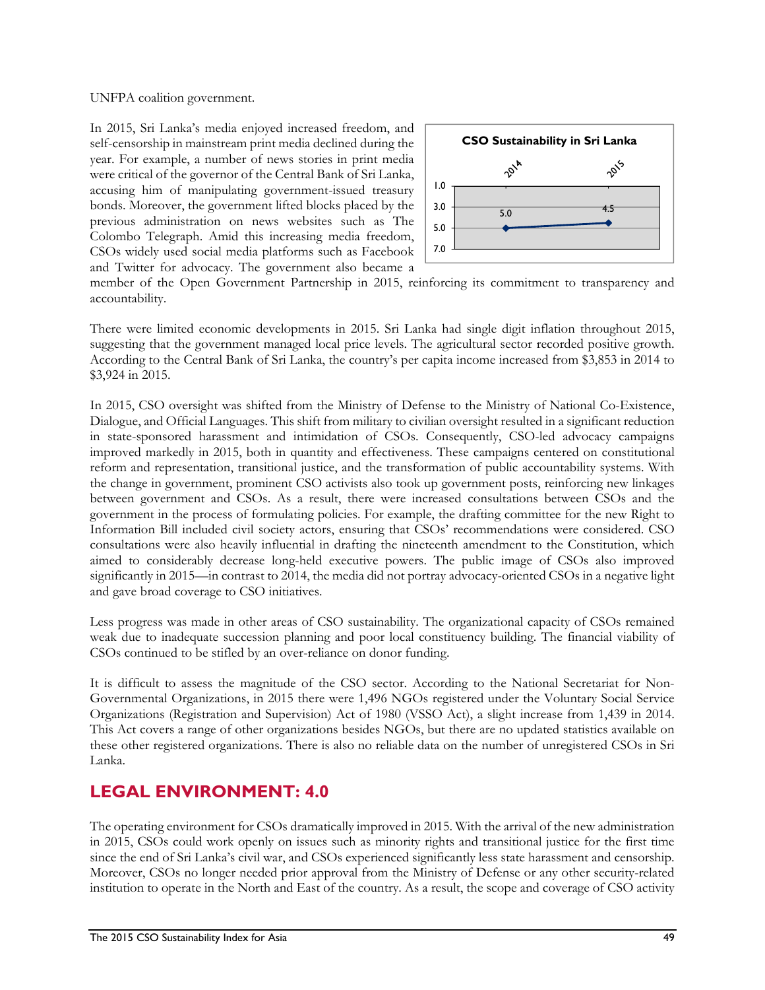UNFPA coalition government.

In 2015, Sri Lanka's media enjoyed increased freedom, and self-censorship in mainstream print media declined during the year. For example, a number of news stories in print media were critical of the governor of the Central Bank of Sri Lanka, accusing him of manipulating government-issued treasury bonds. Moreover, the government lifted blocks placed by the previous administration on news websites such as The Colombo Telegraph. Amid this increasing media freedom, CSOs widely used social media platforms such as Facebook and Twitter for advocacy. The government also became a



member of the Open Government Partnership in 2015, reinforcing its commitment to transparency and accountability.

There were limited economic developments in 2015. Sri Lanka had single digit inflation throughout 2015, suggesting that the government managed local price levels. The agricultural sector recorded positive growth. According to the Central Bank of Sri Lanka, the country's per capita income increased from \$3,853 in 2014 to \$3,924 in 2015.

In 2015, CSO oversight was shifted from the Ministry of Defense to the Ministry of National Co-Existence, Dialogue, and Official Languages. This shift from military to civilian oversight resulted in a significant reduction in state-sponsored harassment and intimidation of CSOs. Consequently, CSO-led advocacy campaigns improved markedly in 2015, both in quantity and effectiveness. These campaigns centered on constitutional reform and representation, transitional justice, and the transformation of public accountability systems. With the change in government, prominent CSO activists also took up government posts, reinforcing new linkages between government and CSOs. As a result, there were increased consultations between CSOs and the government in the process of formulating policies. For example, the drafting committee for the new Right to Information Bill included civil society actors, ensuring that CSOs' recommendations were considered. CSO consultations were also heavily influential in drafting the nineteenth amendment to the Constitution, which aimed to considerably decrease long-held executive powers. The public image of CSOs also improved significantly in 2015—in contrast to 2014, the media did not portray advocacy-oriented CSOs in a negative light and gave broad coverage to CSO initiatives.

Less progress was made in other areas of CSO sustainability. The organizational capacity of CSOs remained weak due to inadequate succession planning and poor local constituency building. The financial viability of CSOs continued to be stifled by an over-reliance on donor funding.

It is difficult to assess the magnitude of the CSO sector. According to the National Secretariat for Non-Governmental Organizations, in 2015 there were 1,496 NGOs registered under the Voluntary Social Service Organizations (Registration and Supervision) Act of 1980 (VSSO Act), a slight increase from 1,439 in 2014. This Act covers a range of other organizations besides NGOs, but there are no updated statistics available on these other registered organizations. There is also no reliable data on the number of unregistered CSOs in Sri Lanka.

### **LEGAL ENVIRONMENT: 4.0**

The operating environment for CSOs dramatically improved in 2015. With the arrival of the new administration in 2015, CSOs could work openly on issues such as minority rights and transitional justice for the first time since the end of Sri Lanka's civil war, and CSOs experienced significantly less state harassment and censorship. Moreover, CSOs no longer needed prior approval from the Ministry of Defense or any other security-related institution to operate in the North and East of the country. As a result, the scope and coverage of CSO activity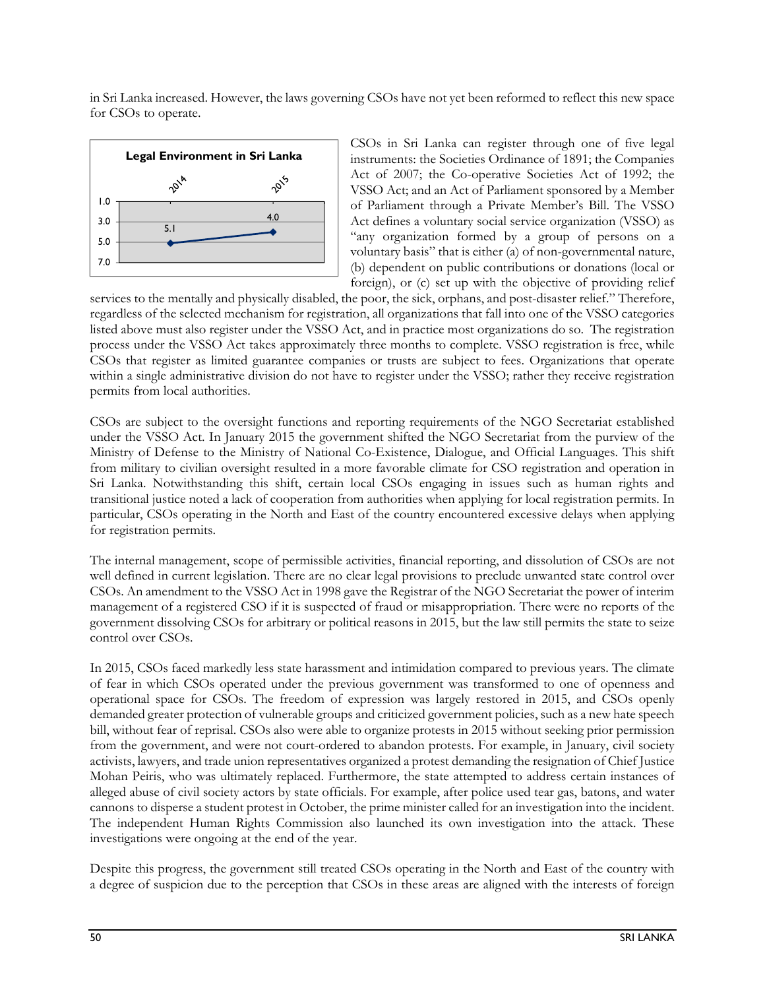in Sri Lanka increased. However, the laws governing CSOs have not yet been reformed to reflect this new space for CSOs to operate.



CSOs in Sri Lanka can register through one of five legal instruments: the Societies Ordinance of 1891; the Companies Act of 2007; the Co-operative Societies Act of 1992; the VSSO Act; and an Act of Parliament sponsored by a Member of Parliament through a Private Member's Bill. The VSSO Act defines a voluntary social service organization (VSSO) as "any organization formed by a group of persons on a voluntary basis" that is either (a) of non-governmental nature, (b) dependent on public contributions or donations (local or foreign), or (c) set up with the objective of providing relief

services to the mentally and physically disabled, the poor, the sick, orphans, and post-disaster relief." Therefore, regardless of the selected mechanism for registration, all organizations that fall into one of the VSSO categories listed above must also register under the VSSO Act, and in practice most organizations do so. The registration process under the VSSO Act takes approximately three months to complete. VSSO registration is free, while CSOs that register as limited guarantee companies or trusts are subject to fees. Organizations that operate within a single administrative division do not have to register under the VSSO; rather they receive registration permits from local authorities.

CSOs are subject to the oversight functions and reporting requirements of the NGO Secretariat established under the VSSO Act. In January 2015 the government shifted the NGO Secretariat from the purview of the Ministry of Defense to the Ministry of National Co-Existence, Dialogue, and Official Languages. This shift from military to civilian oversight resulted in a more favorable climate for CSO registration and operation in Sri Lanka. Notwithstanding this shift, certain local CSOs engaging in issues such as human rights and transitional justice noted a lack of cooperation from authorities when applying for local registration permits. In particular, CSOs operating in the North and East of the country encountered excessive delays when applying for registration permits.

The internal management, scope of permissible activities, financial reporting, and dissolution of CSOs are not well defined in current legislation. There are no clear legal provisions to preclude unwanted state control over CSOs. An amendment to the VSSO Act in 1998 gave the Registrar of the NGO Secretariat the power of interim management of a registered CSO if it is suspected of fraud or misappropriation. There were no reports of the government dissolving CSOs for arbitrary or political reasons in 2015, but the law still permits the state to seize control over CSOs.

In 2015, CSOs faced markedly less state harassment and intimidation compared to previous years. The climate of fear in which CSOs operated under the previous government was transformed to one of openness and operational space for CSOs. The freedom of expression was largely restored in 2015, and CSOs openly demanded greater protection of vulnerable groups and criticized government policies, such as a new hate speech bill, without fear of reprisal. CSOs also were able to organize protests in 2015 without seeking prior permission from the government, and were not court-ordered to abandon protests. For example, in January, civil society activists, lawyers, and trade union representatives organized a protest demanding the resignation of Chief Justice Mohan Peiris, who was ultimately replaced. Furthermore, the state attempted to address certain instances of alleged abuse of civil society actors by state officials. For example, after police used tear gas, batons, and water cannons to disperse a student protest in October, the prime minister called for an investigation into the incident. The independent Human Rights Commission also launched its own investigation into the attack. These investigations were ongoing at the end of the year.

Despite this progress, the government still treated CSOs operating in the North and East of the country with a degree of suspicion due to the perception that CSOs in these areas are aligned with the interests of foreign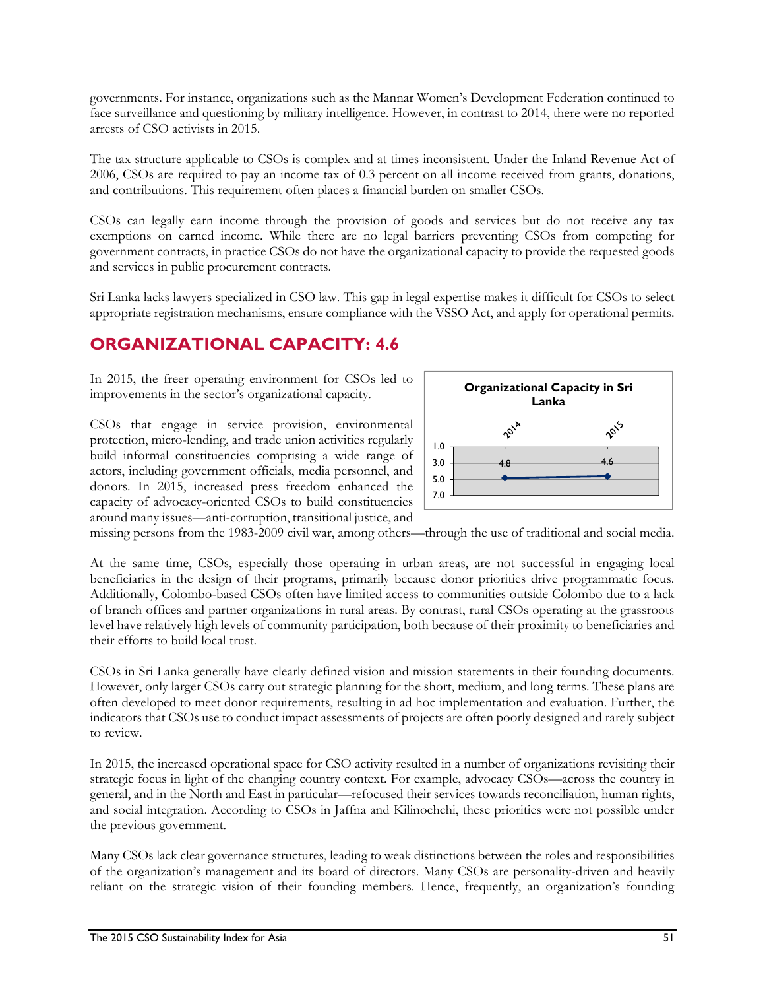governments. For instance, organizations such as the Mannar Women's Development Federation continued to face surveillance and questioning by military intelligence. However, in contrast to 2014, there were no reported arrests of CSO activists in 2015.

The tax structure applicable to CSOs is complex and at times inconsistent. Under the Inland Revenue Act of 2006, CSOs are required to pay an income tax of 0.3 percent on all income received from grants, donations, and contributions. This requirement often places a financial burden on smaller CSOs.

CSOs can legally earn income through the provision of goods and services but do not receive any tax exemptions on earned income. While there are no legal barriers preventing CSOs from competing for government contracts, in practice CSOs do not have the organizational capacity to provide the requested goods and services in public procurement contracts.

Sri Lanka lacks lawyers specialized in CSO law. This gap in legal expertise makes it difficult for CSOs to select appropriate registration mechanisms, ensure compliance with the VSSO Act, and apply for operational permits.

### **ORGANIZATIONAL CAPACITY: 4.6**

In 2015, the freer operating environment for CSOs led to improvements in the sector's organizational capacity.

CSOs that engage in service provision, environmental protection, micro-lending, and trade union activities regularly build informal constituencies comprising a wide range of actors, including government officials, media personnel, and donors. In 2015, increased press freedom enhanced the capacity of advocacy-oriented CSOs to build constituencies around many issues—anti-corruption, transitional justice, and



missing persons from the 1983-2009 civil war, among others—through the use of traditional and social media.

At the same time, CSOs, especially those operating in urban areas, are not successful in engaging local beneficiaries in the design of their programs, primarily because donor priorities drive programmatic focus. Additionally, Colombo-based CSOs often have limited access to communities outside Colombo due to a lack of branch offices and partner organizations in rural areas. By contrast, rural CSOs operating at the grassroots level have relatively high levels of community participation, both because of their proximity to beneficiaries and their efforts to build local trust.

CSOs in Sri Lanka generally have clearly defined vision and mission statements in their founding documents. However, only larger CSOs carry out strategic planning for the short, medium, and long terms. These plans are often developed to meet donor requirements, resulting in ad hoc implementation and evaluation. Further, the indicators that CSOs use to conduct impact assessments of projects are often poorly designed and rarely subject to review.

In 2015, the increased operational space for CSO activity resulted in a number of organizations revisiting their strategic focus in light of the changing country context. For example, advocacy CSOs—across the country in general, and in the North and East in particular—refocused their services towards reconciliation, human rights, and social integration. According to CSOs in Jaffna and Kilinochchi, these priorities were not possible under the previous government.

Many CSOs lack clear governance structures, leading to weak distinctions between the roles and responsibilities of the organization's management and its board of directors. Many CSOs are personality-driven and heavily reliant on the strategic vision of their founding members. Hence, frequently, an organization's founding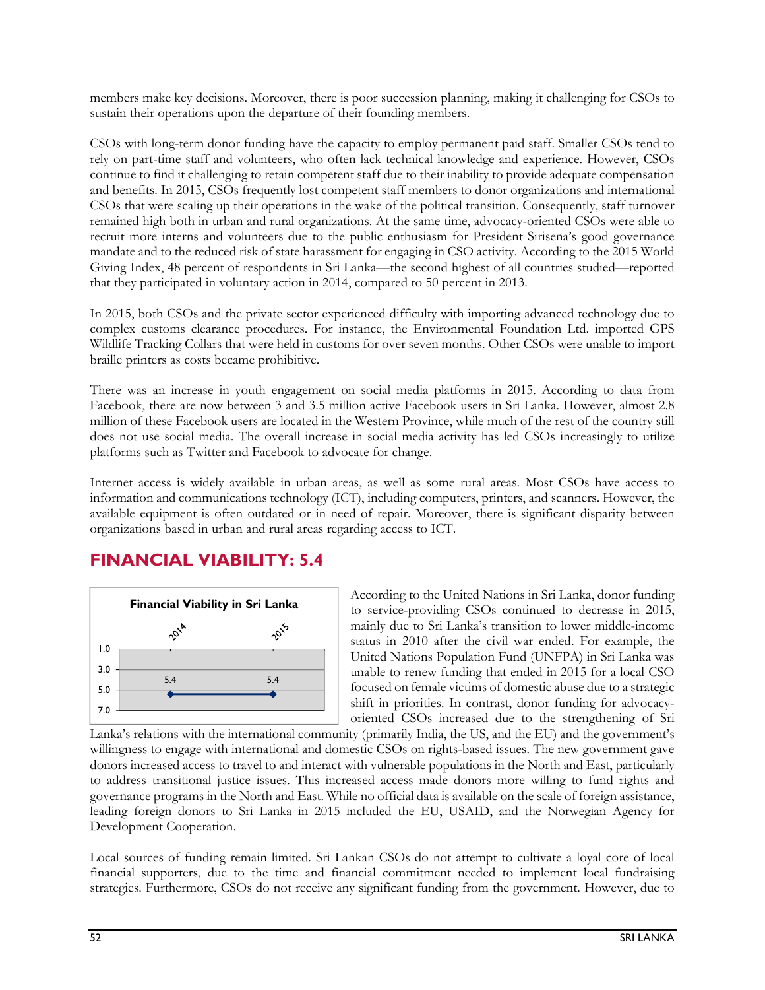members make key decisions. Moreover, there is poor succession planning, making it challenging for CSOs to sustain their operations upon the departure of their founding members.

CSOs with long-term donor funding have the capacity to employ permanent paid staff. Smaller CSOs tend to rely on part-time staff and volunteers, who often lack technical knowledge and experience. However, CSOs continue to find it challenging to retain competent staff due to their inability to provide adequate compensation and benefits. In 2015, CSOs frequently lost competent staff members to donor organizations and international CSOs that were scaling up their operations in the wake of the political transition. Consequently, staff turnover remained high both in urban and rural organizations. At the same time, advocacy-oriented CSOs were able to recruit more interns and volunteers due to the public enthusiasm for President Sirisena's good governance mandate and to the reduced risk of state harassment for engaging in CSO activity. According to the 2015 World Giving Index, 48 percent of respondents in Sri Lanka—the second highest of all countries studied—reported that they participated in voluntary action in 2014, compared to 50 percent in 2013.

In 2015, both CSOs and the private sector experienced difficulty with importing advanced technology due to complex customs clearance procedures. For instance, the Environmental Foundation Ltd. imported GPS Wildlife Tracking Collars that were held in customs for over seven months. Other CSOs were unable to import braille printers as costs became prohibitive.

There was an increase in youth engagement on social media platforms in 2015. According to data from Facebook, there are now between 3 and 3.5 million active Facebook users in Sri Lanka. However, almost 2.8 million of these Facebook users are located in the Western Province, while much of the rest of the country still does not use social media. The overall increase in social media activity has led CSOs increasingly to utilize platforms such as Twitter and Facebook to advocate for change.

Internet access is widely available in urban areas, as well as some rural areas. Most CSOs have access to information and communications technology (ICT), including computers, printers, and scanners. However, the available equipment is often outdated or in need of repair. Moreover, there is significant disparity between organizations based in urban and rural areas regarding access to ICT.

#### **FINANCIAL VIABILITY: 5.4**



According to the United Nations in Sri Lanka, donor funding to service-providing CSOs continued to decrease in 2015, mainly due to Sri Lanka's transition to lower middle-income status in 2010 after the civil war ended. For example, the United Nations Population Fund (UNFPA) in Sri Lanka was unable to renew funding that ended in 2015 for a local CSO focused on female victims of domestic abuse due to a strategic shift in priorities. In contrast, donor funding for advocacyoriented CSOs increased due to the strengthening of Sri

Lanka's relations with the international community (primarily India, the US, and the EU) and the government's willingness to engage with international and domestic CSOs on rights-based issues. The new government gave donors increased access to travel to and interact with vulnerable populations in the North and East, particularly to address transitional justice issues. This increased access made donors more willing to fund rights and governance programs in the North and East. While no official data is available on the scale of foreign assistance, leading foreign donors to Sri Lanka in 2015 included the EU, USAID, and the Norwegian Agency for Development Cooperation.

Local sources of funding remain limited. Sri Lankan CSOs do not attempt to cultivate a loyal core of local financial supporters, due to the time and financial commitment needed to implement local fundraising strategies. Furthermore, CSOs do not receive any significant funding from the government. However, due to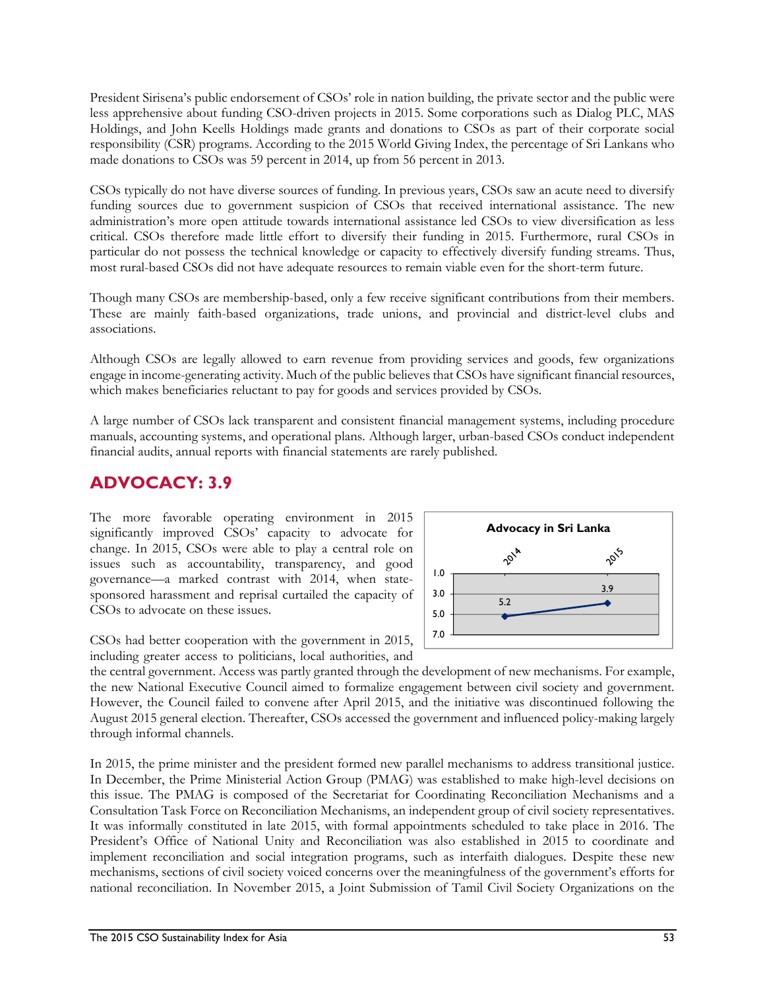President Sirisena's public endorsement of CSOs' role in nation building, the private sector and the public were less apprehensive about funding CSO-driven projects in 2015. Some corporations such as Dialog PLC, MAS Holdings, and John Keells Holdings made grants and donations to CSOs as part of their corporate social responsibility (CSR) programs. According to the 2015 World Giving Index, the percentage of Sri Lankans who made donations to CSOs was 59 percent in 2014, up from 56 percent in 2013.

CSOs typically do not have diverse sources of funding. In previous years, CSOs saw an acute need to diversify funding sources due to government suspicion of CSOs that received international assistance. The new administration's more open attitude towards international assistance led CSOs to view diversification as less critical. CSOs therefore made little effort to diversify their funding in 2015. Furthermore, rural CSOs in particular do not possess the technical knowledge or capacity to effectively diversify funding streams. Thus, most rural-based CSOs did not have adequate resources to remain viable even for the short-term future.

Though many CSOs are membership-based, only a few receive significant contributions from their members. These are mainly faith-based organizations, trade unions, and provincial and district-level clubs and associations.

Although CSOs are legally allowed to earn revenue from providing services and goods, few organizations engage in income-generating activity. Much of the public believes that CSOs have significant financial resources, which makes beneficiaries reluctant to pay for goods and services provided by CSOs.

A large number of CSOs lack transparent and consistent financial management systems, including procedure manuals, accounting systems, and operational plans. Although larger, urban-based CSOs conduct independent financial audits, annual reports with financial statements are rarely published.

## **ADVOCACY: 3.9**

The more favorable operating environment in 2015 significantly improved CSOs' capacity to advocate for change. In 2015, CSOs were able to play a central role on issues such as accountability, transparency, and good governance—a marked contrast with 2014, when statesponsored harassment and reprisal curtailed the capacity of CSOs to advocate on these issues.



CSOs had better cooperation with the government in 2015, including greater access to politicians, local authorities, and

the central government. Access was partly granted through the development of new mechanisms. For example, the new National Executive Council aimed to formalize engagement between civil society and government. However, the Council failed to convene after April 2015, and the initiative was discontinued following the August 2015 general election. Thereafter, CSOs accessed the government and influenced policy-making largely through informal channels.

In 2015, the prime minister and the president formed new parallel mechanisms to address transitional justice. In December, the Prime Ministerial Action Group (PMAG) was established to make high-level decisions on this issue. The PMAG is composed of the Secretariat for Coordinating Reconciliation Mechanisms and a Consultation Task Force on Reconciliation Mechanisms, an independent group of civil society representatives. It was informally constituted in late 2015, with formal appointments scheduled to take place in 2016. The President's Office of National Unity and Reconciliation was also established in 2015 to coordinate and implement reconciliation and social integration programs, such as interfaith dialogues. Despite these new mechanisms, sections of civil society voiced concerns over the meaningfulness of the government's efforts for national reconciliation. In November 2015, a Joint Submission of Tamil Civil Society Organizations on the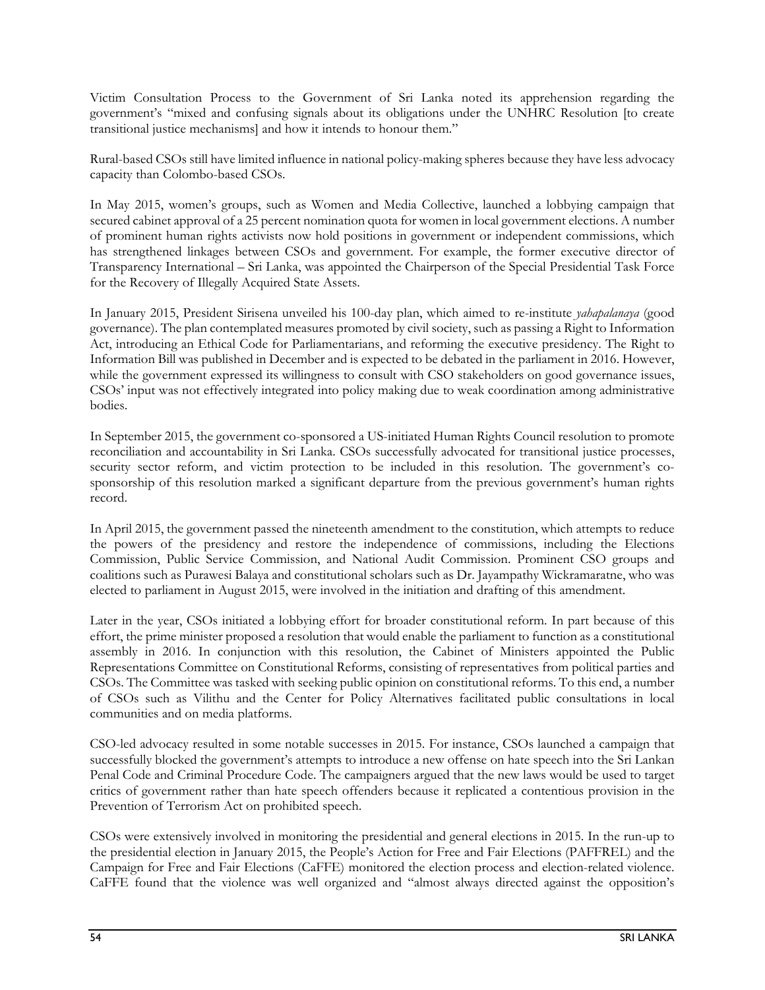Victim Consultation Process to the Government of Sri Lanka noted its apprehension regarding the government's "mixed and confusing signals about its obligations under the UNHRC Resolution [to create transitional justice mechanisms] and how it intends to honour them."

Rural-based CSOs still have limited influence in national policy-making spheres because they have less advocacy capacity than Colombo-based CSOs.

In May 2015, women's groups, such as Women and Media Collective, launched a lobbying campaign that secured cabinet approval of a 25 percent nomination quota for women in local government elections. A number of prominent human rights activists now hold positions in government or independent commissions, which has strengthened linkages between CSOs and government. For example, the former executive director of Transparency International – Sri Lanka, was appointed the Chairperson of the Special Presidential Task Force for the Recovery of Illegally Acquired State Assets.

In January 2015, President Sirisena unveiled his 100-day plan, which aimed to re-institute *yahapalanaya* (good governance). The plan contemplated measures promoted by civil society, such as passing a Right to Information Act, introducing an Ethical Code for Parliamentarians, and reforming the executive presidency. The Right to Information Bill was published in December and is expected to be debated in the parliament in 2016. However, while the government expressed its willingness to consult with CSO stakeholders on good governance issues, CSOs' input was not effectively integrated into policy making due to weak coordination among administrative bodies.

In September 2015, the government co-sponsored a US-initiated Human Rights Council resolution to promote reconciliation and accountability in Sri Lanka. CSOs successfully advocated for transitional justice processes, security sector reform, and victim protection to be included in this resolution. The government's cosponsorship of this resolution marked a significant departure from the previous government's human rights record.

In April 2015, the government passed the nineteenth amendment to the constitution, which attempts to reduce the powers of the presidency and restore the independence of commissions, including the Elections Commission, Public Service Commission, and National Audit Commission. Prominent CSO groups and coalitions such as Purawesi Balaya and constitutional scholars such as Dr. Jayampathy Wickramaratne, who was elected to parliament in August 2015, were involved in the initiation and drafting of this amendment.

Later in the year, CSOs initiated a lobbying effort for broader constitutional reform. In part because of this effort, the prime minister proposed a resolution that would enable the parliament to function as a constitutional assembly in 2016. In conjunction with this resolution, the Cabinet of Ministers appointed the Public Representations Committee on Constitutional Reforms, consisting of representatives from political parties and CSOs. The Committee was tasked with seeking public opinion on constitutional reforms. To this end, a number of CSOs such as Vilithu and the Center for Policy Alternatives facilitated public consultations in local communities and on media platforms.

CSO-led advocacy resulted in some notable successes in 2015. For instance, CSOs launched a campaign that successfully blocked the government's attempts to introduce a new offense on hate speech into the Sri Lankan Penal Code and Criminal Procedure Code. The campaigners argued that the new laws would be used to target critics of government rather than hate speech offenders because it replicated a contentious provision in the Prevention of Terrorism Act on prohibited speech.

CSOs were extensively involved in monitoring the presidential and general elections in 2015. In the run-up to the presidential election in January 2015, the People's Action for Free and Fair Elections (PAFFREL) and the Campaign for Free and Fair Elections (CaFFE) monitored the election process and election-related violence. CaFFE found that the violence was well organized and "almost always directed against the opposition's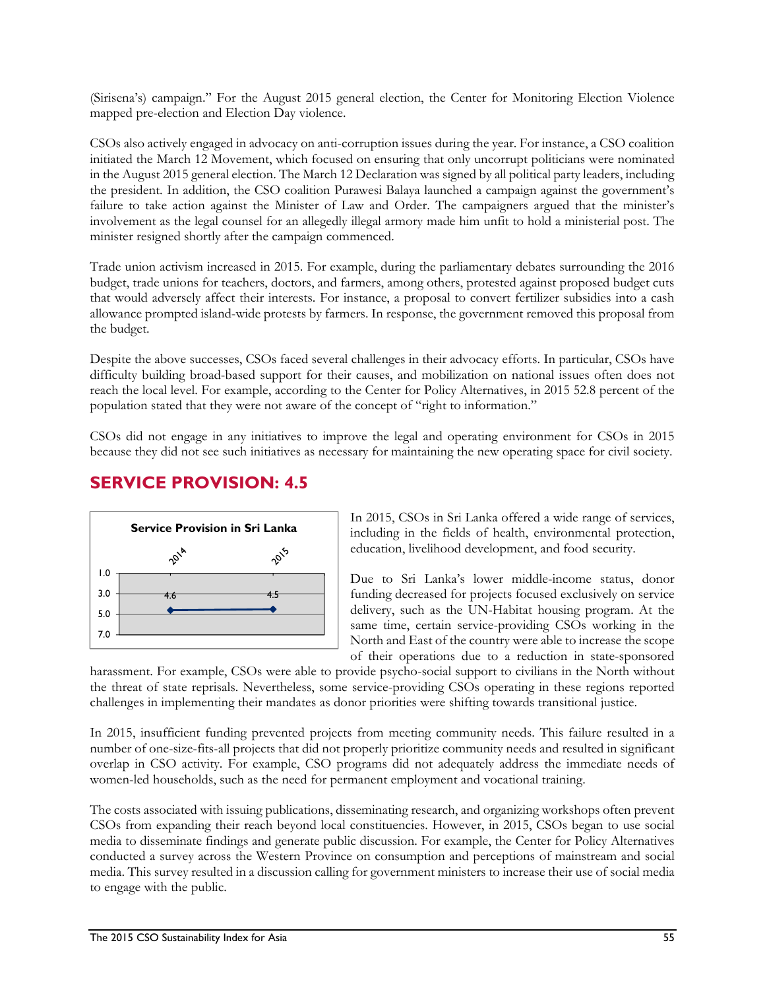(Sirisena's) campaign." For the August 2015 general election, the Center for Monitoring Election Violence mapped pre-election and Election Day violence.

CSOs also actively engaged in advocacy on anti-corruption issues during the year. For instance, a CSO coalition initiated the March 12 Movement, which focused on ensuring that only uncorrupt politicians were nominated in the August 2015 general election. The March 12 Declaration was signed by all political party leaders, including the president. In addition, the CSO coalition Purawesi Balaya launched a campaign against the government's failure to take action against the Minister of Law and Order. The campaigners argued that the minister's involvement as the legal counsel for an allegedly illegal armory made him unfit to hold a ministerial post. The minister resigned shortly after the campaign commenced.

Trade union activism increased in 2015. For example, during the parliamentary debates surrounding the 2016 budget, trade unions for teachers, doctors, and farmers, among others, protested against proposed budget cuts that would adversely affect their interests. For instance, a proposal to convert fertilizer subsidies into a cash allowance prompted island-wide protests by farmers. In response, the government removed this proposal from the budget.

Despite the above successes, CSOs faced several challenges in their advocacy efforts. In particular, CSOs have difficulty building broad-based support for their causes, and mobilization on national issues often does not reach the local level. For example, according to the Center for Policy Alternatives, in 2015 52.8 percent of the population stated that they were not aware of the concept of "right to information."

CSOs did not engage in any initiatives to improve the legal and operating environment for CSOs in 2015 because they did not see such initiatives as necessary for maintaining the new operating space for civil society.

### **SERVICE PROVISION: 4.5**



In 2015, CSOs in Sri Lanka offered a wide range of services, including in the fields of health, environmental protection, education, livelihood development, and food security.

Due to Sri Lanka's lower middle-income status, donor funding decreased for projects focused exclusively on service delivery, such as the UN-Habitat housing program. At the same time, certain service-providing CSOs working in the North and East of the country were able to increase the scope of their operations due to a reduction in state-sponsored

harassment. For example, CSOs were able to provide psycho-social support to civilians in the North without the threat of state reprisals. Nevertheless, some service-providing CSOs operating in these regions reported challenges in implementing their mandates as donor priorities were shifting towards transitional justice.

In 2015, insufficient funding prevented projects from meeting community needs. This failure resulted in a number of one-size-fits-all projects that did not properly prioritize community needs and resulted in significant overlap in CSO activity. For example, CSO programs did not adequately address the immediate needs of women-led households, such as the need for permanent employment and vocational training.

The costs associated with issuing publications, disseminating research, and organizing workshops often prevent CSOs from expanding their reach beyond local constituencies. However, in 2015, CSOs began to use social media to disseminate findings and generate public discussion. For example, the Center for Policy Alternatives conducted a survey across the Western Province on consumption and perceptions of mainstream and social media. This survey resulted in a discussion calling for government ministers to increase their use of social media to engage with the public.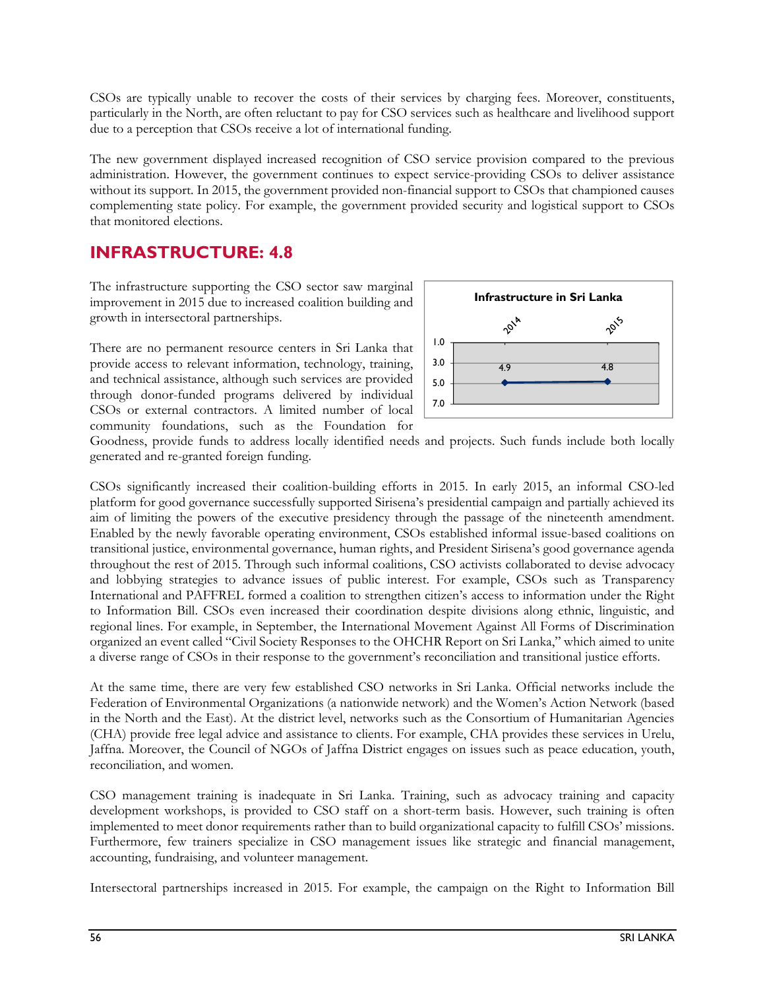CSOs are typically unable to recover the costs of their services by charging fees. Moreover, constituents, particularly in the North, are often reluctant to pay for CSO services such as healthcare and livelihood support due to a perception that CSOs receive a lot of international funding.

The new government displayed increased recognition of CSO service provision compared to the previous administration. However, the government continues to expect service-providing CSOs to deliver assistance without its support. In 2015, the government provided non-financial support to CSOs that championed causes complementing state policy. For example, the government provided security and logistical support to CSOs that monitored elections.

### **INFRASTRUCTURE: 4.8**

The infrastructure supporting the CSO sector saw marginal improvement in 2015 due to increased coalition building and growth in intersectoral partnerships.

There are no permanent resource centers in Sri Lanka that provide access to relevant information, technology, training, and technical assistance, although such services are provided through donor-funded programs delivered by individual CSOs or external contractors. A limited number of local community foundations, such as the Foundation for



Goodness, provide funds to address locally identified needs and projects. Such funds include both locally generated and re-granted foreign funding.

CSOs significantly increased their coalition-building efforts in 2015. In early 2015, an informal CSO-led platform for good governance successfully supported Sirisena's presidential campaign and partially achieved its aim of limiting the powers of the executive presidency through the passage of the nineteenth amendment. Enabled by the newly favorable operating environment, CSOs established informal issue-based coalitions on transitional justice, environmental governance, human rights, and President Sirisena's good governance agenda throughout the rest of 2015. Through such informal coalitions, CSO activists collaborated to devise advocacy and lobbying strategies to advance issues of public interest. For example, CSOs such as Transparency International and PAFFREL formed a coalition to strengthen citizen's access to information under the Right to Information Bill. CSOs even increased their coordination despite divisions along ethnic, linguistic, and regional lines. For example, in September, the International Movement Against All Forms of Discrimination organized an event called "Civil Society Responses to the OHCHR Report on Sri Lanka," which aimed to unite a diverse range of CSOs in their response to the government's reconciliation and transitional justice efforts.

At the same time, there are very few established CSO networks in Sri Lanka. Official networks include the Federation of Environmental Organizations (a nationwide network) and the Women's Action Network (based in the North and the East). At the district level, networks such as the Consortium of Humanitarian Agencies (CHA) provide free legal advice and assistance to clients. For example, CHA provides these services in Urelu, Jaffna. Moreover, the Council of NGOs of Jaffna District engages on issues such as peace education, youth, reconciliation, and women.

CSO management training is inadequate in Sri Lanka. Training, such as advocacy training and capacity development workshops, is provided to CSO staff on a short-term basis. However, such training is often implemented to meet donor requirements rather than to build organizational capacity to fulfill CSOs' missions. Furthermore, few trainers specialize in CSO management issues like strategic and financial management, accounting, fundraising, and volunteer management.

Intersectoral partnerships increased in 2015. For example, the campaign on the Right to Information Bill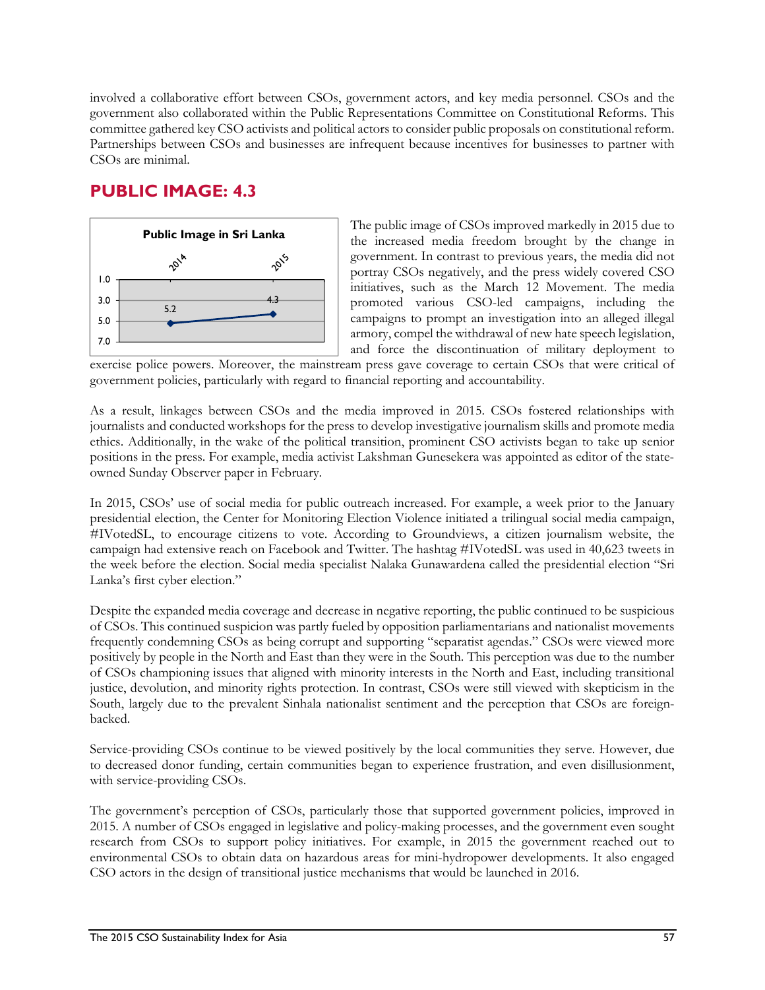involved a collaborative effort between CSOs, government actors, and key media personnel. CSOs and the government also collaborated within the Public Representations Committee on Constitutional Reforms. This committee gathered key CSO activists and political actors to consider public proposals on constitutional reform. Partnerships between CSOs and businesses are infrequent because incentives for businesses to partner with CSOs are minimal.

# **PUBLIC IMAGE: 4.3**



The public image of CSOs improved markedly in 2015 due to the increased media freedom brought by the change in government. In contrast to previous years, the media did not portray CSOs negatively, and the press widely covered CSO initiatives, such as the March 12 Movement. The media promoted various CSO-led campaigns, including the campaigns to prompt an investigation into an alleged illegal armory, compel the withdrawal of new hate speech legislation, and force the discontinuation of military deployment to

exercise police powers. Moreover, the mainstream press gave coverage to certain CSOs that were critical of government policies, particularly with regard to financial reporting and accountability.

As a result, linkages between CSOs and the media improved in 2015. CSOs fostered relationships with journalists and conducted workshops for the press to develop investigative journalism skills and promote media ethics. Additionally, in the wake of the political transition, prominent CSO activists began to take up senior positions in the press. For example, media activist Lakshman Gunesekera was appointed as editor of the stateowned Sunday Observer paper in February.

In 2015, CSOs' use of social media for public outreach increased. For example, a week prior to the January presidential election, the Center for Monitoring Election Violence initiated a trilingual social media campaign, #IVotedSL, to encourage citizens to vote. According to Groundviews, a citizen journalism website, the campaign had extensive reach on Facebook and Twitter. The hashtag #IVotedSL was used in 40,623 tweets in the week before the election. Social media specialist Nalaka Gunawardena called the presidential election "Sri Lanka's first cyber election."

Despite the expanded media coverage and decrease in negative reporting, the public continued to be suspicious of CSOs. This continued suspicion was partly fueled by opposition parliamentarians and nationalist movements frequently condemning CSOs as being corrupt and supporting "separatist agendas." CSOs were viewed more positively by people in the North and East than they were in the South. This perception was due to the number of CSOs championing issues that aligned with minority interests in the North and East, including transitional justice, devolution, and minority rights protection. In contrast, CSOs were still viewed with skepticism in the South, largely due to the prevalent Sinhala nationalist sentiment and the perception that CSOs are foreignbacked.

Service-providing CSOs continue to be viewed positively by the local communities they serve. However, due to decreased donor funding, certain communities began to experience frustration, and even disillusionment, with service-providing CSOs.

The government's perception of CSOs, particularly those that supported government policies, improved in 2015. A number of CSOs engaged in legislative and policy-making processes, and the government even sought research from CSOs to support policy initiatives. For example, in 2015 the government reached out to environmental CSOs to obtain data on hazardous areas for mini-hydropower developments. It also engaged CSO actors in the design of transitional justice mechanisms that would be launched in 2016.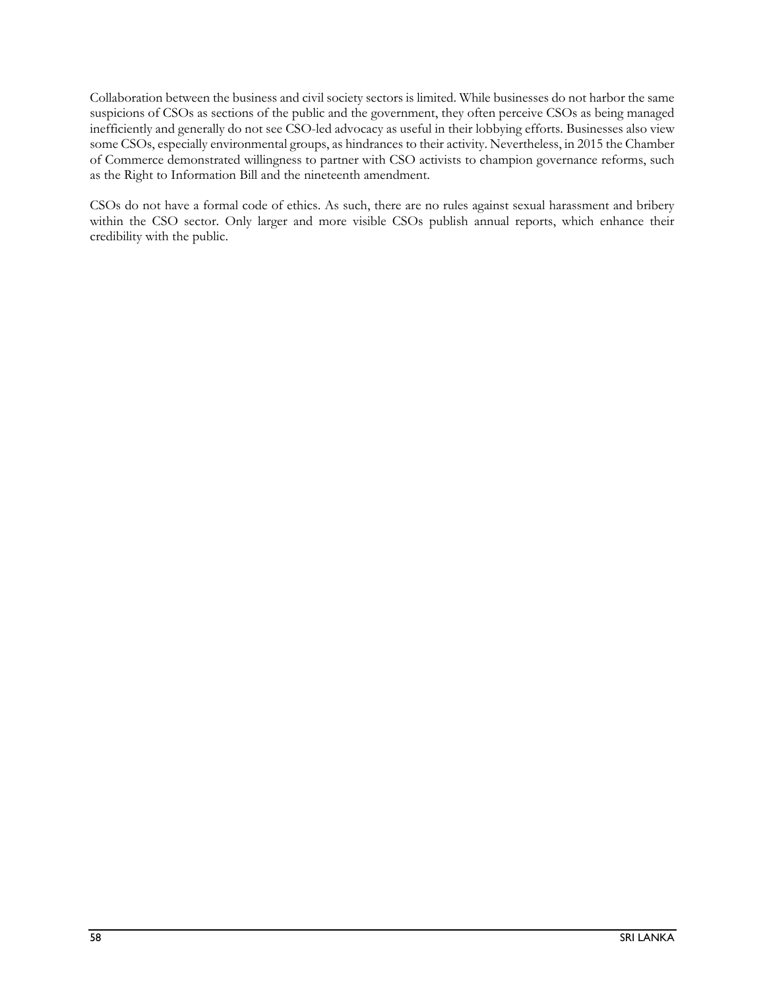Collaboration between the business and civil society sectors is limited. While businesses do not harbor the same suspicions of CSOs as sections of the public and the government, they often perceive CSOs as being managed inefficiently and generally do not see CSO-led advocacy as useful in their lobbying efforts. Businesses also view some CSOs, especially environmental groups, as hindrances to their activity. Nevertheless, in 2015 the Chamber of Commerce demonstrated willingness to partner with CSO activists to champion governance reforms, such as the Right to Information Bill and the nineteenth amendment.

CSOs do not have a formal code of ethics. As such, there are no rules against sexual harassment and bribery within the CSO sector. Only larger and more visible CSOs publish annual reports, which enhance their credibility with the public.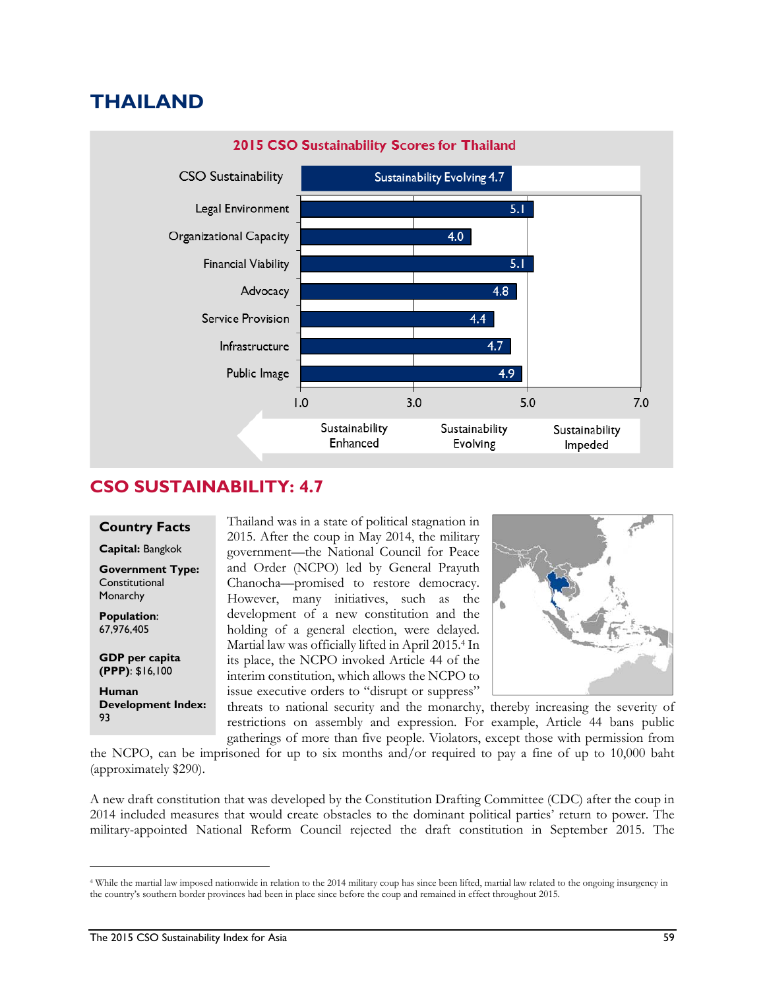# **THAILAND**



## **CSO SUSTAINABILITY: 4.7**

#### **Country Facts**

**Capital:** Bangkok

**Government Type: Constitutional** Monarchy

**Population**: 67,976,405

l

**GDP per capita (PPP)**: \$16,100

**Human Development Index:**  93

Thailand was in a state of political stagnation in 2015. After the coup in May 2014, the military government—the National Council for Peace and Order (NCPO) led by General Prayuth Chanocha—promised to restore democracy. However, many initiatives, such as the development of a new constitution and the holding of a general election, were delayed. Martial law was officially lifted in April 2015.4 In its place, the NCPO invoked Article 44 of the interim constitution, which allows the NCPO to issue executive orders to "disrupt or suppress"



threats to national security and the monarchy, thereby increasing the severity of restrictions on assembly and expression. For example, Article 44 bans public gatherings of more than five people. Violators, except those with permission from

the NCPO, can be imprisoned for up to six months and/or required to pay a fine of up to 10,000 baht (approximately \$290).

A new draft constitution that was developed by the Constitution Drafting Committee (CDC) after the coup in 2014 included measures that would create obstacles to the dominant political parties' return to power. The military-appointed National Reform Council rejected the draft constitution in September 2015. The

<sup>4</sup> While the martial law imposed nationwide in relation to the 2014 military coup has since been lifted, martial law related to the ongoing insurgency in the country's southern border provinces had been in place since before the coup and remained in effect throughout 2015.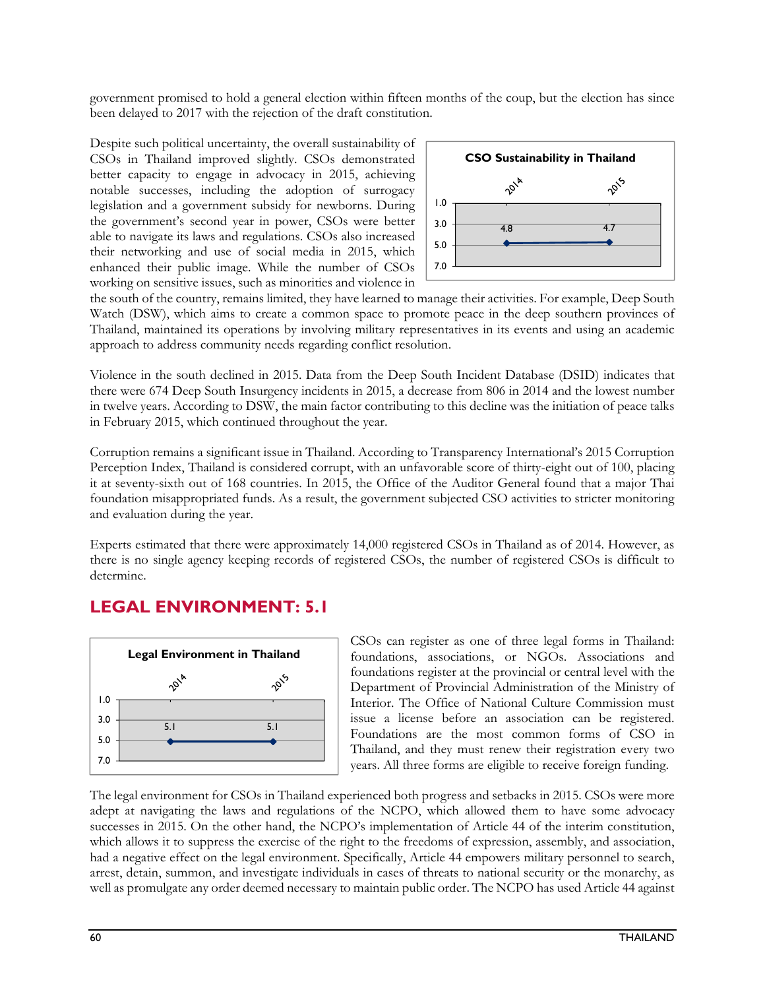government promised to hold a general election within fifteen months of the coup, but the election has since been delayed to 2017 with the rejection of the draft constitution.

Despite such political uncertainty, the overall sustainability of CSOs in Thailand improved slightly. CSOs demonstrated better capacity to engage in advocacy in 2015, achieving notable successes, including the adoption of surrogacy legislation and a government subsidy for newborns. During the government's second year in power, CSOs were better able to navigate its laws and regulations. CSOs also increased their networking and use of social media in 2015, which enhanced their public image. While the number of CSOs working on sensitive issues, such as minorities and violence in



the south of the country, remains limited, they have learned to manage their activities. For example, Deep South Watch (DSW), which aims to create a common space to promote peace in the deep southern provinces of Thailand, maintained its operations by involving military representatives in its events and using an academic approach to address community needs regarding conflict resolution.

Violence in the south declined in 2015. Data from the Deep South Incident Database (DSID) indicates that there were 674 Deep South Insurgency incidents in 2015, a decrease from 806 in 2014 and the lowest number in twelve years. According to DSW, the main factor contributing to this decline was the initiation of peace talks in February 2015, which continued throughout the year.

Corruption remains a significant issue in Thailand. According to Transparency International's 2015 Corruption Perception Index, Thailand is considered corrupt, with an unfavorable score of thirty-eight out of 100, placing it at seventy-sixth out of 168 countries. In 2015, the Office of the Auditor General found that a major Thai foundation misappropriated funds. As a result, the government subjected CSO activities to stricter monitoring and evaluation during the year.

Experts estimated that there were approximately 14,000 registered CSOs in Thailand as of 2014. However, as there is no single agency keeping records of registered CSOs, the number of registered CSOs is difficult to determine.

## **LEGAL ENVIRONMENT: 5.1**



CSOs can register as one of three legal forms in Thailand: foundations, associations, or NGOs. Associations and foundations register at the provincial or central level with the Department of Provincial Administration of the Ministry of Interior. The Office of National Culture Commission must issue a license before an association can be registered. Foundations are the most common forms of CSO in Thailand, and they must renew their registration every two years. All three forms are eligible to receive foreign funding.

The legal environment for CSOs in Thailand experienced both progress and setbacks in 2015. CSOs were more adept at navigating the laws and regulations of the NCPO, which allowed them to have some advocacy successes in 2015. On the other hand, the NCPO's implementation of Article 44 of the interim constitution, which allows it to suppress the exercise of the right to the freedoms of expression, assembly, and association, had a negative effect on the legal environment. Specifically, Article 44 empowers military personnel to search, arrest, detain, summon, and investigate individuals in cases of threats to national security or the monarchy, as well as promulgate any order deemed necessary to maintain public order. The NCPO has used Article 44 against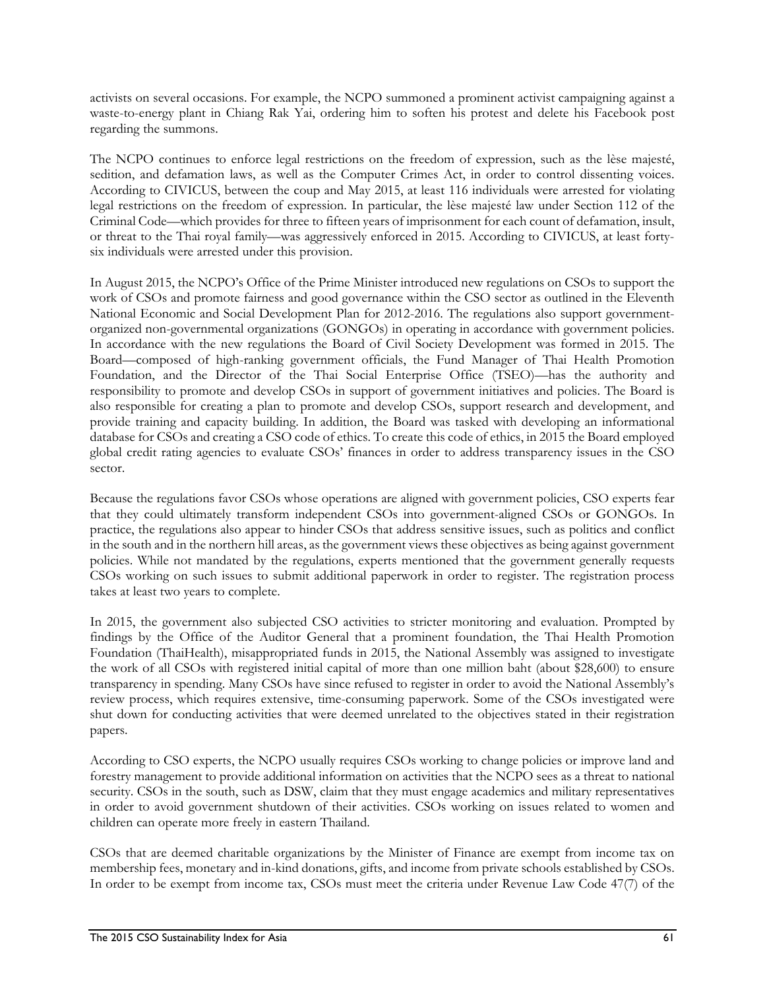activists on several occasions. For example, the NCPO summoned a prominent activist campaigning against a waste-to-energy plant in Chiang Rak Yai, ordering him to soften his protest and delete his Facebook post regarding the summons.

The NCPO continues to enforce legal restrictions on the freedom of expression, such as the lèse majesté, sedition, and defamation laws, as well as the Computer Crimes Act, in order to control dissenting voices. According to CIVICUS, between the coup and May 2015, at least 116 individuals were arrested for violating legal restrictions on the freedom of expression. In particular, the lèse majesté law under Section 112 of the Criminal Code—which provides for three to fifteen years of imprisonment for each count of defamation, insult, or threat to the Thai royal family—was aggressively enforced in 2015. According to CIVICUS, at least fortysix individuals were arrested under this provision.

In August 2015, the NCPO's Office of the Prime Minister introduced new regulations on CSOs to support the work of CSOs and promote fairness and good governance within the CSO sector as outlined in the Eleventh National Economic and Social Development Plan for 2012-2016. The regulations also support governmentorganized non-governmental organizations (GONGOs) in operating in accordance with government policies. In accordance with the new regulations the Board of Civil Society Development was formed in 2015. The Board—composed of high-ranking government officials, the Fund Manager of Thai Health Promotion Foundation, and the Director of the Thai Social Enterprise Office (TSEO)—has the authority and responsibility to promote and develop CSOs in support of government initiatives and policies. The Board is also responsible for creating a plan to promote and develop CSOs, support research and development, and provide training and capacity building. In addition, the Board was tasked with developing an informational database for CSOs and creating a CSO code of ethics. To create this code of ethics, in 2015 the Board employed global credit rating agencies to evaluate CSOs' finances in order to address transparency issues in the CSO sector.

Because the regulations favor CSOs whose operations are aligned with government policies, CSO experts fear that they could ultimately transform independent CSOs into government-aligned CSOs or GONGOs. In practice, the regulations also appear to hinder CSOs that address sensitive issues, such as politics and conflict in the south and in the northern hill areas, as the government views these objectives as being against government policies. While not mandated by the regulations, experts mentioned that the government generally requests CSOs working on such issues to submit additional paperwork in order to register. The registration process takes at least two years to complete.

In 2015, the government also subjected CSO activities to stricter monitoring and evaluation. Prompted by findings by the Office of the Auditor General that a prominent foundation, the Thai Health Promotion Foundation (ThaiHealth), misappropriated funds in 2015, the National Assembly was assigned to investigate the work of all CSOs with registered initial capital of more than one million baht (about \$28,600) to ensure transparency in spending. Many CSOs have since refused to register in order to avoid the National Assembly's review process, which requires extensive, time-consuming paperwork. Some of the CSOs investigated were shut down for conducting activities that were deemed unrelated to the objectives stated in their registration papers.

According to CSO experts, the NCPO usually requires CSOs working to change policies or improve land and forestry management to provide additional information on activities that the NCPO sees as a threat to national security. CSOs in the south, such as DSW, claim that they must engage academics and military representatives in order to avoid government shutdown of their activities. CSOs working on issues related to women and children can operate more freely in eastern Thailand.

CSOs that are deemed charitable organizations by the Minister of Finance are exempt from income tax on membership fees, monetary and in-kind donations, gifts, and income from private schools established by CSOs. In order to be exempt from income tax, CSOs must meet the criteria under Revenue Law Code 47(7) of the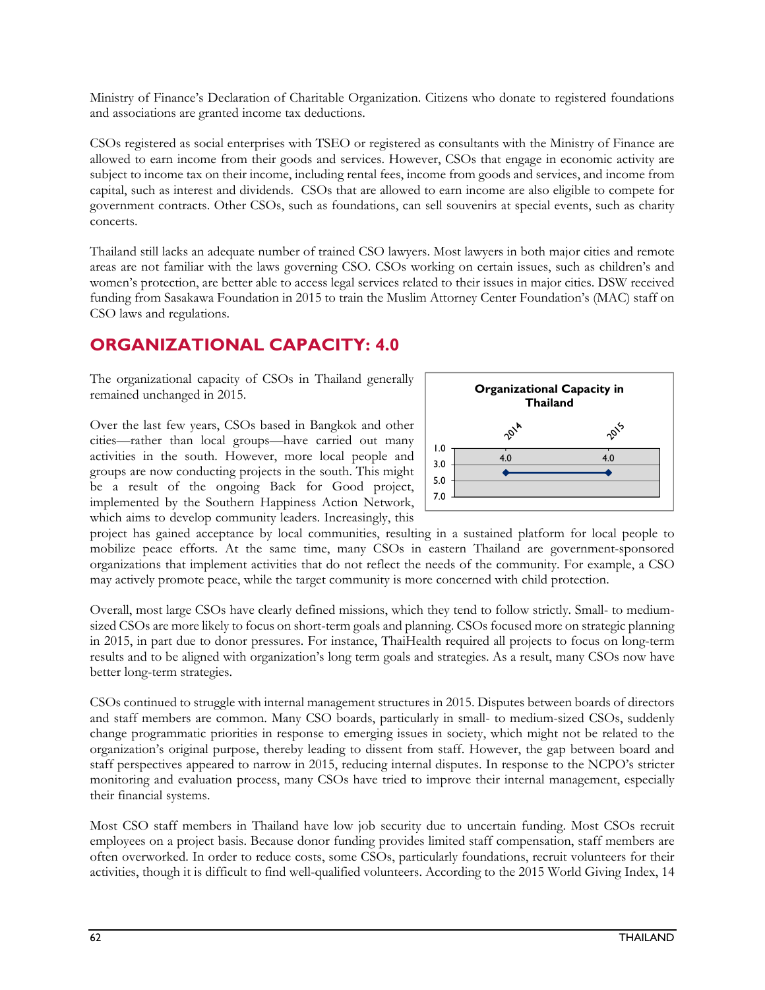Ministry of Finance's Declaration of Charitable Organization. Citizens who donate to registered foundations and associations are granted income tax deductions.

CSOs registered as social enterprises with TSEO or registered as consultants with the Ministry of Finance are allowed to earn income from their goods and services. However, CSOs that engage in economic activity are subject to income tax on their income, including rental fees, income from goods and services, and income from capital, such as interest and dividends. CSOs that are allowed to earn income are also eligible to compete for government contracts. Other CSOs, such as foundations, can sell souvenirs at special events, such as charity concerts.

Thailand still lacks an adequate number of trained CSO lawyers. Most lawyers in both major cities and remote areas are not familiar with the laws governing CSO. CSOs working on certain issues, such as children's and women's protection, are better able to access legal services related to their issues in major cities. DSW received funding from Sasakawa Foundation in 2015 to train the Muslim Attorney Center Foundation's (MAC) staff on CSO laws and regulations.

# **ORGANIZATIONAL CAPACITY: 4.0**

The organizational capacity of CSOs in Thailand generally remained unchanged in 2015.

Over the last few years, CSOs based in Bangkok and other cities—rather than local groups—have carried out many activities in the south. However, more local people and groups are now conducting projects in the south. This might be a result of the ongoing Back for Good project, implemented by the Southern Happiness Action Network, which aims to develop community leaders. Increasingly, this



project has gained acceptance by local communities, resulting in a sustained platform for local people to mobilize peace efforts. At the same time, many CSOs in eastern Thailand are government-sponsored organizations that implement activities that do not reflect the needs of the community. For example, a CSO may actively promote peace, while the target community is more concerned with child protection.

Overall, most large CSOs have clearly defined missions, which they tend to follow strictly. Small- to mediumsized CSOs are more likely to focus on short-term goals and planning. CSOs focused more on strategic planning in 2015, in part due to donor pressures. For instance, ThaiHealth required all projects to focus on long-term results and to be aligned with organization's long term goals and strategies. As a result, many CSOs now have better long-term strategies.

CSOs continued to struggle with internal management structures in 2015. Disputes between boards of directors and staff members are common. Many CSO boards, particularly in small- to medium-sized CSOs, suddenly change programmatic priorities in response to emerging issues in society, which might not be related to the organization's original purpose, thereby leading to dissent from staff. However, the gap between board and staff perspectives appeared to narrow in 2015, reducing internal disputes. In response to the NCPO's stricter monitoring and evaluation process, many CSOs have tried to improve their internal management, especially their financial systems.

Most CSO staff members in Thailand have low job security due to uncertain funding. Most CSOs recruit employees on a project basis. Because donor funding provides limited staff compensation, staff members are often overworked. In order to reduce costs, some CSOs, particularly foundations, recruit volunteers for their activities, though it is difficult to find well-qualified volunteers. According to the 2015 World Giving Index, 14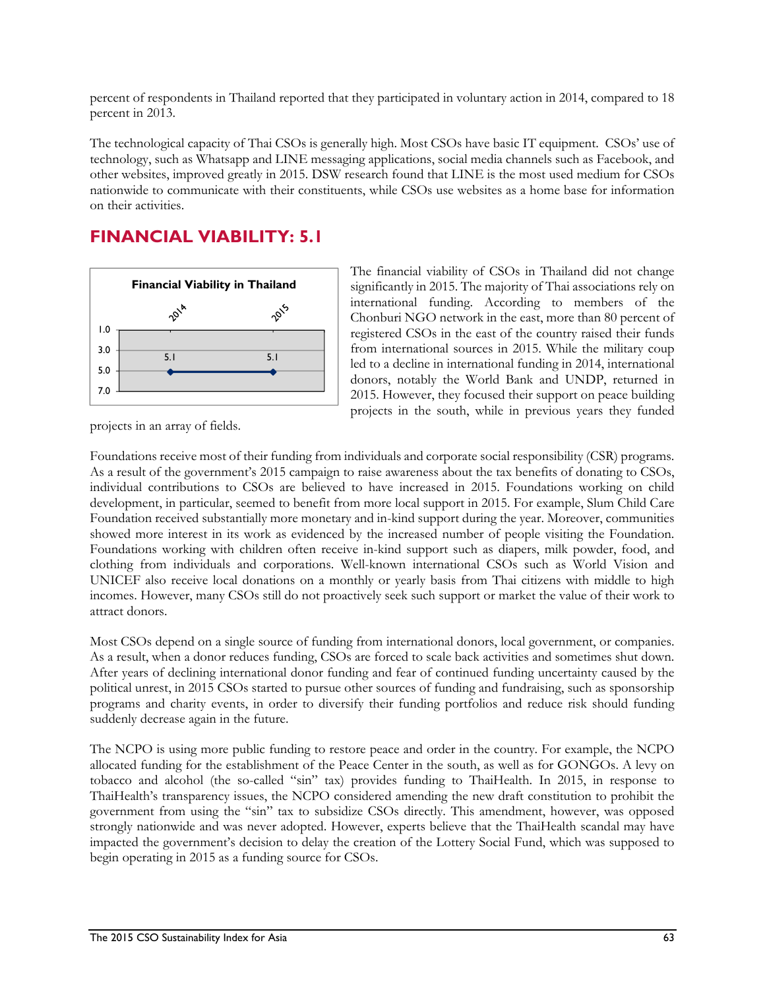percent of respondents in Thailand reported that they participated in voluntary action in 2014, compared to 18 percent in 2013.

The technological capacity of Thai CSOs is generally high. Most CSOs have basic IT equipment. CSOs' use of technology, such as Whatsapp and LINE messaging applications, social media channels such as Facebook, and other websites, improved greatly in 2015. DSW research found that LINE is the most used medium for CSOs nationwide to communicate with their constituents, while CSOs use websites as a home base for information on their activities.

# **FINANCIAL VIABILITY: 5.1**



The financial viability of CSOs in Thailand did not change significantly in 2015. The majority of Thai associations rely on international funding. According to members of the Chonburi NGO network in the east, more than 80 percent of registered CSOs in the east of the country raised their funds from international sources in 2015. While the military coup led to a decline in international funding in 2014, international donors, notably the World Bank and UNDP, returned in 2015. However, they focused their support on peace building projects in the south, while in previous years they funded

projects in an array of fields.

Foundations receive most of their funding from individuals and corporate social responsibility (CSR) programs. As a result of the government's 2015 campaign to raise awareness about the tax benefits of donating to CSOs, individual contributions to CSOs are believed to have increased in 2015. Foundations working on child development, in particular, seemed to benefit from more local support in 2015. For example, Slum Child Care Foundation received substantially more monetary and in-kind support during the year. Moreover, communities showed more interest in its work as evidenced by the increased number of people visiting the Foundation. Foundations working with children often receive in-kind support such as diapers, milk powder, food, and clothing from individuals and corporations. Well-known international CSOs such as World Vision and UNICEF also receive local donations on a monthly or yearly basis from Thai citizens with middle to high incomes. However, many CSOs still do not proactively seek such support or market the value of their work to attract donors.

Most CSOs depend on a single source of funding from international donors, local government, or companies. As a result, when a donor reduces funding, CSOs are forced to scale back activities and sometimes shut down. After years of declining international donor funding and fear of continued funding uncertainty caused by the political unrest, in 2015 CSOs started to pursue other sources of funding and fundraising, such as sponsorship programs and charity events, in order to diversify their funding portfolios and reduce risk should funding suddenly decrease again in the future.

The NCPO is using more public funding to restore peace and order in the country. For example, the NCPO allocated funding for the establishment of the Peace Center in the south, as well as for GONGOs. A levy on tobacco and alcohol (the so-called "sin" tax) provides funding to ThaiHealth. In 2015, in response to ThaiHealth's transparency issues, the NCPO considered amending the new draft constitution to prohibit the government from using the "sin" tax to subsidize CSOs directly. This amendment, however, was opposed strongly nationwide and was never adopted. However, experts believe that the ThaiHealth scandal may have impacted the government's decision to delay the creation of the Lottery Social Fund, which was supposed to begin operating in 2015 as a funding source for CSOs.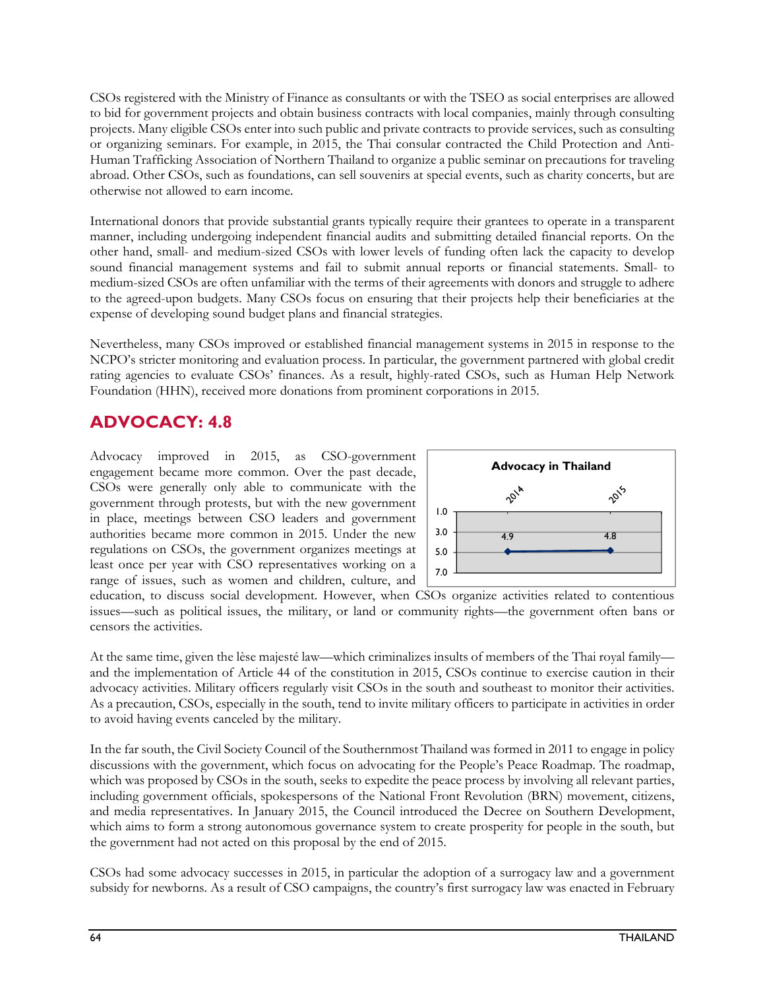CSOs registered with the Ministry of Finance as consultants or with the TSEO as social enterprises are allowed to bid for government projects and obtain business contracts with local companies, mainly through consulting projects. Many eligible CSOs enter into such public and private contracts to provide services, such as consulting or organizing seminars. For example, in 2015, the Thai consular contracted the Child Protection and Anti-Human Trafficking Association of Northern Thailand to organize a public seminar on precautions for traveling abroad. Other CSOs, such as foundations, can sell souvenirs at special events, such as charity concerts, but are otherwise not allowed to earn income.

International donors that provide substantial grants typically require their grantees to operate in a transparent manner, including undergoing independent financial audits and submitting detailed financial reports. On the other hand, small- and medium-sized CSOs with lower levels of funding often lack the capacity to develop sound financial management systems and fail to submit annual reports or financial statements. Small- to medium-sized CSOs are often unfamiliar with the terms of their agreements with donors and struggle to adhere to the agreed-upon budgets. Many CSOs focus on ensuring that their projects help their beneficiaries at the expense of developing sound budget plans and financial strategies.

Nevertheless, many CSOs improved or established financial management systems in 2015 in response to the NCPO's stricter monitoring and evaluation process. In particular, the government partnered with global credit rating agencies to evaluate CSOs' finances. As a result, highly-rated CSOs, such as Human Help Network Foundation (HHN), received more donations from prominent corporations in 2015.

# **ADVOCACY: 4.8**

Advocacy improved in 2015, as CSO-government engagement became more common. Over the past decade, CSOs were generally only able to communicate with the government through protests, but with the new government in place, meetings between CSO leaders and government authorities became more common in 2015. Under the new regulations on CSOs, the government organizes meetings at least once per year with CSO representatives working on a range of issues, such as women and children, culture, and



education, to discuss social development. However, when CSOs organize activities related to contentious issues—such as political issues, the military, or land or community rights—the government often bans or censors the activities.

At the same time, given the lèse majesté law—which criminalizes insults of members of the Thai royal family and the implementation of Article 44 of the constitution in 2015, CSOs continue to exercise caution in their advocacy activities. Military officers regularly visit CSOs in the south and southeast to monitor their activities. As a precaution, CSOs, especially in the south, tend to invite military officers to participate in activities in order to avoid having events canceled by the military.

In the far south, the Civil Society Council of the Southernmost Thailand was formed in 2011 to engage in policy discussions with the government, which focus on advocating for the People's Peace Roadmap. The roadmap, which was proposed by CSOs in the south, seeks to expedite the peace process by involving all relevant parties, including government officials, spokespersons of the National Front Revolution (BRN) movement, citizens, and media representatives. In January 2015, the Council introduced the Decree on Southern Development, which aims to form a strong autonomous governance system to create prosperity for people in the south, but the government had not acted on this proposal by the end of 2015.

CSOs had some advocacy successes in 2015, in particular the adoption of a surrogacy law and a government subsidy for newborns. As a result of CSO campaigns, the country's first surrogacy law was enacted in February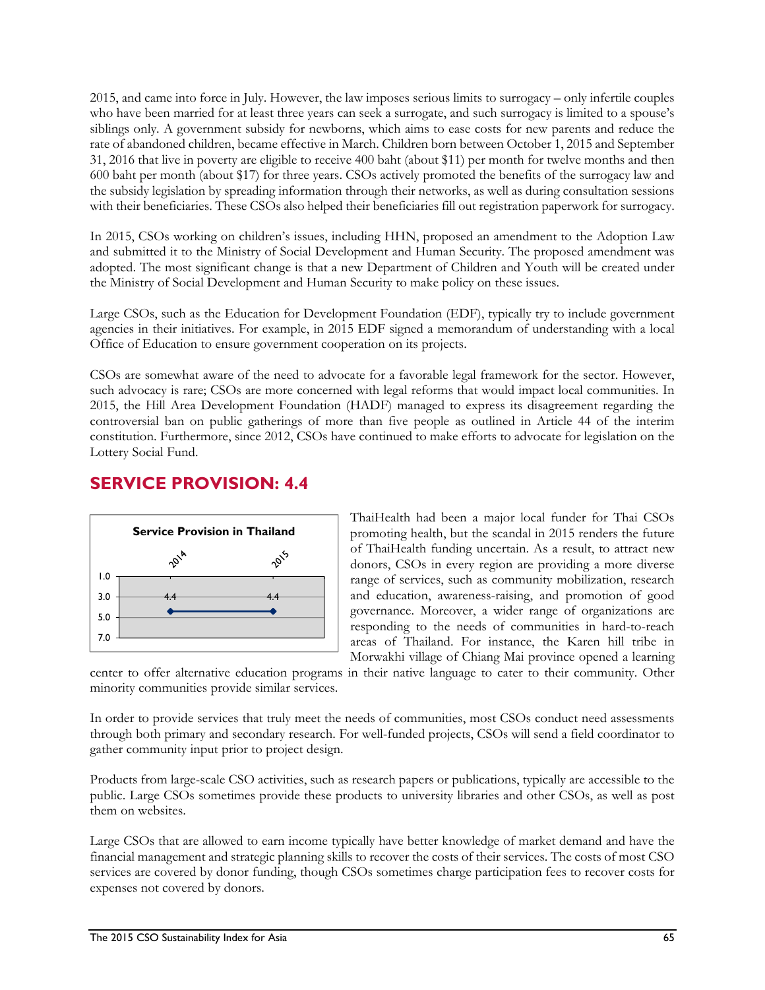2015, and came into force in July. However, the law imposes serious limits to surrogacy – only infertile couples who have been married for at least three years can seek a surrogate, and such surrogacy is limited to a spouse's siblings only. A government subsidy for newborns, which aims to ease costs for new parents and reduce the rate of abandoned children, became effective in March. Children born between October 1, 2015 and September 31, 2016 that live in poverty are eligible to receive 400 baht (about \$11) per month for twelve months and then 600 baht per month (about \$17) for three years. CSOs actively promoted the benefits of the surrogacy law and the subsidy legislation by spreading information through their networks, as well as during consultation sessions with their beneficiaries. These CSOs also helped their beneficiaries fill out registration paperwork for surrogacy.

In 2015, CSOs working on children's issues, including HHN, proposed an amendment to the Adoption Law and submitted it to the Ministry of Social Development and Human Security. The proposed amendment was adopted. The most significant change is that a new Department of Children and Youth will be created under the Ministry of Social Development and Human Security to make policy on these issues.

Large CSOs, such as the Education for Development Foundation (EDF), typically try to include government agencies in their initiatives. For example, in 2015 EDF signed a memorandum of understanding with a local Office of Education to ensure government cooperation on its projects.

CSOs are somewhat aware of the need to advocate for a favorable legal framework for the sector. However, such advocacy is rare; CSOs are more concerned with legal reforms that would impact local communities. In 2015, the Hill Area Development Foundation (HADF) managed to express its disagreement regarding the controversial ban on public gatherings of more than five people as outlined in Article 44 of the interim constitution. Furthermore, since 2012, CSOs have continued to make efforts to advocate for legislation on the Lottery Social Fund.

# **SERVICE PROVISION: 4.4**



ThaiHealth had been a major local funder for Thai CSOs promoting health, but the scandal in 2015 renders the future of ThaiHealth funding uncertain. As a result, to attract new donors, CSOs in every region are providing a more diverse range of services, such as community mobilization, research and education, awareness-raising, and promotion of good governance. Moreover, a wider range of organizations are responding to the needs of communities in hard-to-reach areas of Thailand. For instance, the Karen hill tribe in Morwakhi village of Chiang Mai province opened a learning

center to offer alternative education programs in their native language to cater to their community. Other minority communities provide similar services.

In order to provide services that truly meet the needs of communities, most CSOs conduct need assessments through both primary and secondary research. For well-funded projects, CSOs will send a field coordinator to gather community input prior to project design.

Products from large-scale CSO activities, such as research papers or publications, typically are accessible to the public. Large CSOs sometimes provide these products to university libraries and other CSOs, as well as post them on websites.

Large CSOs that are allowed to earn income typically have better knowledge of market demand and have the financial management and strategic planning skills to recover the costs of their services. The costs of most CSO services are covered by donor funding, though CSOs sometimes charge participation fees to recover costs for expenses not covered by donors.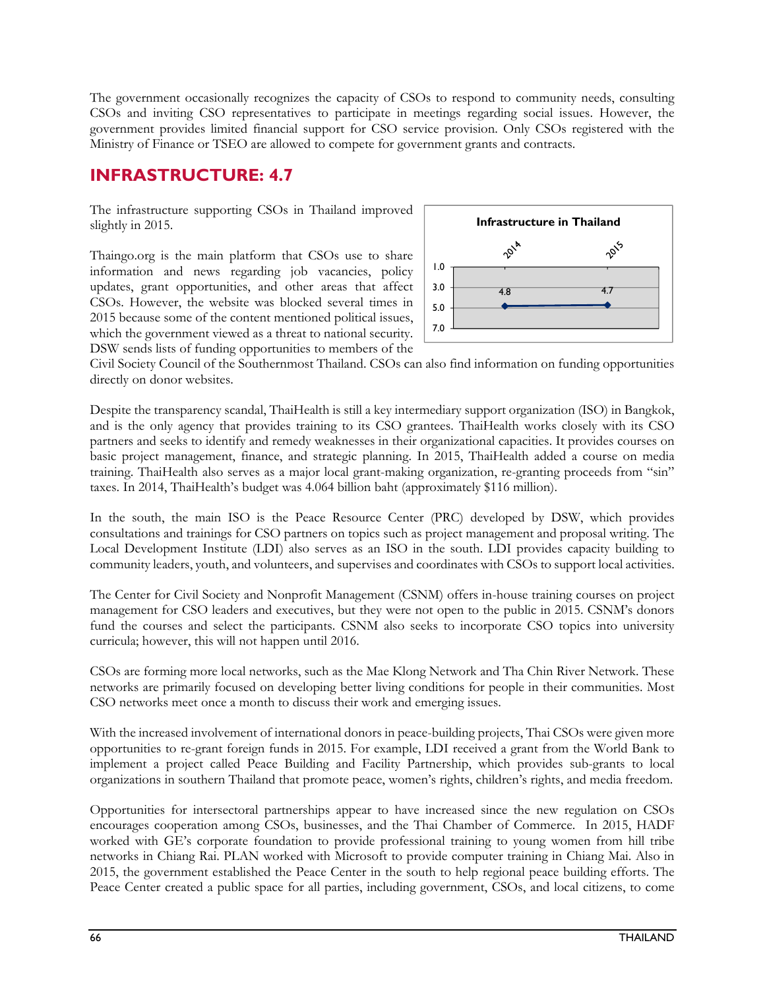The government occasionally recognizes the capacity of CSOs to respond to community needs, consulting CSOs and inviting CSO representatives to participate in meetings regarding social issues. However, the government provides limited financial support for CSO service provision. Only CSOs registered with the Ministry of Finance or TSEO are allowed to compete for government grants and contracts.

## **INFRASTRUCTURE: 4.7**

The infrastructure supporting CSOs in Thailand improved slightly in 2015.

Thaingo.org is the main platform that CSOs use to share information and news regarding job vacancies, policy updates, grant opportunities, and other areas that affect CSOs. However, the website was blocked several times in 2015 because some of the content mentioned political issues, which the government viewed as a threat to national security. DSW sends lists of funding opportunities to members of the



Civil Society Council of the Southernmost Thailand. CSOs can also find information on funding opportunities directly on donor websites.

Despite the transparency scandal, ThaiHealth is still a key intermediary support organization (ISO) in Bangkok, and is the only agency that provides training to its CSO grantees. ThaiHealth works closely with its CSO partners and seeks to identify and remedy weaknesses in their organizational capacities. It provides courses on basic project management, finance, and strategic planning. In 2015, ThaiHealth added a course on media training. ThaiHealth also serves as a major local grant-making organization, re-granting proceeds from "sin" taxes. In 2014, ThaiHealth's budget was 4.064 billion baht (approximately \$116 million).

In the south, the main ISO is the Peace Resource Center (PRC) developed by DSW, which provides consultations and trainings for CSO partners on topics such as project management and proposal writing. The Local Development Institute (LDI) also serves as an ISO in the south. LDI provides capacity building to community leaders, youth, and volunteers, and supervises and coordinates with CSOs to support local activities.

The Center for Civil Society and Nonprofit Management (CSNM) offers in-house training courses on project management for CSO leaders and executives, but they were not open to the public in 2015. CSNM's donors fund the courses and select the participants. CSNM also seeks to incorporate CSO topics into university curricula; however, this will not happen until 2016.

CSOs are forming more local networks, such as the Mae Klong Network and Tha Chin River Network. These networks are primarily focused on developing better living conditions for people in their communities. Most CSO networks meet once a month to discuss their work and emerging issues.

With the increased involvement of international donors in peace-building projects, Thai CSOs were given more opportunities to re-grant foreign funds in 2015. For example, LDI received a grant from the World Bank to implement a project called Peace Building and Facility Partnership, which provides sub-grants to local organizations in southern Thailand that promote peace, women's rights, children's rights, and media freedom.

Opportunities for intersectoral partnerships appear to have increased since the new regulation on CSOs encourages cooperation among CSOs, businesses, and the Thai Chamber of Commerce. In 2015, HADF worked with GE's corporate foundation to provide professional training to young women from hill tribe networks in Chiang Rai. PLAN worked with Microsoft to provide computer training in Chiang Mai. Also in 2015, the government established the Peace Center in the south to help regional peace building efforts. The Peace Center created a public space for all parties, including government, CSOs, and local citizens, to come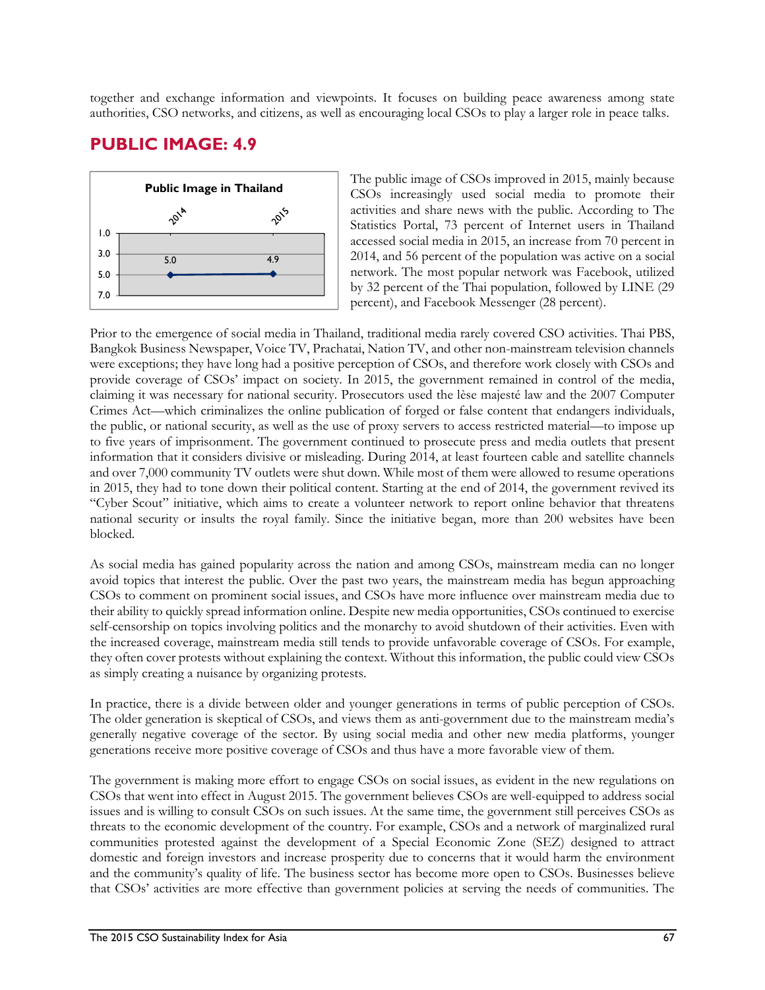together and exchange information and viewpoints. It focuses on building peace awareness among state authorities, CSO networks, and citizens, as well as encouraging local CSOs to play a larger role in peace talks.

# **PUBLIC IMAGE: 4.9**



The public image of CSOs improved in 2015, mainly because CSOs increasingly used social media to promote their activities and share news with the public. According to The Statistics Portal, 73 percent of Internet users in Thailand accessed social media in 2015, an increase from 70 percent in 2014, and 56 percent of the population was active on a social network. The most popular network was Facebook, utilized by 32 percent of the Thai population, followed by LINE (29 percent), and Facebook Messenger (28 percent).

Prior to the emergence of social media in Thailand, traditional media rarely covered CSO activities. Thai PBS, Bangkok Business Newspaper, Voice TV, Prachatai, Nation TV, and other non-mainstream television channels were exceptions; they have long had a positive perception of CSOs, and therefore work closely with CSOs and provide coverage of CSOs' impact on society. In 2015, the government remained in control of the media, claiming it was necessary for national security. Prosecutors used the lèse majesté law and the 2007 Computer Crimes Act—which criminalizes the online publication of forged or false content that endangers individuals, the public, or national security, as well as the use of proxy servers to access restricted material—to impose up to five years of imprisonment. The government continued to prosecute press and media outlets that present information that it considers divisive or misleading. During 2014, at least fourteen cable and satellite channels and over 7,000 community TV outlets were shut down. While most of them were allowed to resume operations in 2015, they had to tone down their political content. Starting at the end of 2014, the government revived its "Cyber Scout" initiative, which aims to create a volunteer network to report online behavior that threatens national security or insults the royal family. Since the initiative began, more than 200 websites have been blocked.

As social media has gained popularity across the nation and among CSOs, mainstream media can no longer avoid topics that interest the public. Over the past two years, the mainstream media has begun approaching CSOs to comment on prominent social issues, and CSOs have more influence over mainstream media due to their ability to quickly spread information online. Despite new media opportunities, CSOs continued to exercise self-censorship on topics involving politics and the monarchy to avoid shutdown of their activities. Even with the increased coverage, mainstream media still tends to provide unfavorable coverage of CSOs. For example, they often cover protests without explaining the context. Without this information, the public could view CSOs as simply creating a nuisance by organizing protests.

In practice, there is a divide between older and younger generations in terms of public perception of CSOs. The older generation is skeptical of CSOs, and views them as anti-government due to the mainstream media's generally negative coverage of the sector. By using social media and other new media platforms, younger generations receive more positive coverage of CSOs and thus have a more favorable view of them.

The government is making more effort to engage CSOs on social issues, as evident in the new regulations on CSOs that went into effect in August 2015. The government believes CSOs are well-equipped to address social issues and is willing to consult CSOs on such issues. At the same time, the government still perceives CSOs as threats to the economic development of the country. For example, CSOs and a network of marginalized rural communities protested against the development of a Special Economic Zone (SEZ) designed to attract domestic and foreign investors and increase prosperity due to concerns that it would harm the environment and the community's quality of life. The business sector has become more open to CSOs. Businesses believe that CSOs' activities are more effective than government policies at serving the needs of communities. The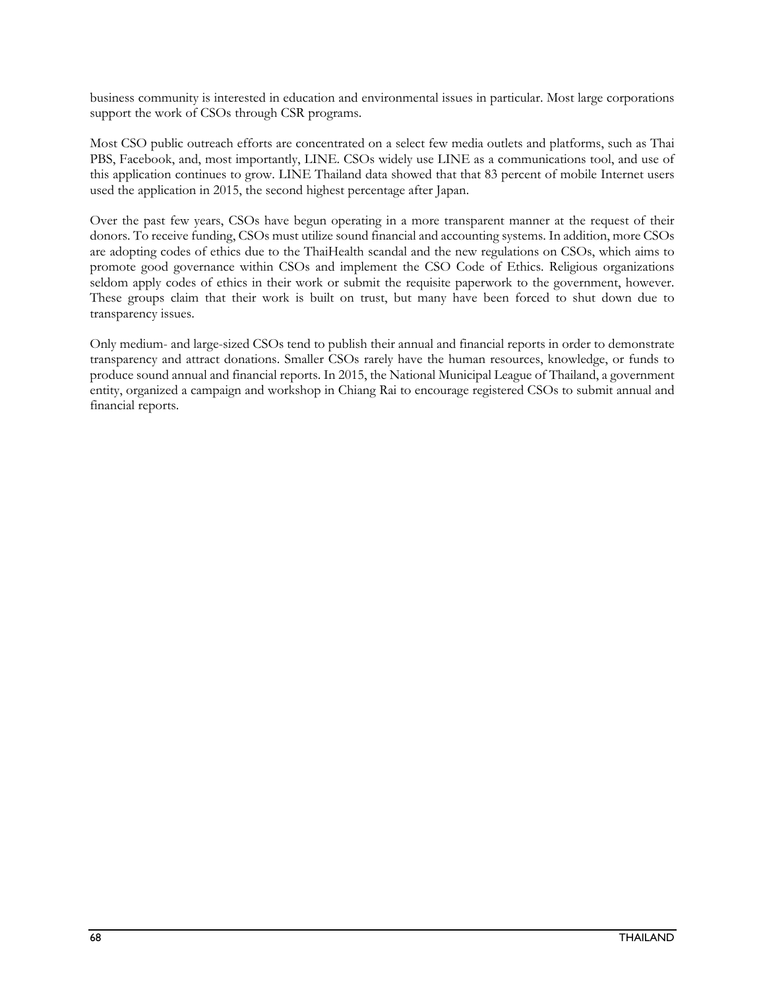business community is interested in education and environmental issues in particular. Most large corporations support the work of CSOs through CSR programs.

Most CSO public outreach efforts are concentrated on a select few media outlets and platforms, such as Thai PBS, Facebook, and, most importantly, LINE. CSOs widely use LINE as a communications tool, and use of this application continues to grow. LINE Thailand data showed that that 83 percent of mobile Internet users used the application in 2015, the second highest percentage after Japan.

Over the past few years, CSOs have begun operating in a more transparent manner at the request of their donors. To receive funding, CSOs must utilize sound financial and accounting systems. In addition, more CSOs are adopting codes of ethics due to the ThaiHealth scandal and the new regulations on CSOs, which aims to promote good governance within CSOs and implement the CSO Code of Ethics. Religious organizations seldom apply codes of ethics in their work or submit the requisite paperwork to the government, however. These groups claim that their work is built on trust, but many have been forced to shut down due to transparency issues.

Only medium- and large-sized CSOs tend to publish their annual and financial reports in order to demonstrate transparency and attract donations. Smaller CSOs rarely have the human resources, knowledge, or funds to produce sound annual and financial reports. In 2015, the National Municipal League of Thailand, a government entity, organized a campaign and workshop in Chiang Rai to encourage registered CSOs to submit annual and financial reports.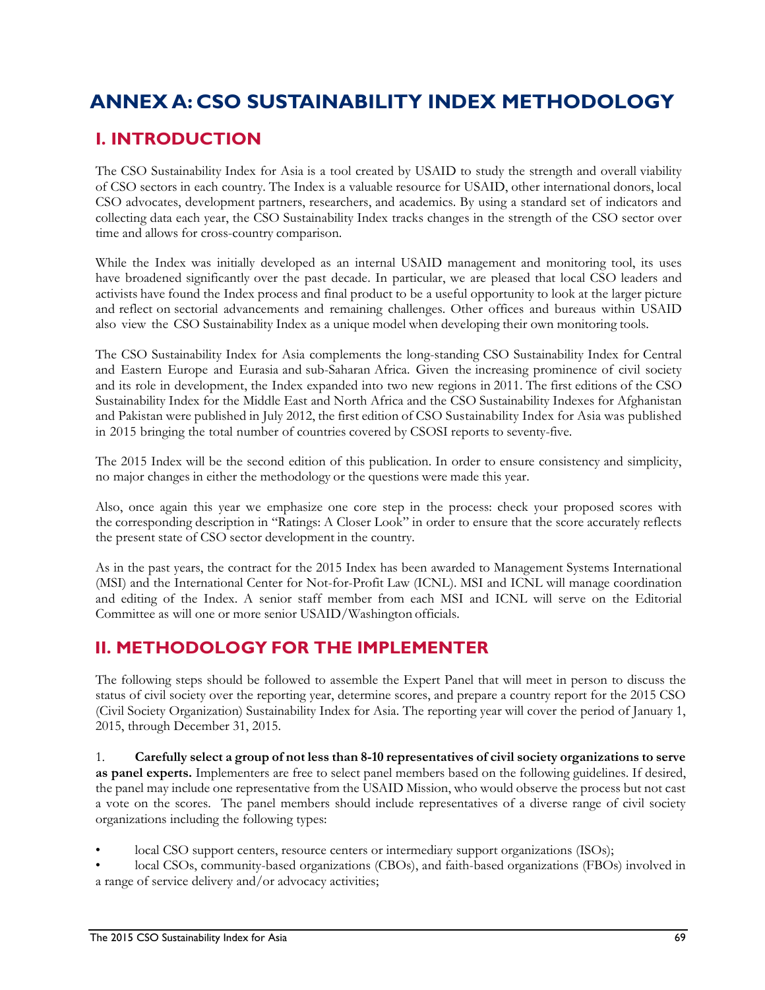# **ANNEX A: CSO SUSTAINABILITY INDEX METHODOLOGY**

# **I. INTRODUCTION**

The CSO Sustainability Index for Asia is a tool created by USAID to study the strength and overall viability of CSO sectors in each country. The Index is a valuable resource for USAID, other international donors, local CSO advocates, development partners, researchers, and academics. By using a standard set of indicators and collecting data each year, the CSO Sustainability Index tracks changes in the strength of the CSO sector over time and allows for cross-country comparison.

While the Index was initially developed as an internal USAID management and monitoring tool, its uses have broadened significantly over the past decade. In particular, we are pleased that local CSO leaders and activists have found the Index process and final product to be a useful opportunity to look at the larger picture and reflect on sectorial advancements and remaining challenges. Other offices and bureaus within USAID also view the CSO Sustainability Index as a unique model when developing their own monitoring tools.

The CSO Sustainability Index for Asia complements the long-standing CSO Sustainability Index for Central and Eastern Europe and Eurasia and sub-Saharan Africa. Given the increasing prominence of civil society and its role in development, the Index expanded into two new regions in 2011. The first editions of the CSO Sustainability Index for the Middle East and North Africa and the CSO Sustainability Indexes for Afghanistan and Pakistan were published in July 2012, the first edition of CSO Sustainability Index for Asia was published in 2015 bringing the total number of countries covered by CSOSI reports to seventy-five.

The 2015 Index will be the second edition of this publication. In order to ensure consistency and simplicity, no major changes in either the methodology or the questions were made this year.

Also, once again this year we emphasize one core step in the process: check your proposed scores with the corresponding description in "Ratings: A Closer Look" in order to ensure that the score accurately reflects the present state of CSO sector development in the country.

As in the past years, the contract for the 2015 Index has been awarded to Management Systems International (MSI) and the International Center for Not-for-Profit Law (ICNL). MSI and ICNL will manage coordination and editing of the Index. A senior staff member from each MSI and ICNL will serve on the Editorial Committee as will one or more senior USAID/Washington officials.

# **II. METHODOLOGY FOR THE IMPLEMENTER**

The following steps should be followed to assemble the Expert Panel that will meet in person to discuss the status of civil society over the reporting year, determine scores, and prepare a country report for the 2015 CSO (Civil Society Organization) Sustainability Index for Asia. The reporting year will cover the period of January 1, 2015, through December 31, 2015.

1. **Carefully select a group of not less than 8-10 representatives of civil society organizations to serve as panel experts.** Implementers are free to select panel members based on the following guidelines. If desired, the panel may include one representative from the USAID Mission, who would observe the process but not cast a vote on the scores. The panel members should include representatives of a diverse range of civil society organizations including the following types:

- local CSO support centers, resource centers or intermediary support organizations (ISOs);
- local CSOs, community-based organizations (CBOs), and faith-based organizations (FBOs) involved in a range of service delivery and/or advocacy activities;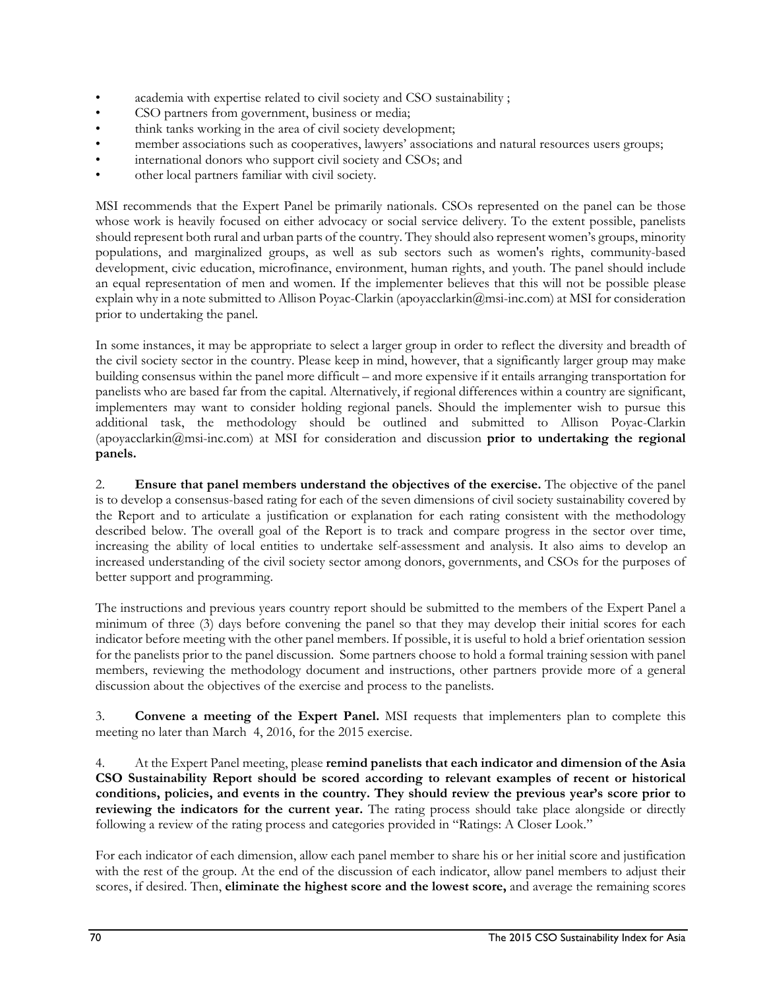- academia with expertise related to civil society and CSO sustainability ;
- CSO partners from government, business or media;
- think tanks working in the area of civil society development;
- member associations such as cooperatives, lawyers' associations and natural resources users groups;
- international donors who support civil society and CSOs; and
- other local partners familiar with civil society.

MSI recommends that the Expert Panel be primarily nationals. CSOs represented on the panel can be those whose work is heavily focused on either advocacy or social service delivery. To the extent possible, panelists should represent both rural and urban parts of the country. They should also represent women's groups, minority populations, and marginalized groups, as well as sub sectors such as women's rights, community-based development, civic education, microfinance, environment, human rights, and youth. The panel should include an equal representation of men and women. If the implementer believes that this will not be possible please explain why in a note submitted to Allison Poyac-Clarkin (apoyacclarkin@msi-inc.com) at MSI for consideration prior to undertaking the panel.

In some instances, it may be appropriate to select a larger group in order to reflect the diversity and breadth of the civil society sector in the country. Please keep in mind, however, that a significantly larger group may make building consensus within the panel more difficult – and more expensive if it entails arranging transportation for panelists who are based far from the capital. Alternatively, if regional differences within a country are significant, implementers may want to consider holding regional panels. Should the implementer wish to pursue this additional task, the methodology should be outlined and submitted to Allison Poyac-Clarkin (apoyacclarkin@msi-inc.com) at MSI for consideration and discussion **prior to undertaking the regional panels.** 

2. **Ensure that panel members understand the objectives of the exercise.** The objective of the panel is to develop a consensus-based rating for each of the seven dimensions of civil society sustainability covered by the Report and to articulate a justification or explanation for each rating consistent with the methodology described below. The overall goal of the Report is to track and compare progress in the sector over time, increasing the ability of local entities to undertake self-assessment and analysis. It also aims to develop an increased understanding of the civil society sector among donors, governments, and CSOs for the purposes of better support and programming.

The instructions and previous years country report should be submitted to the members of the Expert Panel a minimum of three (3) days before convening the panel so that they may develop their initial scores for each indicator before meeting with the other panel members. If possible, it is useful to hold a brief orientation session for the panelists prior to the panel discussion. Some partners choose to hold a formal training session with panel members, reviewing the methodology document and instructions, other partners provide more of a general discussion about the objectives of the exercise and process to the panelists.

3. **Convene a meeting of the Expert Panel.** MSI requests that implementers plan to complete this meeting no later than March 4, 2016, for the 2015 exercise.

4. At the Expert Panel meeting, please **remind panelists that each indicator and dimension of the Asia CSO Sustainability Report should be scored according to relevant examples of recent or historical conditions, policies, and events in the country. They should review the previous year's score prior to reviewing the indicators for the current year.** The rating process should take place alongside or directly following a review of the rating process and categories provided in "Ratings: A Closer Look."

For each indicator of each dimension, allow each panel member to share his or her initial score and justification with the rest of the group. At the end of the discussion of each indicator, allow panel members to adjust their scores, if desired. Then, **eliminate the highest score and the lowest score,** and average the remaining scores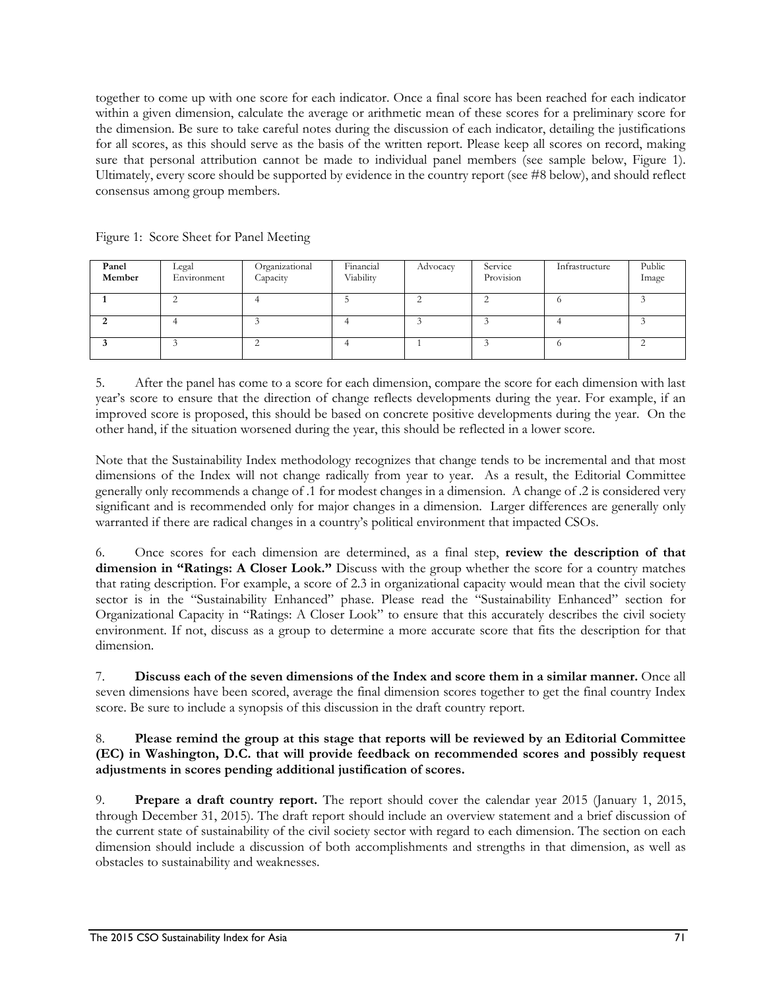together to come up with one score for each indicator. Once a final score has been reached for each indicator within a given dimension, calculate the average or arithmetic mean of these scores for a preliminary score for the dimension. Be sure to take careful notes during the discussion of each indicator, detailing the justifications for all scores, as this should serve as the basis of the written report. Please keep all scores on record, making sure that personal attribution cannot be made to individual panel members (see sample below, Figure 1). Ultimately, every score should be supported by evidence in the country report (see #8 below), and should reflect consensus among group members.

| Panel<br>Member | Legal<br>Environment | Organizational<br>Capacity | Financial<br>Viability | Advocacy | Service<br>Provision | Infrastructure | Public<br>Image |
|-----------------|----------------------|----------------------------|------------------------|----------|----------------------|----------------|-----------------|
|                 |                      |                            |                        |          |                      |                |                 |
|                 |                      |                            |                        |          |                      |                |                 |
|                 |                      |                            |                        |          |                      |                |                 |

Figure 1: Score Sheet for Panel Meeting

5. After the panel has come to a score for each dimension, compare the score for each dimension with last year's score to ensure that the direction of change reflects developments during the year. For example, if an improved score is proposed, this should be based on concrete positive developments during the year. On the other hand, if the situation worsened during the year, this should be reflected in a lower score.

Note that the Sustainability Index methodology recognizes that change tends to be incremental and that most dimensions of the Index will not change radically from year to year. As a result, the Editorial Committee generally only recommends a change of .1 for modest changes in a dimension. A change of .2 is considered very significant and is recommended only for major changes in a dimension. Larger differences are generally only warranted if there are radical changes in a country's political environment that impacted CSOs.

6. Once scores for each dimension are determined, as a final step, **review the description of that dimension in "Ratings: A Closer Look."** Discuss with the group whether the score for a country matches that rating description. For example, a score of 2.3 in organizational capacity would mean that the civil society sector is in the "Sustainability Enhanced" phase. Please read the "Sustainability Enhanced" section for Organizational Capacity in "Ratings: A Closer Look" to ensure that this accurately describes the civil society environment. If not, discuss as a group to determine a more accurate score that fits the description for that dimension.

7. **Discuss each of the seven dimensions of the Index and score them in a similar manner.** Once all seven dimensions have been scored, average the final dimension scores together to get the final country Index score. Be sure to include a synopsis of this discussion in the draft country report.

#### 8. **Please remind the group at this stage that reports will be reviewed by an Editorial Committee (EC) in Washington, D.C. that will provide feedback on recommended scores and possibly request adjustments in scores pending additional justification of scores.**

9. **Prepare a draft country report.** The report should cover the calendar year 2015 (January 1, 2015, through December 31, 2015). The draft report should include an overview statement and a brief discussion of the current state of sustainability of the civil society sector with regard to each dimension. The section on each dimension should include a discussion of both accomplishments and strengths in that dimension, as well as obstacles to sustainability and weaknesses.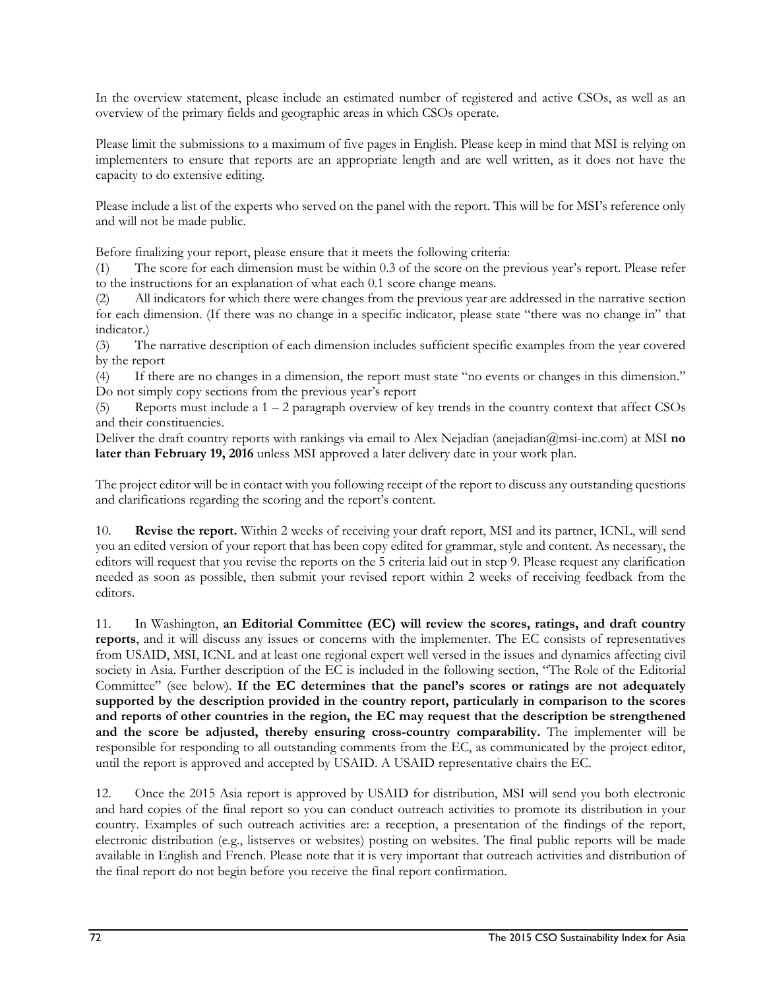In the overview statement, please include an estimated number of registered and active CSOs, as well as an overview of the primary fields and geographic areas in which CSOs operate.

Please limit the submissions to a maximum of five pages in English. Please keep in mind that MSI is relying on implementers to ensure that reports are an appropriate length and are well written, as it does not have the capacity to do extensive editing.

Please include a list of the experts who served on the panel with the report. This will be for MSI's reference only and will not be made public.

Before finalizing your report, please ensure that it meets the following criteria:

(1) The score for each dimension must be within 0.3 of the score on the previous year's report. Please refer to the instructions for an explanation of what each 0.1 score change means.

(2) All indicators for which there were changes from the previous year are addressed in the narrative section for each dimension. (If there was no change in a specific indicator, please state "there was no change in" that indicator.)

(3) The narrative description of each dimension includes sufficient specific examples from the year covered by the report

(4) If there are no changes in a dimension, the report must state "no events or changes in this dimension." Do not simply copy sections from the previous year's report

(5) Reports must include a 1 – 2 paragraph overview of key trends in the country context that affect CSOs and their constituencies.

Deliver the draft country reports with rankings via email to Alex Nejadian (anejadian@msi-inc.com) at MSI **no later than February 19, 2016** unless MSI approved a later delivery date in your work plan.

The project editor will be in contact with you following receipt of the report to discuss any outstanding questions and clarifications regarding the scoring and the report's content.

10. **Revise the report.** Within 2 weeks of receiving your draft report, MSI and its partner, ICNL, will send you an edited version of your report that has been copy edited for grammar, style and content. As necessary, the editors will request that you revise the reports on the 5 criteria laid out in step 9. Please request any clarification needed as soon as possible, then submit your revised report within 2 weeks of receiving feedback from the editors.

11. In Washington, **an Editorial Committee (EC) will review the scores, ratings, and draft country reports**, and it will discuss any issues or concerns with the implementer. The EC consists of representatives from USAID, MSI, ICNL and at least one regional expert well versed in the issues and dynamics affecting civil society in Asia. Further description of the EC is included in the following section, "The Role of the Editorial Committee" (see below). **If the EC determines that the panel's scores or ratings are not adequately supported by the description provided in the country report, particularly in comparison to the scores and reports of other countries in the region, the EC may request that the description be strengthened and the score be adjusted, thereby ensuring cross-country comparability.** The implementer will be responsible for responding to all outstanding comments from the EC, as communicated by the project editor, until the report is approved and accepted by USAID. A USAID representative chairs the EC.

12. Once the 2015 Asia report is approved by USAID for distribution, MSI will send you both electronic and hard copies of the final report so you can conduct outreach activities to promote its distribution in your country. Examples of such outreach activities are: a reception, a presentation of the findings of the report, electronic distribution (e.g., listserves or websites) posting on websites. The final public reports will be made available in English and French. Please note that it is very important that outreach activities and distribution of the final report do not begin before you receive the final report confirmation.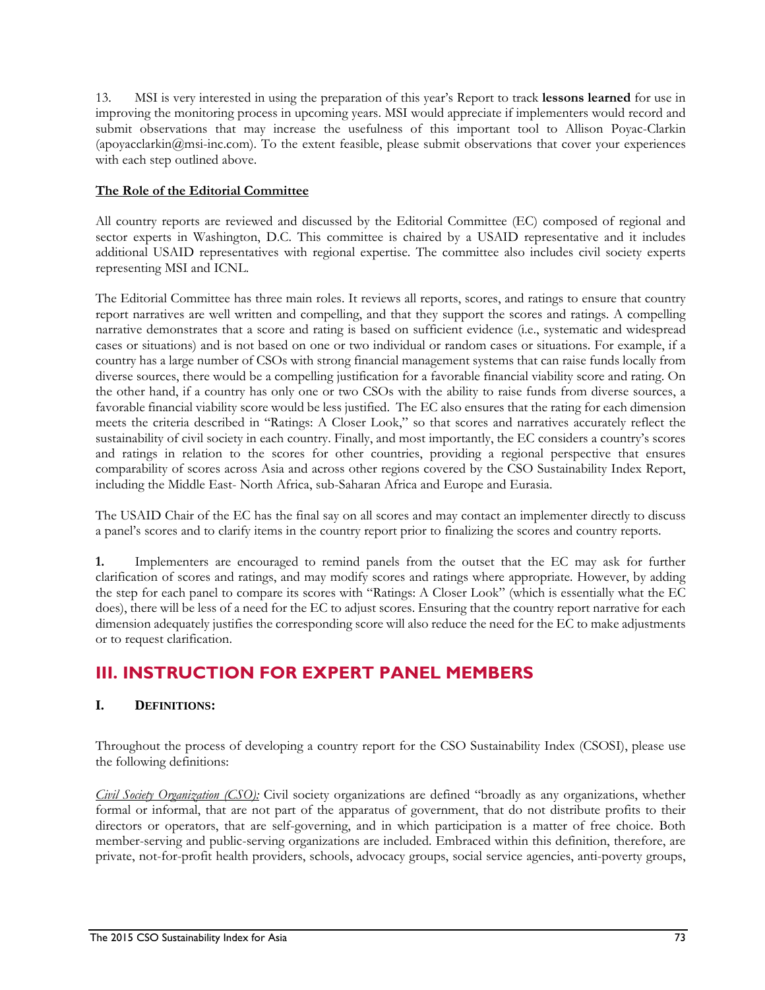13. MSI is very interested in using the preparation of this year's Report to track **lessons learned** for use in improving the monitoring process in upcoming years. MSI would appreciate if implementers would record and submit observations that may increase the usefulness of this important tool to Allison Poyac-Clarkin (apoyacclarkin@msi-inc.com). To the extent feasible, please submit observations that cover your experiences with each step outlined above.

#### **The Role of the Editorial Committee**

All country reports are reviewed and discussed by the Editorial Committee (EC) composed of regional and sector experts in Washington, D.C. This committee is chaired by a USAID representative and it includes additional USAID representatives with regional expertise. The committee also includes civil society experts representing MSI and ICNL.

The Editorial Committee has three main roles. It reviews all reports, scores, and ratings to ensure that country report narratives are well written and compelling, and that they support the scores and ratings. A compelling narrative demonstrates that a score and rating is based on sufficient evidence (i.e., systematic and widespread cases or situations) and is not based on one or two individual or random cases or situations. For example, if a country has a large number of CSOs with strong financial management systems that can raise funds locally from diverse sources, there would be a compelling justification for a favorable financial viability score and rating. On the other hand, if a country has only one or two CSOs with the ability to raise funds from diverse sources, a favorable financial viability score would be less justified. The EC also ensures that the rating for each dimension meets the criteria described in "Ratings: A Closer Look," so that scores and narratives accurately reflect the sustainability of civil society in each country. Finally, and most importantly, the EC considers a country's scores and ratings in relation to the scores for other countries, providing a regional perspective that ensures comparability of scores across Asia and across other regions covered by the CSO Sustainability Index Report, including the Middle East- North Africa, sub-Saharan Africa and Europe and Eurasia.

The USAID Chair of the EC has the final say on all scores and may contact an implementer directly to discuss a panel's scores and to clarify items in the country report prior to finalizing the scores and country reports.

**1.** Implementers are encouraged to remind panels from the outset that the EC may ask for further clarification of scores and ratings, and may modify scores and ratings where appropriate. However, by adding the step for each panel to compare its scores with "Ratings: A Closer Look" (which is essentially what the EC does), there will be less of a need for the EC to adjust scores. Ensuring that the country report narrative for each dimension adequately justifies the corresponding score will also reduce the need for the EC to make adjustments or to request clarification.

# **III. INSTRUCTION FOR EXPERT PANEL MEMBERS**

### **I. DEFINITIONS:**

Throughout the process of developing a country report for the CSO Sustainability Index (CSOSI), please use the following definitions:

*Civil Society Organization (CSO):* Civil society organizations are defined "broadly as any organizations, whether formal or informal, that are not part of the apparatus of government, that do not distribute profits to their directors or operators, that are self-governing, and in which participation is a matter of free choice. Both member-serving and public-serving organizations are included. Embraced within this definition, therefore, are private, not-for-profit health providers, schools, advocacy groups, social service agencies, anti-poverty groups,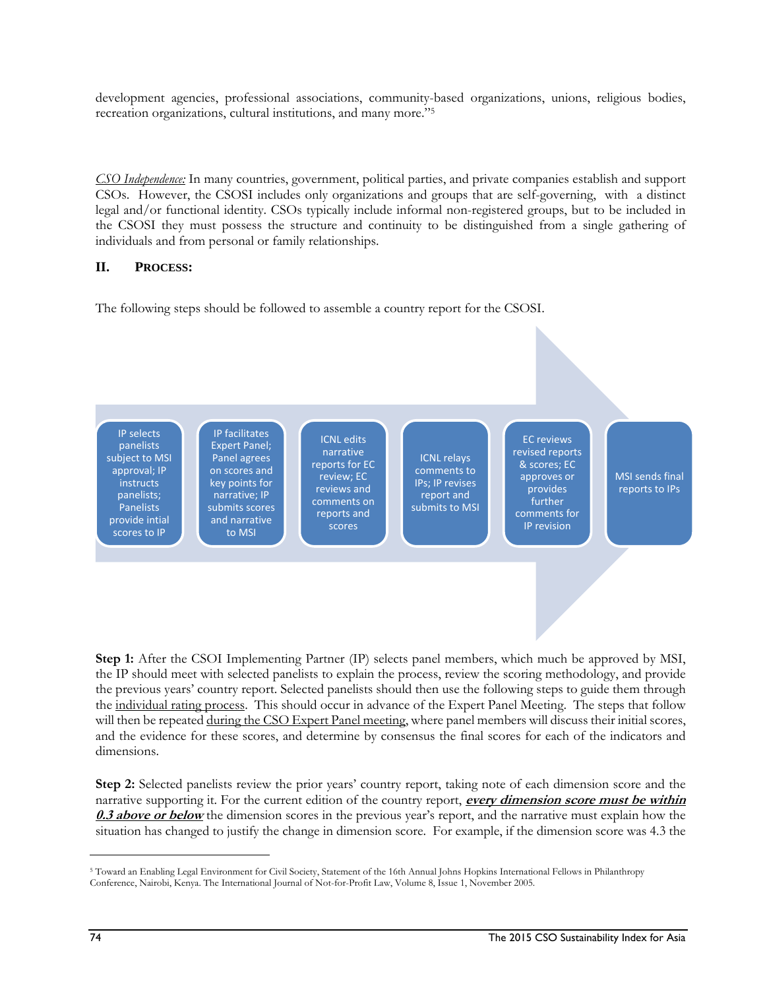development agencies, professional associations, community-based organizations, unions, religious bodies, recreation organizations, cultural institutions, and many more."5

*CSO Independence:* In many countries, government, political parties, and private companies establish and support CSOs. However, the CSOSI includes only organizations and groups that are self-governing, with a distinct legal and/or functional identity. CSOs typically include informal non-registered groups, but to be included in the CSOSI they must possess the structure and continuity to be distinguished from a single gathering of individuals and from personal or family relationships.

#### **II. PROCESS:**

The following steps should be followed to assemble a country report for the CSOSI.



**Step 1:** After the CSOI Implementing Partner (IP) selects panel members, which much be approved by MSI, the IP should meet with selected panelists to explain the process, review the scoring methodology, and provide the previous years' country report. Selected panelists should then use the following steps to guide them through the individual rating process. This should occur in advance of the Expert Panel Meeting. The steps that follow will then be repeated during the CSO Expert Panel meeting, where panel members will discuss their initial scores, and the evidence for these scores, and determine by consensus the final scores for each of the indicators and dimensions.

**Step 2:** Selected panelists review the prior years' country report, taking note of each dimension score and the narrative supporting it. For the current edition of the country report, **every dimension score must be within 0.3 above or below** the dimension scores in the previous year's report, and the narrative must explain how the situation has changed to justify the change in dimension score. For example, if the dimension score was 4.3 the

l

<sup>5</sup> Toward an Enabling Legal Environment for Civil Society, Statement of the 16th Annual Johns Hopkins International Fellows in Philanthropy Conference, Nairobi, Kenya. The International Journal of Not-for-Profit Law, Volume 8, Issue 1, November 2005.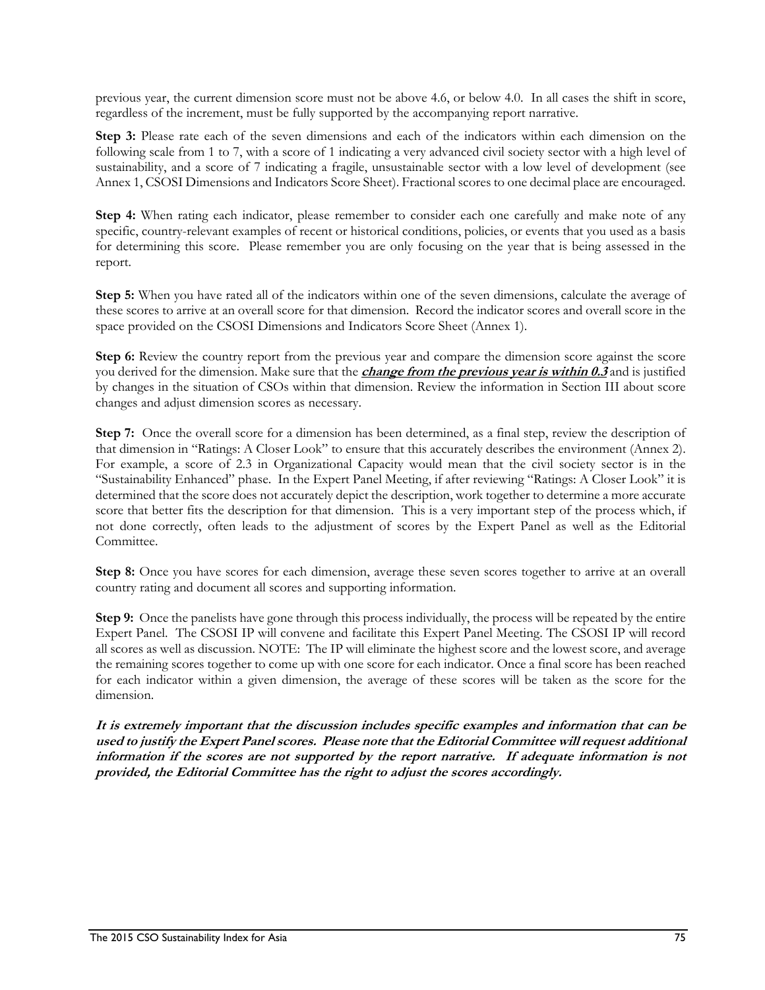previous year, the current dimension score must not be above 4.6, or below 4.0. In all cases the shift in score, regardless of the increment, must be fully supported by the accompanying report narrative.

**Step 3:** Please rate each of the seven dimensions and each of the indicators within each dimension on the following scale from 1 to 7, with a score of 1 indicating a very advanced civil society sector with a high level of sustainability, and a score of 7 indicating a fragile, unsustainable sector with a low level of development (see Annex 1, CSOSI Dimensions and Indicators Score Sheet). Fractional scores to one decimal place are encouraged.

**Step 4:** When rating each indicator, please remember to consider each one carefully and make note of any specific, country-relevant examples of recent or historical conditions, policies, or events that you used as a basis for determining this score. Please remember you are only focusing on the year that is being assessed in the report.

**Step 5:** When you have rated all of the indicators within one of the seven dimensions, calculate the average of these scores to arrive at an overall score for that dimension. Record the indicator scores and overall score in the space provided on the CSOSI Dimensions and Indicators Score Sheet (Annex 1).

Step 6: Review the country report from the previous year and compare the dimension score against the score you derived for the dimension. Make sure that the **change from the previous year is within 0.3** and is justified by changes in the situation of CSOs within that dimension. Review the information in Section III about score changes and adjust dimension scores as necessary.

**Step 7:** Once the overall score for a dimension has been determined, as a final step, review the description of that dimension in "Ratings: A Closer Look" to ensure that this accurately describes the environment (Annex 2). For example, a score of 2.3 in Organizational Capacity would mean that the civil society sector is in the "Sustainability Enhanced" phase. In the Expert Panel Meeting, if after reviewing "Ratings: A Closer Look" it is determined that the score does not accurately depict the description, work together to determine a more accurate score that better fits the description for that dimension. This is a very important step of the process which, if not done correctly, often leads to the adjustment of scores by the Expert Panel as well as the Editorial Committee.

**Step 8:** Once you have scores for each dimension, average these seven scores together to arrive at an overall country rating and document all scores and supporting information.

**Step 9:** Once the panelists have gone through this process individually, the process will be repeated by the entire Expert Panel. The CSOSI IP will convene and facilitate this Expert Panel Meeting. The CSOSI IP will record all scores as well as discussion. NOTE: The IP will eliminate the highest score and the lowest score, and average the remaining scores together to come up with one score for each indicator. Once a final score has been reached for each indicator within a given dimension, the average of these scores will be taken as the score for the dimension.

**It is extremely important that the discussion includes specific examples and information that can be used to justify the Expert Panel scores. Please note that the Editorial Committee will request additional information if the scores are not supported by the report narrative. If adequate information is not provided, the Editorial Committee has the right to adjust the scores accordingly.**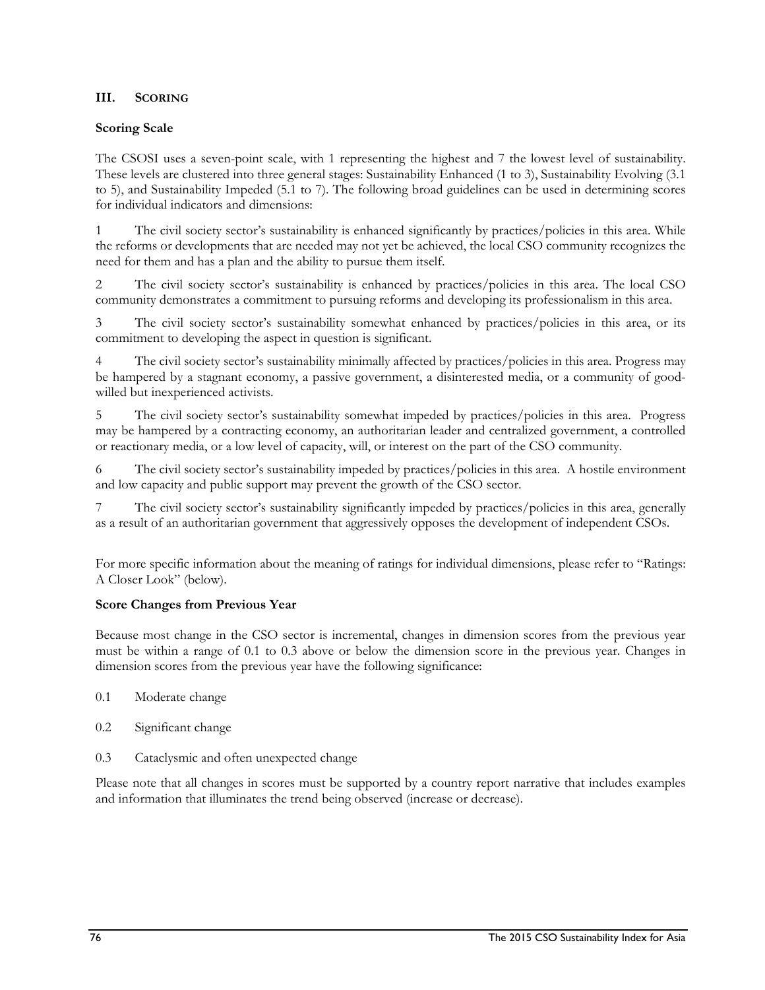#### **III. SCORING**

#### **Scoring Scale**

The CSOSI uses a seven-point scale, with 1 representing the highest and 7 the lowest level of sustainability. These levels are clustered into three general stages: Sustainability Enhanced (1 to 3), Sustainability Evolving (3.1 to 5), and Sustainability Impeded (5.1 to 7). The following broad guidelines can be used in determining scores for individual indicators and dimensions:

1 The civil society sector's sustainability is enhanced significantly by practices/policies in this area. While the reforms or developments that are needed may not yet be achieved, the local CSO community recognizes the need for them and has a plan and the ability to pursue them itself.

2 The civil society sector's sustainability is enhanced by practices/policies in this area. The local CSO community demonstrates a commitment to pursuing reforms and developing its professionalism in this area.

3 The civil society sector's sustainability somewhat enhanced by practices/policies in this area, or its commitment to developing the aspect in question is significant.

4 The civil society sector's sustainability minimally affected by practices/policies in this area. Progress may be hampered by a stagnant economy, a passive government, a disinterested media, or a community of goodwilled but inexperienced activists.

5 The civil society sector's sustainability somewhat impeded by practices/policies in this area. Progress may be hampered by a contracting economy, an authoritarian leader and centralized government, a controlled or reactionary media, or a low level of capacity, will, or interest on the part of the CSO community.

6 The civil society sector's sustainability impeded by practices/policies in this area. A hostile environment and low capacity and public support may prevent the growth of the CSO sector.

7 The civil society sector's sustainability significantly impeded by practices/policies in this area, generally as a result of an authoritarian government that aggressively opposes the development of independent CSOs.

For more specific information about the meaning of ratings for individual dimensions, please refer to "Ratings: A Closer Look" (below).

#### **Score Changes from Previous Year**

Because most change in the CSO sector is incremental, changes in dimension scores from the previous year must be within a range of 0.1 to 0.3 above or below the dimension score in the previous year. Changes in dimension scores from the previous year have the following significance:

- 0.1 Moderate change
- 0.2 Significant change
- 0.3 Cataclysmic and often unexpected change

Please note that all changes in scores must be supported by a country report narrative that includes examples and information that illuminates the trend being observed (increase or decrease).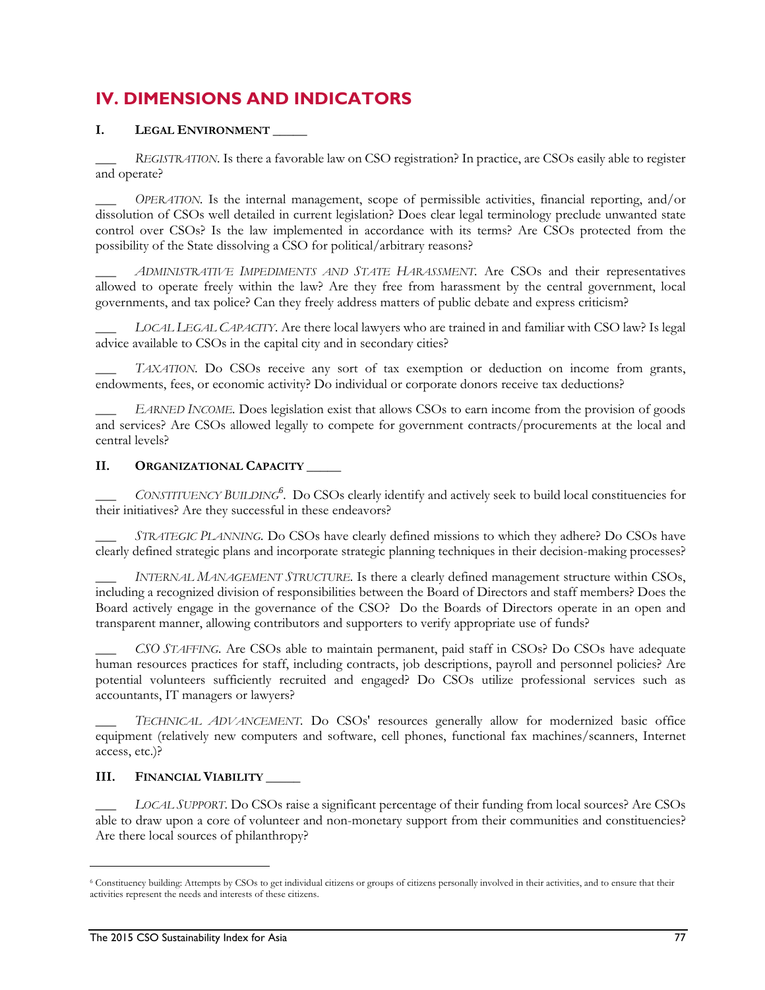# **IV. DIMENSIONS AND INDICATORS**

### **I. LEGAL ENVIRONMENT \_\_\_\_\_**

REGISTRATION. Is there a favorable law on CSO registration? In practice, are CSOs easily able to register and operate?

OPERATION. Is the internal management, scope of permissible activities, financial reporting, and/or dissolution of CSOs well detailed in current legislation? Does clear legal terminology preclude unwanted state control over CSOs? Is the law implemented in accordance with its terms? Are CSOs protected from the possibility of the State dissolving a CSO for political/arbitrary reasons?

\_\_\_ *ADMINISTRATIVE IMPEDIMENTS AND STATE HARASSMENT.* Are CSOs and their representatives allowed to operate freely within the law? Are they free from harassment by the central government, local governments, and tax police? Can they freely address matters of public debate and express criticism?

\_\_\_ *LOCAL LEGAL CAPACITY.* Are there local lawyers who are trained in and familiar with CSO law? Is legal advice available to CSOs in the capital city and in secondary cities?

\_\_\_ *TAXATION.* Do CSOs receive any sort of tax exemption or deduction on income from grants, endowments, fees, or economic activity? Do individual or corporate donors receive tax deductions?

\_\_\_ *EARNED INCOME.* Does legislation exist that allows CSOs to earn income from the provision of goods and services? Are CSOs allowed legally to compete for government contracts/procurements at the local and central levels?

#### **II. ORGANIZATIONAL CAPACITY \_\_\_\_\_**

\_\_\_ *CONSTITUENCY BUILDING<sup>6</sup> .* Do CSOs clearly identify and actively seek to build local constituencies for their initiatives? Are they successful in these endeavors?

\_\_\_ *STRATEGIC PLANNING.* Do CSOs have clearly defined missions to which they adhere? Do CSOs have clearly defined strategic plans and incorporate strategic planning techniques in their decision-making processes?

\_\_\_ *INTERNAL MANAGEMENT STRUCTURE.* Is there a clearly defined management structure within CSOs, including a recognized division of responsibilities between the Board of Directors and staff members? Does the Board actively engage in the governance of the CSO? Do the Boards of Directors operate in an open and transparent manner, allowing contributors and supporters to verify appropriate use of funds?

\_\_\_ *CSO STAFFING.* Are CSOs able to maintain permanent, paid staff in CSOs? Do CSOs have adequate human resources practices for staff, including contracts, job descriptions, payroll and personnel policies? Are potential volunteers sufficiently recruited and engaged? Do CSOs utilize professional services such as accountants, IT managers or lawyers?

TECHNICAL ADVANCEMENT. Do CSOs' resources generally allow for modernized basic office equipment (relatively new computers and software, cell phones, functional fax machines/scanners, Internet access, etc.)?

#### **III. FINANCIAL VIABILITY \_\_\_\_\_**

\_\_\_ *LOCAL SUPPORT*. Do CSOs raise a significant percentage of their funding from local sources? Are CSOs able to draw upon a core of volunteer and non-monetary support from their communities and constituencies? Are there local sources of philanthropy?

l

<sup>6</sup> Constituency building: Attempts by CSOs to get individual citizens or groups of citizens personally involved in their activities, and to ensure that their activities represent the needs and interests of these citizens.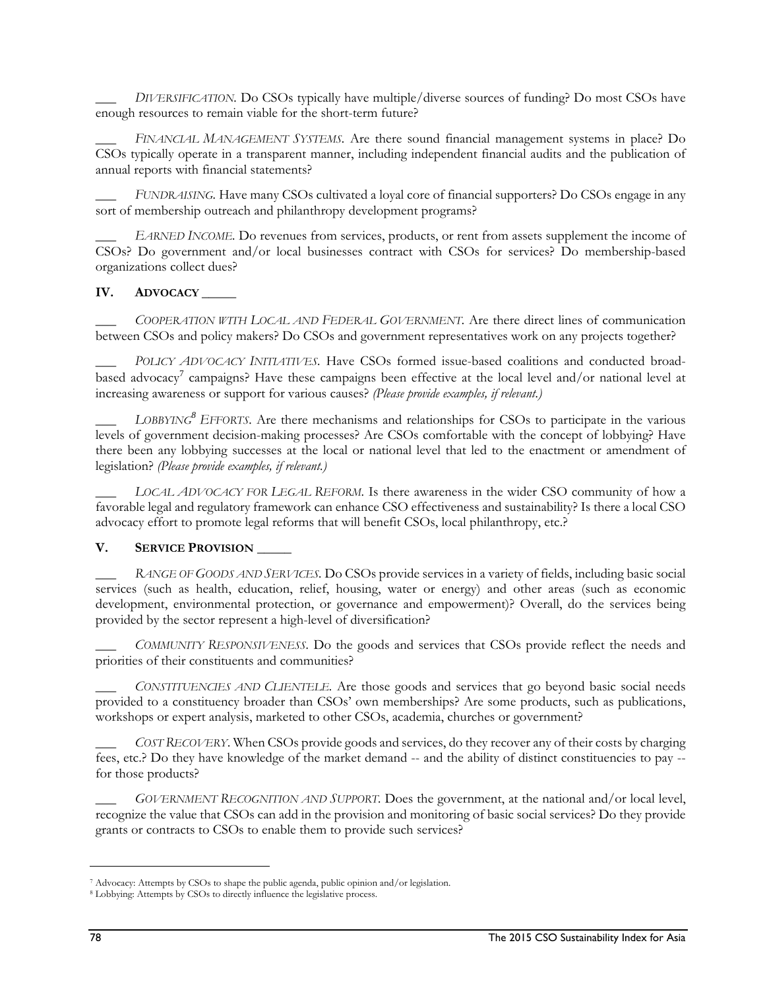\_\_\_ *DIVERSIFICATION.* Do CSOs typically have multiple/diverse sources of funding? Do most CSOs have enough resources to remain viable for the short-term future?

\_\_\_ *FINANCIAL MANAGEMENT SYSTEMS.* Are there sound financial management systems in place? Do CSOs typically operate in a transparent manner, including independent financial audits and the publication of annual reports with financial statements?

\_\_\_ *FUNDRAISING.* Have many CSOs cultivated a loyal core of financial supporters? Do CSOs engage in any sort of membership outreach and philanthropy development programs?

\_\_\_ *EARNED INCOME.* Do revenues from services, products, or rent from assets supplement the income of CSOs? Do government and/or local businesses contract with CSOs for services? Do membership-based organizations collect dues?

#### IV. **ADVOCACY**

\_\_\_ *COOPERATION WITH LOCAL AND FEDERAL GOVERNMENT.* Are there direct lines of communication between CSOs and policy makers? Do CSOs and government representatives work on any projects together?

POLICY ADVOCACY INITIATIVES. Have CSOs formed issue-based coalitions and conducted broadbased advocacy<sup>7</sup> campaigns? Have these campaigns been effective at the local level and/or national level at increasing awareness or support for various causes? *(Please provide examples, if relevant.)*

LOBBYING<sup>8</sup> EFFORTS. Are there mechanisms and relationships for CSOs to participate in the various levels of government decision-making processes? Are CSOs comfortable with the concept of lobbying? Have there been any lobbying successes at the local or national level that led to the enactment or amendment of legislation? *(Please provide examples, if relevant.)*

\_\_\_ *LOCAL ADVOCACY FOR LEGAL REFORM*. Is there awareness in the wider CSO community of how a favorable legal and regulatory framework can enhance CSO effectiveness and sustainability? Is there a local CSO advocacy effort to promote legal reforms that will benefit CSOs, local philanthropy, etc.?

#### **V.** SERVICE PROVISION

\_\_\_ *RANGE OF GOODS AND SERVICES.* Do CSOs provide services in a variety of fields, including basic social services (such as health, education, relief, housing, water or energy) and other areas (such as economic development, environmental protection, or governance and empowerment)? Overall, do the services being provided by the sector represent a high-level of diversification?

\_\_\_ *COMMUNITY RESPONSIVENESS.* Do the goods and services that CSOs provide reflect the needs and priorities of their constituents and communities?

\_\_\_ *CONSTITUENCIES AND CLIENTELE.* Are those goods and services that go beyond basic social needs provided to a constituency broader than CSOs' own memberships? Are some products, such as publications, workshops or expert analysis, marketed to other CSOs, academia, churches or government?

\_\_\_ *COST RECOVERY*. When CSOs provide goods and services, do they recover any of their costs by charging fees, etc.? Do they have knowledge of the market demand -- and the ability of distinct constituencies to pay - for those products?

\_\_\_ *GOVERNMENT RECOGNITION AND SUPPORT.* Does the government, at the national and/or local level, recognize the value that CSOs can add in the provision and monitoring of basic social services? Do they provide grants or contracts to CSOs to enable them to provide such services?

1

<sup>7</sup> Advocacy: Attempts by CSOs to shape the public agenda, public opinion and/or legislation. 8 Lobbying: Attempts by CSOs to directly influence the legislative process.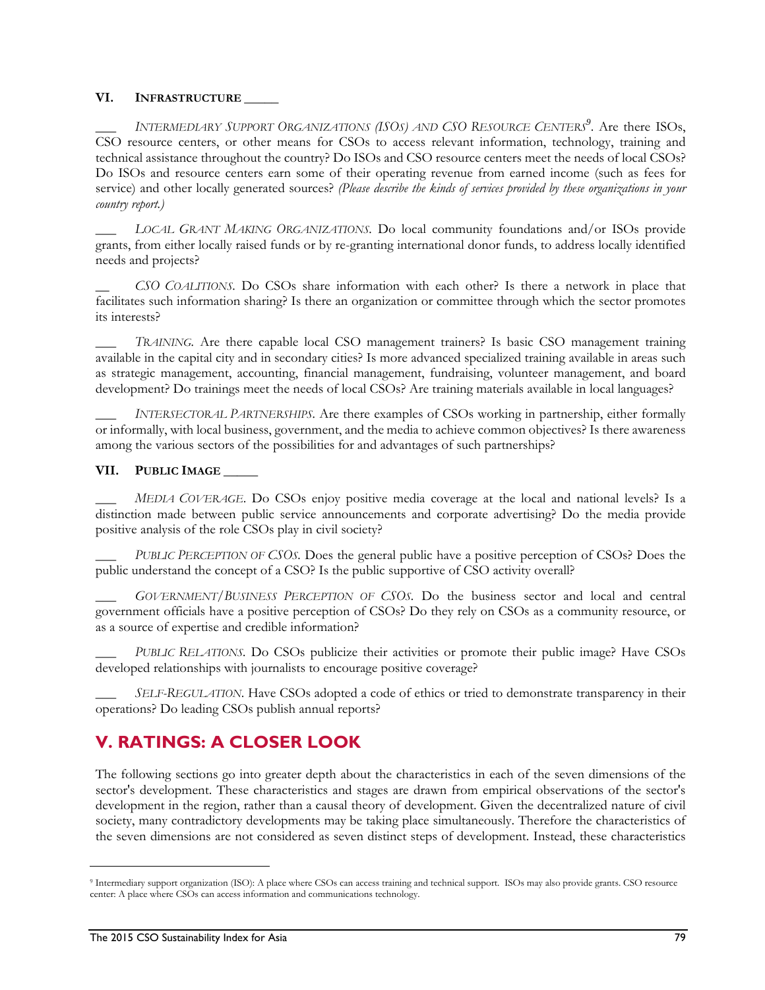#### **VI. INFRASTRUCTURE \_\_\_\_\_**

\_\_\_ *INTERMEDIARY SUPPORT ORGANIZATIONS (ISOS) AND CSO RESOURCE CENTERS<sup>9</sup>* . Are there ISOs, CSO resource centers, or other means for CSOs to access relevant information, technology, training and technical assistance throughout the country? Do ISOs and CSO resource centers meet the needs of local CSOs? Do ISOs and resource centers earn some of their operating revenue from earned income (such as fees for service) and other locally generated sources? *(Please describe the kinds of services provided by these organizations in your country report.)*

\_\_\_ *LOCAL GRANT MAKING ORGANIZATIONS.* Do local community foundations and/or ISOs provide grants, from either locally raised funds or by re-granting international donor funds, to address locally identified needs and projects?

\_\_ *CSO COALITIONS.* Do CSOs share information with each other? Is there a network in place that facilitates such information sharing? Is there an organization or committee through which the sector promotes its interests?

TRAINING. Are there capable local CSO management trainers? Is basic CSO management training available in the capital city and in secondary cities? Is more advanced specialized training available in areas such as strategic management, accounting, financial management, fundraising, volunteer management, and board development? Do trainings meet the needs of local CSOs? Are training materials available in local languages?

INTERSECTORAL PARTNERSHIPS. Are there examples of CSOs working in partnership, either formally or informally, with local business, government, and the media to achieve common objectives? Is there awareness among the various sectors of the possibilities for and advantages of such partnerships?

#### VII. PUBLIC **IMAGE**

\_\_\_ *MEDIA COVERAGE*. Do CSOs enjoy positive media coverage at the local and national levels? Is a distinction made between public service announcements and corporate advertising? Do the media provide positive analysis of the role CSOs play in civil society?

\_\_\_ *PUBLIC PERCEPTION OF CSOS.* Does the general public have a positive perception of CSOs? Does the public understand the concept of a CSO? Is the public supportive of CSO activity overall?

\_\_\_ *GOVERNMENT/BUSINESS PERCEPTION OF CSOS.* Do the business sector and local and central government officials have a positive perception of CSOs? Do they rely on CSOs as a community resource, or as a source of expertise and credible information?

\_\_\_ *PUBLIC RELATIONS.* Do CSOs publicize their activities or promote their public image? Have CSOs developed relationships with journalists to encourage positive coverage?

\_\_\_ *SELF-REGULATION*. Have CSOs adopted a code of ethics or tried to demonstrate transparency in their operations? Do leading CSOs publish annual reports?

# **V. RATINGS: A CLOSER LOOK**

The following sections go into greater depth about the characteristics in each of the seven dimensions of the sector's development. These characteristics and stages are drawn from empirical observations of the sector's development in the region, rather than a causal theory of development. Given the decentralized nature of civil society, many contradictory developments may be taking place simultaneously. Therefore the characteristics of the seven dimensions are not considered as seven distinct steps of development. Instead, these characteristics

1

<sup>9</sup> Intermediary support organization (ISO): A place where CSOs can access training and technical support. ISOs may also provide grants. CSO resource center: A place where CSOs can access information and communications technology.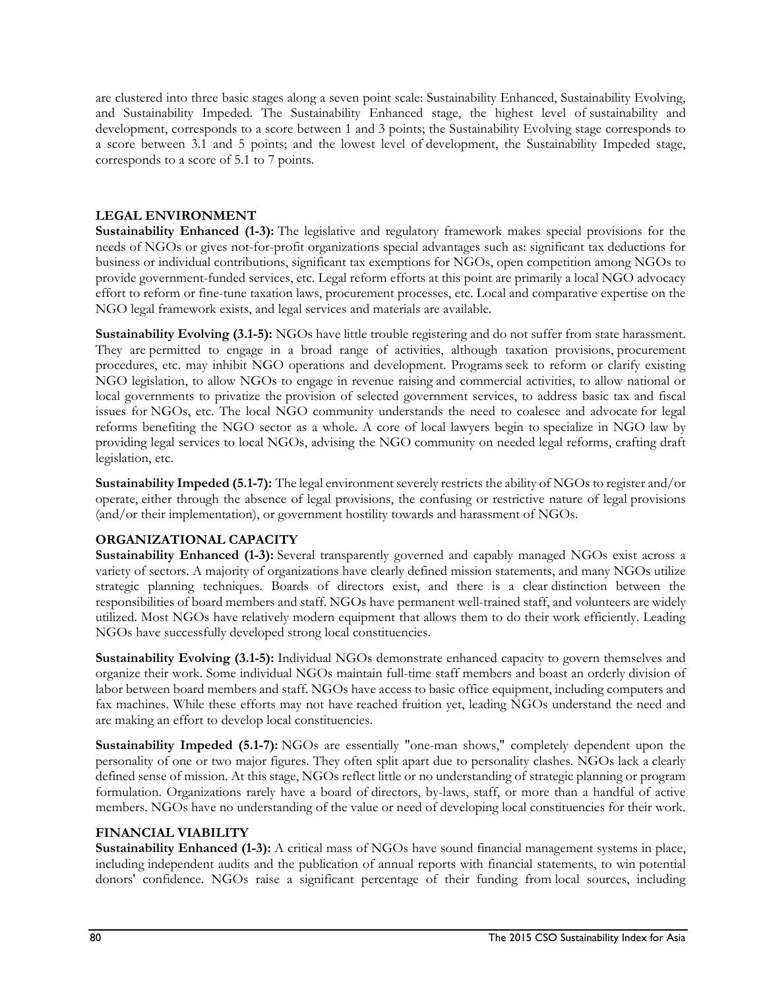are clustered into three basic stages along a seven point scale: Sustainability Enhanced, Sustainability Evolving, and Sustainability Impeded. The Sustainability Enhanced stage, the highest level of sustainability and development, corresponds to a score between 1 and 3 points; the Sustainability Evolving stage corresponds to a score between 3.1 and 5 points; and the lowest level of development, the Sustainability Impeded stage, corresponds to a score of 5.1 to 7 points.

#### **LEGAL ENVIRONMENT**

**Sustainability Enhanced (1-3):** The legislative and regulatory framework makes special provisions for the needs of NGOs or gives not-for-profit organizations special advantages such as: significant tax deductions for business or individual contributions, significant tax exemptions for NGOs, open competition among NGOs to provide government-funded services, etc. Legal reform efforts at this point are primarily a local NGO advocacy effort to reform or fine-tune taxation laws, procurement processes, etc. Local and comparative expertise on the NGO legal framework exists, and legal services and materials are available.

**Sustainability Evolving (3.1-5):** NGOs have little trouble registering and do not suffer from state harassment. They are permitted to engage in a broad range of activities, although taxation provisions, procurement procedures, etc. may inhibit NGO operations and development. Programs seek to reform or clarify existing NGO legislation, to allow NGOs to engage in revenue raising and commercial activities, to allow national or local governments to privatize the provision of selected government services, to address basic tax and fiscal issues for NGOs, etc. The local NGO community understands the need to coalesce and advocate for legal reforms benefiting the NGO sector as a whole. A core of local lawyers begin to specialize in NGO law by providing legal services to local NGOs, advising the NGO community on needed legal reforms, crafting draft legislation, etc.

**Sustainability Impeded (5.1-7):** The legal environment severely restricts the ability of NGOs to register and/or operate, either through the absence of legal provisions, the confusing or restrictive nature of legal provisions (and/or their implementation), or government hostility towards and harassment of NGOs.

### **ORGANIZATIONAL CAPACITY**

**Sustainability Enhanced (1-3):** Several transparently governed and capably managed NGOs exist across a variety of sectors. A majority of organizations have clearly defined mission statements, and many NGOs utilize strategic planning techniques. Boards of directors exist, and there is a clear distinction between the responsibilities of board members and staff. NGOs have permanent well-trained staff, and volunteers are widely utilized. Most NGOs have relatively modern equipment that allows them to do their work efficiently. Leading NGOs have successfully developed strong local constituencies.

**Sustainability Evolving (3.1-5):** Individual NGOs demonstrate enhanced capacity to govern themselves and organize their work. Some individual NGOs maintain full-time staff members and boast an orderly division of labor between board members and staff. NGOs have access to basic office equipment, including computers and fax machines. While these efforts may not have reached fruition yet, leading NGOs understand the need and are making an effort to develop local constituencies.

**Sustainability Impeded (5.1-7):** NGOs are essentially "one-man shows," completely dependent upon the personality of one or two major figures. They often split apart due to personality clashes. NGOs lack a clearly defined sense of mission. At this stage, NGOs reflect little or no understanding of strategic planning or program formulation. Organizations rarely have a board of directors, by-laws, staff, or more than a handful of active members. NGOs have no understanding of the value or need of developing local constituencies for their work.

#### **FINANCIAL VIABILITY**

**Sustainability Enhanced (1-3):** A critical mass of NGOs have sound financial management systems in place, including independent audits and the publication of annual reports with financial statements, to win potential donors' confidence. NGOs raise a significant percentage of their funding from local sources, including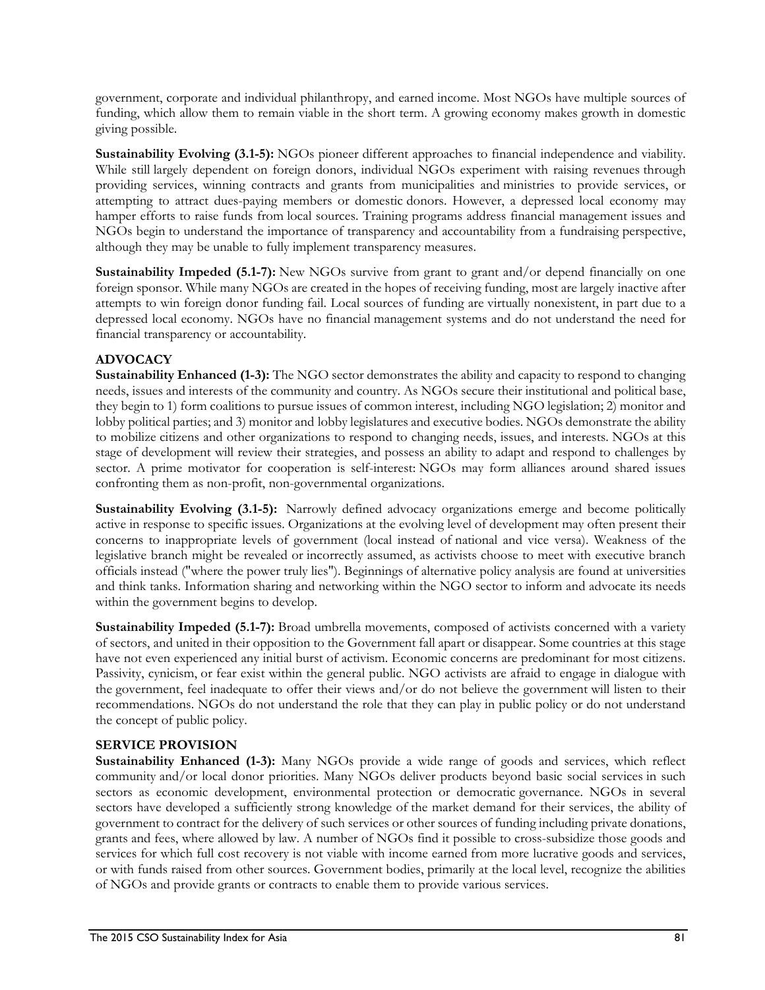government, corporate and individual philanthropy, and earned income. Most NGOs have multiple sources of funding, which allow them to remain viable in the short term. A growing economy makes growth in domestic giving possible.

**Sustainability Evolving (3.1-5):** NGOs pioneer different approaches to financial independence and viability. While still largely dependent on foreign donors, individual NGOs experiment with raising revenues through providing services, winning contracts and grants from municipalities and ministries to provide services, or attempting to attract dues-paying members or domestic donors. However, a depressed local economy may hamper efforts to raise funds from local sources. Training programs address financial management issues and NGOs begin to understand the importance of transparency and accountability from a fundraising perspective, although they may be unable to fully implement transparency measures.

**Sustainability Impeded (5.1-7):** New NGOs survive from grant to grant and/or depend financially on one foreign sponsor. While many NGOs are created in the hopes of receiving funding, most are largely inactive after attempts to win foreign donor funding fail. Local sources of funding are virtually nonexistent, in part due to a depressed local economy. NGOs have no financial management systems and do not understand the need for financial transparency or accountability.

### **ADVOCACY**

**Sustainability Enhanced (1-3):** The NGO sector demonstrates the ability and capacity to respond to changing needs, issues and interests of the community and country. As NGOs secure their institutional and political base, they begin to 1) form coalitions to pursue issues of common interest, including NGO legislation; 2) monitor and lobby political parties; and 3) monitor and lobby legislatures and executive bodies. NGOs demonstrate the ability to mobilize citizens and other organizations to respond to changing needs, issues, and interests. NGOs at this stage of development will review their strategies, and possess an ability to adapt and respond to challenges by sector. A prime motivator for cooperation is self-interest: NGOs may form alliances around shared issues confronting them as non-profit, non-governmental organizations.

**Sustainability Evolving (3.1-5):** Narrowly defined advocacy organizations emerge and become politically active in response to specific issues. Organizations at the evolving level of development may often present their concerns to inappropriate levels of government (local instead of national and vice versa). Weakness of the legislative branch might be revealed or incorrectly assumed, as activists choose to meet with executive branch officials instead ("where the power truly lies"). Beginnings of alternative policy analysis are found at universities and think tanks. Information sharing and networking within the NGO sector to inform and advocate its needs within the government begins to develop.

**Sustainability Impeded (5.1-7):** Broad umbrella movements, composed of activists concerned with a variety of sectors, and united in their opposition to the Government fall apart or disappear. Some countries at this stage have not even experienced any initial burst of activism. Economic concerns are predominant for most citizens. Passivity, cynicism, or fear exist within the general public. NGO activists are afraid to engage in dialogue with the government, feel inadequate to offer their views and/or do not believe the government will listen to their recommendations. NGOs do not understand the role that they can play in public policy or do not understand the concept of public policy.

### **SERVICE PROVISION**

**Sustainability Enhanced (1-3):** Many NGOs provide a wide range of goods and services, which reflect community and/or local donor priorities. Many NGOs deliver products beyond basic social services in such sectors as economic development, environmental protection or democratic governance. NGOs in several sectors have developed a sufficiently strong knowledge of the market demand for their services, the ability of government to contract for the delivery of such services or other sources of funding including private donations, grants and fees, where allowed by law. A number of NGOs find it possible to cross-subsidize those goods and services for which full cost recovery is not viable with income earned from more lucrative goods and services, or with funds raised from other sources. Government bodies, primarily at the local level, recognize the abilities of NGOs and provide grants or contracts to enable them to provide various services.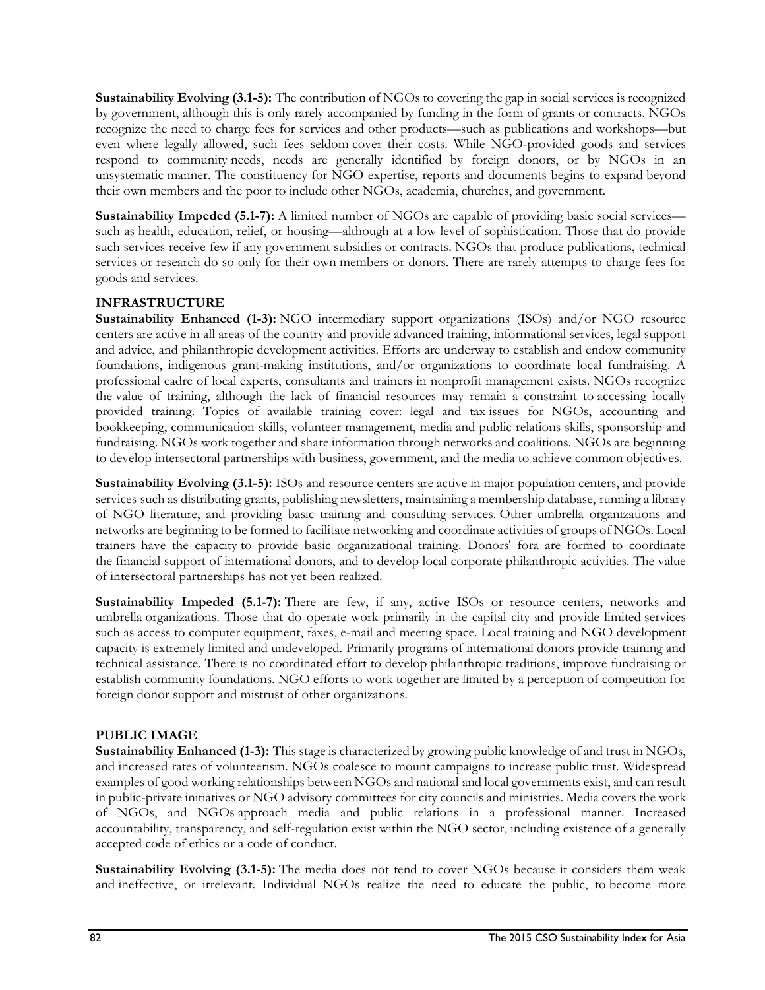**Sustainability Evolving (3.1-5):** The contribution of NGOs to covering the gap in social services is recognized by government, although this is only rarely accompanied by funding in the form of grants or contracts. NGOs recognize the need to charge fees for services and other products—such as publications and workshops—but even where legally allowed, such fees seldom cover their costs. While NGO-provided goods and services respond to community needs, needs are generally identified by foreign donors, or by NGOs in an unsystematic manner. The constituency for NGO expertise, reports and documents begins to expand beyond their own members and the poor to include other NGOs, academia, churches, and government.

**Sustainability Impeded (5.1-7):** A limited number of NGOs are capable of providing basic social services such as health, education, relief, or housing—although at a low level of sophistication. Those that do provide such services receive few if any government subsidies or contracts. NGOs that produce publications, technical services or research do so only for their own members or donors. There are rarely attempts to charge fees for goods and services.

### **INFRASTRUCTURE**

**Sustainability Enhanced (1-3):** NGO intermediary support organizations (ISOs) and/or NGO resource centers are active in all areas of the country and provide advanced training, informational services, legal support and advice, and philanthropic development activities. Efforts are underway to establish and endow community foundations, indigenous grant-making institutions, and/or organizations to coordinate local fundraising. A professional cadre of local experts, consultants and trainers in nonprofit management exists. NGOs recognize the value of training, although the lack of financial resources may remain a constraint to accessing locally provided training. Topics of available training cover: legal and tax issues for NGOs, accounting and bookkeeping, communication skills, volunteer management, media and public relations skills, sponsorship and fundraising. NGOs work together and share information through networks and coalitions. NGOs are beginning to develop intersectoral partnerships with business, government, and the media to achieve common objectives.

**Sustainability Evolving (3.1-5):** ISOs and resource centers are active in major population centers, and provide services such as distributing grants, publishing newsletters, maintaining a membership database, running a library of NGO literature, and providing basic training and consulting services. Other umbrella organizations and networks are beginning to be formed to facilitate networking and coordinate activities of groups of NGOs. Local trainers have the capacity to provide basic organizational training. Donors' fora are formed to coordinate the financial support of international donors, and to develop local corporate philanthropic activities. The value of intersectoral partnerships has not yet been realized.

**Sustainability Impeded (5.1-7):** There are few, if any, active ISOs or resource centers, networks and umbrella organizations. Those that do operate work primarily in the capital city and provide limited services such as access to computer equipment, faxes, e-mail and meeting space. Local training and NGO development capacity is extremely limited and undeveloped. Primarily programs of international donors provide training and technical assistance. There is no coordinated effort to develop philanthropic traditions, improve fundraising or establish community foundations. NGO efforts to work together are limited by a perception of competition for foreign donor support and mistrust of other organizations.

### **PUBLIC IMAGE**

**Sustainability Enhanced (1-3):** This stage is characterized by growing public knowledge of and trust in NGOs, and increased rates of volunteerism. NGOs coalesce to mount campaigns to increase public trust. Widespread examples of good working relationships between NGOs and national and local governments exist, and can result in public-private initiatives or NGO advisory committees for city councils and ministries. Media covers the work of NGOs, and NGOs approach media and public relations in a professional manner. Increased accountability, transparency, and self-regulation exist within the NGO sector, including existence of a generally accepted code of ethics or a code of conduct.

**Sustainability Evolving (3.1-5):** The media does not tend to cover NGOs because it considers them weak and ineffective, or irrelevant. Individual NGOs realize the need to educate the public, to become more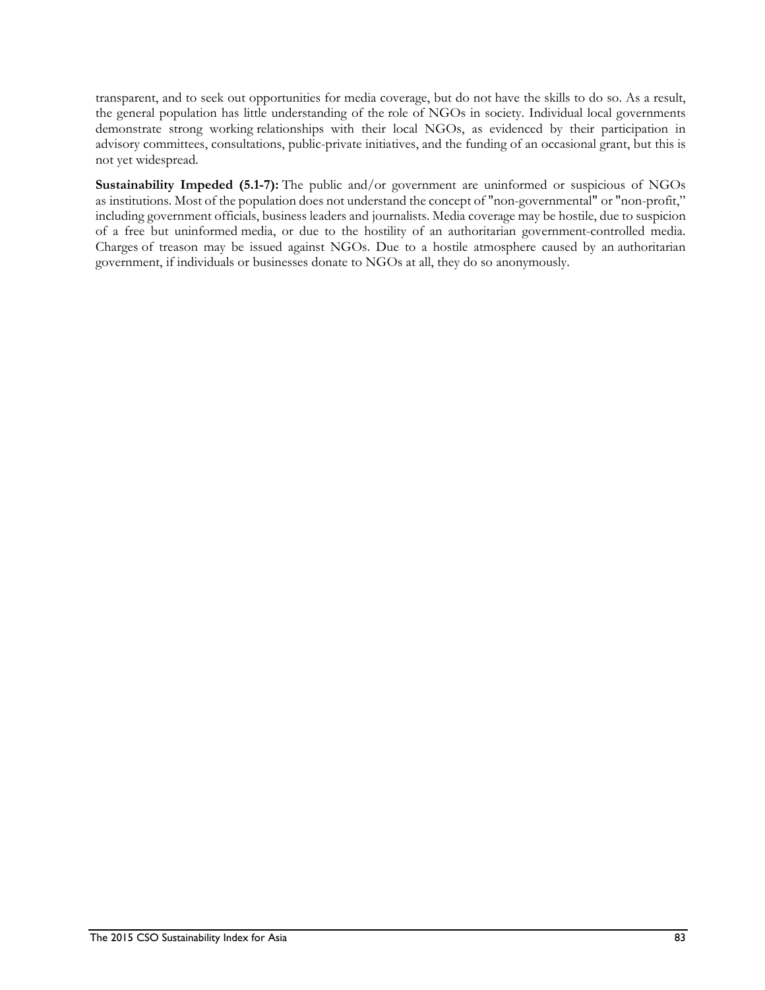transparent, and to seek out opportunities for media coverage, but do not have the skills to do so. As a result, the general population has little understanding of the role of NGOs in society. Individual local governments demonstrate strong working relationships with their local NGOs, as evidenced by their participation in advisory committees, consultations, public-private initiatives, and the funding of an occasional grant, but this is not yet widespread.

**Sustainability Impeded (5.1-7):** The public and/or government are uninformed or suspicious of NGOs as institutions. Most of the population does not understand the concept of "non-governmental" or "non-profit," including government officials, business leaders and journalists. Media coverage may be hostile, due to suspicion of a free but uninformed media, or due to the hostility of an authoritarian government-controlled media. Charges of treason may be issued against NGOs. Due to a hostile atmosphere caused by an authoritarian government, if individuals or businesses donate to NGOs at all, they do so anonymously.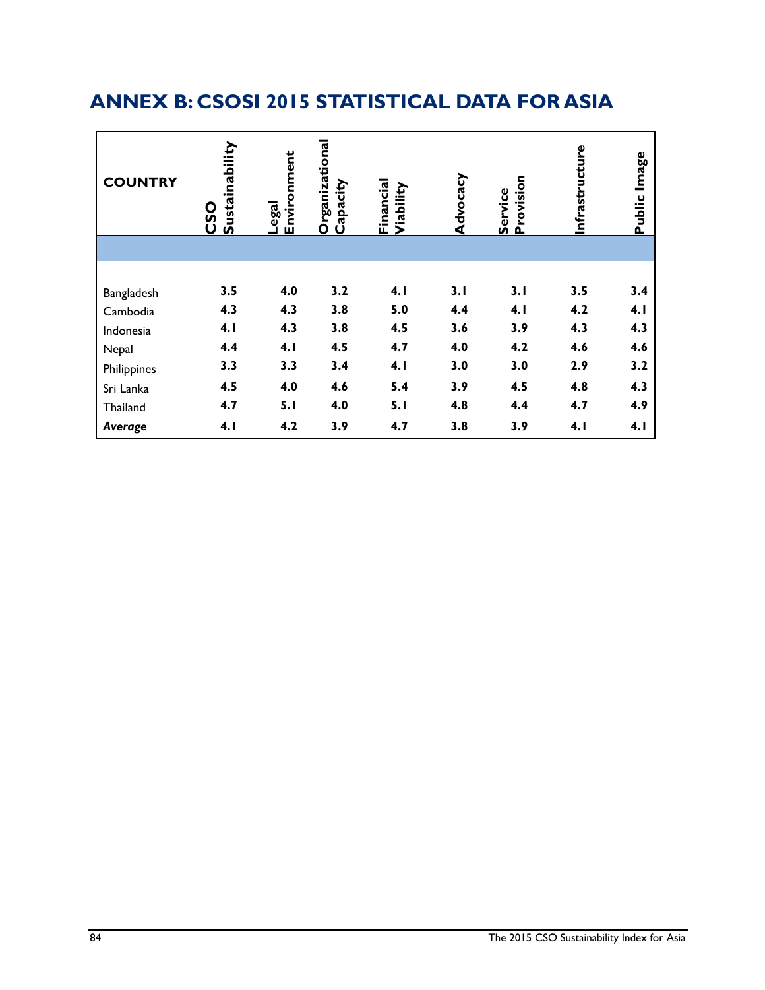# **ANNEX B: CSOSI 2015 STATISTICAL DATA FOR ASIA**

| <b>COUNTRY</b> | Sustainability<br><b>OSO</b> | Environment<br>Legal | Organizational<br>Capacity | Financial<br>Viability | Advocacy | Provision<br>Service | Infrastructure | lmage<br>Public |
|----------------|------------------------------|----------------------|----------------------------|------------------------|----------|----------------------|----------------|-----------------|
|                |                              |                      |                            |                        |          |                      |                |                 |
|                |                              |                      |                            |                        |          |                      |                |                 |
| Bangladesh     | 3.5                          | 4.0                  | 3.2                        | 4.1                    | 3.1      | 3.1                  | 3.5            | 3.4             |
| Cambodia       | 4.3                          | 4.3                  | 3.8                        | 5.0                    | 4.4      | 4.1                  | 4.2            | 4.1             |
| Indonesia      | 4.1                          | 4.3                  | 3.8                        | 4.5                    | 3.6      | 3.9                  | 4.3            | 4.3             |
| Nepal          | 4.4                          | 4.1                  | 4.5                        | 4.7                    | 4.0      | 4.2                  | 4.6            | 4.6             |
| Philippines    | 3.3                          | 3.3                  | 3.4                        | 4.1                    | 3.0      | 3.0                  | 2.9            | 3.2             |
| Sri Lanka      | 4.5                          | 4.0                  | 4.6                        | 5.4                    | 3.9      | 4.5                  | 4.8            | 4.3             |
| Thailand       | 4.7                          | 5.1                  | 4.0                        | 5.1                    | 4.8      | 4.4                  | 4.7            | 4.9             |
| Average        | 4.1                          | 4.2                  | 3.9                        | 4.7                    | 3.8      | 3.9                  | 4.1            | 4.1             |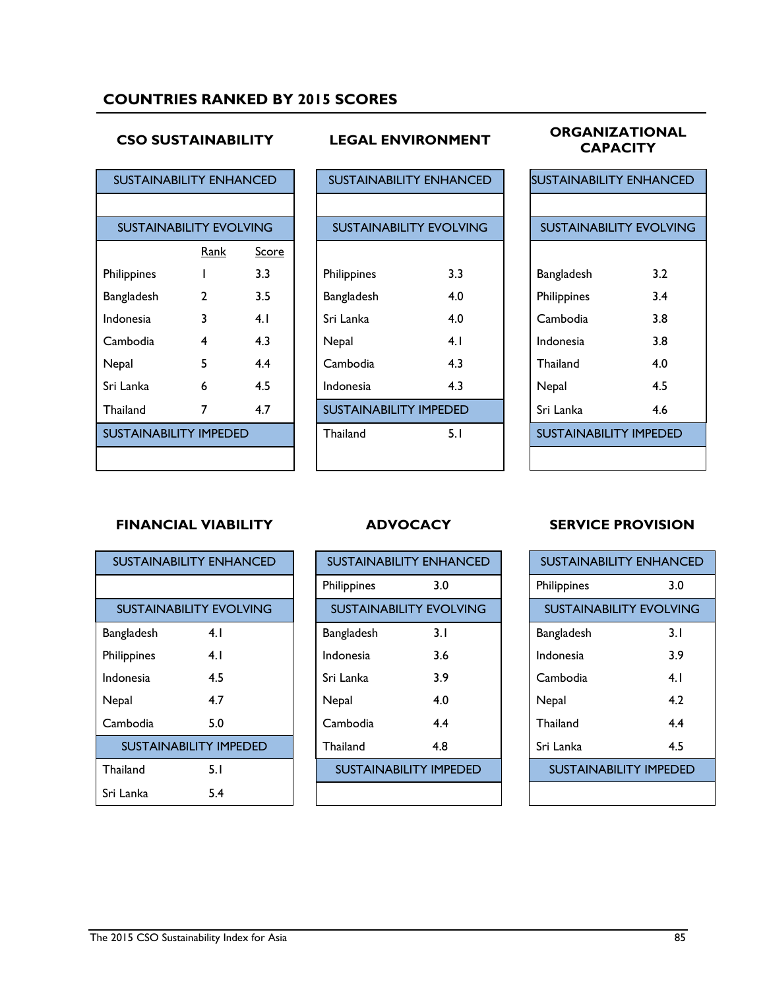## **COUNTRIES RANKED BY 2015 SCORES**

### **CSO SUSTAINABILITY LEGAL ENVIRONMENT ORGANIZATIONAL CAPACITY**

| <b>SUSTAINABILITY ENHANCED</b> |                                |              |             |                               | <b>SUSTAINABILITY ENHANCED</b> |          |             | <b>SUSTAINABILITY ENHANCE</b> |
|--------------------------------|--------------------------------|--------------|-------------|-------------------------------|--------------------------------|----------|-------------|-------------------------------|
|                                |                                |              |             |                               |                                |          |             |                               |
|                                | <b>SUSTAINABILITY EVOLVING</b> |              |             |                               | <b>SUSTAINABILITY EVOLVING</b> |          |             | <b>SUSTAINABILITY EVOLVIN</b> |
|                                | <u>Rank</u>                    | <b>Score</b> |             |                               |                                |          |             |                               |
| Philippines                    |                                | 3.3          | Philippines |                               | 3.3                            |          | Bangladesh  | 3.2                           |
| Bangladesh                     | $\overline{2}$                 | 3.5          | Bangladesh  |                               | 4.0                            |          | Philippines | 3.4                           |
| Indonesia                      | 3                              | 4.1          | Sri Lanka   |                               | 4.0                            |          | Cambodia    | 3.8                           |
| Cambodia                       | 4                              | 4.3          | Nepal       |                               | 4.1                            |          | Indonesia   | 3.8                           |
| Nepal                          | 5                              | 4.4          | Cambodia    |                               | 4.3                            | Thailand |             | 4.0                           |
| Sri Lanka                      | 6                              | 4.5          | Indonesia   |                               | 4.3                            | Nepal    |             | 4.5                           |
| Thailand                       | 7                              | 4.7          |             | <b>SUSTAINABILITY IMPEDED</b> |                                |          | Sri Lanka   | 4.6                           |
| <b>SUSTAINABILITY IMPEDED</b>  |                                |              | Thailand    |                               | 5.1                            |          |             | <b>SUSTAINABILITY IMPEDED</b> |
|                                |                                |              |             |                               |                                |          |             |                               |

| <b>SUSTAINABILITY EVOLVING</b><br><b>SUSTAINABILITY EVOLVING</b><br>Rank<br>Score<br>3.3<br>3.3<br>lippines<br>Philippines<br>$\overline{2}$<br>3.5<br>4.0<br><b>ngladesh</b><br>Bangladesh<br>3<br>Sri Lanka<br>4.0<br>4.1<br>lonesia<br>4.3<br>4<br>4.1<br>mbodia<br>Nepal<br>5<br>4.4<br>Cambodia<br>4.3<br>pal<br>4.5<br>4.3<br>Lanka<br>6<br>Indonesia<br><b>SUSTAINABILITY IMPEDED</b><br>4.7<br>7<br>ailand<br><b>STAINABILITY IMPEDED</b><br>5.1<br>Thailand |
|----------------------------------------------------------------------------------------------------------------------------------------------------------------------------------------------------------------------------------------------------------------------------------------------------------------------------------------------------------------------------------------------------------------------------------------------------------------------|
|                                                                                                                                                                                                                                                                                                                                                                                                                                                                      |
|                                                                                                                                                                                                                                                                                                                                                                                                                                                                      |
|                                                                                                                                                                                                                                                                                                                                                                                                                                                                      |
|                                                                                                                                                                                                                                                                                                                                                                                                                                                                      |
|                                                                                                                                                                                                                                                                                                                                                                                                                                                                      |
|                                                                                                                                                                                                                                                                                                                                                                                                                                                                      |
|                                                                                                                                                                                                                                                                                                                                                                                                                                                                      |
|                                                                                                                                                                                                                                                                                                                                                                                                                                                                      |
|                                                                                                                                                                                                                                                                                                                                                                                                                                                                      |
|                                                                                                                                                                                                                                                                                                                                                                                                                                                                      |
|                                                                                                                                                                                                                                                                                                                                                                                                                                                                      |
|                                                                                                                                                                                                                                                                                                                                                                                                                                                                      |

| <b>SUSTAINABILITY ENHANCED</b> |     |  |  |  |
|--------------------------------|-----|--|--|--|
|                                |     |  |  |  |
| <b>SUSTAINABILITY EVOLVING</b> |     |  |  |  |
|                                |     |  |  |  |
| Bangladesh                     | 3.2 |  |  |  |
| Philippines                    | 3.4 |  |  |  |
| Cambodia                       | 3.8 |  |  |  |
| Indonesia                      | 3.8 |  |  |  |
| Thailand                       | 4.0 |  |  |  |
| Nepal                          | 4.5 |  |  |  |
| Sri Lanka                      | 4.6 |  |  |  |
| SUSTAINABILITY IMPEDED         |     |  |  |  |
|                                |     |  |  |  |

### **FINANCIAL VIABILITY ADVOCACY SERVICE PROVISION**

| SUSTAINABILITY ENHANCED        |     |  |  |  |
|--------------------------------|-----|--|--|--|
|                                |     |  |  |  |
| <b>SUSTAINABILITY EVOLVING</b> |     |  |  |  |
| Bangladesh                     | 4.1 |  |  |  |
| Philippines                    | 4 I |  |  |  |
| Indonesia                      | 4.5 |  |  |  |
| Nepal                          | 4.7 |  |  |  |
| Cambodia                       | 5.0 |  |  |  |
| <b>SUSTAINABILITY IMPEDED</b>  |     |  |  |  |
| <b>Thailand</b>                | 5.1 |  |  |  |
| Sri Lanka                      | 5.4 |  |  |  |

| <b>SUSTAINABILITY ENHANCED</b> |                               |             | <b>SUSTAINABILITY ENHANCED</b> |  | <b>SUSTAINABILITY ENHANCED</b> |     |
|--------------------------------|-------------------------------|-------------|--------------------------------|--|--------------------------------|-----|
|                                |                               | Philippines | 3.0                            |  | Philippines                    | 3.0 |
| <b>SUSTAINABILITY EVOLVING</b> |                               |             | <b>SUSTAINABILITY EVOLVING</b> |  | <b>SUSTAINABILITY EVOLVING</b> |     |
| Bangladesh                     | 4.1                           | Bangladesh  | 3.1                            |  | Bangladesh                     | 3.1 |
| Philippines                    | 4.1                           | Indonesia   | 3.6                            |  | Indonesia                      | 3.9 |
| Indonesia                      | 4.5                           | Sri Lanka   | 3.9                            |  | Cambodia                       | 4.1 |
| Nepal                          | 4.7                           | Nepal       | 4.0                            |  | Nepal                          | 4.2 |
| Cambodia                       | 5.0                           | Cambodia    | 4.4                            |  | Thailand                       | 4.4 |
|                                | <b>SUSTAINABILITY IMPEDED</b> | Thailand    | 4.8                            |  | Sri Lanka                      | 4.5 |
| Thailand                       | 5.1                           |             | <b>SUSTAINABILITY IMPEDED</b>  |  | <b>SUSTAINABILITY IMPEDED</b>  |     |
| Sri Lanka                      | 5.4                           |             |                                |  |                                |     |

| SUSTAINABILITY ENHANCED       |      |  |
|-------------------------------|------|--|
| Philippines                   | 3.0  |  |
| SUSTAINABILITY EVOLVING       |      |  |
| Bangladesh                    | 3. I |  |
| Indonesia                     | 3.9  |  |
| Cambodia                      | 4.1  |  |
| Nepal                         | 4.2  |  |
| <b>Thailand</b>               | 4.4  |  |
| Sri Lanka                     | 4.5  |  |
| <b>SUSTAINABILITY IMPEDED</b> |      |  |
|                               |      |  |